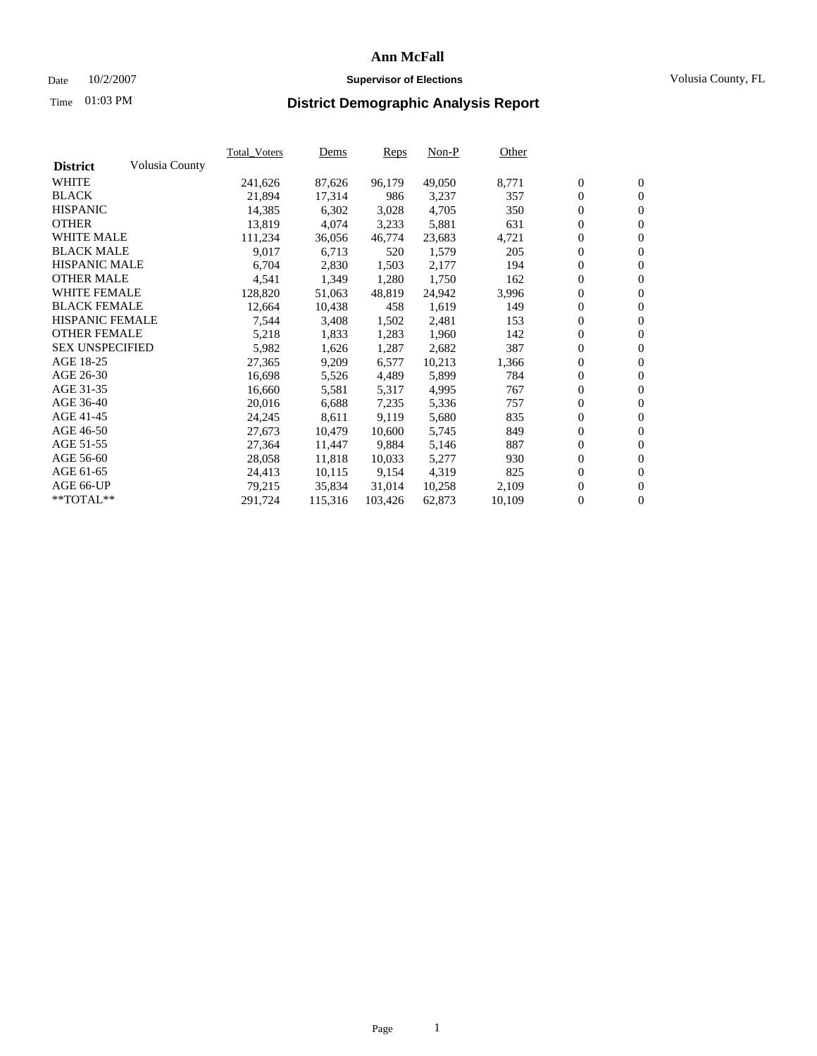### Date 10/2/2007 **Supervisor of Elections** Volusia County, FL

# Time **District Demographic Analysis Report** 01:03 PM

|                        |                | <b>Total Voters</b> | Dems    | Reps    | $Non-P$ | Other  |                  |                  |  |
|------------------------|----------------|---------------------|---------|---------|---------|--------|------------------|------------------|--|
| <b>District</b>        | Volusia County |                     |         |         |         |        |                  |                  |  |
| <b>WHITE</b>           |                | 241,626             | 87,626  | 96,179  | 49,050  | 8,771  | $\boldsymbol{0}$ | $\mathbf{0}$     |  |
| <b>BLACK</b>           |                | 21,894              | 17,314  | 986     | 3,237   | 357    | $\mathbf{0}$     | $\mathbf{0}$     |  |
| <b>HISPANIC</b>        |                | 14,385              | 6,302   | 3,028   | 4,705   | 350    | $\mathbf{0}$     | $\mathbf{0}$     |  |
| <b>OTHER</b>           |                | 13,819              | 4,074   | 3,233   | 5,881   | 631    | $\boldsymbol{0}$ | $\boldsymbol{0}$ |  |
| <b>WHITE MALE</b>      |                | 111,234             | 36,056  | 46,774  | 23,683  | 4,721  | 0                | $\mathbf{0}$     |  |
| <b>BLACK MALE</b>      |                | 9,017               | 6,713   | 520     | 1,579   | 205    | $\boldsymbol{0}$ | $\mathbf{0}$     |  |
| <b>HISPANIC MALE</b>   |                | 6,704               | 2,830   | 1,503   | 2,177   | 194    | 0                | $\overline{0}$   |  |
| <b>OTHER MALE</b>      |                | 4,541               | 1,349   | 1,280   | 1,750   | 162    | $\boldsymbol{0}$ | $\mathbf{0}$     |  |
| <b>WHITE FEMALE</b>    |                | 128,820             | 51,063  | 48,819  | 24,942  | 3,996  | 0                | $\mathbf{0}$     |  |
| <b>BLACK FEMALE</b>    |                | 12,664              | 10,438  | 458     | 1,619   | 149    | $\mathbf{0}$     | $\mathbf{0}$     |  |
| <b>HISPANIC FEMALE</b> |                | 7,544               | 3,408   | 1,502   | 2,481   | 153    | $\boldsymbol{0}$ | $\boldsymbol{0}$ |  |
| <b>OTHER FEMALE</b>    |                | 5,218               | 1,833   | 1,283   | 1,960   | 142    | 0                | $\mathbf{0}$     |  |
| <b>SEX UNSPECIFIED</b> |                | 5,982               | 1,626   | 1,287   | 2,682   | 387    | $\overline{0}$   | $\mathbf{0}$     |  |
| AGE 18-25              |                | 27,365              | 9,209   | 6,577   | 10,213  | 1,366  | 0                | $\mathbf{0}$     |  |
| AGE 26-30              |                | 16,698              | 5,526   | 4,489   | 5,899   | 784    | $\boldsymbol{0}$ | $\mathbf{0}$     |  |
| AGE 31-35              |                | 16,660              | 5,581   | 5,317   | 4,995   | 767    | 0                | $\boldsymbol{0}$ |  |
| AGE 36-40              |                | 20,016              | 6,688   | 7,235   | 5,336   | 757    | $\mathbf{0}$     | $\mathbf{0}$     |  |
| AGE 41-45              |                | 24,245              | 8,611   | 9,119   | 5,680   | 835    | 0                | $\boldsymbol{0}$ |  |
| AGE 46-50              |                | 27,673              | 10,479  | 10,600  | 5,745   | 849    | 0                | $\overline{0}$   |  |
| AGE 51-55              |                | 27,364              | 11,447  | 9,884   | 5,146   | 887    | $\boldsymbol{0}$ | $\mathbf{0}$     |  |
| AGE 56-60              |                | 28,058              | 11,818  | 10,033  | 5,277   | 930    | $\mathbf{0}$     | $\mathbf{0}$     |  |
| AGE 61-65              |                | 24,413              | 10,115  | 9,154   | 4,319   | 825    | $\mathbf{0}$     | $\boldsymbol{0}$ |  |
| AGE 66-UP              |                | 79,215              | 35,834  | 31,014  | 10,258  | 2,109  | 0                | $\boldsymbol{0}$ |  |
| **TOTAL**              |                | 291,724             | 115,316 | 103,426 | 62,873  | 10,109 | 0                | $\mathbf{0}$     |  |
|                        |                |                     |         |         |         |        |                  |                  |  |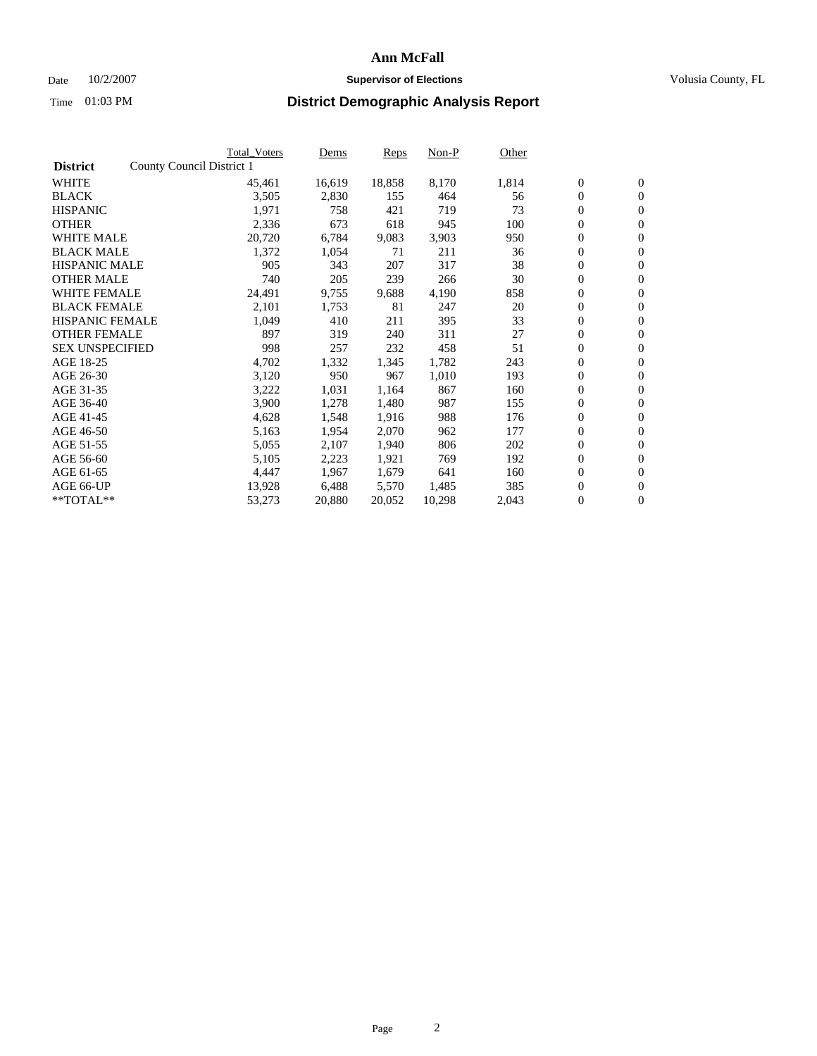### Date  $10/2/2007$  **Supervisor of Elections** Volusia County, FL

|                        | Total_Voters              | Dems   | <b>Reps</b> | Non-P  | Other |                  |                  |  |
|------------------------|---------------------------|--------|-------------|--------|-------|------------------|------------------|--|
| <b>District</b>        | County Council District 1 |        |             |        |       |                  |                  |  |
| <b>WHITE</b>           | 45,461                    | 16,619 | 18,858      | 8,170  | 1,814 | $\boldsymbol{0}$ | $\mathbf{0}$     |  |
| <b>BLACK</b>           | 3,505                     | 2,830  | 155         | 464    | 56    | $\boldsymbol{0}$ | $\mathbf{0}$     |  |
| <b>HISPANIC</b>        | 1,971                     | 758    | 421         | 719    | 73    | $\boldsymbol{0}$ | $\mathbf{0}$     |  |
| <b>OTHER</b>           | 2,336                     | 673    | 618         | 945    | 100   | $\boldsymbol{0}$ | $\mathbf{0}$     |  |
| <b>WHITE MALE</b>      | 20,720                    | 6,784  | 9,083       | 3,903  | 950   | $\boldsymbol{0}$ | $\mathbf{0}$     |  |
| <b>BLACK MALE</b>      | 1,372                     | 1,054  | 71          | 211    | 36    | $\boldsymbol{0}$ | $\boldsymbol{0}$ |  |
| <b>HISPANIC MALE</b>   | 905                       | 343    | 207         | 317    | 38    | $\overline{0}$   | $\mathbf{0}$     |  |
| <b>OTHER MALE</b>      | 740                       | 205    | 239         | 266    | 30    | $\overline{0}$   | $\mathbf{0}$     |  |
| <b>WHITE FEMALE</b>    | 24,491                    | 9,755  | 9,688       | 4,190  | 858   | $\mathbf{0}$     | $\mathbf{0}$     |  |
| <b>BLACK FEMALE</b>    | 2,101                     | 1,753  | 81          | 247    | 20    | $\boldsymbol{0}$ | $\mathbf{0}$     |  |
| <b>HISPANIC FEMALE</b> | 1,049                     | 410    | 211         | 395    | 33    | $\boldsymbol{0}$ | $\boldsymbol{0}$ |  |
| <b>OTHER FEMALE</b>    | 897                       | 319    | 240         | 311    | 27    | 0                | $\mathbf{0}$     |  |
| <b>SEX UNSPECIFIED</b> | 998                       | 257    | 232         | 458    | 51    | $\boldsymbol{0}$ | $\mathbf{0}$     |  |
| AGE 18-25              | 4,702                     | 1,332  | 1,345       | 1,782  | 243   | $\boldsymbol{0}$ | $\mathbf{0}$     |  |
| AGE 26-30              | 3,120                     | 950    | 967         | 1,010  | 193   | $\overline{0}$   | $\mathbf{0}$     |  |
| AGE 31-35              | 3,222                     | 1,031  | 1,164       | 867    | 160   | $\boldsymbol{0}$ | $\mathbf{0}$     |  |
| AGE 36-40              | 3,900                     | 1,278  | 1,480       | 987    | 155   | $\boldsymbol{0}$ | $\boldsymbol{0}$ |  |
| AGE 41-45              | 4,628                     | 1,548  | 1,916       | 988    | 176   | $\boldsymbol{0}$ | $\mathbf{0}$     |  |
| AGE 46-50              | 5,163                     | 1,954  | 2,070       | 962    | 177   | 0                | $\mathbf{0}$     |  |
| AGE 51-55              | 5,055                     | 2,107  | 1,940       | 806    | 202   | $\boldsymbol{0}$ | $\boldsymbol{0}$ |  |
| AGE 56-60              | 5,105                     | 2,223  | 1,921       | 769    | 192   | $\overline{0}$   | $\mathbf{0}$     |  |
| AGE 61-65              | 4,447                     | 1,967  | 1,679       | 641    | 160   | $\mathbf{0}$     | $\mathbf{0}$     |  |
| AGE 66-UP              | 13,928                    | 6,488  | 5,570       | 1,485  | 385   | $\boldsymbol{0}$ | $\boldsymbol{0}$ |  |
| **TOTAL**              | 53,273                    | 20,880 | 20,052      | 10,298 | 2,043 | 0                | $\overline{0}$   |  |
|                        |                           |        |             |        |       |                  |                  |  |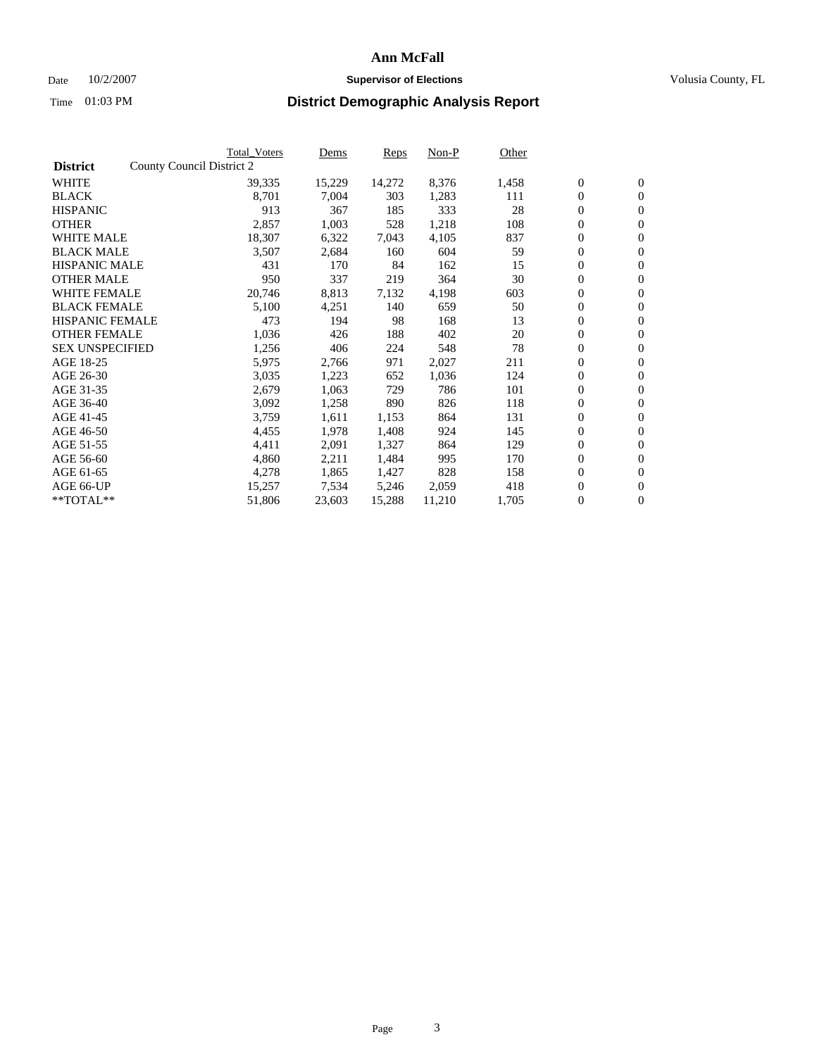### Date  $10/2/2007$  **Supervisor of Elections** Volusia County, FL

|                        | Total_Voters              | Dems   | <b>Reps</b> | Non-P  | Other |                  |                  |  |
|------------------------|---------------------------|--------|-------------|--------|-------|------------------|------------------|--|
| <b>District</b>        | County Council District 2 |        |             |        |       |                  |                  |  |
| <b>WHITE</b>           | 39,335                    | 15,229 | 14,272      | 8,376  | 1,458 | $\boldsymbol{0}$ | $\mathbf{0}$     |  |
| <b>BLACK</b>           | 8,701                     | 7,004  | 303         | 1,283  | 111   | $\boldsymbol{0}$ | $\mathbf{0}$     |  |
| <b>HISPANIC</b>        | 913                       | 367    | 185         | 333    | 28    | $\boldsymbol{0}$ | $\mathbf{0}$     |  |
| <b>OTHER</b>           | 2,857                     | 1,003  | 528         | 1,218  | 108   | $\boldsymbol{0}$ | $\mathbf{0}$     |  |
| <b>WHITE MALE</b>      | 18,307                    | 6,322  | 7,043       | 4,105  | 837   | $\boldsymbol{0}$ | $\mathbf{0}$     |  |
| <b>BLACK MALE</b>      | 3,507                     | 2,684  | 160         | 604    | 59    | $\boldsymbol{0}$ | $\boldsymbol{0}$ |  |
| <b>HISPANIC MALE</b>   | 431                       | 170    | 84          | 162    | 15    | $\overline{0}$   | $\mathbf{0}$     |  |
| <b>OTHER MALE</b>      | 950                       | 337    | 219         | 364    | 30    | $\boldsymbol{0}$ | $\mathbf{0}$     |  |
| <b>WHITE FEMALE</b>    | 20,746                    | 8,813  | 7,132       | 4,198  | 603   | $\mathbf{0}$     | $\mathbf{0}$     |  |
| <b>BLACK FEMALE</b>    | 5,100                     | 4,251  | 140         | 659    | 50    | $\boldsymbol{0}$ | $\mathbf{0}$     |  |
| <b>HISPANIC FEMALE</b> | 473                       | 194    | 98          | 168    | 13    | $\boldsymbol{0}$ | $\mathbf{0}$     |  |
| <b>OTHER FEMALE</b>    | 1,036                     | 426    | 188         | 402    | 20    | 0                | $\mathbf{0}$     |  |
| <b>SEX UNSPECIFIED</b> | 1,256                     | 406    | 224         | 548    | 78    | $\boldsymbol{0}$ | $\mathbf{0}$     |  |
| AGE 18-25              | 5,975                     | 2,766  | 971         | 2,027  | 211   | $\boldsymbol{0}$ | $\mathbf{0}$     |  |
| AGE 26-30              | 3,035                     | 1,223  | 652         | 1,036  | 124   | $\overline{0}$   | $\mathbf{0}$     |  |
| AGE 31-35              | 2,679                     | 1,063  | 729         | 786    | 101   | $\boldsymbol{0}$ | $\mathbf{0}$     |  |
| AGE 36-40              | 3,092                     | 1,258  | 890         | 826    | 118   | $\boldsymbol{0}$ | $\mathbf{0}$     |  |
| AGE 41-45              | 3,759                     | 1,611  | 1,153       | 864    | 131   | $\boldsymbol{0}$ | $\mathbf{0}$     |  |
| AGE 46-50              | 4,455                     | 1,978  | 1,408       | 924    | 145   | 0                | $\mathbf{0}$     |  |
| AGE 51-55              | 4,411                     | 2,091  | 1,327       | 864    | 129   | $\boldsymbol{0}$ | $\mathbf{0}$     |  |
| AGE 56-60              | 4,860                     | 2,211  | 1,484       | 995    | 170   | $\overline{0}$   | $\mathbf{0}$     |  |
| AGE 61-65              | 4,278                     | 1,865  | 1,427       | 828    | 158   | $\mathbf{0}$     | $\boldsymbol{0}$ |  |
| AGE 66-UP              | 15,257                    | 7,534  | 5,246       | 2,059  | 418   | $\boldsymbol{0}$ | $\mathbf{0}$     |  |
| **TOTAL**              | 51,806                    | 23,603 | 15,288      | 11,210 | 1,705 | $\boldsymbol{0}$ | $\overline{0}$   |  |
|                        |                           |        |             |        |       |                  |                  |  |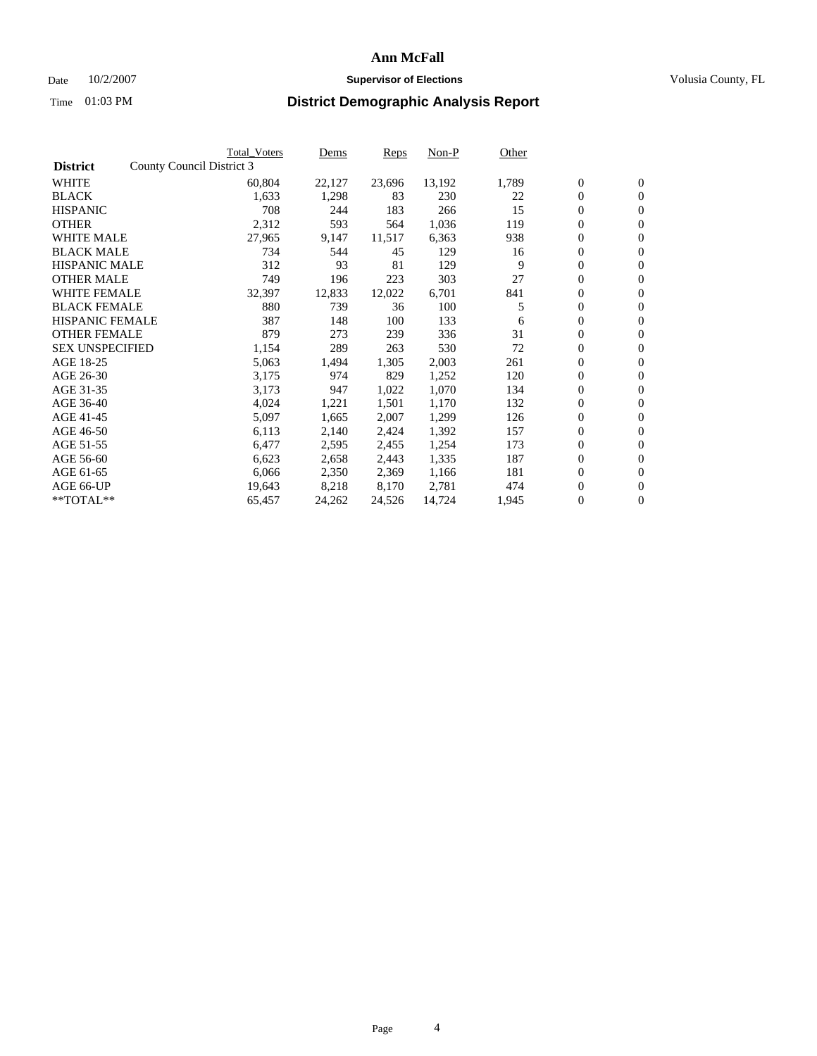## Date  $10/2/2007$  **Supervisor of Elections Supervisor of Elections** Volusia County, FL

|                        | <b>Total_Voters</b>       | Dems   | <b>Reps</b> | Non-P  | Other |                  |                  |  |
|------------------------|---------------------------|--------|-------------|--------|-------|------------------|------------------|--|
| <b>District</b>        | County Council District 3 |        |             |        |       |                  |                  |  |
| <b>WHITE</b>           | 60,804                    | 22,127 | 23,696      | 13,192 | 1,789 | $\boldsymbol{0}$ | $\mathbf{0}$     |  |
| <b>BLACK</b>           | 1,633                     | 1,298  | 83          | 230    | 22    | $\overline{0}$   | $\mathbf{0}$     |  |
| <b>HISPANIC</b>        | 708                       | 244    | 183         | 266    | 15    | $\overline{0}$   | $\mathbf{0}$     |  |
| <b>OTHER</b>           | 2,312                     | 593    | 564         | 1,036  | 119   | $\overline{0}$   | $\overline{0}$   |  |
| <b>WHITE MALE</b>      | 27,965                    | 9,147  | 11,517      | 6,363  | 938   | $\overline{0}$   | $\mathbf{0}$     |  |
| <b>BLACK MALE</b>      | 734                       | 544    | 45          | 129    | 16    | $\boldsymbol{0}$ | $\boldsymbol{0}$ |  |
| <b>HISPANIC MALE</b>   | 312                       | 93     | 81          | 129    | 9     | 0                | $\mathbf{0}$     |  |
| <b>OTHER MALE</b>      | 749                       | 196    | 223         | 303    | 27    | 0                | $\mathbf{0}$     |  |
| <b>WHITE FEMALE</b>    | 32,397                    | 12,833 | 12,022      | 6,701  | 841   | 0                | $\mathbf{0}$     |  |
| <b>BLACK FEMALE</b>    | 880                       | 739    | 36          | 100    | 5     | $\overline{0}$   | $\mathbf{0}$     |  |
| <b>HISPANIC FEMALE</b> | 387                       | 148    | 100         | 133    | 6     | 0                | $\mathbf{0}$     |  |
| <b>OTHER FEMALE</b>    | 879                       | 273    | 239         | 336    | 31    | $\overline{0}$   | $\mathbf{0}$     |  |
| <b>SEX UNSPECIFIED</b> | 1,154                     | 289    | 263         | 530    | 72    | $\boldsymbol{0}$ | $\boldsymbol{0}$ |  |
| AGE 18-25              | 5,063                     | 1,494  | 1,305       | 2,003  | 261   | $\overline{0}$   | $\mathbf{0}$     |  |
| AGE 26-30              | 3,175                     | 974    | 829         | 1,252  | 120   | $\boldsymbol{0}$ | $\mathbf{0}$     |  |
| AGE 31-35              | 3,173                     | 947    | 1,022       | 1,070  | 134   | 0                | $\mathbf{0}$     |  |
| AGE 36-40              | 4,024                     | 1,221  | 1,501       | 1,170  | 132   | $\boldsymbol{0}$ | $\mathbf{0}$     |  |
| AGE 41-45              | 5,097                     | 1,665  | 2,007       | 1,299  | 126   | 0                | $\mathbf{0}$     |  |
| AGE 46-50              | 6,113                     | 2,140  | 2,424       | 1,392  | 157   | $\overline{0}$   | $\mathbf{0}$     |  |
| AGE 51-55              | 6,477                     | 2,595  | 2,455       | 1,254  | 173   | 0                | $\mathbf{0}$     |  |
| AGE 56-60              | 6,623                     | 2,658  | 2,443       | 1,335  | 187   | $\overline{0}$   | $\mathbf{0}$     |  |
| AGE 61-65              | 6,066                     | 2,350  | 2,369       | 1,166  | 181   | 0                | $\boldsymbol{0}$ |  |
| AGE 66-UP              | 19,643                    | 8,218  | 8,170       | 2,781  | 474   | 0                | $\bf{0}$         |  |
| $*$ TOTAL $**$         | 65,457                    | 24,262 | 24,526      | 14,724 | 1,945 | 0                | $\boldsymbol{0}$ |  |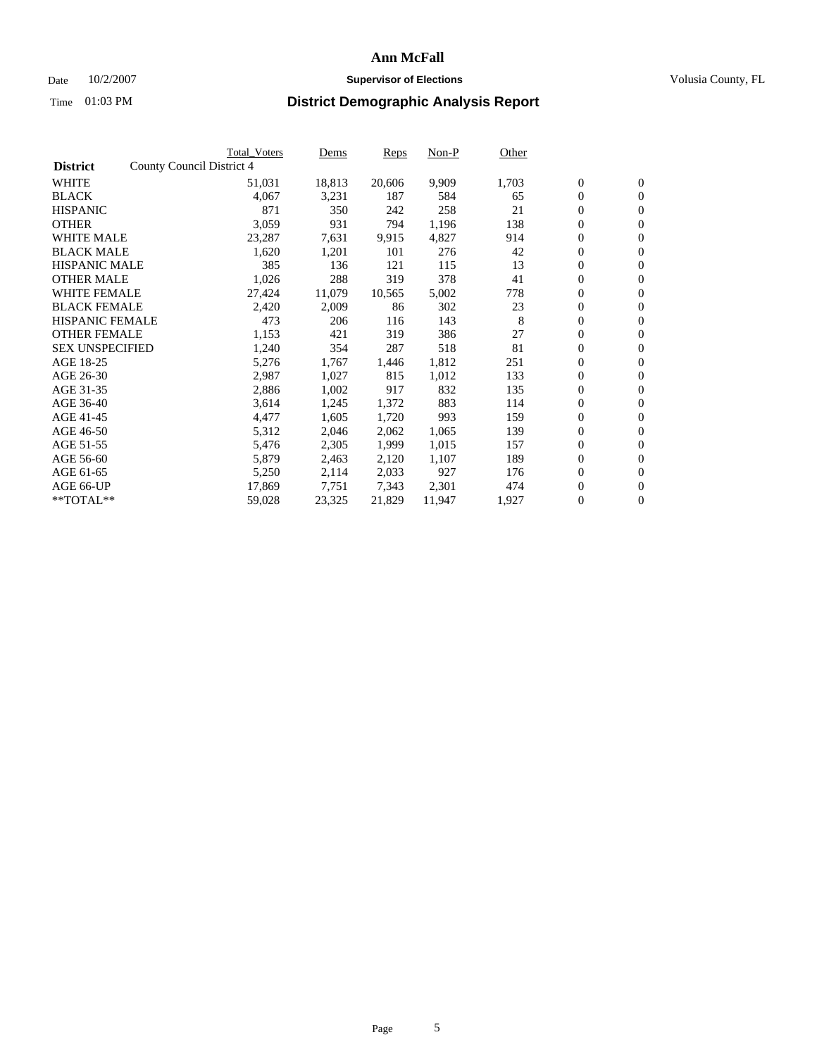### Date  $10/2/2007$  **Supervisor of Elections** Volusia County, FL

|                        |                           | Total_Voters | Dems   | <b>Reps</b> | Non-P  | Other |                  |                  |  |
|------------------------|---------------------------|--------------|--------|-------------|--------|-------|------------------|------------------|--|
| <b>District</b>        | County Council District 4 |              |        |             |        |       |                  |                  |  |
| <b>WHITE</b>           |                           | 51,031       | 18,813 | 20,606      | 9,909  | 1,703 | $\overline{0}$   | $\mathbf{0}$     |  |
| <b>BLACK</b>           |                           | 4,067        | 3,231  | 187         | 584    | 65    | $\overline{0}$   | $\mathbf{0}$     |  |
| <b>HISPANIC</b>        |                           | 871          | 350    | 242         | 258    | 21    | $\boldsymbol{0}$ | $\mathbf{0}$     |  |
| <b>OTHER</b>           |                           | 3,059        | 931    | 794         | 1,196  | 138   | $\boldsymbol{0}$ | $\mathbf{0}$     |  |
| <b>WHITE MALE</b>      |                           | 23,287       | 7,631  | 9,915       | 4,827  | 914   | 0                | $\mathbf{0}$     |  |
| <b>BLACK MALE</b>      |                           | 1,620        | 1,201  | 101         | 276    | 42    | $\boldsymbol{0}$ | $\boldsymbol{0}$ |  |
| <b>HISPANIC MALE</b>   |                           | 385          | 136    | 121         | 115    | 13    | $\overline{0}$   | $\mathbf{0}$     |  |
| <b>OTHER MALE</b>      |                           | 1,026        | 288    | 319         | 378    | 41    | $\overline{0}$   | $\mathbf{0}$     |  |
| <b>WHITE FEMALE</b>    |                           | 27,424       | 11,079 | 10,565      | 5,002  | 778   | $\mathbf{0}$     | $\mathbf{0}$     |  |
| <b>BLACK FEMALE</b>    |                           | 2,420        | 2,009  | 86          | 302    | 23    | $\boldsymbol{0}$ | $\mathbf{0}$     |  |
| <b>HISPANIC FEMALE</b> |                           | 473          | 206    | 116         | 143    | 8     | $\boldsymbol{0}$ | $\boldsymbol{0}$ |  |
| <b>OTHER FEMALE</b>    |                           | 1,153        | 421    | 319         | 386    | 27    | 0                | $\mathbf{0}$     |  |
| <b>SEX UNSPECIFIED</b> |                           | 1,240        | 354    | 287         | 518    | 81    | $\boldsymbol{0}$ | $\mathbf{0}$     |  |
| AGE 18-25              |                           | 5,276        | 1,767  | 1,446       | 1,812  | 251   | $\boldsymbol{0}$ | $\mathbf{0}$     |  |
| AGE 26-30              |                           | 2,987        | 1,027  | 815         | 1,012  | 133   | $\overline{0}$   | $\mathbf{0}$     |  |
| AGE 31-35              |                           | 2,886        | 1,002  | 917         | 832    | 135   | $\overline{0}$   | $\mathbf{0}$     |  |
| AGE 36-40              |                           | 3,614        | 1,245  | 1,372       | 883    | 114   | $\boldsymbol{0}$ | $\mathbf{0}$     |  |
| AGE 41-45              |                           | 4,477        | 1,605  | 1,720       | 993    | 159   | $\boldsymbol{0}$ | $\mathbf{0}$     |  |
| AGE 46-50              |                           | 5,312        | 2,046  | 2,062       | 1,065  | 139   | 0                | $\mathbf{0}$     |  |
| AGE 51-55              |                           | 5,476        | 2,305  | 1,999       | 1,015  | 157   | $\boldsymbol{0}$ | $\boldsymbol{0}$ |  |
| AGE 56-60              |                           | 5,879        | 2,463  | 2,120       | 1,107  | 189   | $\overline{0}$   | $\mathbf{0}$     |  |
| AGE 61-65              |                           | 5,250        | 2,114  | 2,033       | 927    | 176   | $\mathbf{0}$     | $\mathbf{0}$     |  |
| AGE 66-UP              |                           | 17,869       | 7,751  | 7,343       | 2,301  | 474   | $\boldsymbol{0}$ | $\boldsymbol{0}$ |  |
| **TOTAL**              |                           | 59,028       | 23,325 | 21,829      | 11,947 | 1,927 | $\boldsymbol{0}$ | $\overline{0}$   |  |
|                        |                           |              |        |             |        |       |                  |                  |  |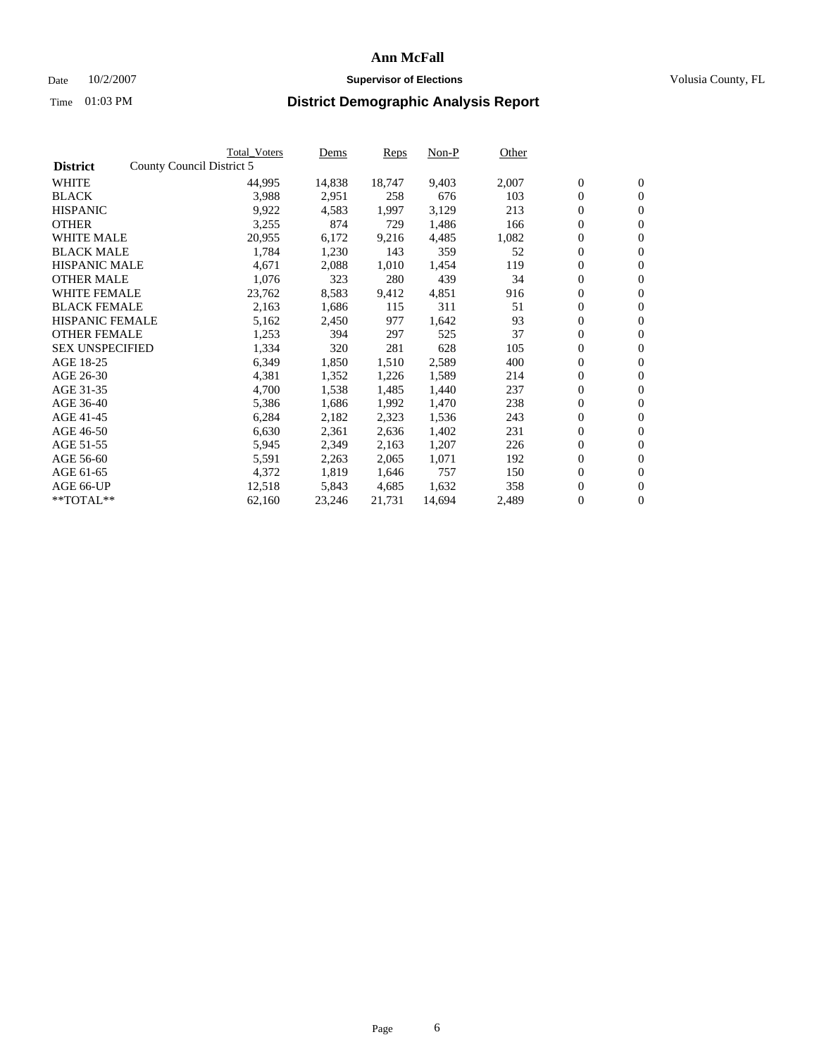### Date  $10/2/2007$  **Supervisor of Elections** Volusia County, FL

|                        |                           | <b>Total Voters</b> | Dems   | <b>Reps</b> | Non-P  | Other |                  |                  |  |
|------------------------|---------------------------|---------------------|--------|-------------|--------|-------|------------------|------------------|--|
| <b>District</b>        | County Council District 5 |                     |        |             |        |       |                  |                  |  |
| <b>WHITE</b>           |                           | 44,995              | 14,838 | 18,747      | 9,403  | 2,007 | $\boldsymbol{0}$ | $\mathbf{0}$     |  |
| <b>BLACK</b>           |                           | 3,988               | 2,951  | 258         | 676    | 103   | $\boldsymbol{0}$ | $\mathbf{0}$     |  |
| <b>HISPANIC</b>        |                           | 9,922               | 4,583  | 1,997       | 3,129  | 213   | $\boldsymbol{0}$ | $\mathbf{0}$     |  |
| <b>OTHER</b>           |                           | 3,255               | 874    | 729         | 1,486  | 166   | $\boldsymbol{0}$ | $\mathbf{0}$     |  |
| <b>WHITE MALE</b>      |                           | 20,955              | 6,172  | 9,216       | 4,485  | 1,082 | 0                | $\mathbf{0}$     |  |
| <b>BLACK MALE</b>      |                           | 1,784               | 1,230  | 143         | 359    | 52    | $\boldsymbol{0}$ | $\mathbf{0}$     |  |
| <b>HISPANIC MALE</b>   |                           | 4,671               | 2,088  | 1,010       | 1,454  | 119   | $\overline{0}$   | $\mathbf{0}$     |  |
| <b>OTHER MALE</b>      |                           | 1,076               | 323    | 280         | 439    | 34    | $\boldsymbol{0}$ | $\mathbf{0}$     |  |
| <b>WHITE FEMALE</b>    |                           | 23,762              | 8,583  | 9,412       | 4,851  | 916   | $\mathbf{0}$     | $\mathbf{0}$     |  |
| <b>BLACK FEMALE</b>    |                           | 2,163               | 1,686  | 115         | 311    | 51    | $\boldsymbol{0}$ | $\mathbf{0}$     |  |
| <b>HISPANIC FEMALE</b> |                           | 5,162               | 2,450  | 977         | 1,642  | 93    | $\boldsymbol{0}$ | $\mathbf{0}$     |  |
| <b>OTHER FEMALE</b>    |                           | 1,253               | 394    | 297         | 525    | 37    | 0                | $\mathbf{0}$     |  |
| <b>SEX UNSPECIFIED</b> |                           | 1,334               | 320    | 281         | 628    | 105   | $\boldsymbol{0}$ | $\mathbf{0}$     |  |
| AGE 18-25              |                           | 6,349               | 1,850  | 1,510       | 2,589  | 400   | $\boldsymbol{0}$ | $\mathbf{0}$     |  |
| AGE 26-30              |                           | 4,381               | 1,352  | 1,226       | 1,589  | 214   | $\overline{0}$   | $\mathbf{0}$     |  |
| AGE 31-35              |                           | 4,700               | 1,538  | 1,485       | 1,440  | 237   | $\boldsymbol{0}$ | $\mathbf{0}$     |  |
| AGE 36-40              |                           | 5,386               | 1,686  | 1,992       | 1,470  | 238   | $\boldsymbol{0}$ | $\mathbf{0}$     |  |
| AGE 41-45              |                           | 6,284               | 2,182  | 2,323       | 1,536  | 243   | $\boldsymbol{0}$ | $\mathbf{0}$     |  |
| AGE 46-50              |                           | 6,630               | 2,361  | 2,636       | 1,402  | 231   | $\boldsymbol{0}$ | $\mathbf{0}$     |  |
| AGE 51-55              |                           | 5,945               | 2,349  | 2,163       | 1,207  | 226   | $\boldsymbol{0}$ | $\mathbf{0}$     |  |
| AGE 56-60              |                           | 5,591               | 2,263  | 2,065       | 1,071  | 192   | $\boldsymbol{0}$ | $\mathbf{0}$     |  |
| AGE 61-65              |                           | 4,372               | 1,819  | 1,646       | 757    | 150   | $\boldsymbol{0}$ | $\boldsymbol{0}$ |  |
| AGE 66-UP              |                           | 12,518              | 5,843  | 4,685       | 1,632  | 358   | $\boldsymbol{0}$ | $\mathbf{0}$     |  |
| **TOTAL**              |                           | 62,160              | 23,246 | 21,731      | 14,694 | 2,489 | $\boldsymbol{0}$ | $\overline{0}$   |  |
|                        |                           |                     |        |             |        |       |                  |                  |  |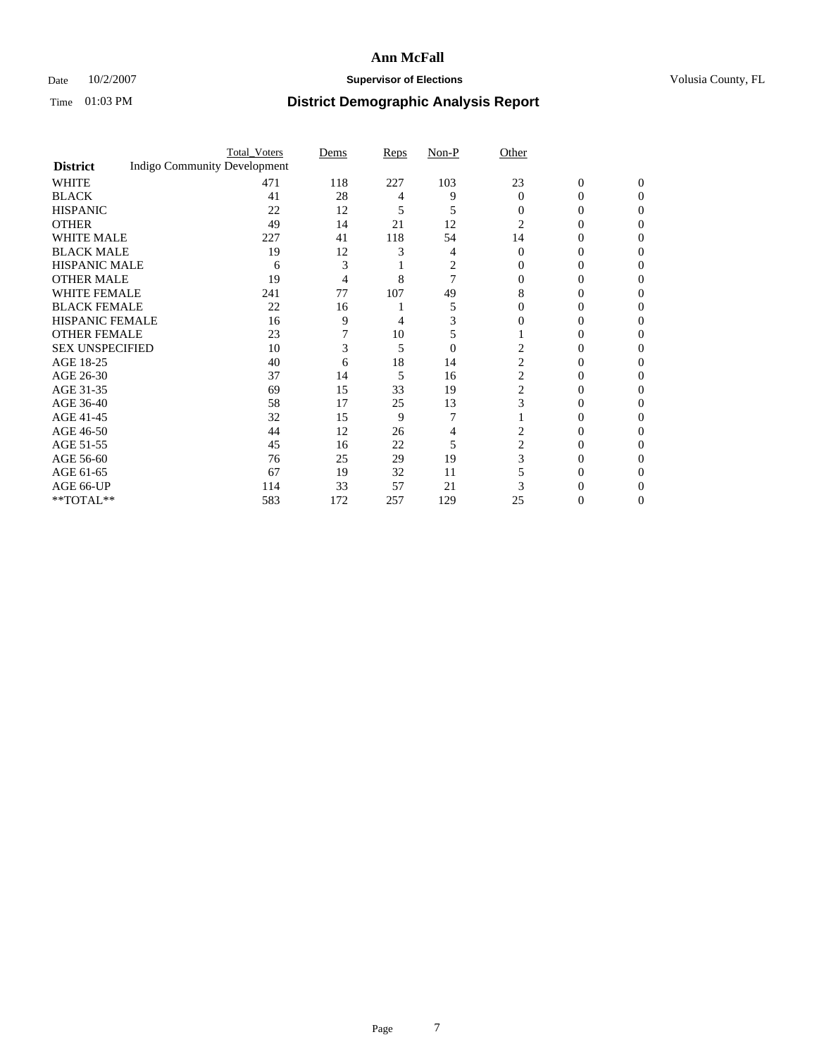## Date  $10/2/2007$  **Supervisor of Elections Supervisor of Elections** Volusia County, FL

|                        |                                     | <b>Total_Voters</b> | Dems | <b>Reps</b> | Non-P          | Other          |                |              |  |
|------------------------|-------------------------------------|---------------------|------|-------------|----------------|----------------|----------------|--------------|--|
| <b>District</b>        | <b>Indigo Community Development</b> |                     |      |             |                |                |                |              |  |
| <b>WHITE</b>           |                                     | 471                 | 118  | 227         | 103            | 23             | $\overline{0}$ | $\mathbf{0}$ |  |
| <b>BLACK</b>           |                                     | 41                  | 28   | 4           | 9              | $\Omega$       | 0              | 0            |  |
| <b>HISPANIC</b>        |                                     | 22                  | 12   | 5           | 5              | 0              | 0              | 0            |  |
| <b>OTHER</b>           |                                     | 49                  | 14   | 21          | 12             | 2              |                |              |  |
| <b>WHITE MALE</b>      |                                     | 227                 | 41   | 118         | 54             | 14             |                |              |  |
| <b>BLACK MALE</b>      |                                     | 19                  | 12   |             |                | 0              | 0              |              |  |
| HISPANIC MALE          |                                     | 6                   | 3    |             | 2              |                |                |              |  |
| <b>OTHER MALE</b>      |                                     | 19                  | 4    | 8           |                |                | 0              |              |  |
| WHITE FEMALE           |                                     | 241                 | 77   | 107         | 49             | 8              |                |              |  |
| <b>BLACK FEMALE</b>    |                                     | 22                  | 16   |             | 5              | 0              | 0              | $\theta$     |  |
| <b>HISPANIC FEMALE</b> |                                     | 16                  | 9    | 4           |                |                |                |              |  |
| <b>OTHER FEMALE</b>    |                                     | 23                  |      | 10          | 5              |                |                |              |  |
| <b>SEX UNSPECIFIED</b> |                                     | 10                  | 3    | 5           | $\overline{0}$ |                |                |              |  |
| AGE 18-25              |                                     | 40                  | 6    | 18          | 14             | 2              | 0              |              |  |
| AGE 26-30              |                                     | 37                  | 14   | 5           | 16             | 2              | 0              |              |  |
| AGE 31-35              |                                     | 69                  | 15   | 33          | 19             | 2              | 0              |              |  |
| AGE 36-40              |                                     | 58                  | 17   | 25          | 13             | 3              | 0              | 0            |  |
| AGE 41-45              |                                     | 32                  | 15   | 9           |                |                |                |              |  |
| AGE 46-50              |                                     | 44                  | 12   | 26          |                | $\overline{c}$ | 0              | 0            |  |
| AGE 51-55              |                                     | 45                  | 16   | 22          | 5              | 2              |                |              |  |
| AGE 56-60              |                                     | 76                  | 25   | 29          | 19             | 3              | 0              |              |  |
| AGE 61-65              |                                     | 67                  | 19   | 32          | 11             |                |                |              |  |
| AGE 66-UP              |                                     | 114                 | 33   | 57          | 21             |                |                |              |  |
| **TOTAL**              |                                     | 583                 | 172  | 257         | 129            | 25             | 0              | 0            |  |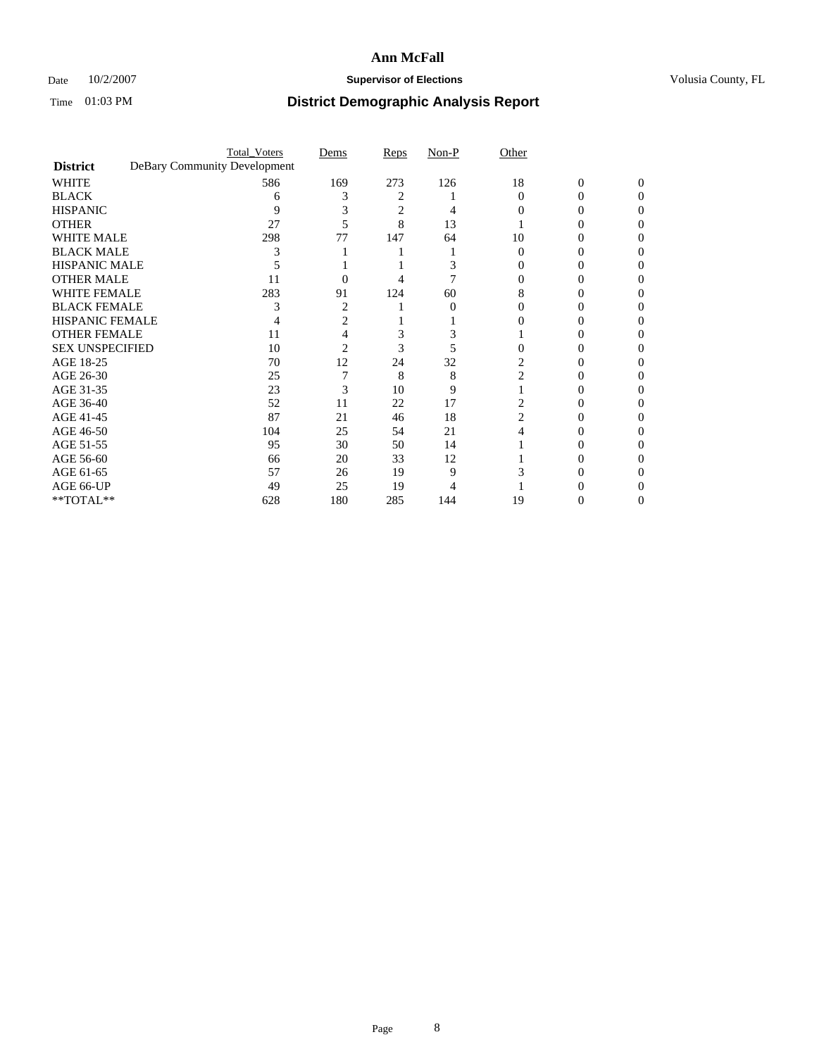## Date  $10/2/2007$  **Supervisor of Elections Supervisor of Elections** Volusia County, FL

|                        |                              | <b>Total_Voters</b> | Dems           | Reps | Non-P | Other    |                |          |  |
|------------------------|------------------------------|---------------------|----------------|------|-------|----------|----------------|----------|--|
| <b>District</b>        | DeBary Community Development |                     |                |      |       |          |                |          |  |
| <b>WHITE</b>           |                              | 586                 | 169            | 273  | 126   | 18       | $\overline{0}$ | $\Omega$ |  |
| <b>BLACK</b>           |                              | 6                   |                | 2    |       | $\Omega$ | 0              | 0        |  |
| <b>HISPANIC</b>        |                              | 9                   |                | 2    |       |          |                | O        |  |
| <b>OTHER</b>           |                              | 27                  |                | 8    | 13    |          |                |          |  |
| <b>WHITE MALE</b>      |                              | 298                 | 77             | 147  | 64    | 10       |                |          |  |
| <b>BLACK MALE</b>      |                              |                     |                |      |       |          |                |          |  |
| HISPANIC MALE          |                              |                     |                |      |       |          |                |          |  |
| <b>OTHER MALE</b>      |                              | 11                  | 0              |      |       |          |                |          |  |
| WHITE FEMALE           |                              | 283                 | 91             | 124  | 60    |          |                |          |  |
| <b>BLACK FEMALE</b>    |                              |                     | $\overline{c}$ |      | 0     | 0        |                |          |  |
| <b>HISPANIC FEMALE</b> |                              |                     |                |      |       |          |                |          |  |
| <b>OTHER FEMALE</b>    |                              | 11                  |                | 3    |       |          |                |          |  |
| <b>SEX UNSPECIFIED</b> |                              | 10                  | 2              | 3    |       |          |                |          |  |
| AGE 18-25              |                              | 70                  | 12             | 24   | 32    | 2        |                |          |  |
| AGE 26-30              |                              | 25                  |                | 8    | 8     | 2        |                |          |  |
| AGE 31-35              |                              | 23                  | 3              | 10   | 9     |          |                |          |  |
| AGE 36-40              |                              | 52                  | 11             | 22   | 17    |          | $\theta$       |          |  |
| AGE 41-45              |                              | 87                  | 21             | 46   | 18    |          |                |          |  |
| AGE 46-50              |                              | 104                 | 25             | 54   | 21    |          |                |          |  |
| AGE 51-55              |                              | 95                  | 30             | 50   | 14    |          |                |          |  |
| AGE 56-60              |                              | 66                  | 20             | 33   | 12    |          |                |          |  |
| AGE 61-65              |                              | 57                  | 26             | 19   | 9     |          |                |          |  |
| AGE 66-UP              |                              | 49                  | 25             | 19   |       |          |                |          |  |
| **TOTAL**              |                              | 628                 | 180            | 285  | 144   | 19       | 0              | 0        |  |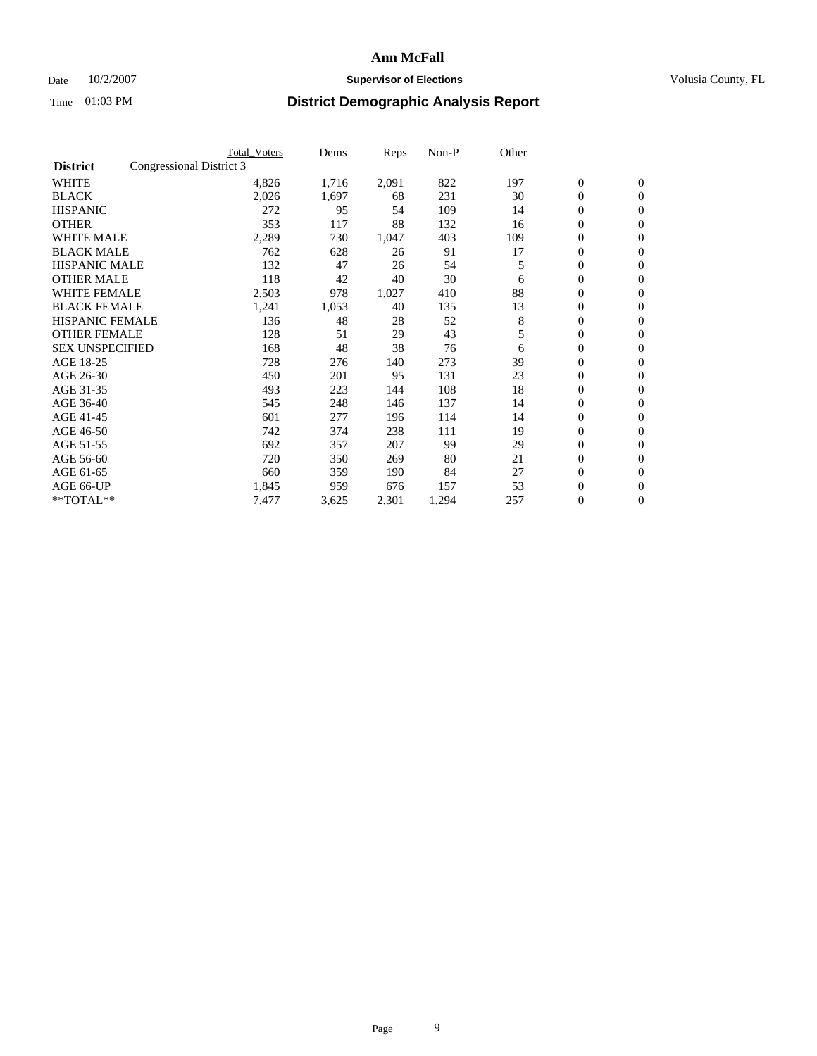### Date  $10/2/2007$  **Supervisor of Elections** Volusia County, FL

|                        |                          | <b>Total Voters</b> | Dems  | Reps  | Non-P | Other |                  |                  |  |
|------------------------|--------------------------|---------------------|-------|-------|-------|-------|------------------|------------------|--|
| <b>District</b>        | Congressional District 3 |                     |       |       |       |       |                  |                  |  |
| <b>WHITE</b>           |                          | 4,826               | 1,716 | 2,091 | 822   | 197   | $\boldsymbol{0}$ | $\mathbf{0}$     |  |
| <b>BLACK</b>           |                          | 2,026               | 1,697 | 68    | 231   | 30    | $\mathbf{0}$     | $\mathbf{0}$     |  |
| <b>HISPANIC</b>        |                          | 272                 | 95    | 54    | 109   | 14    | 0                | $\overline{0}$   |  |
| <b>OTHER</b>           |                          | 353                 | 117   | 88    | 132   | 16    | 0                | $\mathbf{0}$     |  |
| <b>WHITE MALE</b>      |                          | 2,289               | 730   | 1,047 | 403   | 109   | 0                | $\mathbf{0}$     |  |
| <b>BLACK MALE</b>      |                          | 762                 | 628   | 26    | 91    | 17    | 0                | $\boldsymbol{0}$ |  |
| <b>HISPANIC MALE</b>   |                          | 132                 | 47    | 26    | 54    | 5     | 0                | $\mathbf{0}$     |  |
| <b>OTHER MALE</b>      |                          | 118                 | 42    | 40    | 30    | 6     | $\mathbf{0}$     | $\mathbf{0}$     |  |
| <b>WHITE FEMALE</b>    |                          | 2,503               | 978   | 1,027 | 410   | 88    | 0                | $\mathbf{0}$     |  |
| <b>BLACK FEMALE</b>    |                          | 1,241               | 1,053 | 40    | 135   | 13    | $\boldsymbol{0}$ | $\mathbf{0}$     |  |
| <b>HISPANIC FEMALE</b> |                          | 136                 | 48    | 28    | 52    | 8     | 0                | $\boldsymbol{0}$ |  |
| <b>OTHER FEMALE</b>    |                          | 128                 | 51    | 29    | 43    | 5     | 0                | $\mathbf{0}$     |  |
| <b>SEX UNSPECIFIED</b> |                          | 168                 | 48    | 38    | 76    | 6     | 0                | $\mathbf{0}$     |  |
| AGE 18-25              |                          | 728                 | 276   | 140   | 273   | 39    | 0                | $\mathbf{0}$     |  |
| AGE 26-30              |                          | 450                 | 201   | 95    | 131   | 23    | $\mathbf{0}$     | $\mathbf{0}$     |  |
| AGE 31-35              |                          | 493                 | 223   | 144   | 108   | 18    | 0                | $\mathbf{0}$     |  |
| AGE 36-40              |                          | 545                 | 248   | 146   | 137   | 14    | 0                | $\mathbf{0}$     |  |
| AGE 41-45              |                          | 601                 | 277   | 196   | 114   | 14    | 0                | $\mathbf{0}$     |  |
| AGE 46-50              |                          | 742                 | 374   | 238   | 111   | 19    | 0                | $\mathbf{0}$     |  |
| AGE 51-55              |                          | 692                 | 357   | 207   | 99    | 29    | $\boldsymbol{0}$ | $\boldsymbol{0}$ |  |
| AGE 56-60              |                          | 720                 | 350   | 269   | 80    | 21    | 0                | $\mathbf{0}$     |  |
| AGE 61-65              |                          | 660                 | 359   | 190   | 84    | 27    | $\mathbf{0}$     | $\mathbf{0}$     |  |
| AGE 66-UP              |                          | 1,845               | 959   | 676   | 157   | 53    | $\boldsymbol{0}$ | $\boldsymbol{0}$ |  |
| **TOTAL**              |                          | 7,477               | 3,625 | 2,301 | 1,294 | 257   | 0                | $\boldsymbol{0}$ |  |
|                        |                          |                     |       |       |       |       |                  |                  |  |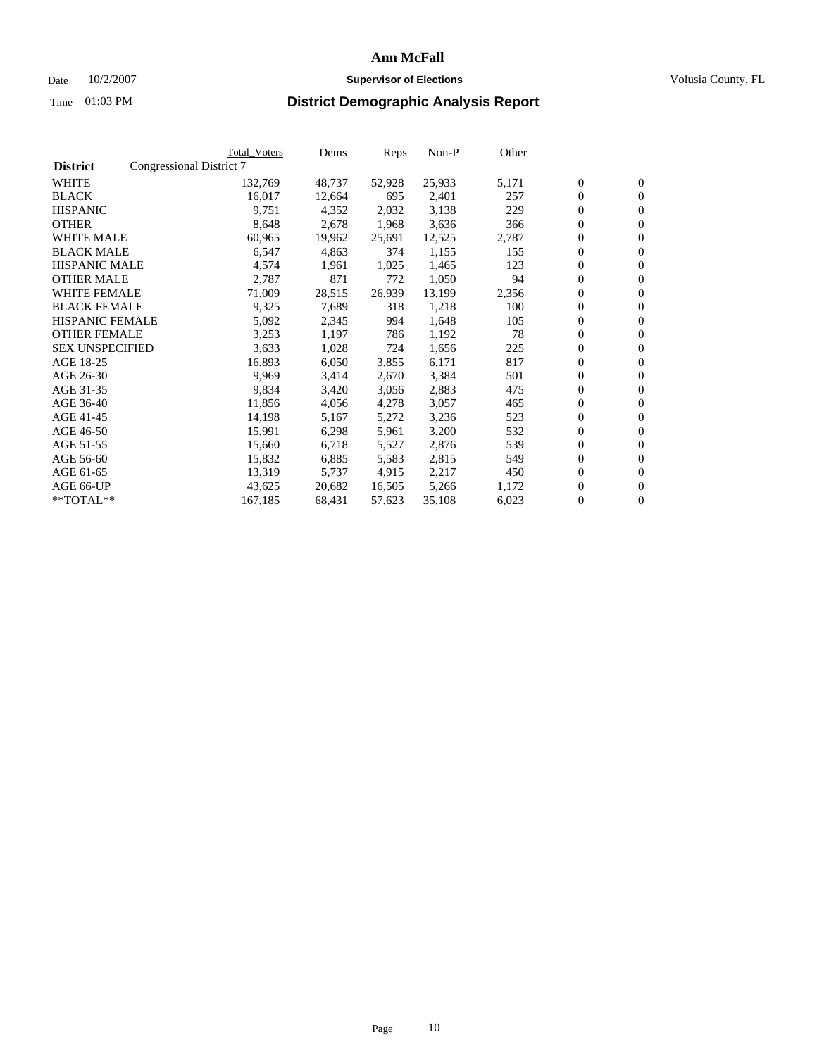### Date  $10/2/2007$  **Supervisor of Elections** Volusia County, FL

|                        |                          | Total_Voters | Dems   | <b>Reps</b> | Non-P  | Other |                  |                  |  |
|------------------------|--------------------------|--------------|--------|-------------|--------|-------|------------------|------------------|--|
| <b>District</b>        | Congressional District 7 |              |        |             |        |       |                  |                  |  |
| <b>WHITE</b>           |                          | 132,769      | 48,737 | 52,928      | 25,933 | 5,171 | $\boldsymbol{0}$ | $\mathbf{0}$     |  |
| <b>BLACK</b>           |                          | 16,017       | 12,664 | 695         | 2,401  | 257   | $\overline{0}$   | $\mathbf{0}$     |  |
| <b>HISPANIC</b>        |                          | 9,751        | 4,352  | 2,032       | 3,138  | 229   | $\boldsymbol{0}$ | $\mathbf{0}$     |  |
| <b>OTHER</b>           |                          | 8,648        | 2,678  | 1,968       | 3,636  | 366   | $\boldsymbol{0}$ | $\mathbf{0}$     |  |
| <b>WHITE MALE</b>      |                          | 60,965       | 19,962 | 25,691      | 12,525 | 2,787 | 0                | $\mathbf{0}$     |  |
| <b>BLACK MALE</b>      |                          | 6,547        | 4,863  | 374         | 1,155  | 155   | $\boldsymbol{0}$ | $\boldsymbol{0}$ |  |
| <b>HISPANIC MALE</b>   |                          | 4,574        | 1,961  | 1,025       | 1,465  | 123   | $\overline{0}$   | $\mathbf{0}$     |  |
| <b>OTHER MALE</b>      |                          | 2,787        | 871    | 772         | 1,050  | 94    | $\overline{0}$   | $\mathbf{0}$     |  |
| <b>WHITE FEMALE</b>    |                          | 71,009       | 28,515 | 26,939      | 13,199 | 2,356 | $\overline{0}$   | $\mathbf{0}$     |  |
| <b>BLACK FEMALE</b>    |                          | 9,325        | 7,689  | 318         | 1,218  | 100   | $\boldsymbol{0}$ | $\mathbf{0}$     |  |
| <b>HISPANIC FEMALE</b> |                          | 5,092        | 2,345  | 994         | 1,648  | 105   | $\boldsymbol{0}$ | $\boldsymbol{0}$ |  |
| <b>OTHER FEMALE</b>    |                          | 3,253        | 1,197  | 786         | 1,192  | 78    | 0                | $\mathbf{0}$     |  |
| <b>SEX UNSPECIFIED</b> |                          | 3,633        | 1,028  | 724         | 1,656  | 225   | $\boldsymbol{0}$ | $\mathbf{0}$     |  |
| AGE 18-25              |                          | 16,893       | 6,050  | 3,855       | 6,171  | 817   | $\boldsymbol{0}$ | $\mathbf{0}$     |  |
| AGE 26-30              |                          | 9,969        | 3,414  | 2,670       | 3,384  | 501   | $\overline{0}$   | $\mathbf{0}$     |  |
| AGE 31-35              |                          | 9,834        | 3,420  | 3,056       | 2,883  | 475   | $\overline{0}$   | $\mathbf{0}$     |  |
| AGE 36-40              |                          | 11,856       | 4,056  | 4,278       | 3,057  | 465   | $\boldsymbol{0}$ | $\boldsymbol{0}$ |  |
| AGE 41-45              |                          | 14,198       | 5,167  | 5,272       | 3,236  | 523   | $\boldsymbol{0}$ | $\mathbf{0}$     |  |
| AGE 46-50              |                          | 15,991       | 6,298  | 5,961       | 3,200  | 532   | 0                | $\mathbf{0}$     |  |
| AGE 51-55              |                          | 15,660       | 6,718  | 5,527       | 2,876  | 539   | $\boldsymbol{0}$ | $\mathbf{0}$     |  |
| AGE 56-60              |                          | 15,832       | 6,885  | 5,583       | 2,815  | 549   | $\overline{0}$   | $\mathbf{0}$     |  |
| AGE 61-65              |                          | 13,319       | 5,737  | 4,915       | 2,217  | 450   | $\mathbf{0}$     | $\boldsymbol{0}$ |  |
| AGE 66-UP              |                          | 43,625       | 20,682 | 16,505      | 5,266  | 1,172 | $\boldsymbol{0}$ | $\mathbf{0}$     |  |
| **TOTAL**              |                          | 167,185      | 68,431 | 57,623      | 35,108 | 6,023 | $\boldsymbol{0}$ | $\overline{0}$   |  |
|                        |                          |              |        |             |        |       |                  |                  |  |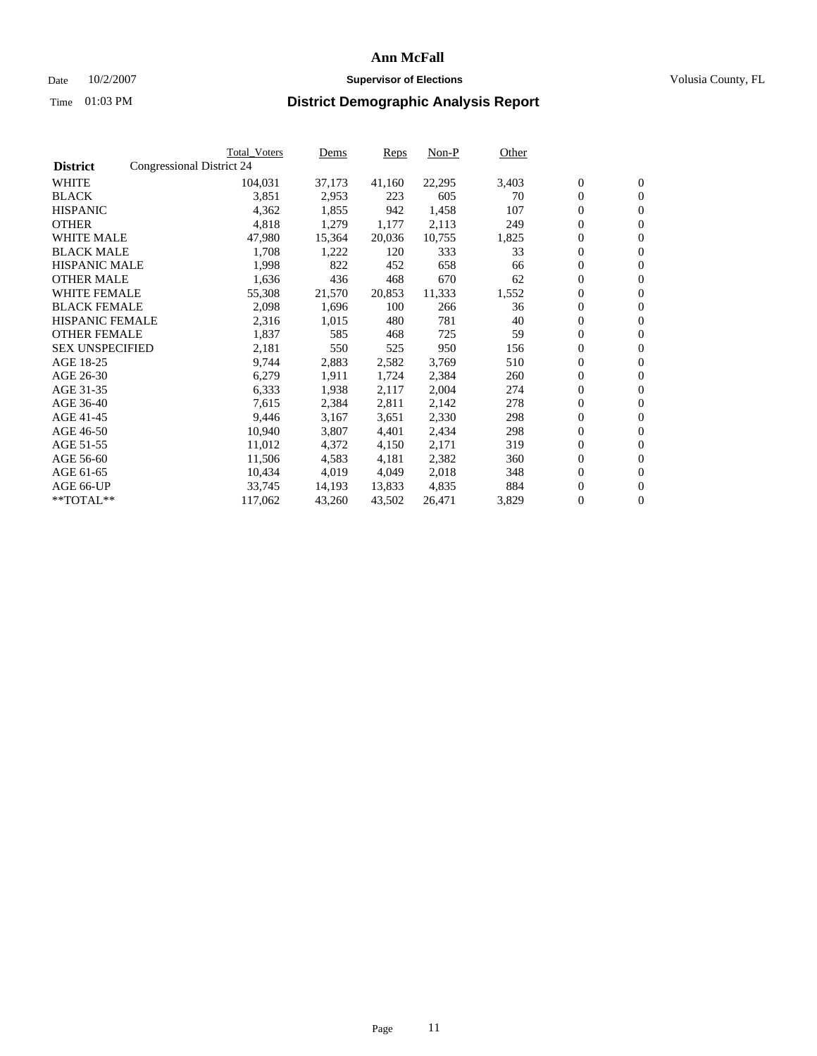### Date  $10/2/2007$  **Supervisor of Elections** Volusia County, FL

|                        |                           | Total_Voters | Dems   | <b>Reps</b> | Non-P  | Other |                  |                |  |
|------------------------|---------------------------|--------------|--------|-------------|--------|-------|------------------|----------------|--|
| <b>District</b>        | Congressional District 24 |              |        |             |        |       |                  |                |  |
| <b>WHITE</b>           |                           | 104,031      | 37,173 | 41,160      | 22,295 | 3,403 | $\boldsymbol{0}$ | $\mathbf{0}$   |  |
| <b>BLACK</b>           |                           | 3,851        | 2,953  | 223         | 605    | 70    | $\overline{0}$   | $\mathbf{0}$   |  |
| <b>HISPANIC</b>        |                           | 4,362        | 1,855  | 942         | 1,458  | 107   | $\boldsymbol{0}$ | $\mathbf{0}$   |  |
| <b>OTHER</b>           |                           | 4,818        | 1,279  | 1,177       | 2,113  | 249   | $\boldsymbol{0}$ | $\mathbf{0}$   |  |
| <b>WHITE MALE</b>      |                           | 47,980       | 15,364 | 20,036      | 10,755 | 1,825 | 0                | $\mathbf{0}$   |  |
| <b>BLACK MALE</b>      |                           | 1,708        | 1,222  | 120         | 333    | 33    | $\boldsymbol{0}$ | $\mathbf{0}$   |  |
| <b>HISPANIC MALE</b>   |                           | 1,998        | 822    | 452         | 658    | 66    | $\overline{0}$   | $\mathbf{0}$   |  |
| <b>OTHER MALE</b>      |                           | 1,636        | 436    | 468         | 670    | 62    | $\overline{0}$   | $\mathbf{0}$   |  |
| <b>WHITE FEMALE</b>    |                           | 55,308       | 21,570 | 20,853      | 11,333 | 1,552 | $\mathbf{0}$     | $\mathbf{0}$   |  |
| <b>BLACK FEMALE</b>    |                           | 2,098        | 1,696  | 100         | 266    | 36    | $\boldsymbol{0}$ | $\mathbf{0}$   |  |
| <b>HISPANIC FEMALE</b> |                           | 2,316        | 1,015  | 480         | 781    | 40    | $\boldsymbol{0}$ | $\mathbf{0}$   |  |
| <b>OTHER FEMALE</b>    |                           | 1,837        | 585    | 468         | 725    | 59    | 0                | $\mathbf{0}$   |  |
| <b>SEX UNSPECIFIED</b> |                           | 2,181        | 550    | 525         | 950    | 156   | $\boldsymbol{0}$ | $\mathbf{0}$   |  |
| AGE 18-25              |                           | 9,744        | 2,883  | 2,582       | 3,769  | 510   | $\boldsymbol{0}$ | $\mathbf{0}$   |  |
| AGE 26-30              |                           | 6,279        | 1,911  | 1,724       | 2,384  | 260   | $\overline{0}$   | $\mathbf{0}$   |  |
| AGE 31-35              |                           | 6,333        | 1,938  | 2,117       | 2,004  | 274   | $\overline{0}$   | $\mathbf{0}$   |  |
| AGE 36-40              |                           | 7,615        | 2,384  | 2,811       | 2,142  | 278   | $\boldsymbol{0}$ | $\mathbf{0}$   |  |
| AGE 41-45              |                           | 9,446        | 3,167  | 3,651       | 2,330  | 298   | $\boldsymbol{0}$ | $\mathbf{0}$   |  |
| AGE 46-50              |                           | 10,940       | 3,807  | 4,401       | 2,434  | 298   | 0                | $\mathbf{0}$   |  |
| AGE 51-55              |                           | 11,012       | 4,372  | 4,150       | 2,171  | 319   | $\boldsymbol{0}$ | $\mathbf{0}$   |  |
| AGE 56-60              |                           | 11,506       | 4,583  | 4,181       | 2,382  | 360   | $\overline{0}$   | $\mathbf{0}$   |  |
| AGE 61-65              |                           | 10,434       | 4,019  | 4,049       | 2,018  | 348   | $\mathbf{0}$     | $\mathbf{0}$   |  |
| AGE 66-UP              |                           | 33,745       | 14,193 | 13,833      | 4,835  | 884   | $\boldsymbol{0}$ | $\mathbf{0}$   |  |
| **TOTAL**              |                           | 117,062      | 43,260 | 43,502      | 26,471 | 3,829 | $\boldsymbol{0}$ | $\overline{0}$ |  |
|                        |                           |              |        |             |        |       |                  |                |  |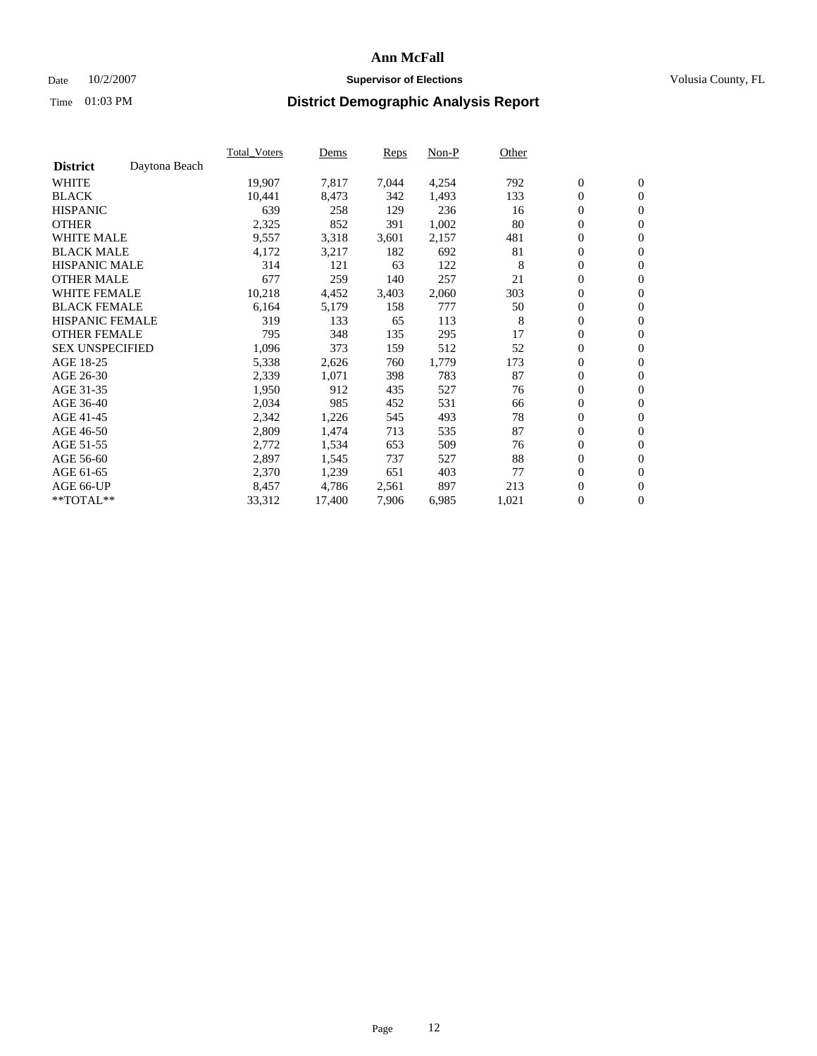### Date  $10/2/2007$  **Supervisor of Elections** Volusia County, FL

|                        |               | <b>Total Voters</b> | Dems   | Reps  | Non-P | Other |                  |                |  |
|------------------------|---------------|---------------------|--------|-------|-------|-------|------------------|----------------|--|
| <b>District</b>        | Daytona Beach |                     |        |       |       |       |                  |                |  |
| <b>WHITE</b>           |               | 19,907              | 7,817  | 7,044 | 4,254 | 792   | $\boldsymbol{0}$ | $\mathbf{0}$   |  |
| <b>BLACK</b>           |               | 10,441              | 8,473  | 342   | 1,493 | 133   | $\mathbf{0}$     | $\mathbf{0}$   |  |
| <b>HISPANIC</b>        |               | 639                 | 258    | 129   | 236   | 16    | $\boldsymbol{0}$ | $\mathbf{0}$   |  |
| <b>OTHER</b>           |               | 2,325               | 852    | 391   | 1,002 | 80    | $\boldsymbol{0}$ | $\mathbf{0}$   |  |
| <b>WHITE MALE</b>      |               | 9,557               | 3,318  | 3,601 | 2,157 | 481   | 0                | $\mathbf{0}$   |  |
| <b>BLACK MALE</b>      |               | 4,172               | 3,217  | 182   | 692   | 81    | $\boldsymbol{0}$ | $\mathbf{0}$   |  |
| <b>HISPANIC MALE</b>   |               | 314                 | 121    | 63    | 122   | 8     | $\mathbf{0}$     | $\mathbf{0}$   |  |
| <b>OTHER MALE</b>      |               | 677                 | 259    | 140   | 257   | 21    | $\mathbf{0}$     | $\mathbf{0}$   |  |
| <b>WHITE FEMALE</b>    |               | 10,218              | 4,452  | 3,403 | 2,060 | 303   | $\mathbf{0}$     | $\mathbf{0}$   |  |
| <b>BLACK FEMALE</b>    |               | 6,164               | 5,179  | 158   | 777   | 50    | $\boldsymbol{0}$ | $\mathbf{0}$   |  |
| <b>HISPANIC FEMALE</b> |               | 319                 | 133    | 65    | 113   | 8     | $\boldsymbol{0}$ | $\mathbf{0}$   |  |
| <b>OTHER FEMALE</b>    |               | 795                 | 348    | 135   | 295   | 17    | 0                | $\mathbf{0}$   |  |
| <b>SEX UNSPECIFIED</b> |               | 1,096               | 373    | 159   | 512   | 52    | $\boldsymbol{0}$ | $\mathbf{0}$   |  |
| AGE 18-25              |               | 5,338               | 2,626  | 760   | 1,779 | 173   | $\boldsymbol{0}$ | $\mathbf{0}$   |  |
| AGE 26-30              |               | 2,339               | 1,071  | 398   | 783   | 87    | $\mathbf{0}$     | $\mathbf{0}$   |  |
| AGE 31-35              |               | 1,950               | 912    | 435   | 527   | 76    | $\boldsymbol{0}$ | $\mathbf{0}$   |  |
| AGE 36-40              |               | 2,034               | 985    | 452   | 531   | 66    | $\boldsymbol{0}$ | $\mathbf{0}$   |  |
| AGE 41-45              |               | 2,342               | 1,226  | 545   | 493   | 78    | $\boldsymbol{0}$ | $\mathbf{0}$   |  |
| AGE 46-50              |               | 2,809               | 1,474  | 713   | 535   | 87    | $\boldsymbol{0}$ | $\mathbf{0}$   |  |
| AGE 51-55              |               | 2,772               | 1,534  | 653   | 509   | 76    | $\boldsymbol{0}$ | $\mathbf{0}$   |  |
| AGE 56-60              |               | 2,897               | 1,545  | 737   | 527   | 88    | $\mathbf{0}$     | $\mathbf{0}$   |  |
| AGE 61-65              |               | 2,370               | 1,239  | 651   | 403   | 77    | $\mathbf{0}$     | $\mathbf{0}$   |  |
| AGE 66-UP              |               | 8,457               | 4,786  | 2,561 | 897   | 213   | $\boldsymbol{0}$ | $\mathbf{0}$   |  |
| **TOTAL**              |               | 33,312              | 17,400 | 7,906 | 6,985 | 1,021 | 0                | $\overline{0}$ |  |
|                        |               |                     |        |       |       |       |                  |                |  |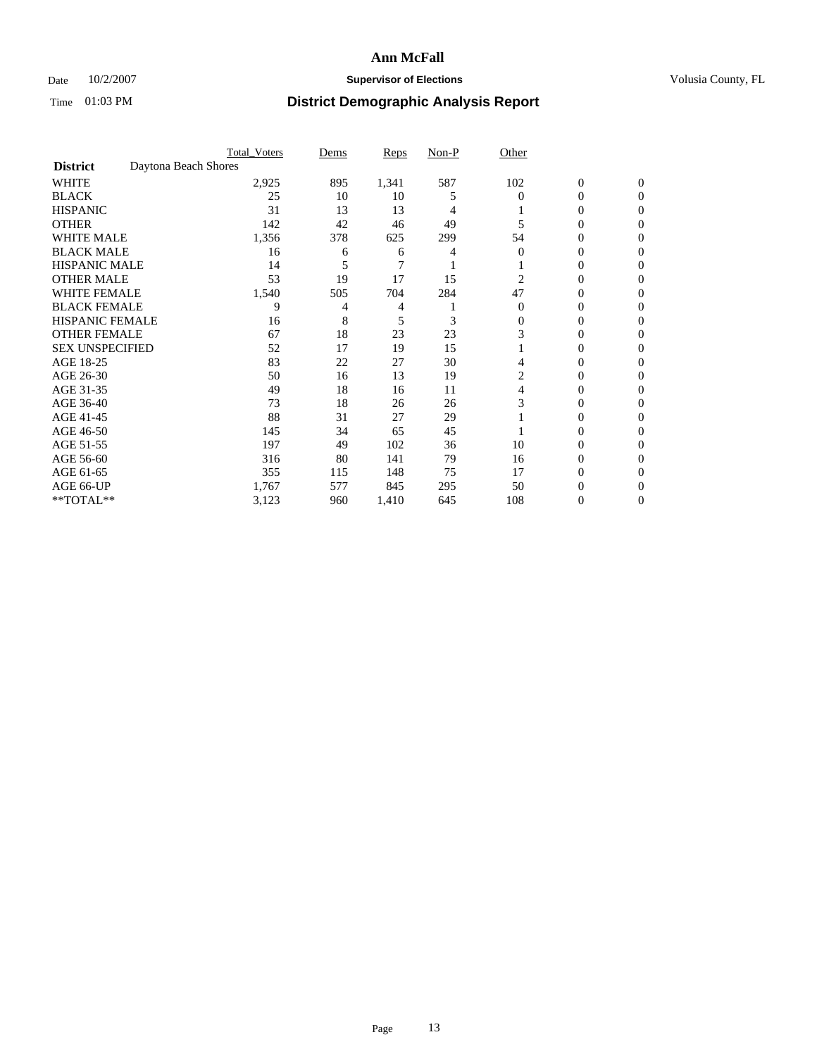## Date  $10/2/2007$  **Supervisor of Elections Supervisor of Elections** Volusia County, FL

|                        | <b>Total Voters</b>  | Dems | Reps  | Non-P | Other    |                  |              |  |
|------------------------|----------------------|------|-------|-------|----------|------------------|--------------|--|
| <b>District</b>        | Daytona Beach Shores |      |       |       |          |                  |              |  |
| <b>WHITE</b>           | 2,925                | 895  | 1,341 | 587   | 102      | $\boldsymbol{0}$ | $\mathbf{0}$ |  |
| <b>BLACK</b>           | 25                   | 10   | 10    | 5     | $\Omega$ | 0                | $\mathbf{0}$ |  |
| <b>HISPANIC</b>        | 31                   | 13   | 13    | 4     |          | 0                | $\Omega$     |  |
| <b>OTHER</b>           | 142                  | 42   | 46    | 49    |          | $\overline{0}$   | $\theta$     |  |
| <b>WHITE MALE</b>      | 1,356                | 378  | 625   | 299   | 54       | 0                | 0            |  |
| <b>BLACK MALE</b>      | 16                   | 6    | 6     | 4     | 0        | 0                | 0            |  |
| <b>HISPANIC MALE</b>   | 14                   |      | 7     |       |          | 0                |              |  |
| <b>OTHER MALE</b>      | 53                   | 19   | 17    | 15    | 2        | 0                | 0            |  |
| WHITE FEMALE           | 1,540                | 505  | 704   | 284   | 47       | 0                | 0            |  |
| <b>BLACK FEMALE</b>    | 9                    | 4    | 4     |       | $\Omega$ | 0                | 0            |  |
| <b>HISPANIC FEMALE</b> | 16                   | 8    | 5     | 3     | 0        | 0                | $\Omega$     |  |
| <b>OTHER FEMALE</b>    | 67                   | 18   | 23    | 23    | 3        | 0                | $\theta$     |  |
| <b>SEX UNSPECIFIED</b> | 52                   | 17   | 19    | 15    |          | 0                | $\theta$     |  |
| AGE 18-25              | 83                   | 22   | 27    | 30    |          | 0                | $_{0}$       |  |
| AGE 26-30              | 50                   | 16   | 13    | 19    | 2        | 0                | 0            |  |
| AGE 31-35              | 49                   | 18   | 16    | 11    | 4        | 0                | 0            |  |
| AGE 36-40              | 73                   | 18   | 26    | 26    | 3        | 0                | 0            |  |
| AGE 41-45              | 88                   | 31   | 27    | 29    |          | 0                | 0            |  |
| AGE 46-50              | 145                  | 34   | 65    | 45    |          | 0                | $\Omega$     |  |
| AGE 51-55              | 197                  | 49   | 102   | 36    | 10       | 0                | $\theta$     |  |
| AGE 56-60              | 316                  | 80   | 141   | 79    | 16       | 0                | $\theta$     |  |
| AGE 61-65              | 355                  | 115  | 148   | 75    | 17       | 0                | 0            |  |
| AGE 66-UP              | 1,767                | 577  | 845   | 295   | 50       | 0                |              |  |
| **TOTAL**              | 3,123                | 960  | 1,410 | 645   | 108      | 0                | 0            |  |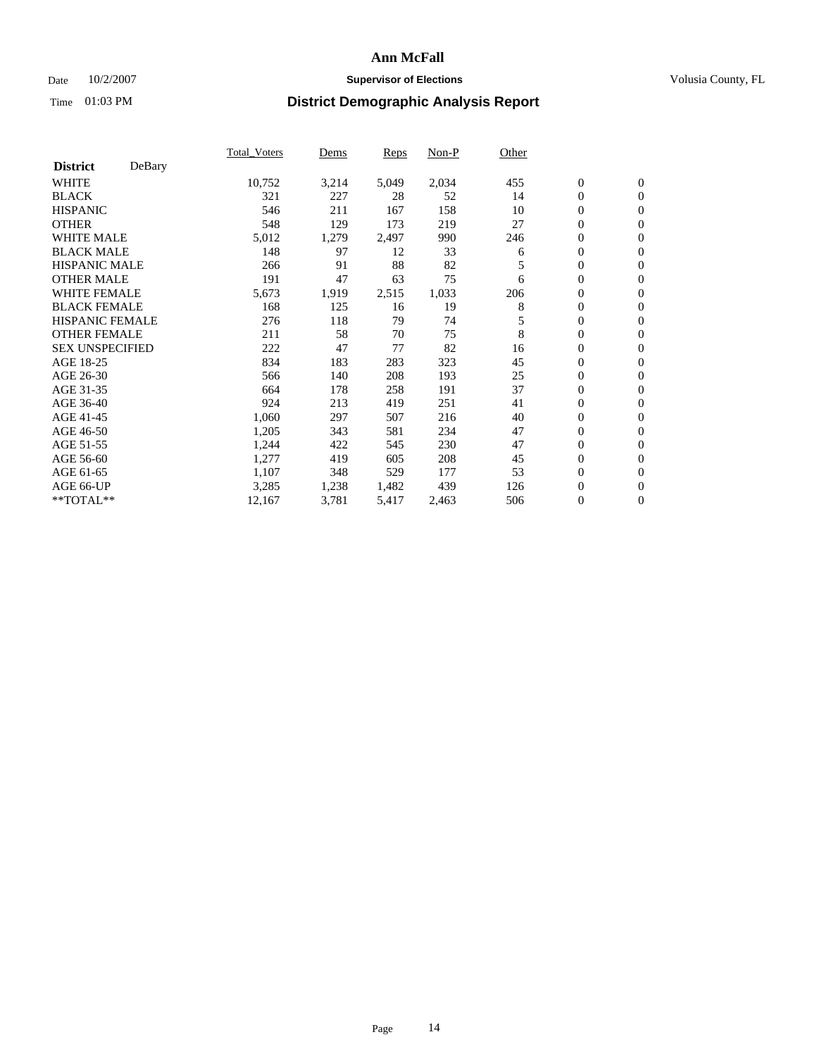## Date  $10/2/2007$  **Supervisor of Elections Supervisor of Elections** Volusia County, FL

|                        |        | Total Voters | Dems  | <b>Reps</b> | Non-P | Other |                  |                  |  |
|------------------------|--------|--------------|-------|-------------|-------|-------|------------------|------------------|--|
| <b>District</b>        | DeBary |              |       |             |       |       |                  |                  |  |
| <b>WHITE</b>           |        | 10,752       | 3,214 | 5,049       | 2,034 | 455   | $\boldsymbol{0}$ | $\mathbf{0}$     |  |
| <b>BLACK</b>           |        | 321          | 227   | 28          | 52    | 14    | $\overline{0}$   | $\mathbf{0}$     |  |
| <b>HISPANIC</b>        |        | 546          | 211   | 167         | 158   | 10    | $\overline{0}$   | $\mathbf{0}$     |  |
| <b>OTHER</b>           |        | 548          | 129   | 173         | 219   | 27    | $\overline{0}$   | $\mathbf{0}$     |  |
| <b>WHITE MALE</b>      |        | 5,012        | 1,279 | 2,497       | 990   | 246   | $\overline{0}$   | $\mathbf{0}$     |  |
| <b>BLACK MALE</b>      |        | 148          | 97    | 12          | 33    | 6     | $\boldsymbol{0}$ | $\mathbf{0}$     |  |
| <b>HISPANIC MALE</b>   |        | 266          | 91    | 88          | 82    | 5     | 0                | $\mathbf{0}$     |  |
| <b>OTHER MALE</b>      |        | 191          | 47    | 63          | 75    | 6     | $\boldsymbol{0}$ | $\mathbf{0}$     |  |
| <b>WHITE FEMALE</b>    |        | 5,673        | 1,919 | 2,515       | 1,033 | 206   | 0                | $\mathbf{0}$     |  |
| <b>BLACK FEMALE</b>    |        | 168          | 125   | 16          | 19    | 8     | $\overline{0}$   | $\mathbf{0}$     |  |
| <b>HISPANIC FEMALE</b> |        | 276          | 118   | 79          | 74    | 5     | 0                | $\mathbf{0}$     |  |
| <b>OTHER FEMALE</b>    |        | 211          | 58    | 70          | 75    | 8     | $\overline{0}$   | $\mathbf{0}$     |  |
| <b>SEX UNSPECIFIED</b> |        | 222          | 47    | 77          | 82    | 16    | $\boldsymbol{0}$ | $\mathbf{0}$     |  |
| AGE 18-25              |        | 834          | 183   | 283         | 323   | 45    | $\overline{0}$   | $\mathbf{0}$     |  |
| AGE 26-30              |        | 566          | 140   | 208         | 193   | 25    | $\boldsymbol{0}$ | $\mathbf{0}$     |  |
| AGE 31-35              |        | 664          | 178   | 258         | 191   | 37    | $\overline{0}$   | $\mathbf{0}$     |  |
| AGE 36-40              |        | 924          | 213   | 419         | 251   | 41    | $\boldsymbol{0}$ | $\mathbf{0}$     |  |
| AGE 41-45              |        | 1,060        | 297   | 507         | 216   | 40    | $\mathbf{0}$     | $\mathbf{0}$     |  |
| AGE 46-50              |        | 1,205        | 343   | 581         | 234   | 47    | $\overline{0}$   | $\mathbf{0}$     |  |
| AGE 51-55              |        | 1,244        | 422   | 545         | 230   | 47    | $\mathbf{0}$     | $\mathbf{0}$     |  |
| AGE 56-60              |        | 1,277        | 419   | 605         | 208   | 45    | $\boldsymbol{0}$ | $\mathbf{0}$     |  |
| AGE 61-65              |        | 1,107        | 348   | 529         | 177   | 53    | $\boldsymbol{0}$ | $\mathbf{0}$     |  |
| AGE 66-UP              |        | 3,285        | 1,238 | 1,482       | 439   | 126   | 0                | $\bf{0}$         |  |
| $*$ TOTAL $**$         |        | 12,167       | 3,781 | 5,417       | 2,463 | 506   | 0                | $\boldsymbol{0}$ |  |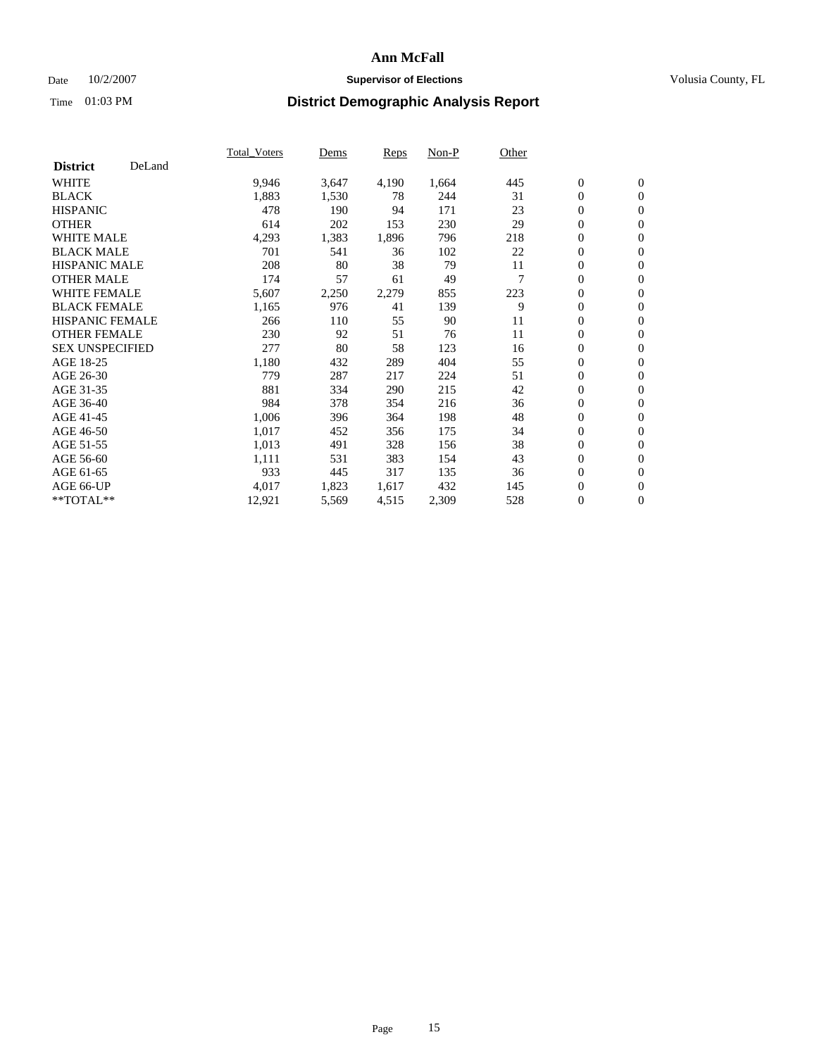## Date  $10/2/2007$  **Supervisor of Elections Supervisor of Elections** Volusia County, FL

|                        |        | Total_Voters | Dems  | <b>Reps</b> | Non-P | Other |                  |                  |  |
|------------------------|--------|--------------|-------|-------------|-------|-------|------------------|------------------|--|
| <b>District</b>        | DeLand |              |       |             |       |       |                  |                  |  |
| <b>WHITE</b>           |        | 9,946        | 3,647 | 4,190       | 1,664 | 445   | $\boldsymbol{0}$ | $\mathbf{0}$     |  |
| <b>BLACK</b>           |        | 1,883        | 1,530 | 78          | 244   | 31    | $\overline{0}$   | $\mathbf{0}$     |  |
| <b>HISPANIC</b>        |        | 478          | 190   | 94          | 171   | 23    | $\overline{0}$   | $\mathbf{0}$     |  |
| <b>OTHER</b>           |        | 614          | 202   | 153         | 230   | 29    | $\overline{0}$   | $\mathbf{0}$     |  |
| <b>WHITE MALE</b>      |        | 4,293        | 1,383 | 1,896       | 796   | 218   | $\overline{0}$   | $\mathbf{0}$     |  |
| <b>BLACK MALE</b>      |        | 701          | 541   | 36          | 102   | 22    | $\boldsymbol{0}$ | $\boldsymbol{0}$ |  |
| <b>HISPANIC MALE</b>   |        | 208          | 80    | 38          | 79    | 11    | 0                | $\mathbf{0}$     |  |
| <b>OTHER MALE</b>      |        | 174          | 57    | 61          | 49    |       | $\boldsymbol{0}$ | $\boldsymbol{0}$ |  |
| <b>WHITE FEMALE</b>    |        | 5,607        | 2,250 | 2,279       | 855   | 223   | $\overline{0}$   | $\mathbf{0}$     |  |
| <b>BLACK FEMALE</b>    |        | 1,165        | 976   | 41          | 139   | 9     | $\overline{0}$   | $\mathbf{0}$     |  |
| <b>HISPANIC FEMALE</b> |        | 266          | 110   | 55          | 90    | 11    | $\overline{0}$   | $\mathbf{0}$     |  |
| <b>OTHER FEMALE</b>    |        | 230          | 92    | 51          | 76    | 11    | $\overline{0}$   | $\mathbf{0}$     |  |
| <b>SEX UNSPECIFIED</b> |        | 277          | 80    | 58          | 123   | 16    | $\boldsymbol{0}$ | $\boldsymbol{0}$ |  |
| AGE 18-25              |        | 1,180        | 432   | 289         | 404   | 55    | $\overline{0}$   | $\mathbf{0}$     |  |
| AGE 26-30              |        | 779          | 287   | 217         | 224   | 51    | $\boldsymbol{0}$ | $\mathbf{0}$     |  |
| AGE 31-35              |        | 881          | 334   | 290         | 215   | 42    | 0                | $\mathbf{0}$     |  |
| AGE 36-40              |        | 984          | 378   | 354         | 216   | 36    | $\boldsymbol{0}$ | $\mathbf{0}$     |  |
| AGE 41-45              |        | 1,006        | 396   | 364         | 198   | 48    | $\overline{0}$   | $\mathbf{0}$     |  |
| AGE 46-50              |        | 1,017        | 452   | 356         | 175   | 34    | $\overline{0}$   | $\mathbf{0}$     |  |
| AGE 51-55              |        | 1,013        | 491   | 328         | 156   | 38    | $\mathbf{0}$     | $\mathbf{0}$     |  |
| AGE 56-60              |        | 1,111        | 531   | 383         | 154   | 43    | $\boldsymbol{0}$ | $\mathbf{0}$     |  |
| AGE 61-65              |        | 933          | 445   | 317         | 135   | 36    | $\boldsymbol{0}$ | $\boldsymbol{0}$ |  |
| AGE 66-UP              |        | 4,017        | 1,823 | 1,617       | 432   | 145   | 0                | $\mathbf{0}$     |  |
| $*$ TOTAL $**$         |        | 12,921       | 5,569 | 4,515       | 2,309 | 528   | 0                | $\boldsymbol{0}$ |  |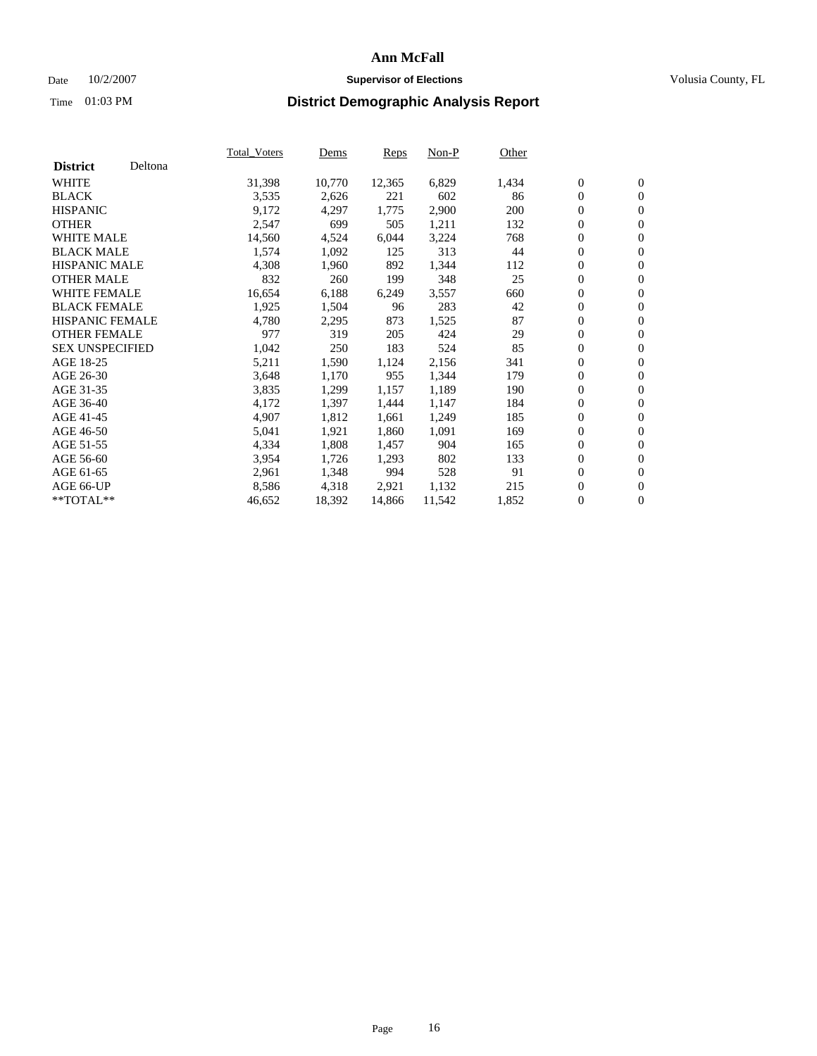### Date  $10/2/2007$  **Supervisor of Elections** Volusia County, FL

|                        |         | Total_Voters | Dems   | <b>Reps</b> | Non-P  | Other |                  |                  |  |
|------------------------|---------|--------------|--------|-------------|--------|-------|------------------|------------------|--|
| <b>District</b>        | Deltona |              |        |             |        |       |                  |                  |  |
| <b>WHITE</b>           |         | 31,398       | 10,770 | 12,365      | 6,829  | 1,434 | $\overline{0}$   | $\mathbf{0}$     |  |
| <b>BLACK</b>           |         | 3,535        | 2,626  | 221         | 602    | 86    | $\overline{0}$   | $\mathbf{0}$     |  |
| <b>HISPANIC</b>        |         | 9,172        | 4,297  | 1,775       | 2,900  | 200   | $\boldsymbol{0}$ | $\mathbf{0}$     |  |
| <b>OTHER</b>           |         | 2,547        | 699    | 505         | 1,211  | 132   | $\boldsymbol{0}$ | $\mathbf{0}$     |  |
| <b>WHITE MALE</b>      |         | 14,560       | 4,524  | 6,044       | 3,224  | 768   | 0                | $\mathbf{0}$     |  |
| <b>BLACK MALE</b>      |         | 1,574        | 1,092  | 125         | 313    | 44    | $\boldsymbol{0}$ | $\boldsymbol{0}$ |  |
| <b>HISPANIC MALE</b>   |         | 4,308        | 1,960  | 892         | 1,344  | 112   | $\overline{0}$   | $\mathbf{0}$     |  |
| <b>OTHER MALE</b>      |         | 832          | 260    | 199         | 348    | 25    | $\overline{0}$   | $\mathbf{0}$     |  |
| WHITE FEMALE           |         | 16,654       | 6,188  | 6,249       | 3,557  | 660   | $\mathbf{0}$     | $\mathbf{0}$     |  |
| <b>BLACK FEMALE</b>    |         | 1,925        | 1,504  | 96          | 283    | 42    | $\boldsymbol{0}$ | $\mathbf{0}$     |  |
| <b>HISPANIC FEMALE</b> |         | 4,780        | 2,295  | 873         | 1,525  | 87    | $\boldsymbol{0}$ | $\boldsymbol{0}$ |  |
| <b>OTHER FEMALE</b>    |         | 977          | 319    | 205         | 424    | 29    | 0                | $\mathbf{0}$     |  |
| <b>SEX UNSPECIFIED</b> |         | 1,042        | 250    | 183         | 524    | 85    | $\boldsymbol{0}$ | $\mathbf{0}$     |  |
| AGE 18-25              |         | 5,211        | 1,590  | 1,124       | 2,156  | 341   | $\boldsymbol{0}$ | $\mathbf{0}$     |  |
| AGE 26-30              |         | 3,648        | 1,170  | 955         | 1,344  | 179   | $\mathbf{0}$     | $\mathbf{0}$     |  |
| AGE 31-35              |         | 3,835        | 1,299  | 1,157       | 1,189  | 190   | $\overline{0}$   | $\mathbf{0}$     |  |
| AGE 36-40              |         | 4,172        | 1,397  | 1,444       | 1,147  | 184   | $\boldsymbol{0}$ | $\mathbf{0}$     |  |
| AGE 41-45              |         | 4,907        | 1,812  | 1,661       | 1,249  | 185   | $\boldsymbol{0}$ | $\mathbf{0}$     |  |
| AGE 46-50              |         | 5,041        | 1,921  | 1,860       | 1,091  | 169   | 0                | $\mathbf{0}$     |  |
| AGE 51-55              |         | 4,334        | 1,808  | 1,457       | 904    | 165   | $\boldsymbol{0}$ | $\mathbf{0}$     |  |
| AGE 56-60              |         | 3,954        | 1,726  | 1,293       | 802    | 133   | $\overline{0}$   | $\mathbf{0}$     |  |
| AGE 61-65              |         | 2,961        | 1,348  | 994         | 528    | 91    | $\mathbf{0}$     | $\boldsymbol{0}$ |  |
| AGE 66-UP              |         | 8,586        | 4,318  | 2,921       | 1,132  | 215   | $\boldsymbol{0}$ | $\mathbf{0}$     |  |
| **TOTAL**              |         | 46,652       | 18,392 | 14,866      | 11,542 | 1,852 | 0                | $\overline{0}$   |  |
|                        |         |              |        |             |        |       |                  |                  |  |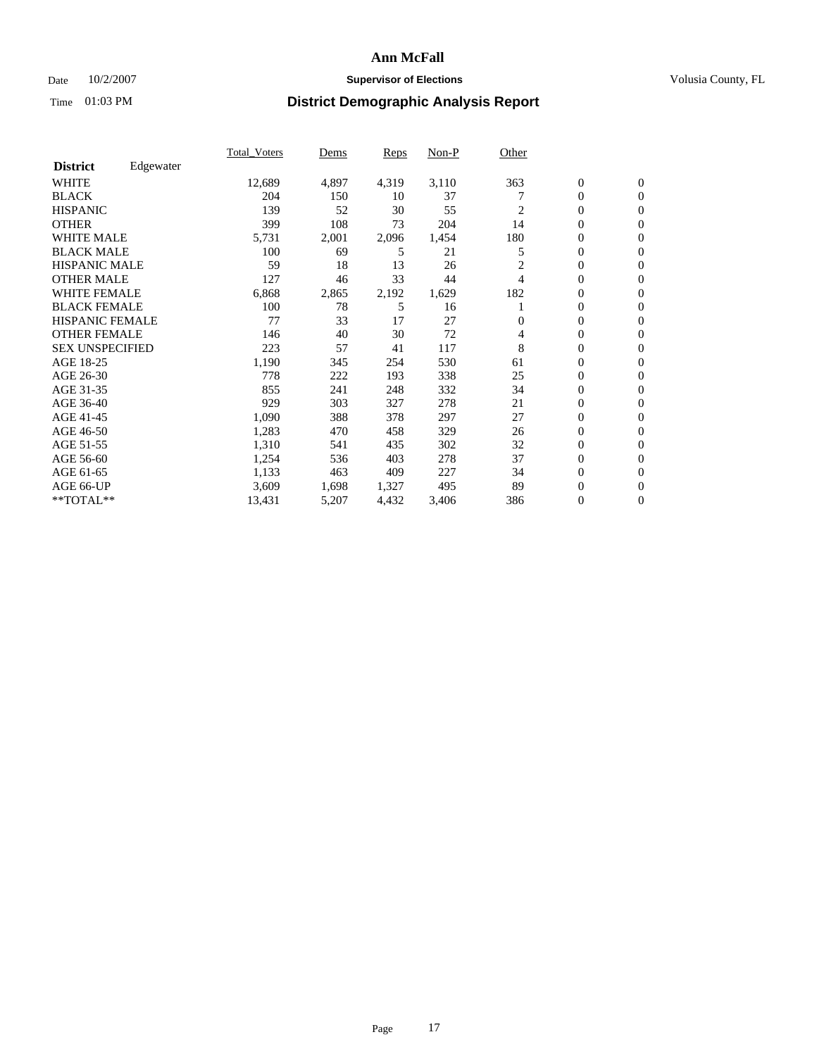## Date  $10/2/2007$  **Supervisor of Elections Supervisor of Elections** Volusia County, FL

|                        |           | Total_Voters | Dems  | <b>Reps</b> | Non-P | Other |                  |                  |  |
|------------------------|-----------|--------------|-------|-------------|-------|-------|------------------|------------------|--|
| <b>District</b>        | Edgewater |              |       |             |       |       |                  |                  |  |
| <b>WHITE</b>           |           | 12,689       | 4,897 | 4,319       | 3,110 | 363   | $\boldsymbol{0}$ | $\mathbf{0}$     |  |
| <b>BLACK</b>           |           | 204          | 150   | 10          | 37    |       | $\overline{0}$   | $\mathbf{0}$     |  |
| <b>HISPANIC</b>        |           | 139          | 52    | 30          | 55    | 2     | $\overline{0}$   | $\mathbf{0}$     |  |
| <b>OTHER</b>           |           | 399          | 108   | 73          | 204   | 14    | 0                | $\mathbf{0}$     |  |
| <b>WHITE MALE</b>      |           | 5,731        | 2,001 | 2,096       | 1,454 | 180   | 0                | $\overline{0}$   |  |
| <b>BLACK MALE</b>      |           | 100          | 69    | 5           | 21    | 5     | $\boldsymbol{0}$ | $\mathbf{0}$     |  |
| <b>HISPANIC MALE</b>   |           | 59           | 18    | 13          | 26    | 2     | 0                | $\Omega$         |  |
| <b>OTHER MALE</b>      |           | 127          | 46    | 33          | 44    | 4     | 0                | $\mathbf{0}$     |  |
| <b>WHITE FEMALE</b>    |           | 6,868        | 2,865 | 2,192       | 1,629 | 182   | 0                | $\Omega$         |  |
| <b>BLACK FEMALE</b>    |           | 100          | 78    | 5           | 16    |       | $\overline{0}$   | $\mathbf{0}$     |  |
| <b>HISPANIC FEMALE</b> |           | 77           | 33    | 17          | 27    | 0     | 0                | $\mathbf{0}$     |  |
| <b>OTHER FEMALE</b>    |           | 146          | 40    | 30          | 72    | 4     | 0                | $\mathbf{0}$     |  |
| <b>SEX UNSPECIFIED</b> |           | 223          | 57    | 41          | 117   | 8     | $\boldsymbol{0}$ | $\mathbf{0}$     |  |
| AGE 18-25              |           | 1,190        | 345   | 254         | 530   | 61    | 0                | $\overline{0}$   |  |
| AGE 26-30              |           | 778          | 222   | 193         | 338   | 25    | 0                | $\mathbf{0}$     |  |
| AGE 31-35              |           | 855          | 241   | 248         | 332   | 34    | 0                | $\overline{0}$   |  |
| AGE 36-40              |           | 929          | 303   | 327         | 278   | 21    | $\boldsymbol{0}$ | $\mathbf{0}$     |  |
| AGE 41-45              |           | 1,090        | 388   | 378         | 297   | 27    | $\overline{0}$   | $\mathbf{0}$     |  |
| AGE 46-50              |           | 1,283        | 470   | 458         | 329   | 26    | $\overline{0}$   | $\mathbf{0}$     |  |
| AGE 51-55              |           | 1,310        | 541   | 435         | 302   | 32    | 0                | $\mathbf{0}$     |  |
| AGE 56-60              |           | 1,254        | 536   | 403         | 278   | 37    | $\overline{0}$   | $\mathbf{0}$     |  |
| AGE 61-65              |           | 1,133        | 463   | 409         | 227   | 34    | 0                | $\overline{0}$   |  |
| AGE 66-UP              |           | 3,609        | 1,698 | 1,327       | 495   | 89    | 0                | 0                |  |
| $*$ TOTAL $**$         |           | 13,431       | 5,207 | 4,432       | 3,406 | 386   | 0                | $\boldsymbol{0}$ |  |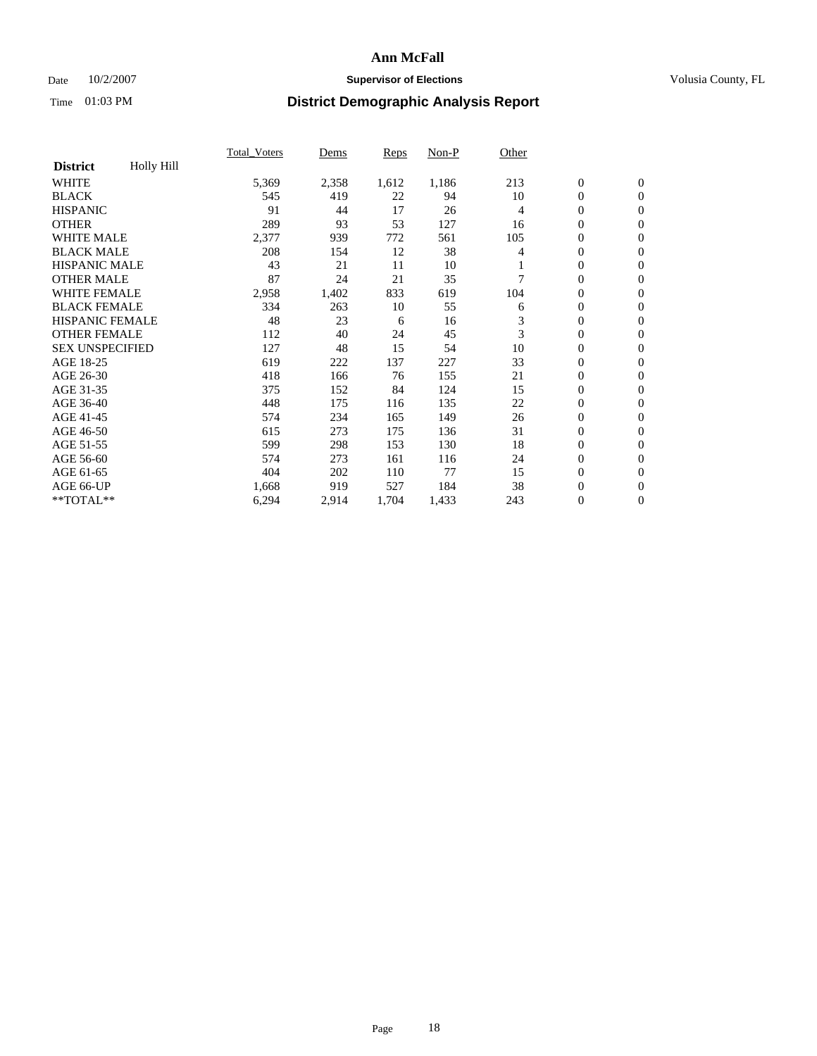## Date  $10/2/2007$  **Supervisor of Elections Supervisor of Elections** Volusia County, FL

|                        |                   | <b>Total Voters</b> | Dems  | <b>Reps</b> | Non-P | Other |                  |                  |  |
|------------------------|-------------------|---------------------|-------|-------------|-------|-------|------------------|------------------|--|
| <b>District</b>        | <b>Holly Hill</b> |                     |       |             |       |       |                  |                  |  |
| <b>WHITE</b>           |                   | 5,369               | 2,358 | 1,612       | 1,186 | 213   | $\boldsymbol{0}$ | $\boldsymbol{0}$ |  |
| <b>BLACK</b>           |                   | 545                 | 419   | 22          | 94    | 10    | $\mathbf{0}$     | $\mathbf{0}$     |  |
| <b>HISPANIC</b>        |                   | 91                  | 44    | 17          | 26    | 4     | $\mathbf{0}$     | $\mathbf{0}$     |  |
| <b>OTHER</b>           |                   | 289                 | 93    | 53          | 127   | 16    | 0                | $\mathbf{0}$     |  |
| <b>WHITE MALE</b>      |                   | 2,377               | 939   | 772         | 561   | 105   | 0                | $\overline{0}$   |  |
| <b>BLACK MALE</b>      |                   | 208                 | 154   | 12          | 38    | 4     | 0                | $\boldsymbol{0}$ |  |
| <b>HISPANIC MALE</b>   |                   | 43                  | 21    | 11          | 10    |       | 0                | $\overline{0}$   |  |
| <b>OTHER MALE</b>      |                   | 87                  | 24    | 21          | 35    |       | $\overline{0}$   | $\mathbf{0}$     |  |
| <b>WHITE FEMALE</b>    |                   | 2,958               | 1,402 | 833         | 619   | 104   | 0                | $\mathbf{0}$     |  |
| <b>BLACK FEMALE</b>    |                   | 334                 | 263   | 10          | 55    | 6     | $\boldsymbol{0}$ | $\mathbf{0}$     |  |
| <b>HISPANIC FEMALE</b> |                   | 48                  | 23    | 6           | 16    | 3     | $\overline{0}$   | $\mathbf{0}$     |  |
| <b>OTHER FEMALE</b>    |                   | 112                 | 40    | 24          | 45    | 3     | $\overline{0}$   | $\mathbf{0}$     |  |
| <b>SEX UNSPECIFIED</b> |                   | 127                 | 48    | 15          | 54    | 10    | $\boldsymbol{0}$ | $\boldsymbol{0}$ |  |
| AGE 18-25              |                   | 619                 | 222   | 137         | 227   | 33    | 0                | $\overline{0}$   |  |
| AGE 26-30              |                   | 418                 | 166   | 76          | 155   | 21    | $\boldsymbol{0}$ | $\mathbf{0}$     |  |
| AGE 31-35              |                   | 375                 | 152   | 84          | 124   | 15    | 0                | $\overline{0}$   |  |
| AGE 36-40              |                   | 448                 | 175   | 116         | 135   | 22    | $\boldsymbol{0}$ | $\mathbf{0}$     |  |
| AGE 41-45              |                   | 574                 | 234   | 165         | 149   | 26    | 0                | $\mathbf{0}$     |  |
| AGE 46-50              |                   | 615                 | 273   | 175         | 136   | 31    | $\mathbf{0}$     | $\mathbf{0}$     |  |
| AGE 51-55              |                   | 599                 | 298   | 153         | 130   | 18    | $\overline{0}$   | $\mathbf{0}$     |  |
| AGE 56-60              |                   | 574                 | 273   | 161         | 116   | 24    | $\boldsymbol{0}$ | $\mathbf{0}$     |  |
| AGE 61-65              |                   | 404                 | 202   | 110         | 77    | 15    | 0                | $\overline{0}$   |  |
| AGE 66-UP              |                   | 1,668               | 919   | 527         | 184   | 38    | 0                | 0                |  |
| $*$ TOTAL $**$         |                   | 6,294               | 2,914 | 1,704       | 1,433 | 243   | $\boldsymbol{0}$ | $\boldsymbol{0}$ |  |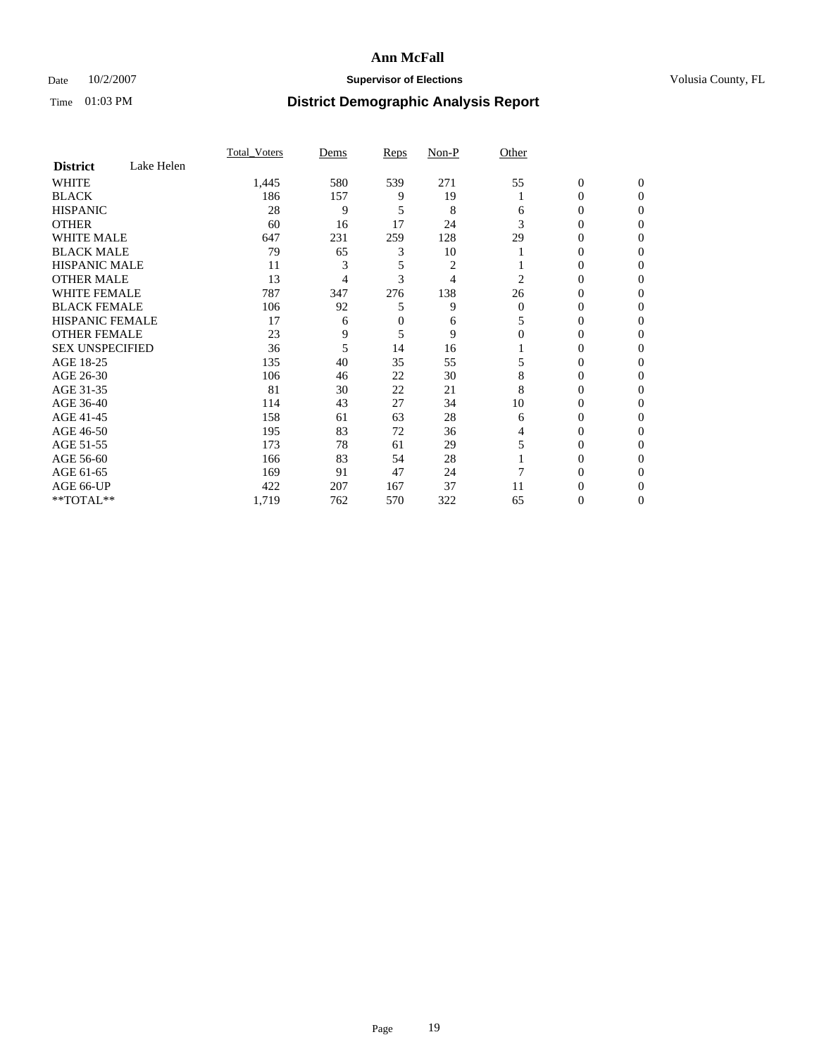## Date  $10/2/2007$  **Supervisor of Elections Supervisor of Elections** Volusia County, FL

|                        |            | <b>Total Voters</b> | Dems | Reps     | Non-P | Other    |                  |              |  |
|------------------------|------------|---------------------|------|----------|-------|----------|------------------|--------------|--|
| <b>District</b>        | Lake Helen |                     |      |          |       |          |                  |              |  |
| <b>WHITE</b>           |            | 1,445               | 580  | 539      | 271   | 55       | $\boldsymbol{0}$ | $\mathbf{0}$ |  |
| <b>BLACK</b>           |            | 186                 | 157  | 9        | 19    |          | 0                | $\mathbf{0}$ |  |
| <b>HISPANIC</b>        |            | 28                  | 9    | 5        | 8     | 6        | 0                | $\Omega$     |  |
| <b>OTHER</b>           |            | 60                  | 16   | 17       | 24    | 3        | $\overline{0}$   | $\theta$     |  |
| <b>WHITE MALE</b>      |            | 647                 | 231  | 259      | 128   | 29       | 0                | 0            |  |
| <b>BLACK MALE</b>      |            | 79                  | 65   | 3        | 10    |          | 0                | 0            |  |
| <b>HISPANIC MALE</b>   |            | 11                  |      | 5        | 2     |          | 0                |              |  |
| <b>OTHER MALE</b>      |            | 13                  | 4    | 3        | 4     | 2        | 0                | 0            |  |
| WHITE FEMALE           |            | 787                 | 347  | 276      | 138   | 26       | 0                | 0            |  |
| <b>BLACK FEMALE</b>    |            | 106                 | 92   | 5        | 9     | $\Omega$ | 0                | 0            |  |
| <b>HISPANIC FEMALE</b> |            | 17                  | 6    | $\theta$ | 6     |          | 0                | $\Omega$     |  |
| <b>OTHER FEMALE</b>    |            | 23                  | 9    | 5        | 9     | $\Omega$ | 0                | $\theta$     |  |
| <b>SEX UNSPECIFIED</b> |            | 36                  | 5    | 14       | 16    |          | 0                | $\theta$     |  |
| AGE 18-25              |            | 135                 | 40   | 35       | 55    |          | 0                | $_{0}$       |  |
| AGE 26-30              |            | 106                 | 46   | 22       | 30    | 8        | 0                | 0            |  |
| AGE 31-35              |            | 81                  | 30   | 22       | 21    | 8        | 0                |              |  |
| AGE 36-40              |            | 114                 | 43   | 27       | 34    | 10       | 0                | 0            |  |
| AGE 41-45              |            | 158                 | 61   | 63       | 28    | 6        | 0                | 0            |  |
| AGE 46-50              |            | 195                 | 83   | 72       | 36    | 4        | 0                | $\Omega$     |  |
| AGE 51-55              |            | 173                 | 78   | 61       | 29    |          | 0                | $\theta$     |  |
| AGE 56-60              |            | 166                 | 83   | 54       | 28    |          | 0                | 0            |  |
| AGE 61-65              |            | 169                 | 91   | 47       | 24    |          | 0                | 0            |  |
| AGE 66-UP              |            | 422                 | 207  | 167      | 37    | 11       | 0                |              |  |
| **TOTAL**              |            | 1,719               | 762  | 570      | 322   | 65       | 0                | 0            |  |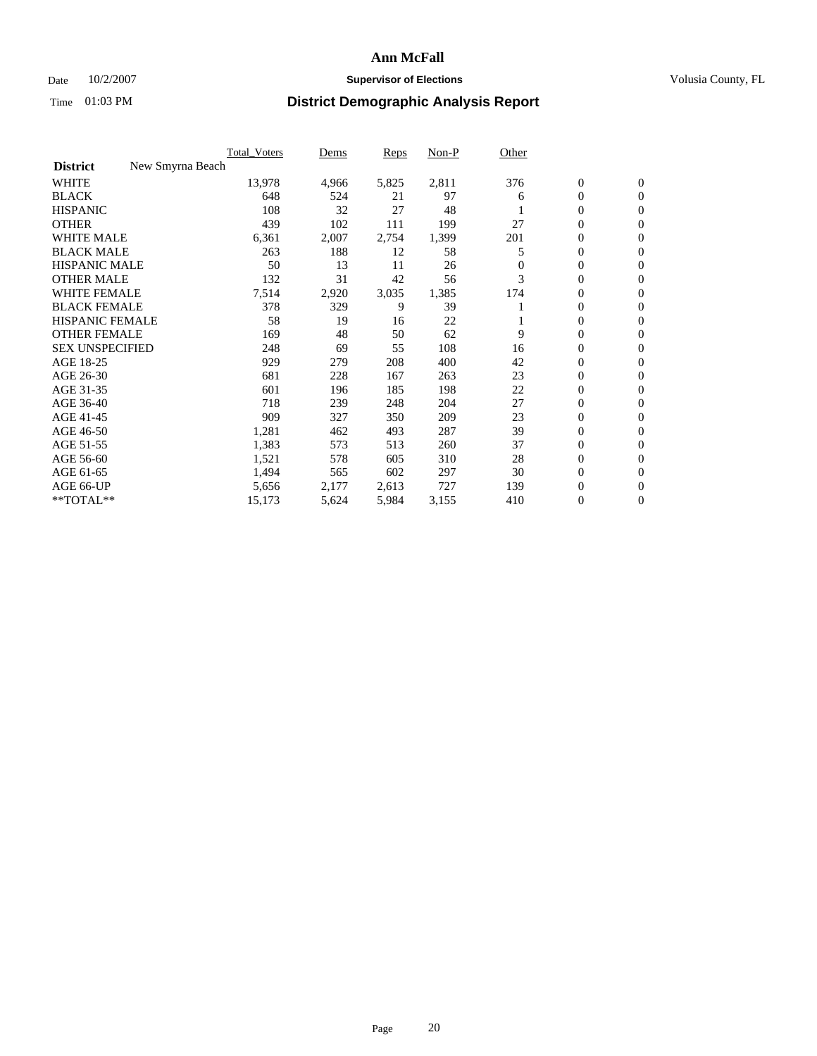### Date  $10/2/2007$  **Supervisor of Elections** Volusia County, FL

|                                     | <b>Total Voters</b> | Dems  | Reps  | Non-P | Other    |                  |              |  |
|-------------------------------------|---------------------|-------|-------|-------|----------|------------------|--------------|--|
| New Smyrna Beach<br><b>District</b> |                     |       |       |       |          |                  |              |  |
| <b>WHITE</b>                        | 13,978              | 4,966 | 5,825 | 2,811 | 376      | $\boldsymbol{0}$ | $\mathbf{0}$ |  |
| <b>BLACK</b>                        | 648                 | 524   | 21    | 97    | 6        | $\mathbf{0}$     | $\mathbf{0}$ |  |
| <b>HISPANIC</b>                     | 108                 | 32    | 27    | 48    |          | 0                | $\mathbf{0}$ |  |
| <b>OTHER</b>                        | 439                 | 102   | 111   | 199   | 27       | 0                | $\mathbf{0}$ |  |
| <b>WHITE MALE</b>                   | 6,361               | 2,007 | 2,754 | 1,399 | 201      | 0                | $\mathbf{0}$ |  |
| <b>BLACK MALE</b>                   | 263                 | 188   | 12    | 58    | 5        | 0                | $\mathbf{0}$ |  |
| <b>HISPANIC MALE</b>                | 50                  | 13    | 11    | 26    | $\Omega$ | 0                | $\mathbf{0}$ |  |
| <b>OTHER MALE</b>                   | 132                 | 31    | 42    | 56    | 3        | $\mathbf{0}$     | $\mathbf{0}$ |  |
| <b>WHITE FEMALE</b>                 | 7,514               | 2,920 | 3,035 | 1,385 | 174      | 0                | $\mathbf{0}$ |  |
| <b>BLACK FEMALE</b>                 | 378                 | 329   | 9     | 39    |          | $\mathbf{0}$     | $\mathbf{0}$ |  |
| <b>HISPANIC FEMALE</b>              | 58                  | 19    | 16    | 22    |          | 0                | $\mathbf{0}$ |  |
| <b>OTHER FEMALE</b>                 | 169                 | 48    | 50    | 62    | 9        | 0                | $\mathbf{0}$ |  |
| <b>SEX UNSPECIFIED</b>              | 248                 | 69    | 55    | 108   | 16       | 0                | $\mathbf{0}$ |  |
| AGE 18-25                           | 929                 | 279   | 208   | 400   | 42       | 0                | $\mathbf{0}$ |  |
| AGE 26-30                           | 681                 | 228   | 167   | 263   | 23       | $\mathbf{0}$     | $\mathbf{0}$ |  |
| AGE 31-35                           | 601                 | 196   | 185   | 198   | 22       | 0                | $\mathbf{0}$ |  |
| AGE 36-40                           | 718                 | 239   | 248   | 204   | 27       | $\boldsymbol{0}$ | $\mathbf{0}$ |  |
| AGE 41-45                           | 909                 | 327   | 350   | 209   | 23       | $\boldsymbol{0}$ | $\mathbf{0}$ |  |
| AGE 46-50                           | 1,281               | 462   | 493   | 287   | 39       | 0                | $\mathbf{0}$ |  |
| AGE 51-55                           | 1,383               | 573   | 513   | 260   | 37       | $\boldsymbol{0}$ | $\mathbf{0}$ |  |
| AGE 56-60                           | 1,521               | 578   | 605   | 310   | 28       | $\mathbf{0}$     | $\mathbf{0}$ |  |
| AGE 61-65                           | 1,494               | 565   | 602   | 297   | 30       | $\mathbf{0}$     | $\mathbf{0}$ |  |
| AGE 66-UP                           | 5,656               | 2,177 | 2,613 | 727   | 139      | 0                | $\mathbf{0}$ |  |
| **TOTAL**                           | 15,173              | 5,624 | 5,984 | 3,155 | 410      | 0                | $\mathbf{0}$ |  |
|                                     |                     |       |       |       |          |                  |              |  |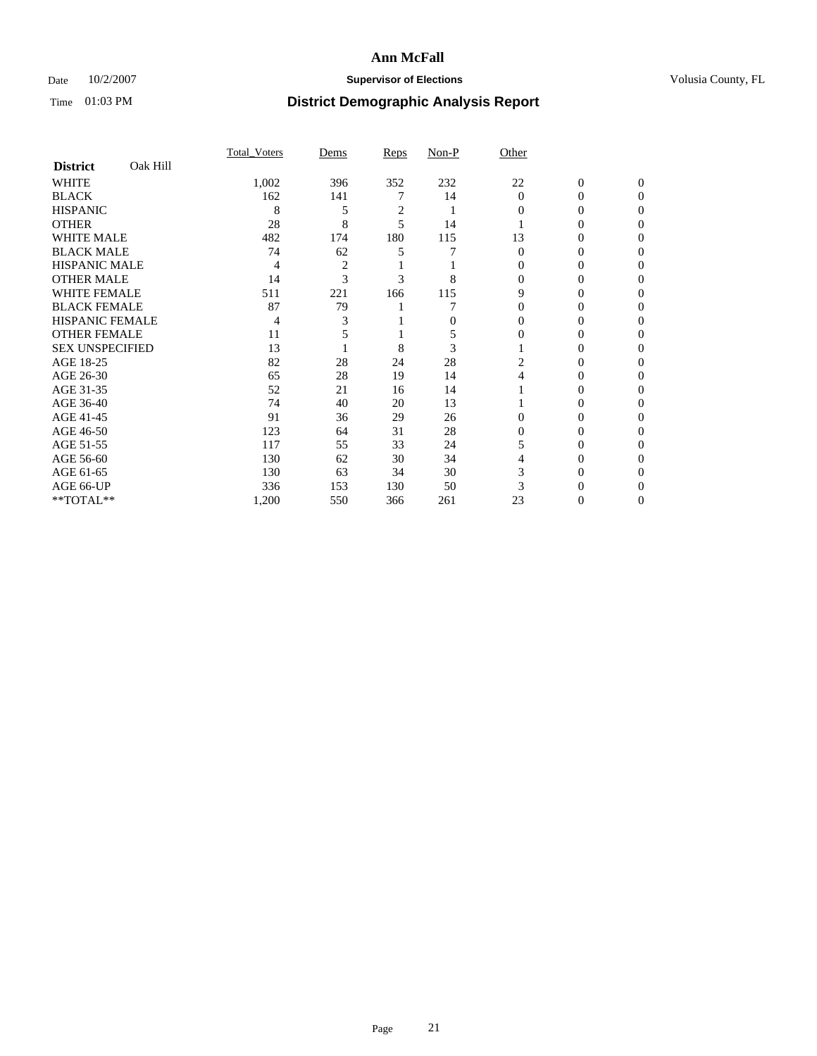## Date  $10/2/2007$  **Supervisor of Elections Supervisor of Elections** Volusia County, FL

|                        |          | <b>Total Voters</b> | Dems           | Reps           | Non-P | Other          |                  |              |  |
|------------------------|----------|---------------------|----------------|----------------|-------|----------------|------------------|--------------|--|
| <b>District</b>        | Oak Hill |                     |                |                |       |                |                  |              |  |
| <b>WHITE</b>           |          | 1,002               | 396            | 352            | 232   | 22             | $\boldsymbol{0}$ | $\mathbf{0}$ |  |
| <b>BLACK</b>           |          | 162                 | 141            |                | 14    | $\overline{0}$ | $\theta$         | $\Omega$     |  |
| <b>HISPANIC</b>        |          | 8                   | 5              | $\overline{c}$ |       | 0              | 0                | $\theta$     |  |
| <b>OTHER</b>           |          | 28                  | 8              | 5              | 14    |                | 0                | 0            |  |
| <b>WHITE MALE</b>      |          | 482                 | 174            | 180            | 115   | 13             | 0                |              |  |
| <b>BLACK MALE</b>      |          | 74                  | 62             | 5              |       | $\theta$       | 0                | $_{0}$       |  |
| <b>HISPANIC MALE</b>   |          | 4                   | $\overline{c}$ |                |       |                | 0                |              |  |
| <b>OTHER MALE</b>      |          | 14                  | $\mathcal{R}$  | 3              | 8     | 0              | 0                | 0            |  |
| WHITE FEMALE           |          | 511                 | 221            | 166            | 115   | 9              | 0                | 0            |  |
| <b>BLACK FEMALE</b>    |          | 87                  | 79             |                |       | $\Omega$       | 0                | 0            |  |
| <b>HISPANIC FEMALE</b> |          | 4                   |                |                | 0     | 0              | 0                | 0            |  |
| <b>OTHER FEMALE</b>    |          | 11                  |                |                | 5     | $\Omega$       | 0                | 0            |  |
| <b>SEX UNSPECIFIED</b> |          | 13                  |                | 8              | 3     |                | 0                | 0            |  |
| AGE 18-25              |          | 82                  | 28             | 24             | 28    | 2              | 0                |              |  |
| AGE 26-30              |          | 65                  | 28             | 19             | 14    |                | 0                |              |  |
| AGE 31-35              |          | 52                  | 21             | 16             | 14    |                | 0                |              |  |
| AGE 36-40              |          | 74                  | 40             | 20             | 13    |                | 0                | 0            |  |
| AGE 41-45              |          | 91                  | 36             | 29             | 26    | 0              | 0                | 0            |  |
| AGE 46-50              |          | 123                 | 64             | 31             | 28    | 0              | 0                | 0            |  |
| AGE 51-55              |          | 117                 | 55             | 33             | 24    |                | 0                | 0            |  |
| AGE 56-60              |          | 130                 | 62             | 30             | 34    |                | 0                | 0            |  |
| AGE 61-65              |          | 130                 | 63             | 34             | 30    | 3              | 0                |              |  |
| AGE 66-UP              |          | 336                 | 153            | 130            | 50    |                |                  |              |  |
| **TOTAL**              |          | 1,200               | 550            | 366            | 261   | 23             | 0                | 0            |  |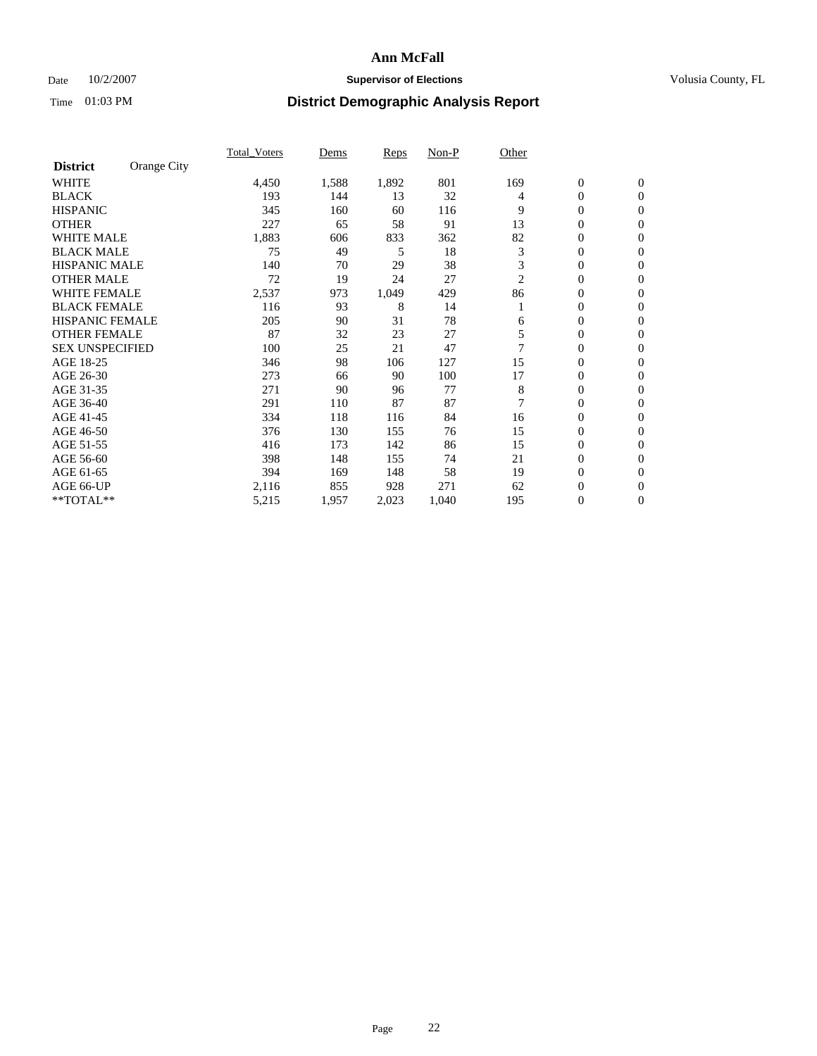## Date  $10/2/2007$  **Supervisor of Elections Supervisor of Elections** Volusia County, FL

|                        |             | <b>Total Voters</b> | Dems  | Reps  | Non-P | Other |                  |                  |  |
|------------------------|-------------|---------------------|-------|-------|-------|-------|------------------|------------------|--|
| <b>District</b>        | Orange City |                     |       |       |       |       |                  |                  |  |
| <b>WHITE</b>           |             | 4,450               | 1,588 | 1,892 | 801   | 169   | $\boldsymbol{0}$ | $\mathbf{0}$     |  |
| <b>BLACK</b>           |             | 193                 | 144   | 13    | 32    | 4     | 0                | $\mathbf{0}$     |  |
| <b>HISPANIC</b>        |             | 345                 | 160   | 60    | 116   | 9     | 0                | $\mathbf{0}$     |  |
| <b>OTHER</b>           |             | 227                 | 65    | 58    | 91    | 13    | 0                | $\mathbf{0}$     |  |
| <b>WHITE MALE</b>      |             | 1,883               | 606   | 833   | 362   | 82    | 0                | $\mathbf{0}$     |  |
| <b>BLACK MALE</b>      |             | 75                  | 49    | 5     | 18    | 3     | 0                | $\mathbf{0}$     |  |
| <b>HISPANIC MALE</b>   |             | 140                 | 70    | 29    | 38    | 3     | 0                | $\mathbf{0}$     |  |
| <b>OTHER MALE</b>      |             | 72                  | 19    | 24    | 27    | 2     | $\mathbf{0}$     | $\mathbf{0}$     |  |
| <b>WHITE FEMALE</b>    |             | 2,537               | 973   | 1,049 | 429   | 86    | 0                | $\mathbf{0}$     |  |
| <b>BLACK FEMALE</b>    |             | 116                 | 93    | 8     | 14    |       | $\mathbf{0}$     | $\mathbf{0}$     |  |
| <b>HISPANIC FEMALE</b> |             | 205                 | 90    | 31    | 78    | 6     | 0                | $\mathbf{0}$     |  |
| <b>OTHER FEMALE</b>    |             | 87                  | 32    | 23    | 27    | 5     | 0                | $\mathbf{0}$     |  |
| <b>SEX UNSPECIFIED</b> |             | 100                 | 25    | 21    | 47    |       | 0                | 0                |  |
| AGE 18-25              |             | 346                 | 98    | 106   | 127   | 15    | 0                | $\Omega$         |  |
| AGE 26-30              |             | 273                 | 66    | 90    | 100   | 17    | $\mathbf{0}$     | $\mathbf{0}$     |  |
| AGE 31-35              |             | 271                 | 90    | 96    | 77    | 8     | 0                | $\mathbf{0}$     |  |
| AGE 36-40              |             | 291                 | 110   | 87    | 87    | 7     | 0                | $\mathbf{0}$     |  |
| AGE 41-45              |             | 334                 | 118   | 116   | 84    | 16    | 0                | $\mathbf{0}$     |  |
| AGE 46-50              |             | 376                 | 130   | 155   | 76    | 15    | 0                | $\Omega$         |  |
| AGE 51-55              |             | 416                 | 173   | 142   | 86    | 15    | $\boldsymbol{0}$ | $\mathbf{0}$     |  |
| AGE 56-60              |             | 398                 | 148   | 155   | 74    | 21    | 0                | $\mathbf{0}$     |  |
| AGE 61-65              |             | 394                 | 169   | 148   | 58    | 19    | $\overline{0}$   | $\mathbf{0}$     |  |
| AGE 66-UP              |             | 2,116               | 855   | 928   | 271   | 62    | 0                | $\mathbf{0}$     |  |
| **TOTAL**              |             | 5,215               | 1,957 | 2,023 | 1,040 | 195   | 0                | $\boldsymbol{0}$ |  |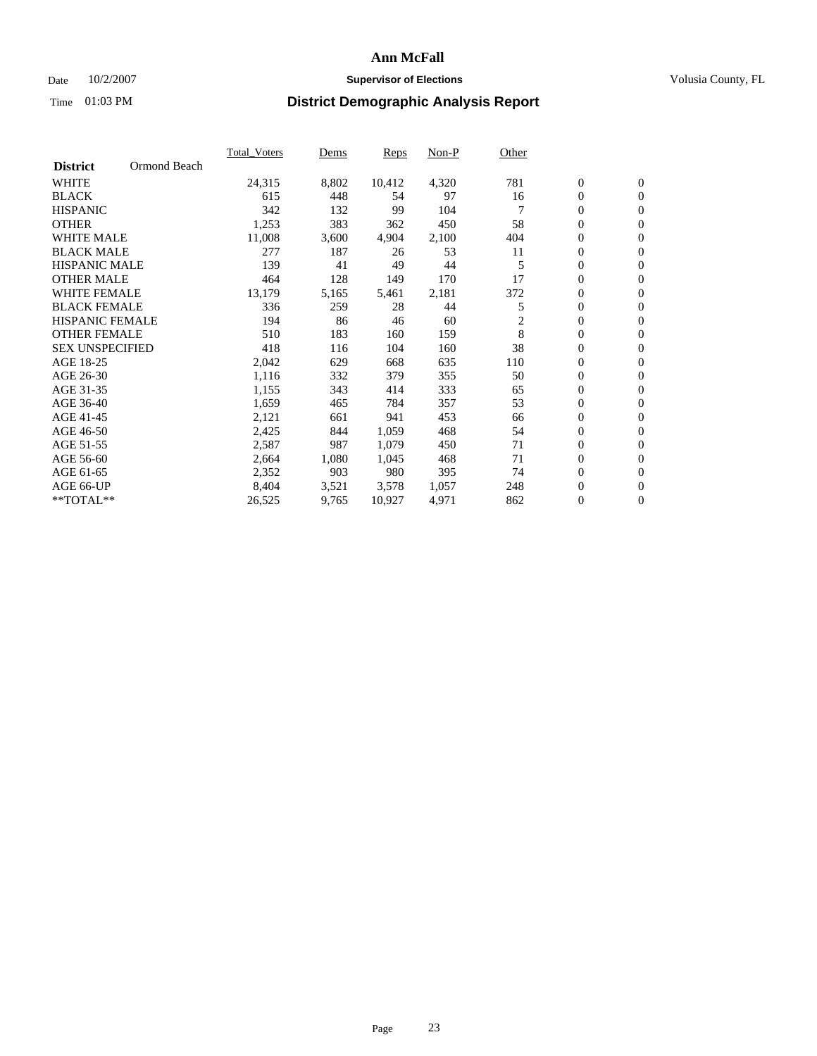## Date  $10/2/2007$  **Supervisor of Elections Supervisor of Elections** Volusia County, FL

|                        |              | <b>Total Voters</b> | Dems  | Reps   | Non-P | Other |                  |                  |  |
|------------------------|--------------|---------------------|-------|--------|-------|-------|------------------|------------------|--|
| <b>District</b>        | Ormond Beach |                     |       |        |       |       |                  |                  |  |
| <b>WHITE</b>           |              | 24,315              | 8,802 | 10,412 | 4,320 | 781   | $\mathbf{0}$     | $\mathbf{0}$     |  |
| <b>BLACK</b>           |              | 615                 | 448   | 54     | 97    | 16    | 0                | $\mathbf{0}$     |  |
| <b>HISPANIC</b>        |              | 342                 | 132   | 99     | 104   |       | 0                | $\overline{0}$   |  |
| <b>OTHER</b>           |              | 1,253               | 383   | 362    | 450   | 58    | 0                | $\mathbf{0}$     |  |
| <b>WHITE MALE</b>      |              | 11,008              | 3,600 | 4,904  | 2,100 | 404   | 0                | $\mathbf{0}$     |  |
| <b>BLACK MALE</b>      |              | 277                 | 187   | 26     | 53    | 11    | 0                | $\mathbf{0}$     |  |
| <b>HISPANIC MALE</b>   |              | 139                 | 41    | 49     | 44    | 5     | 0                | $\mathbf{0}$     |  |
| <b>OTHER MALE</b>      |              | 464                 | 128   | 149    | 170   | 17    | $\mathbf{0}$     | $\mathbf{0}$     |  |
| <b>WHITE FEMALE</b>    |              | 13,179              | 5,165 | 5,461  | 2,181 | 372   | 0                | $\mathbf{0}$     |  |
| <b>BLACK FEMALE</b>    |              | 336                 | 259   | 28     | 44    | 5     | $\boldsymbol{0}$ | $\mathbf{0}$     |  |
| <b>HISPANIC FEMALE</b> |              | 194                 | 86    | 46     | 60    | 2     | 0                | $\mathbf{0}$     |  |
| <b>OTHER FEMALE</b>    |              | 510                 | 183   | 160    | 159   | 8     | 0                | $\mathbf{0}$     |  |
| <b>SEX UNSPECIFIED</b> |              | 418                 | 116   | 104    | 160   | 38    | 0                | $\mathbf{0}$     |  |
| AGE 18-25              |              | 2,042               | 629   | 668    | 635   | 110   | 0                | $\mathbf{0}$     |  |
| AGE 26-30              |              | 1,116               | 332   | 379    | 355   | 50    | $\mathbf{0}$     | $\mathbf{0}$     |  |
| AGE 31-35              |              | 1,155               | 343   | 414    | 333   | 65    | 0                | $\mathbf{0}$     |  |
| AGE 36-40              |              | 1,659               | 465   | 784    | 357   | 53    | 0                | $\mathbf{0}$     |  |
| AGE 41-45              |              | 2,121               | 661   | 941    | 453   | 66    | 0                | $\mathbf{0}$     |  |
| AGE 46-50              |              | 2,425               | 844   | 1,059  | 468   | 54    | 0                | $\mathbf{0}$     |  |
| AGE 51-55              |              | 2,587               | 987   | 1,079  | 450   | 71    | $\boldsymbol{0}$ | $\mathbf{0}$     |  |
| AGE 56-60              |              | 2,664               | 1,080 | 1,045  | 468   | 71    | 0                | $\mathbf{0}$     |  |
| AGE 61-65              |              | 2,352               | 903   | 980    | 395   | 74    | $\mathbf{0}$     | $\mathbf{0}$     |  |
| AGE 66-UP              |              | 8,404               | 3,521 | 3,578  | 1,057 | 248   | 0                | $\boldsymbol{0}$ |  |
| **TOTAL**              |              | 26,525              | 9,765 | 10,927 | 4,971 | 862   | 0                | $\mathbf{0}$     |  |
|                        |              |                     |       |        |       |       |                  |                  |  |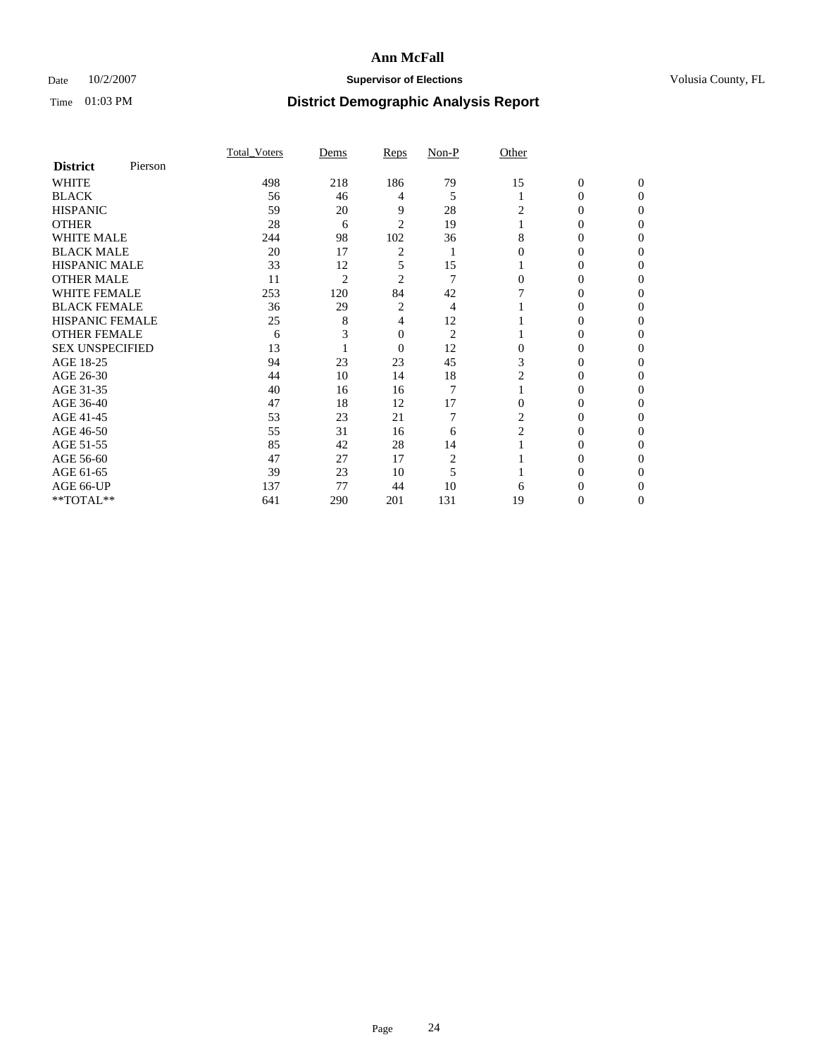## Date  $10/2/2007$  **Supervisor of Elections Supervisor of Elections** Volusia County, FL

|                        |         | <b>Total Voters</b> | Dems           | Reps           | Non-P          | Other          |                  |              |  |
|------------------------|---------|---------------------|----------------|----------------|----------------|----------------|------------------|--------------|--|
| <b>District</b>        | Pierson |                     |                |                |                |                |                  |              |  |
| <b>WHITE</b>           |         | 498                 | 218            | 186            | 79             | 15             | $\boldsymbol{0}$ | $\mathbf{0}$ |  |
| <b>BLACK</b>           |         | 56                  | 46             | 4              | 5              |                | $\theta$         | $\Omega$     |  |
| <b>HISPANIC</b>        |         | 59                  | 20             | 9              | 28             | 2              | 0                | $\theta$     |  |
| <b>OTHER</b>           |         | 28                  | 6              | 2              | 19             |                | 0                | 0            |  |
| <b>WHITE MALE</b>      |         | 244                 | 98             | 102            | 36             | 8              | 0                |              |  |
| <b>BLACK MALE</b>      |         | 20                  | 17             | 2              |                |                | 0                |              |  |
| <b>HISPANIC MALE</b>   |         | 33                  | 12             | 5              | 15             |                | 0                |              |  |
| <b>OTHER MALE</b>      |         | 11                  | $\overline{2}$ | 2              | 7              | 0              | $\theta$         |              |  |
| WHITE FEMALE           |         | 253                 | 120            | 84             | 42             |                | 0                | 0            |  |
| <b>BLACK FEMALE</b>    |         | 36                  | 29             | 2              | 4              |                | 0                | 0            |  |
| <b>HISPANIC FEMALE</b> |         | 25                  | 8              | 4              | 12             |                | 0                | 0            |  |
| <b>OTHER FEMALE</b>    |         | 6                   |                | 0              | $\overline{2}$ |                | 0                | 0            |  |
| <b>SEX UNSPECIFIED</b> |         | 13                  |                | $\overline{0}$ | 12             | $\Omega$       | 0                | 0            |  |
| AGE 18-25              |         | 94                  | 23             | 23             | 45             | 3              | 0                |              |  |
| AGE 26-30              |         | 44                  | 10             | 14             | 18             | 2              | 0                |              |  |
| AGE 31-35              |         | 40                  | 16             | 16             | $\overline{7}$ |                | 0                |              |  |
| AGE 36-40              |         | 47                  | 18             | 12             | 17             | $\Omega$       | 0                | 0            |  |
| AGE 41-45              |         | 53                  | 23             | 21             | 7              | 2              | 0                |              |  |
| AGE 46-50              |         | 55                  | 31             | 16             | 6              | $\overline{2}$ | 0                | 0            |  |
| AGE 51-55              |         | 85                  | 42             | 28             | 14             |                | 0                | 0            |  |
| AGE 56-60              |         | 47                  | 27             | 17             | 2              |                | 0                | 0            |  |
| AGE 61-65              |         | 39                  | 23             | 10             | 5              |                | 0                |              |  |
| AGE 66-UP              |         | 137                 | 77             | 44             | 10             | 6              |                  |              |  |
| **TOTAL**              |         | 641                 | 290            | 201            | 131            | 19             | 0                | 0            |  |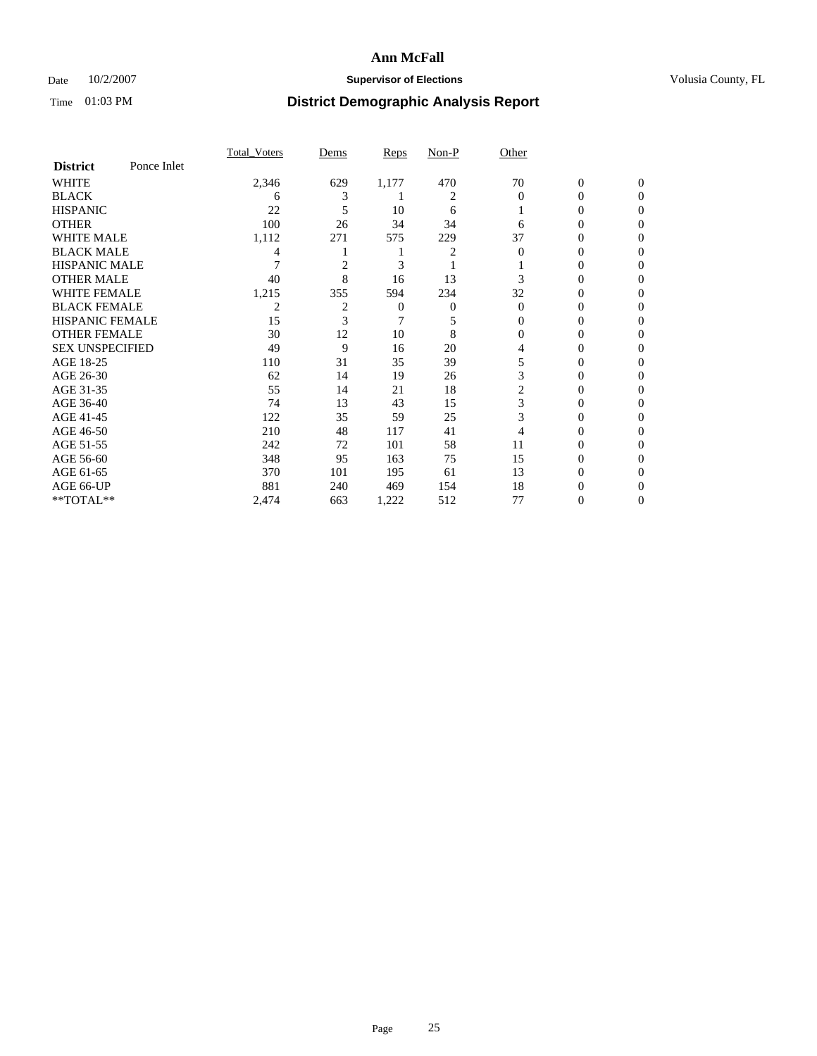## Date  $10/2/2007$  **Supervisor of Elections Supervisor of Elections** Volusia County, FL

|                        |             | <b>Total Voters</b> | Dems           | Reps  | Non-P | Other    |                  |              |  |
|------------------------|-------------|---------------------|----------------|-------|-------|----------|------------------|--------------|--|
| <b>District</b>        | Ponce Inlet |                     |                |       |       |          |                  |              |  |
| <b>WHITE</b>           |             | 2,346               | 629            | 1,177 | 470   | 70       | $\boldsymbol{0}$ | $\mathbf{0}$ |  |
| <b>BLACK</b>           |             | 6                   | 3              |       | 2     | $\Omega$ | 0                | $\Omega$     |  |
| <b>HISPANIC</b>        |             | 22                  | 5              | 10    | 6     |          | 0                | $\Omega$     |  |
| <b>OTHER</b>           |             | 100                 | 26             | 34    | 34    | 6        | 0                | $\theta$     |  |
| <b>WHITE MALE</b>      |             | 1,112               | 271            | 575   | 229   | 37       | 0                | 0            |  |
| <b>BLACK MALE</b>      |             | 4                   |                |       | 2     | 0        | 0                | 0            |  |
| <b>HISPANIC MALE</b>   |             |                     | $\overline{2}$ | 3     |       |          | 0                |              |  |
| <b>OTHER MALE</b>      |             | 40                  | 8              | 16    | 13    |          | 0                | 0            |  |
| WHITE FEMALE           |             | 1,215               | 355            | 594   | 234   | 32       | 0                | 0            |  |
| <b>BLACK FEMALE</b>    |             | 2                   | $\overline{2}$ | 0     | 0     | $\Omega$ | 0                | 0            |  |
| <b>HISPANIC FEMALE</b> |             | 15                  | 3              |       | 5     | 0        | 0                | $\Omega$     |  |
| <b>OTHER FEMALE</b>    |             | 30                  | 12             | 10    | 8     | $\Omega$ | 0                | $\theta$     |  |
| <b>SEX UNSPECIFIED</b> |             | 49                  | 9              | 16    | 20    | 4        | 0                | $\theta$     |  |
| AGE 18-25              |             | 110                 | 31             | 35    | 39    | 5        | 0                | $_{0}$       |  |
| AGE 26-30              |             | 62                  | 14             | 19    | 26    | 3        | 0                | 0            |  |
| AGE 31-35              |             | 55                  | 14             | 21    | 18    | 2        | 0                |              |  |
| AGE 36-40              |             | 74                  | 13             | 43    | 15    | 3        | 0                | 0            |  |
| AGE 41-45              |             | 122                 | 35             | 59    | 25    | 3        | 0                | 0            |  |
| AGE 46-50              |             | 210                 | 48             | 117   | 41    | 4        | 0                | $\Omega$     |  |
| AGE 51-55              |             | 242                 | 72             | 101   | 58    | 11       | 0                | $\theta$     |  |
| AGE 56-60              |             | 348                 | 95             | 163   | 75    | 15       | 0                | $\theta$     |  |
| AGE 61-65              |             | 370                 | 101            | 195   | 61    | 13       | 0                | 0            |  |
| AGE 66-UP              |             | 881                 | 240            | 469   | 154   | 18       | 0                |              |  |
| **TOTAL**              |             | 2,474               | 663            | 1,222 | 512   | 77       | 0                | 0            |  |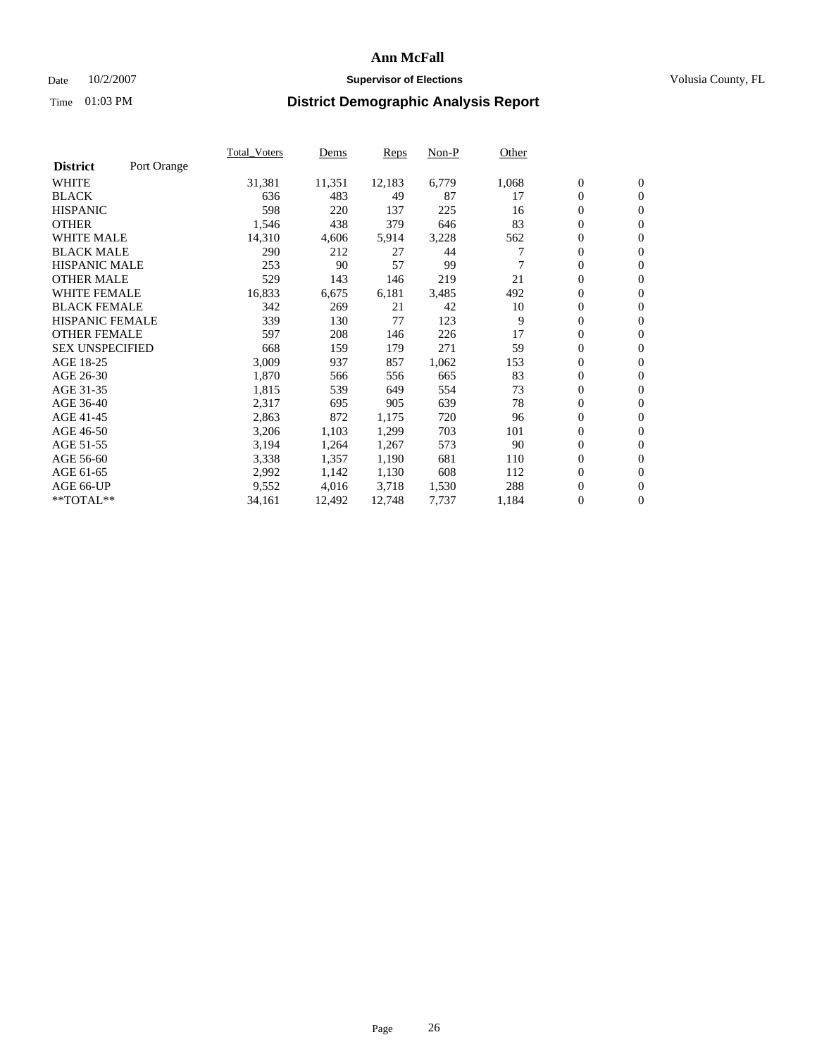### Date  $10/2/2007$  **Supervisor of Elections** Volusia County, FL

|                        |             | Total Voters | Dems   | <b>Reps</b> | Non-P | Other |                  |                  |  |
|------------------------|-------------|--------------|--------|-------------|-------|-------|------------------|------------------|--|
| <b>District</b>        | Port Orange |              |        |             |       |       |                  |                  |  |
| <b>WHITE</b>           |             | 31,381       | 11,351 | 12,183      | 6,779 | 1,068 | $\boldsymbol{0}$ | $\mathbf{0}$     |  |
| <b>BLACK</b>           |             | 636          | 483    | 49          | 87    | 17    | $\overline{0}$   | $\mathbf{0}$     |  |
| <b>HISPANIC</b>        |             | 598          | 220    | 137         | 225   | 16    | $\boldsymbol{0}$ | $\mathbf{0}$     |  |
| <b>OTHER</b>           |             | 1,546        | 438    | 379         | 646   | 83    | $\boldsymbol{0}$ | $\mathbf{0}$     |  |
| <b>WHITE MALE</b>      |             | 14,310       | 4,606  | 5,914       | 3,228 | 562   | 0                | $\mathbf{0}$     |  |
| <b>BLACK MALE</b>      |             | 290          | 212    | 27          | 44    |       | $\boldsymbol{0}$ | $\boldsymbol{0}$ |  |
| <b>HISPANIC MALE</b>   |             | 253          | 90     | 57          | 99    |       | $\overline{0}$   | $\mathbf{0}$     |  |
| <b>OTHER MALE</b>      |             | 529          | 143    | 146         | 219   | 21    | $\overline{0}$   | $\mathbf{0}$     |  |
| <b>WHITE FEMALE</b>    |             | 16,833       | 6,675  | 6,181       | 3,485 | 492   | $\mathbf{0}$     | $\mathbf{0}$     |  |
| <b>BLACK FEMALE</b>    |             | 342          | 269    | 21          | 42    | 10    | $\boldsymbol{0}$ | $\mathbf{0}$     |  |
| <b>HISPANIC FEMALE</b> |             | 339          | 130    | 77          | 123   | 9     | $\boldsymbol{0}$ | $\boldsymbol{0}$ |  |
| <b>OTHER FEMALE</b>    |             | 597          | 208    | 146         | 226   | 17    | 0                | $\mathbf{0}$     |  |
| <b>SEX UNSPECIFIED</b> |             | 668          | 159    | 179         | 271   | 59    | $\boldsymbol{0}$ | $\mathbf{0}$     |  |
| AGE 18-25              |             | 3,009        | 937    | 857         | 1,062 | 153   | $\boldsymbol{0}$ | $\mathbf{0}$     |  |
| AGE 26-30              |             | 1,870        | 566    | 556         | 665   | 83    | $\overline{0}$   | $\mathbf{0}$     |  |
| AGE 31-35              |             | 1,815        | 539    | 649         | 554   | 73    | $\overline{0}$   | $\mathbf{0}$     |  |
| AGE 36-40              |             | 2,317        | 695    | 905         | 639   | 78    | $\boldsymbol{0}$ | $\mathbf{0}$     |  |
| AGE 41-45              |             | 2,863        | 872    | 1,175       | 720   | 96    | $\boldsymbol{0}$ | $\mathbf{0}$     |  |
| AGE 46-50              |             | 3,206        | 1,103  | 1,299       | 703   | 101   | 0                | $\mathbf{0}$     |  |
| AGE 51-55              |             | 3,194        | 1,264  | 1,267       | 573   | 90    | $\boldsymbol{0}$ | $\boldsymbol{0}$ |  |
| AGE 56-60              |             | 3,338        | 1,357  | 1,190       | 681   | 110   | $\overline{0}$   | $\mathbf{0}$     |  |
| AGE 61-65              |             | 2,992        | 1,142  | 1,130       | 608   | 112   | $\mathbf{0}$     | $\mathbf{0}$     |  |
| AGE 66-UP              |             | 9,552        | 4,016  | 3,718       | 1,530 | 288   | $\boldsymbol{0}$ | $\mathbf{0}$     |  |
| **TOTAL**              |             | 34,161       | 12,492 | 12,748      | 7,737 | 1,184 | 0                | $\overline{0}$   |  |
|                        |             |              |        |             |       |       |                  |                  |  |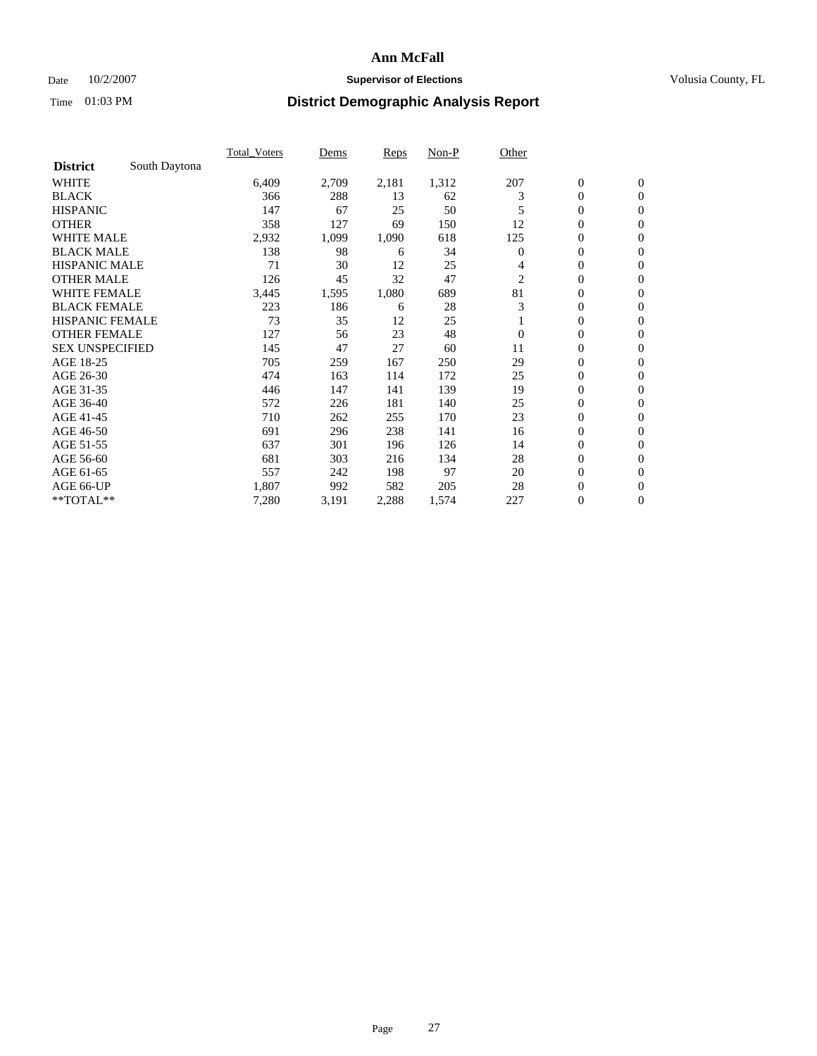## Date  $10/2/2007$  **Supervisor of Elections Supervisor of Elections** Volusia County, FL

|                        |               | <b>Total Voters</b> | Dems  | <b>Reps</b> | Non-P | Other    |                  |                  |  |
|------------------------|---------------|---------------------|-------|-------------|-------|----------|------------------|------------------|--|
| <b>District</b>        | South Daytona |                     |       |             |       |          |                  |                  |  |
| <b>WHITE</b>           |               | 6,409               | 2,709 | 2,181       | 1,312 | 207      | $\boldsymbol{0}$ | $\mathbf{0}$     |  |
| <b>BLACK</b>           |               | 366                 | 288   | 13          | 62    | 3        | $\mathbf{0}$     | $\mathbf{0}$     |  |
| <b>HISPANIC</b>        |               | 147                 | 67    | 25          | 50    | 5        | 0                | $\overline{0}$   |  |
| <b>OTHER</b>           |               | 358                 | 127   | 69          | 150   | 12       | 0                | $\mathbf{0}$     |  |
| <b>WHITE MALE</b>      |               | 2,932               | 1,099 | 1,090       | 618   | 125      | 0                | $\mathbf{0}$     |  |
| <b>BLACK MALE</b>      |               | 138                 | 98    | 6           | 34    | $\Omega$ | 0                | $\mathbf{0}$     |  |
| <b>HISPANIC MALE</b>   |               | 71                  | 30    | 12          | 25    | 4        | 0                | $\mathbf{0}$     |  |
| <b>OTHER MALE</b>      |               | 126                 | 45    | 32          | 47    | 2        | $\mathbf{0}$     | $\mathbf{0}$     |  |
| <b>WHITE FEMALE</b>    |               | 3,445               | 1,595 | 1,080       | 689   | 81       | 0                | $\mathbf{0}$     |  |
| <b>BLACK FEMALE</b>    |               | 223                 | 186   | 6           | 28    | 3        | $\mathbf{0}$     | $\mathbf{0}$     |  |
| <b>HISPANIC FEMALE</b> |               | 73                  | 35    | 12          | 25    |          | 0                | $\mathbf{0}$     |  |
| <b>OTHER FEMALE</b>    |               | 127                 | 56    | 23          | 48    | $\theta$ | 0                | $\mathbf{0}$     |  |
| <b>SEX UNSPECIFIED</b> |               | 145                 | 47    | 27          | 60    | 11       | 0                | $\mathbf{0}$     |  |
| AGE 18-25              |               | 705                 | 259   | 167         | 250   | 29       | 0                | $\mathbf{0}$     |  |
| AGE 26-30              |               | 474                 | 163   | 114         | 172   | 25       | $\mathbf{0}$     | $\mathbf{0}$     |  |
| AGE 31-35              |               | 446                 | 147   | 141         | 139   | 19       | 0                | $\mathbf{0}$     |  |
| AGE 36-40              |               | 572                 | 226   | 181         | 140   | 25       | 0                | $\mathbf{0}$     |  |
| AGE 41-45              |               | 710                 | 262   | 255         | 170   | 23       | 0                | $\mathbf{0}$     |  |
| AGE 46-50              |               | 691                 | 296   | 238         | 141   | 16       | 0                | $\mathbf{0}$     |  |
| AGE 51-55              |               | 637                 | 301   | 196         | 126   | 14       | $\boldsymbol{0}$ | $\mathbf{0}$     |  |
| AGE 56-60              |               | 681                 | 303   | 216         | 134   | 28       | $\mathbf{0}$     | $\mathbf{0}$     |  |
| AGE 61-65              |               | 557                 | 242   | 198         | 97    | 20       | $\mathbf{0}$     | $\mathbf{0}$     |  |
| AGE 66-UP              |               | 1,807               | 992   | 582         | 205   | 28       | $\boldsymbol{0}$ | $\mathbf{0}$     |  |
| **TOTAL**              |               | 7,280               | 3,191 | 2,288       | 1,574 | 227      | 0                | $\boldsymbol{0}$ |  |
|                        |               |                     |       |             |       |          |                  |                  |  |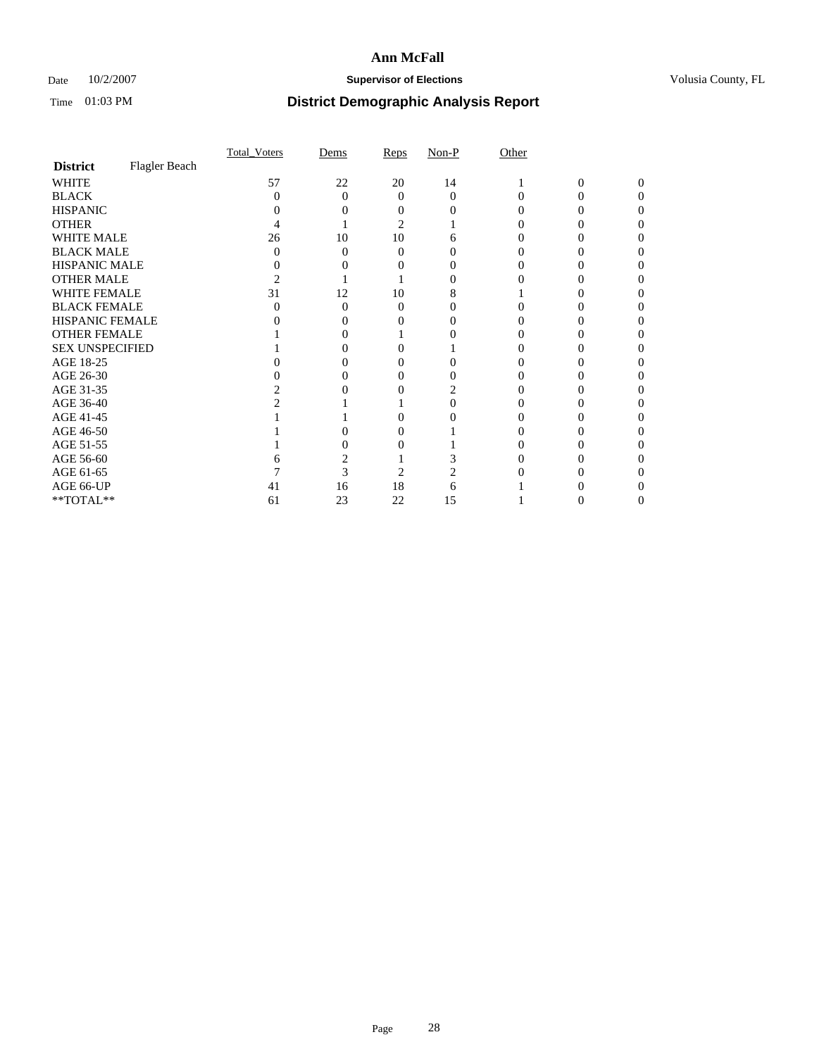## Date  $10/2/2007$  **Supervisor of Elections Supervisor of Elections** Volusia County, FL

|                        |               | <b>Total Voters</b> | Dems     | Reps | $Non-P$  | Other |   |          |  |
|------------------------|---------------|---------------------|----------|------|----------|-------|---|----------|--|
| <b>District</b>        | Flagler Beach |                     |          |      |          |       |   |          |  |
| <b>WHITE</b>           |               | 57                  | 22       | 20   | 14       |       | 0 | $\Omega$ |  |
| <b>BLACK</b>           |               | 0                   | $\Omega$ | 0    | $\Omega$ |       |   |          |  |
| <b>HISPANIC</b>        |               |                     |          |      |          |       |   |          |  |
| <b>OTHER</b>           |               |                     |          | 2    |          |       |   |          |  |
| WHITE MALE             |               | 26                  | 10       | 10   |          |       |   |          |  |
| <b>BLACK MALE</b>      |               |                     | 0        | 0    |          |       |   |          |  |
| HISPANIC MALE          |               |                     |          |      |          |       |   |          |  |
| <b>OTHER MALE</b>      |               |                     |          |      |          |       |   |          |  |
| WHITE FEMALE           |               | 31                  | 12       | 10   |          |       |   |          |  |
| <b>BLACK FEMALE</b>    |               |                     | $\Omega$ | 0    |          |       |   |          |  |
| <b>HISPANIC FEMALE</b> |               |                     |          |      |          |       |   |          |  |
| <b>OTHER FEMALE</b>    |               |                     |          |      |          |       |   |          |  |
| <b>SEX UNSPECIFIED</b> |               |                     |          |      |          |       |   |          |  |
| AGE 18-25              |               |                     |          |      |          |       |   |          |  |
| AGE 26-30              |               |                     | 0        |      |          |       |   |          |  |
| AGE 31-35              |               |                     |          |      |          |       |   |          |  |
| AGE 36-40              |               |                     |          |      |          |       |   |          |  |
| AGE 41-45              |               |                     |          |      |          |       |   |          |  |
| AGE 46-50              |               |                     |          |      |          |       |   |          |  |
| AGE 51-55              |               |                     |          |      |          |       |   |          |  |
| AGE 56-60              |               |                     |          |      |          |       |   |          |  |
| AGE 61-65              |               |                     | 3        | 2    |          |       |   |          |  |
| AGE 66-UP              |               | 41                  | 16       | 18   | 6        |       |   |          |  |
| $**TOTAL**$            |               | 61                  | 23       | 22   | 15       |       | 0 | $_{0}$   |  |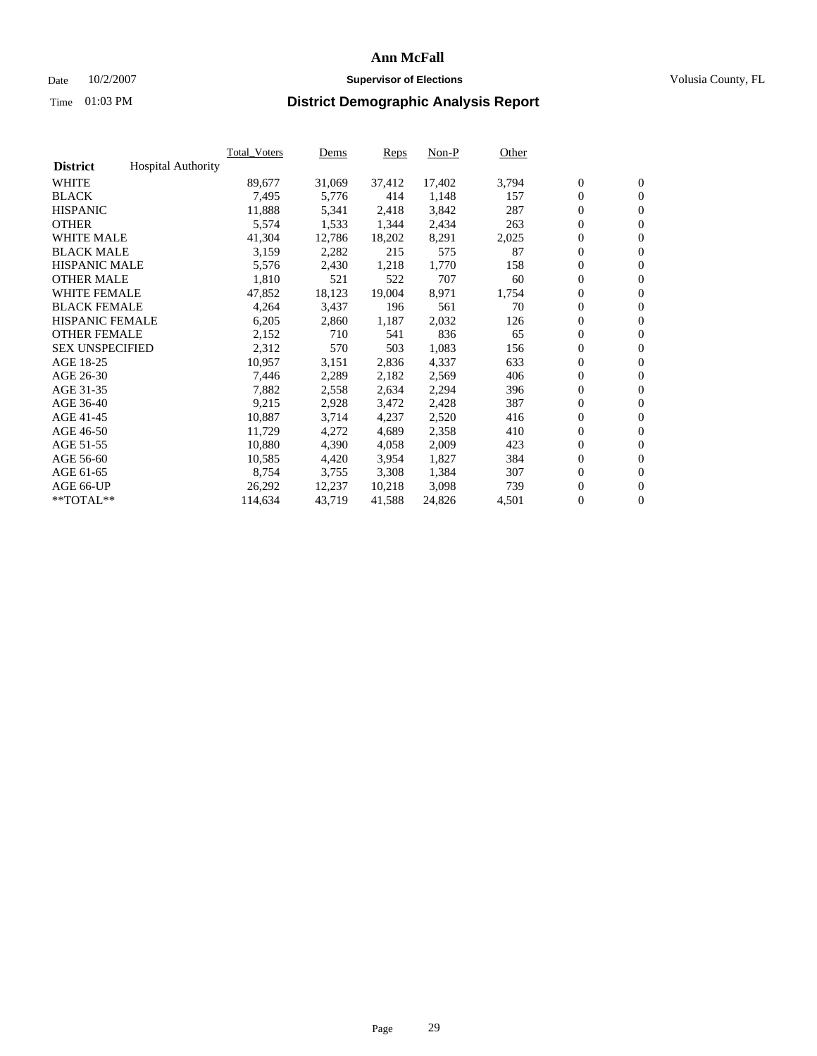### Date  $10/2/2007$  **Supervisor of Elections** Volusia County, FL

|                        |                           | Total Voters | Dems   | <b>Reps</b> | Non-P  | Other |                  |                  |  |
|------------------------|---------------------------|--------------|--------|-------------|--------|-------|------------------|------------------|--|
| <b>District</b>        | <b>Hospital Authority</b> |              |        |             |        |       |                  |                  |  |
| <b>WHITE</b>           |                           | 89,677       | 31,069 | 37,412      | 17,402 | 3,794 | $\overline{0}$   | $\mathbf{0}$     |  |
| <b>BLACK</b>           |                           | 7,495        | 5,776  | 414         | 1,148  | 157   | $\overline{0}$   | $\mathbf{0}$     |  |
| <b>HISPANIC</b>        |                           | 11,888       | 5,341  | 2,418       | 3,842  | 287   | $\boldsymbol{0}$ | $\mathbf{0}$     |  |
| <b>OTHER</b>           |                           | 5,574        | 1,533  | 1,344       | 2,434  | 263   | $\boldsymbol{0}$ | $\mathbf{0}$     |  |
| <b>WHITE MALE</b>      |                           | 41,304       | 12,786 | 18,202      | 8,291  | 2,025 | 0                | $\mathbf{0}$     |  |
| <b>BLACK MALE</b>      |                           | 3,159        | 2,282  | 215         | 575    | 87    | $\boldsymbol{0}$ | $\mathbf{0}$     |  |
| <b>HISPANIC MALE</b>   |                           | 5,576        | 2,430  | 1,218       | 1,770  | 158   | $\overline{0}$   | $\mathbf{0}$     |  |
| <b>OTHER MALE</b>      |                           | 1,810        | 521    | 522         | 707    | 60    | $\overline{0}$   | $\mathbf{0}$     |  |
| <b>WHITE FEMALE</b>    |                           | 47,852       | 18,123 | 19,004      | 8,971  | 1,754 | $\mathbf{0}$     | $\mathbf{0}$     |  |
| <b>BLACK FEMALE</b>    |                           | 4,264        | 3,437  | 196         | 561    | 70    | $\boldsymbol{0}$ | $\mathbf{0}$     |  |
| <b>HISPANIC FEMALE</b> |                           | 6,205        | 2,860  | 1,187       | 2,032  | 126   | $\boldsymbol{0}$ | $\boldsymbol{0}$ |  |
| <b>OTHER FEMALE</b>    |                           | 2,152        | 710    | 541         | 836    | 65    | $\overline{0}$   | $\mathbf{0}$     |  |
| <b>SEX UNSPECIFIED</b> |                           | 2,312        | 570    | 503         | 1,083  | 156   | $\boldsymbol{0}$ | $\mathbf{0}$     |  |
| AGE 18-25              |                           | 10,957       | 3,151  | 2,836       | 4,337  | 633   | $\boldsymbol{0}$ | $\mathbf{0}$     |  |
| AGE 26-30              |                           | 7,446        | 2,289  | 2,182       | 2,569  | 406   | $\overline{0}$   | $\mathbf{0}$     |  |
| AGE 31-35              |                           | 7,882        | 2,558  | 2,634       | 2,294  | 396   | $\overline{0}$   | $\mathbf{0}$     |  |
| AGE 36-40              |                           | 9,215        | 2,928  | 3,472       | 2,428  | 387   | $\boldsymbol{0}$ | $\boldsymbol{0}$ |  |
| AGE 41-45              |                           | 10,887       | 3,714  | 4,237       | 2,520  | 416   | $\boldsymbol{0}$ | $\mathbf{0}$     |  |
| AGE 46-50              |                           | 11,729       | 4,272  | 4,689       | 2,358  | 410   | $\boldsymbol{0}$ | $\mathbf{0}$     |  |
| AGE 51-55              |                           | 10,880       | 4,390  | 4,058       | 2,009  | 423   | $\boldsymbol{0}$ | $\boldsymbol{0}$ |  |
| AGE 56-60              |                           | 10,585       | 4,420  | 3,954       | 1,827  | 384   | $\overline{0}$   | $\mathbf{0}$     |  |
| AGE 61-65              |                           | 8,754        | 3,755  | 3,308       | 1,384  | 307   | $\mathbf{0}$     | $\boldsymbol{0}$ |  |
| AGE 66-UP              |                           | 26,292       | 12,237 | 10,218      | 3,098  | 739   | $\boldsymbol{0}$ | $\boldsymbol{0}$ |  |
| **TOTAL**              |                           | 114,634      | 43,719 | 41,588      | 24,826 | 4,501 | $\boldsymbol{0}$ | $\overline{0}$   |  |
|                        |                           |              |        |             |        |       |                  |                  |  |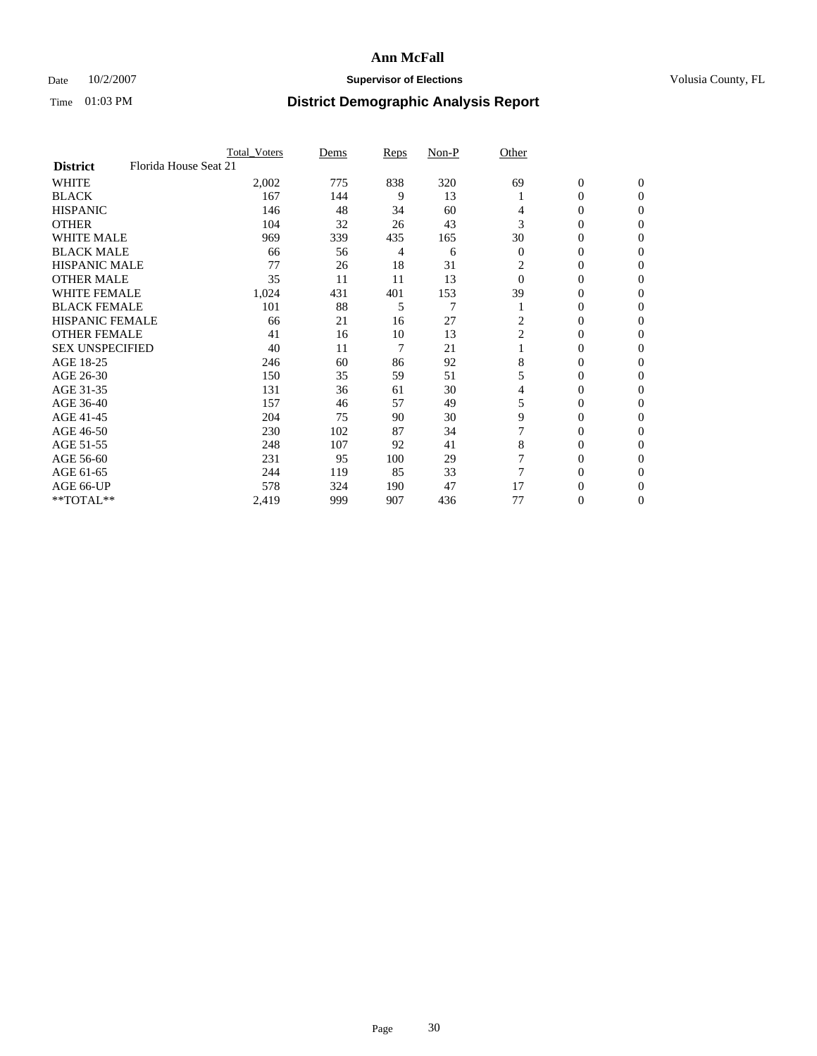## Date  $10/2/2007$  **Supervisor of Elections Supervisor of Elections** Volusia County, FL

|                        | <b>Total Voters</b>   | Dems | Reps | Non-P          | Other          |                  |                  |  |
|------------------------|-----------------------|------|------|----------------|----------------|------------------|------------------|--|
| <b>District</b>        | Florida House Seat 21 |      |      |                |                |                  |                  |  |
| <b>WHITE</b>           | 2,002                 | 775  | 838  | 320            | 69             | $\boldsymbol{0}$ | $\mathbf{0}$     |  |
| <b>BLACK</b>           | 167                   | 144  | 9    | 13             |                | 0                | $\mathbf{0}$     |  |
| <b>HISPANIC</b>        | 146                   | 48   | 34   | 60             | 4              | 0                | $\mathbf{0}$     |  |
| <b>OTHER</b>           | 104                   | 32   | 26   | 43             | 3              | 0                | $\boldsymbol{0}$ |  |
| <b>WHITE MALE</b>      | 969                   | 339  | 435  | 165            | 30             | 0                | $\Omega$         |  |
| <b>BLACK MALE</b>      | 66                    | 56   | 4    | 6              | $\overline{0}$ | 0                | $\Omega$         |  |
| <b>HISPANIC MALE</b>   | 77                    | 26   | 18   | 31             | 2              | 0                | 0                |  |
| <b>OTHER MALE</b>      | 35                    | 11   | 11   | 13             | $\theta$       | 0                | 0                |  |
| WHITE FEMALE           | 1,024                 | 431  | 401  | 153            | 39             | 0                | 0                |  |
| <b>BLACK FEMALE</b>    | 101                   | 88   | 5    | $\overline{7}$ |                | 0                | $\mathbf{0}$     |  |
| <b>HISPANIC FEMALE</b> | 66                    | 21   | 16   | 27             | 2              | 0                | $\Omega$         |  |
| <b>OTHER FEMALE</b>    | 41                    | 16   | 10   | 13             | $\overline{c}$ | 0                | $\boldsymbol{0}$ |  |
| <b>SEX UNSPECIFIED</b> | 40                    | 11   | 7    | 21             |                | 0                | $\Omega$         |  |
| AGE 18-25              | 246                   | 60   | 86   | 92             | 8              | 0                | 0                |  |
| AGE 26-30              | 150                   | 35   | 59   | 51             | 5              | 0                | $\Omega$         |  |
| AGE 31-35              | 131                   | 36   | 61   | 30             | 4              | 0                | 0                |  |
| AGE 36-40              | 157                   | 46   | 57   | 49             | 5              | 0                | $\mathbf{0}$     |  |
| AGE 41-45              | 204                   | 75   | 90   | 30             | 9              | 0                | 0                |  |
| AGE 46-50              | 230                   | 102  | 87   | 34             |                | 0                | $\mathbf{0}$     |  |
| AGE 51-55              | 248                   | 107  | 92   | 41             | 8              | 0                | $\Omega$         |  |
| AGE 56-60              | 231                   | 95   | 100  | 29             |                | 0                | $\theta$         |  |
| AGE 61-65              | 244                   | 119  | 85   | 33             |                | 0                | 0                |  |
| AGE 66-UP              | 578                   | 324  | 190  | 47             | 17             | 0                | $_{0}$           |  |
| **TOTAL**              | 2,419                 | 999  | 907  | 436            | 77             | 0                | $\mathbf{0}$     |  |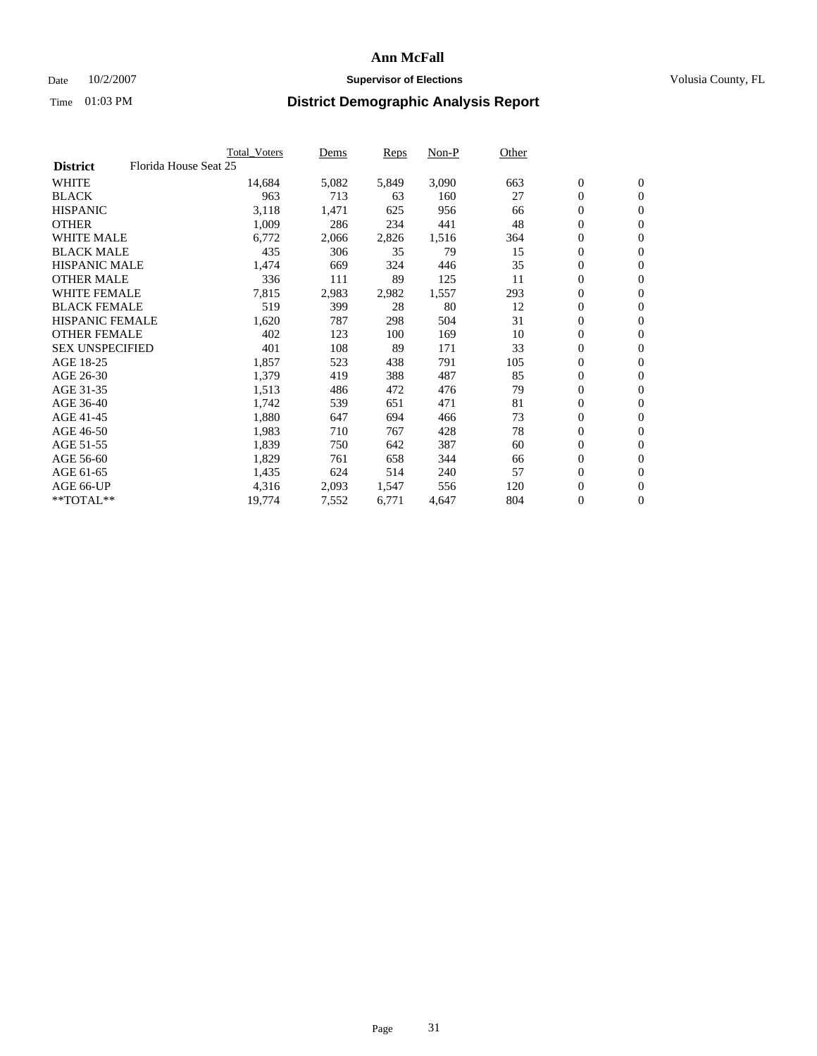### Date  $10/2/2007$  **Supervisor of Elections** Volusia County, FL

|                                          | <b>Total Voters</b> | Dems  | Reps  | Non-P | Other |                  |                  |  |
|------------------------------------------|---------------------|-------|-------|-------|-------|------------------|------------------|--|
| Florida House Seat 25<br><b>District</b> |                     |       |       |       |       |                  |                  |  |
| <b>WHITE</b>                             | 14,684              | 5,082 | 5,849 | 3,090 | 663   | $\boldsymbol{0}$ | $\mathbf{0}$     |  |
| <b>BLACK</b>                             | 963                 | 713   | 63    | 160   | 27    | $\mathbf{0}$     | $\mathbf{0}$     |  |
| <b>HISPANIC</b>                          | 3,118               | 1,471 | 625   | 956   | 66    | 0                | $\mathbf{0}$     |  |
| <b>OTHER</b>                             | 1,009               | 286   | 234   | 441   | 48    | 0                | $\mathbf{0}$     |  |
| <b>WHITE MALE</b>                        | 6,772               | 2,066 | 2,826 | 1,516 | 364   | 0                | $\mathbf{0}$     |  |
| <b>BLACK MALE</b>                        | 435                 | 306   | 35    | 79    | 15    | 0                | $\boldsymbol{0}$ |  |
| <b>HISPANIC MALE</b>                     | 1,474               | 669   | 324   | 446   | 35    | 0                | $\mathbf{0}$     |  |
| <b>OTHER MALE</b>                        | 336                 | 111   | 89    | 125   | 11    | $\boldsymbol{0}$ | $\mathbf{0}$     |  |
| <b>WHITE FEMALE</b>                      | 7,815               | 2,983 | 2,982 | 1,557 | 293   | 0                | $\mathbf{0}$     |  |
| <b>BLACK FEMALE</b>                      | 519                 | 399   | 28    | 80    | 12    | $\boldsymbol{0}$ | $\mathbf{0}$     |  |
| <b>HISPANIC FEMALE</b>                   | 1,620               | 787   | 298   | 504   | 31    | $\boldsymbol{0}$ | $\mathbf{0}$     |  |
| <b>OTHER FEMALE</b>                      | 402                 | 123   | 100   | 169   | 10    | 0                | $\mathbf{0}$     |  |
| <b>SEX UNSPECIFIED</b>                   | 401                 | 108   | 89    | 171   | 33    | 0                | $\mathbf{0}$     |  |
| AGE 18-25                                | 1,857               | 523   | 438   | 791   | 105   | 0                | $\mathbf{0}$     |  |
| AGE 26-30                                | 1,379               | 419   | 388   | 487   | 85    | $\mathbf{0}$     | $\mathbf{0}$     |  |
| AGE 31-35                                | 1,513               | 486   | 472   | 476   | 79    | 0                | $\mathbf{0}$     |  |
| AGE 36-40                                | 1,742               | 539   | 651   | 471   | 81    | 0                | $\mathbf{0}$     |  |
| AGE 41-45                                | 1,880               | 647   | 694   | 466   | 73    | $\boldsymbol{0}$ | $\mathbf{0}$     |  |
| AGE 46-50                                | 1,983               | 710   | 767   | 428   | 78    | 0                | $\mathbf{0}$     |  |
| AGE 51-55                                | 1,839               | 750   | 642   | 387   | 60    | $\boldsymbol{0}$ | $\mathbf{0}$     |  |
| AGE 56-60                                | 1,829               | 761   | 658   | 344   | 66    | 0                | $\mathbf{0}$     |  |
| AGE 61-65                                | 1,435               | 624   | 514   | 240   | 57    | $\mathbf{0}$     | $\mathbf{0}$     |  |
| AGE 66-UP                                | 4,316               | 2,093 | 1,547 | 556   | 120   | 0                | $\mathbf{0}$     |  |
| **TOTAL**                                | 19,774              | 7,552 | 6,771 | 4,647 | 804   | 0                | $\overline{0}$   |  |
|                                          |                     |       |       |       |       |                  |                  |  |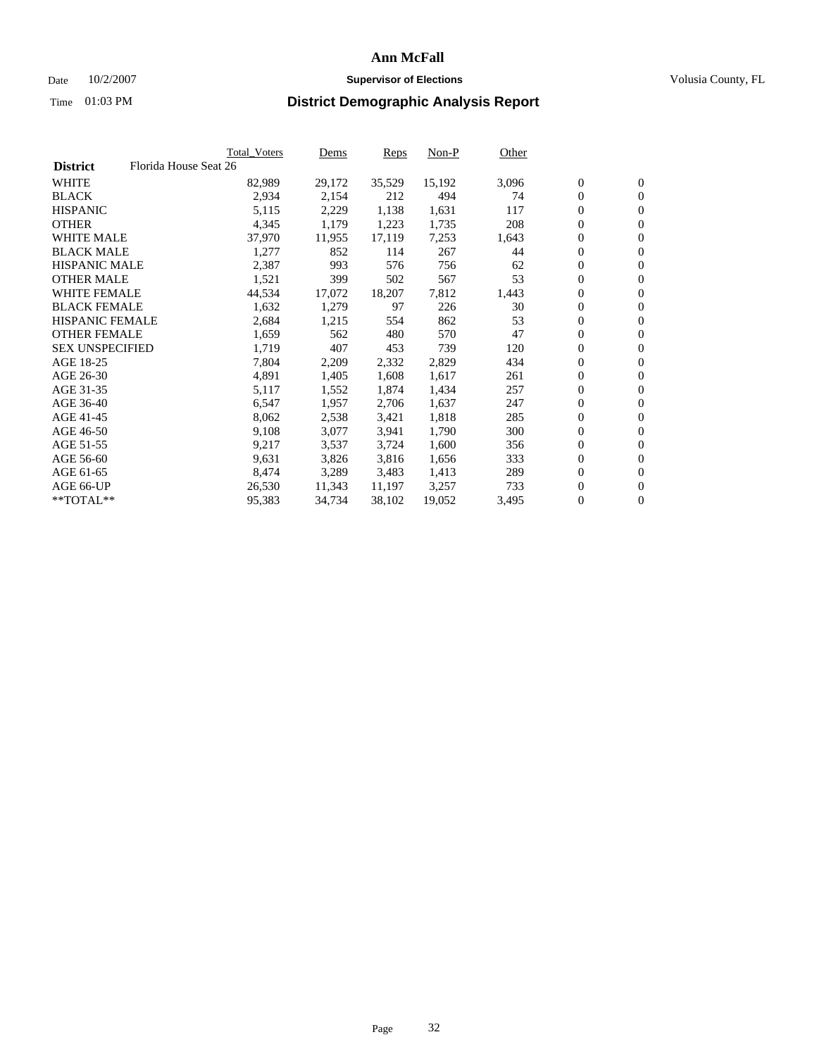### Date  $10/2/2007$  **Supervisor of Elections** Volusia County, FL

|                        |                       | <b>Total_Voters</b> | Dems   | <b>Reps</b> | Non-P  | Other |                  |                |  |
|------------------------|-----------------------|---------------------|--------|-------------|--------|-------|------------------|----------------|--|
| <b>District</b>        | Florida House Seat 26 |                     |        |             |        |       |                  |                |  |
| <b>WHITE</b>           |                       | 82,989              | 29,172 | 35,529      | 15,192 | 3,096 | $\overline{0}$   | $\mathbf{0}$   |  |
| <b>BLACK</b>           |                       | 2,934               | 2,154  | 212         | 494    | 74    | $\overline{0}$   | $\mathbf{0}$   |  |
| <b>HISPANIC</b>        |                       | 5,115               | 2,229  | 1,138       | 1,631  | 117   | $\boldsymbol{0}$ | $\mathbf{0}$   |  |
| <b>OTHER</b>           |                       | 4,345               | 1,179  | 1,223       | 1,735  | 208   | $\boldsymbol{0}$ | $\mathbf{0}$   |  |
| <b>WHITE MALE</b>      |                       | 37,970              | 11,955 | 17,119      | 7,253  | 1,643 | 0                | $\mathbf{0}$   |  |
| <b>BLACK MALE</b>      |                       | 1,277               | 852    | 114         | 267    | 44    | $\boldsymbol{0}$ | $\mathbf{0}$   |  |
| <b>HISPANIC MALE</b>   |                       | 2,387               | 993    | 576         | 756    | 62    | $\overline{0}$   | $\mathbf{0}$   |  |
| <b>OTHER MALE</b>      |                       | 1,521               | 399    | 502         | 567    | 53    | $\overline{0}$   | $\mathbf{0}$   |  |
| <b>WHITE FEMALE</b>    |                       | 44,534              | 17,072 | 18,207      | 7,812  | 1,443 | $\mathbf{0}$     | $\mathbf{0}$   |  |
| <b>BLACK FEMALE</b>    |                       | 1,632               | 1,279  | 97          | 226    | 30    | $\boldsymbol{0}$ | $\mathbf{0}$   |  |
| <b>HISPANIC FEMALE</b> |                       | 2,684               | 1,215  | 554         | 862    | 53    | $\boldsymbol{0}$ | $\mathbf{0}$   |  |
| <b>OTHER FEMALE</b>    |                       | 1,659               | 562    | 480         | 570    | 47    | 0                | $\mathbf{0}$   |  |
| <b>SEX UNSPECIFIED</b> |                       | 1,719               | 407    | 453         | 739    | 120   | $\boldsymbol{0}$ | $\mathbf{0}$   |  |
| AGE 18-25              |                       | 7,804               | 2,209  | 2,332       | 2,829  | 434   | $\boldsymbol{0}$ | $\mathbf{0}$   |  |
| AGE 26-30              |                       | 4,891               | 1,405  | 1,608       | 1,617  | 261   | $\overline{0}$   | $\mathbf{0}$   |  |
| AGE 31-35              |                       | 5,117               | 1,552  | 1,874       | 1,434  | 257   | $\overline{0}$   | $\mathbf{0}$   |  |
| AGE 36-40              |                       | 6,547               | 1,957  | 2,706       | 1,637  | 247   | $\boldsymbol{0}$ | $\mathbf{0}$   |  |
| AGE 41-45              |                       | 8,062               | 2,538  | 3,421       | 1,818  | 285   | $\boldsymbol{0}$ | $\mathbf{0}$   |  |
| AGE 46-50              |                       | 9,108               | 3,077  | 3,941       | 1,790  | 300   | 0                | $\mathbf{0}$   |  |
| AGE 51-55              |                       | 9,217               | 3,537  | 3,724       | 1,600  | 356   | $\boldsymbol{0}$ | $\mathbf{0}$   |  |
| AGE 56-60              |                       | 9,631               | 3,826  | 3,816       | 1,656  | 333   | $\overline{0}$   | $\mathbf{0}$   |  |
| AGE 61-65              |                       | 8,474               | 3,289  | 3,483       | 1,413  | 289   | $\mathbf{0}$     | $\mathbf{0}$   |  |
| AGE 66-UP              |                       | 26,530              | 11,343 | 11,197      | 3,257  | 733   | $\boldsymbol{0}$ | $\mathbf{0}$   |  |
| **TOTAL**              |                       | 95,383              | 34,734 | 38,102      | 19,052 | 3,495 | 0                | $\overline{0}$ |  |
|                        |                       |                     |        |             |        |       |                  |                |  |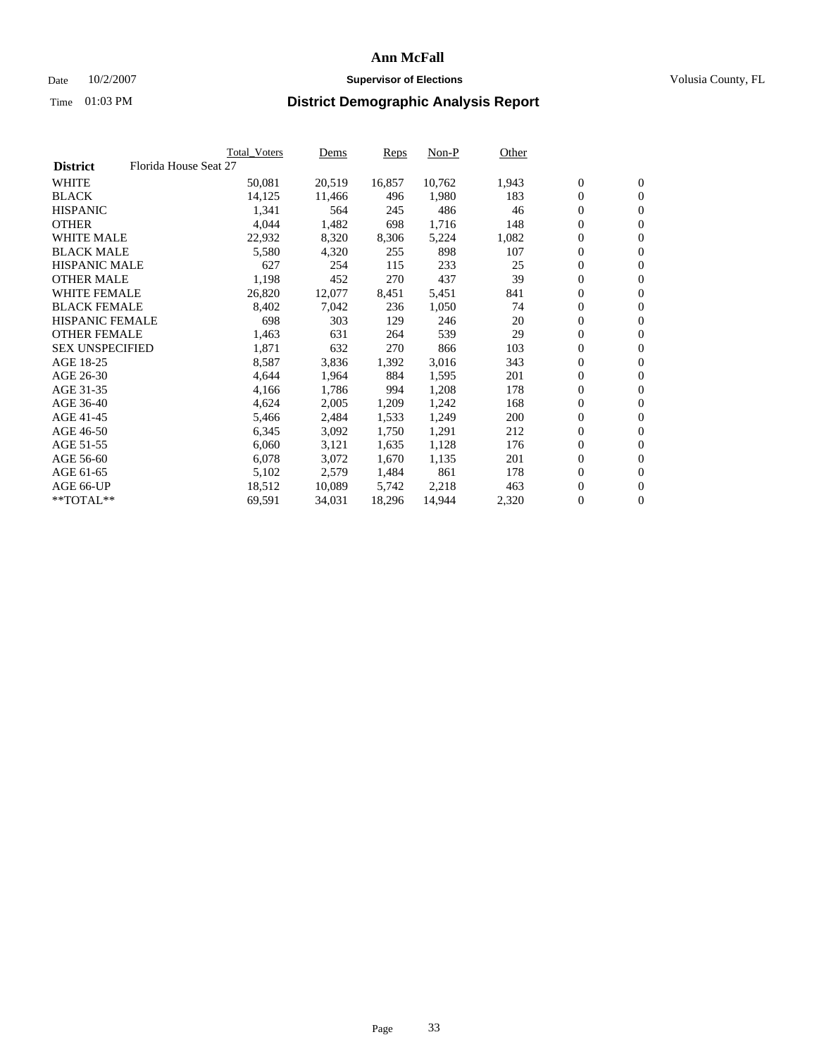### Date  $10/2/2007$  **Supervisor of Elections** Volusia County, FL

|                        |                       | Total_Voters | Dems   | <b>Reps</b> | Non-P  | Other |                  |                |  |
|------------------------|-----------------------|--------------|--------|-------------|--------|-------|------------------|----------------|--|
| <b>District</b>        | Florida House Seat 27 |              |        |             |        |       |                  |                |  |
| <b>WHITE</b>           |                       | 50,081       | 20,519 | 16,857      | 10,762 | 1,943 | $\overline{0}$   | $\mathbf{0}$   |  |
| <b>BLACK</b>           |                       | 14,125       | 11,466 | 496         | 1,980  | 183   | $\overline{0}$   | $\mathbf{0}$   |  |
| <b>HISPANIC</b>        |                       | 1,341        | 564    | 245         | 486    | 46    | $\boldsymbol{0}$ | $\mathbf{0}$   |  |
| <b>OTHER</b>           |                       | 4,044        | 1,482  | 698         | 1,716  | 148   | $\boldsymbol{0}$ | $\mathbf{0}$   |  |
| <b>WHITE MALE</b>      |                       | 22,932       | 8,320  | 8,306       | 5,224  | 1,082 | 0                | $\mathbf{0}$   |  |
| <b>BLACK MALE</b>      |                       | 5,580        | 4,320  | 255         | 898    | 107   | $\boldsymbol{0}$ | $\mathbf{0}$   |  |
| <b>HISPANIC MALE</b>   |                       | 627          | 254    | 115         | 233    | 25    | $\overline{0}$   | $\mathbf{0}$   |  |
| <b>OTHER MALE</b>      |                       | 1,198        | 452    | 270         | 437    | 39    | $\overline{0}$   | $\mathbf{0}$   |  |
| <b>WHITE FEMALE</b>    |                       | 26,820       | 12,077 | 8,451       | 5,451  | 841   | $\mathbf{0}$     | $\mathbf{0}$   |  |
| <b>BLACK FEMALE</b>    |                       | 8,402        | 7,042  | 236         | 1,050  | 74    | $\boldsymbol{0}$ | $\mathbf{0}$   |  |
| HISPANIC FEMALE        |                       | 698          | 303    | 129         | 246    | 20    | $\boldsymbol{0}$ | $\mathbf{0}$   |  |
| <b>OTHER FEMALE</b>    |                       | 1,463        | 631    | 264         | 539    | 29    | 0                | $\mathbf{0}$   |  |
| <b>SEX UNSPECIFIED</b> |                       | 1,871        | 632    | 270         | 866    | 103   | $\boldsymbol{0}$ | $\mathbf{0}$   |  |
| AGE 18-25              |                       | 8,587        | 3,836  | 1,392       | 3,016  | 343   | $\boldsymbol{0}$ | $\mathbf{0}$   |  |
| AGE 26-30              |                       | 4,644        | 1,964  | 884         | 1,595  | 201   | $\overline{0}$   | $\mathbf{0}$   |  |
| AGE 31-35              |                       | 4,166        | 1,786  | 994         | 1,208  | 178   | $\overline{0}$   | $\mathbf{0}$   |  |
| AGE 36-40              |                       | 4,624        | 2,005  | 1,209       | 1,242  | 168   | $\boldsymbol{0}$ | $\mathbf{0}$   |  |
| AGE 41-45              |                       | 5,466        | 2,484  | 1,533       | 1,249  | 200   | $\boldsymbol{0}$ | $\mathbf{0}$   |  |
| AGE 46-50              |                       | 6,345        | 3,092  | 1,750       | 1,291  | 212   | 0                | $\mathbf{0}$   |  |
| AGE 51-55              |                       | 6,060        | 3,121  | 1,635       | 1,128  | 176   | $\boldsymbol{0}$ | $\mathbf{0}$   |  |
| AGE 56-60              |                       | 6,078        | 3,072  | 1,670       | 1,135  | 201   | $\overline{0}$   | $\mathbf{0}$   |  |
| AGE 61-65              |                       | 5,102        | 2,579  | 1,484       | 861    | 178   | $\mathbf{0}$     | $\mathbf{0}$   |  |
| AGE 66-UP              |                       | 18,512       | 10,089 | 5,742       | 2,218  | 463   | $\boldsymbol{0}$ | $\mathbf{0}$   |  |
| **TOTAL**              |                       | 69,591       | 34,031 | 18,296      | 14,944 | 2,320 | 0                | $\overline{0}$ |  |
|                        |                       |              |        |             |        |       |                  |                |  |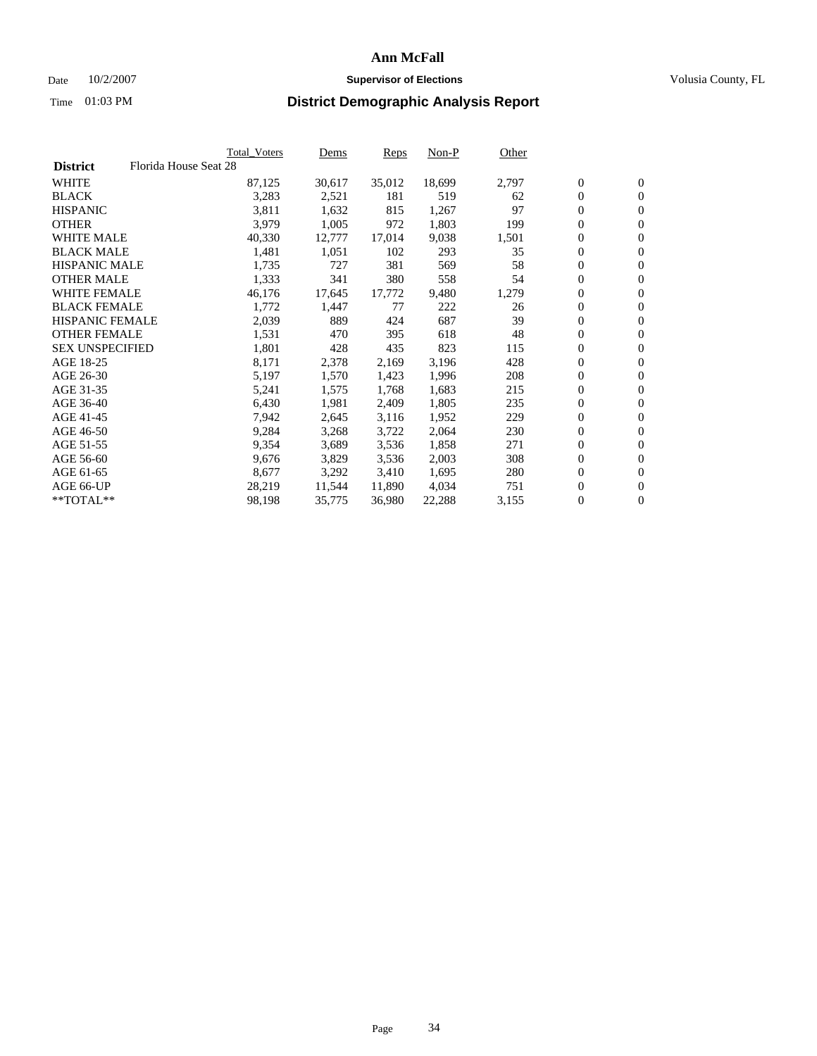### Date  $10/2/2007$  **Supervisor of Elections** Volusia County, FL

|                        |                       | <b>Total_Voters</b> | Dems   | <b>Reps</b> | Non-P  | Other |                  |                |  |
|------------------------|-----------------------|---------------------|--------|-------------|--------|-------|------------------|----------------|--|
| <b>District</b>        | Florida House Seat 28 |                     |        |             |        |       |                  |                |  |
| <b>WHITE</b>           |                       | 87,125              | 30,617 | 35,012      | 18,699 | 2,797 | $\overline{0}$   | $\mathbf{0}$   |  |
| <b>BLACK</b>           |                       | 3,283               | 2,521  | 181         | 519    | 62    | $\overline{0}$   | $\mathbf{0}$   |  |
| <b>HISPANIC</b>        |                       | 3,811               | 1,632  | 815         | 1,267  | 97    | $\boldsymbol{0}$ | $\mathbf{0}$   |  |
| <b>OTHER</b>           |                       | 3,979               | 1,005  | 972         | 1,803  | 199   | 0                | $\mathbf{0}$   |  |
| <b>WHITE MALE</b>      |                       | 40,330              | 12,777 | 17,014      | 9,038  | 1,501 | 0                | $\mathbf{0}$   |  |
| <b>BLACK MALE</b>      |                       | 1,481               | 1,051  | 102         | 293    | 35    | $\boldsymbol{0}$ | $\mathbf{0}$   |  |
| <b>HISPANIC MALE</b>   |                       | 1,735               | 727    | 381         | 569    | 58    | $\overline{0}$   | $\mathbf{0}$   |  |
| <b>OTHER MALE</b>      |                       | 1,333               | 341    | 380         | 558    | 54    | $\overline{0}$   | $\mathbf{0}$   |  |
| <b>WHITE FEMALE</b>    |                       | 46,176              | 17,645 | 17,772      | 9,480  | 1,279 | $\mathbf{0}$     | $\mathbf{0}$   |  |
| <b>BLACK FEMALE</b>    |                       | 1,772               | 1,447  | 77          | 222    | 26    | $\boldsymbol{0}$ | $\mathbf{0}$   |  |
| HISPANIC FEMALE        |                       | 2,039               | 889    | 424         | 687    | 39    | $\boldsymbol{0}$ | $\mathbf{0}$   |  |
| <b>OTHER FEMALE</b>    |                       | 1,531               | 470    | 395         | 618    | 48    | 0                | $\mathbf{0}$   |  |
| <b>SEX UNSPECIFIED</b> |                       | 1,801               | 428    | 435         | 823    | 115   | $\boldsymbol{0}$ | $\mathbf{0}$   |  |
| AGE 18-25              |                       | 8,171               | 2,378  | 2,169       | 3,196  | 428   | $\boldsymbol{0}$ | $\mathbf{0}$   |  |
| AGE 26-30              |                       | 5,197               | 1,570  | 1,423       | 1,996  | 208   | $\overline{0}$   | $\mathbf{0}$   |  |
| AGE 31-35              |                       | 5,241               | 1,575  | 1,768       | 1,683  | 215   | $\overline{0}$   | $\mathbf{0}$   |  |
| AGE 36-40              |                       | 6,430               | 1,981  | 2,409       | 1,805  | 235   | $\boldsymbol{0}$ | $\mathbf{0}$   |  |
| AGE 41-45              |                       | 7,942               | 2,645  | 3,116       | 1,952  | 229   | $\boldsymbol{0}$ | $\mathbf{0}$   |  |
| AGE 46-50              |                       | 9,284               | 3,268  | 3,722       | 2,064  | 230   | 0                | $\mathbf{0}$   |  |
| AGE 51-55              |                       | 9,354               | 3,689  | 3,536       | 1,858  | 271   | $\boldsymbol{0}$ | $\mathbf{0}$   |  |
| AGE 56-60              |                       | 9,676               | 3,829  | 3,536       | 2,003  | 308   | $\overline{0}$   | $\mathbf{0}$   |  |
| AGE 61-65              |                       | 8,677               | 3,292  | 3,410       | 1,695  | 280   | $\mathbf{0}$     | $\mathbf{0}$   |  |
| AGE 66-UP              |                       | 28,219              | 11,544 | 11,890      | 4,034  | 751   | $\boldsymbol{0}$ | $\mathbf{0}$   |  |
| **TOTAL**              |                       | 98,198              | 35,775 | 36,980      | 22,288 | 3,155 | 0                | $\overline{0}$ |  |
|                        |                       |                     |        |             |        |       |                  |                |  |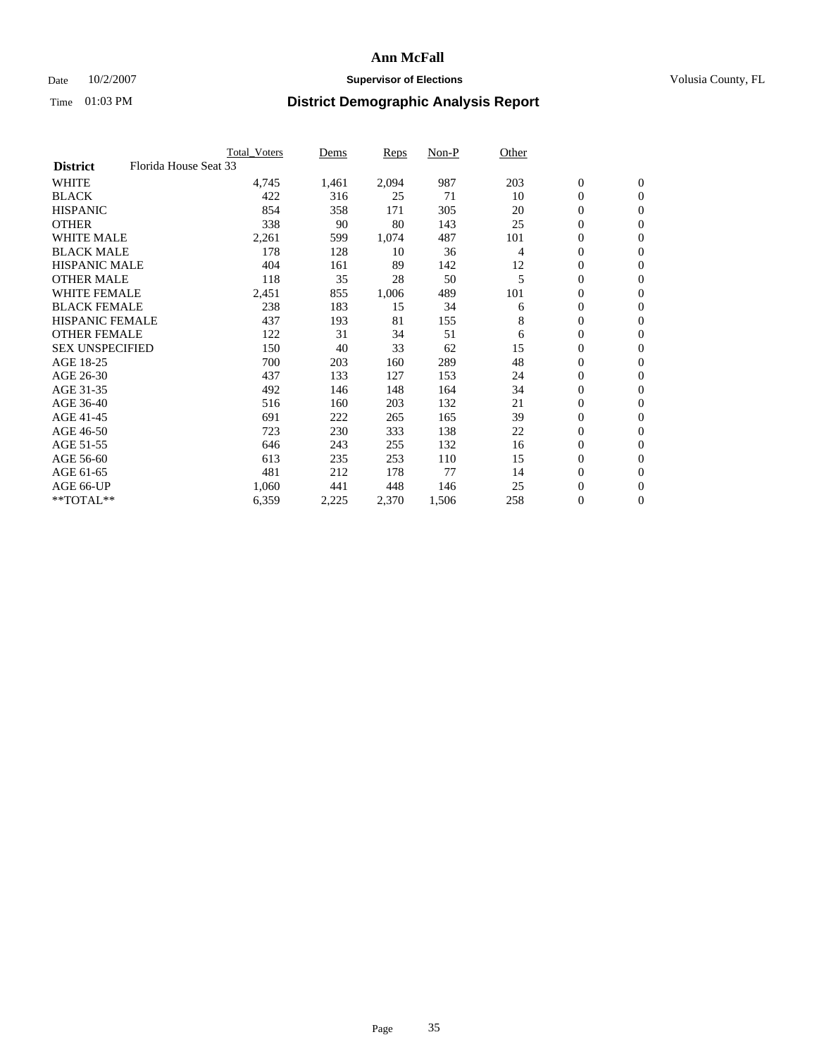### Date  $10/2/2007$  **Supervisor of Elections** Volusia County, FL

|                                          | <b>Total Voters</b> | Dems  | Reps  | Non-P | Other |                  |                |  |
|------------------------------------------|---------------------|-------|-------|-------|-------|------------------|----------------|--|
| Florida House Seat 33<br><b>District</b> |                     |       |       |       |       |                  |                |  |
| <b>WHITE</b>                             | 4,745               | 1,461 | 2,094 | 987   | 203   | $\boldsymbol{0}$ | $\mathbf{0}$   |  |
| <b>BLACK</b>                             | 422                 | 316   | 25    | 71    | 10    | $\mathbf{0}$     | $\mathbf{0}$   |  |
| <b>HISPANIC</b>                          | 854                 | 358   | 171   | 305   | 20    | 0                | $\mathbf{0}$   |  |
| <b>OTHER</b>                             | 338                 | 90    | 80    | 143   | 25    | 0                | $\mathbf{0}$   |  |
| <b>WHITE MALE</b>                        | 2,261               | 599   | 1,074 | 487   | 101   | 0                | $\mathbf{0}$   |  |
| <b>BLACK MALE</b>                        | 178                 | 128   | 10    | 36    | 4     | 0                | $\mathbf{0}$   |  |
| <b>HISPANIC MALE</b>                     | 404                 | 161   | 89    | 142   | 12    | 0                | $\mathbf{0}$   |  |
| <b>OTHER MALE</b>                        | 118                 | 35    | 28    | 50    | 5     | $\mathbf{0}$     | $\mathbf{0}$   |  |
| <b>WHITE FEMALE</b>                      | 2,451               | 855   | 1,006 | 489   | 101   | 0                | $\mathbf{0}$   |  |
| <b>BLACK FEMALE</b>                      | 238                 | 183   | 15    | 34    | 6     | $\boldsymbol{0}$ | $\mathbf{0}$   |  |
| <b>HISPANIC FEMALE</b>                   | 437                 | 193   | 81    | 155   | 8     | $\boldsymbol{0}$ | $\mathbf{0}$   |  |
| <b>OTHER FEMALE</b>                      | 122                 | 31    | 34    | 51    | 6     | 0                | $\mathbf{0}$   |  |
| <b>SEX UNSPECIFIED</b>                   | 150                 | 40    | 33    | 62    | 15    | $\boldsymbol{0}$ | $\mathbf{0}$   |  |
| AGE 18-25                                | 700                 | 203   | 160   | 289   | 48    | 0                | $\mathbf{0}$   |  |
| AGE 26-30                                | 437                 | 133   | 127   | 153   | 24    | $\mathbf{0}$     | $\mathbf{0}$   |  |
| AGE 31-35                                | 492                 | 146   | 148   | 164   | 34    | 0                | $\mathbf{0}$   |  |
| AGE 36-40                                | 516                 | 160   | 203   | 132   | 21    | 0                | $\mathbf{0}$   |  |
| AGE 41-45                                | 691                 | 222   | 265   | 165   | 39    | $\boldsymbol{0}$ | $\mathbf{0}$   |  |
| AGE 46-50                                | 723                 | 230   | 333   | 138   | 22    | 0                | $\mathbf{0}$   |  |
| AGE 51-55                                | 646                 | 243   | 255   | 132   | 16    | $\boldsymbol{0}$ | $\mathbf{0}$   |  |
| AGE 56-60                                | 613                 | 235   | 253   | 110   | 15    | $\mathbf{0}$     | $\mathbf{0}$   |  |
| AGE 61-65                                | 481                 | 212   | 178   | 77    | 14    | $\mathbf{0}$     | $\mathbf{0}$   |  |
| AGE 66-UP                                | 1,060               | 441   | 448   | 146   | 25    | $\boldsymbol{0}$ | $\mathbf{0}$   |  |
| $*$ TOTAL $**$                           | 6,359               | 2,225 | 2,370 | 1,506 | 258   | 0                | $\overline{0}$ |  |
|                                          |                     |       |       |       |       |                  |                |  |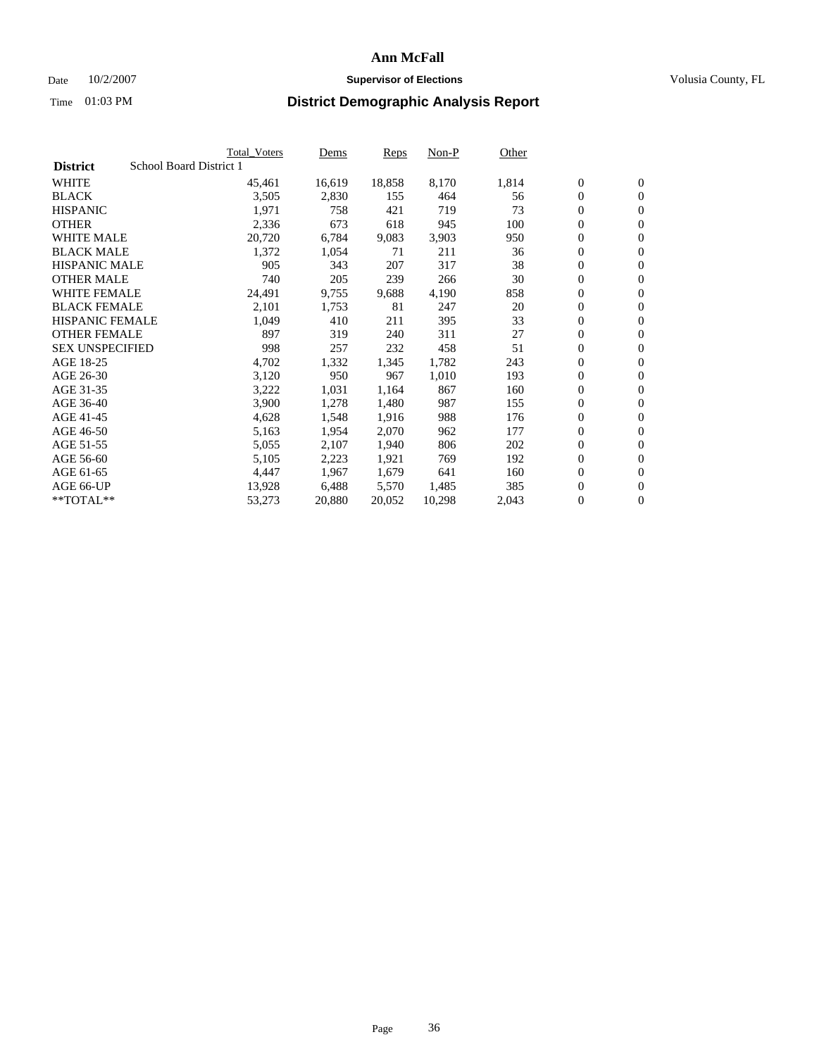### Date  $10/2/2007$  **Supervisor of Elections** Volusia County, FL

|                        |                         | Total_Voters | Dems   | <b>Reps</b> | Non-P  | Other |                  |                |  |
|------------------------|-------------------------|--------------|--------|-------------|--------|-------|------------------|----------------|--|
| <b>District</b>        | School Board District 1 |              |        |             |        |       |                  |                |  |
| <b>WHITE</b>           |                         | 45,461       | 16,619 | 18,858      | 8,170  | 1,814 | $\overline{0}$   | $\mathbf{0}$   |  |
| <b>BLACK</b>           |                         | 3,505        | 2,830  | 155         | 464    | 56    | $\overline{0}$   | $\mathbf{0}$   |  |
| <b>HISPANIC</b>        |                         | 1,971        | 758    | 421         | 719    | 73    | $\boldsymbol{0}$ | $\mathbf{0}$   |  |
| <b>OTHER</b>           |                         | 2,336        | 673    | 618         | 945    | 100   | 0                | $\mathbf{0}$   |  |
| <b>WHITE MALE</b>      |                         | 20,720       | 6,784  | 9,083       | 3,903  | 950   | 0                | $\mathbf{0}$   |  |
| <b>BLACK MALE</b>      |                         | 1,372        | 1,054  | 71          | 211    | 36    | $\boldsymbol{0}$ | $\mathbf{0}$   |  |
| <b>HISPANIC MALE</b>   |                         | 905          | 343    | 207         | 317    | 38    | $\overline{0}$   | $\mathbf{0}$   |  |
| <b>OTHER MALE</b>      |                         | 740          | 205    | 239         | 266    | 30    | $\overline{0}$   | $\mathbf{0}$   |  |
| <b>WHITE FEMALE</b>    |                         | 24,491       | 9,755  | 9,688       | 4,190  | 858   | $\overline{0}$   | $\mathbf{0}$   |  |
| <b>BLACK FEMALE</b>    |                         | 2,101        | 1,753  | 81          | 247    | 20    | $\boldsymbol{0}$ | $\mathbf{0}$   |  |
| HISPANIC FEMALE        |                         | 1,049        | 410    | 211         | 395    | 33    | $\boldsymbol{0}$ | $\mathbf{0}$   |  |
| <b>OTHER FEMALE</b>    |                         | 897          | 319    | 240         | 311    | 27    | 0                | $\mathbf{0}$   |  |
| <b>SEX UNSPECIFIED</b> |                         | 998          | 257    | 232         | 458    | 51    | $\boldsymbol{0}$ | $\mathbf{0}$   |  |
| AGE 18-25              |                         | 4,702        | 1,332  | 1,345       | 1,782  | 243   | $\boldsymbol{0}$ | $\mathbf{0}$   |  |
| AGE 26-30              |                         | 3,120        | 950    | 967         | 1,010  | 193   | $\overline{0}$   | $\mathbf{0}$   |  |
| AGE 31-35              |                         | 3,222        | 1,031  | 1,164       | 867    | 160   | $\overline{0}$   | $\mathbf{0}$   |  |
| AGE 36-40              |                         | 3,900        | 1,278  | 1,480       | 987    | 155   | $\boldsymbol{0}$ | $\mathbf{0}$   |  |
| AGE 41-45              |                         | 4,628        | 1,548  | 1,916       | 988    | 176   | $\boldsymbol{0}$ | $\mathbf{0}$   |  |
| AGE 46-50              |                         | 5,163        | 1,954  | 2,070       | 962    | 177   | 0                | $\mathbf{0}$   |  |
| AGE 51-55              |                         | 5,055        | 2,107  | 1,940       | 806    | 202   | $\boldsymbol{0}$ | $\mathbf{0}$   |  |
| AGE 56-60              |                         | 5,105        | 2,223  | 1,921       | 769    | 192   | $\overline{0}$   | $\mathbf{0}$   |  |
| AGE 61-65              |                         | 4,447        | 1,967  | 1,679       | 641    | 160   | $\mathbf{0}$     | $\mathbf{0}$   |  |
| AGE 66-UP              |                         | 13,928       | 6,488  | 5,570       | 1,485  | 385   | $\boldsymbol{0}$ | $\mathbf{0}$   |  |
| **TOTAL**              |                         | 53,273       | 20,880 | 20,052      | 10,298 | 2,043 | 0                | $\overline{0}$ |  |
|                        |                         |              |        |             |        |       |                  |                |  |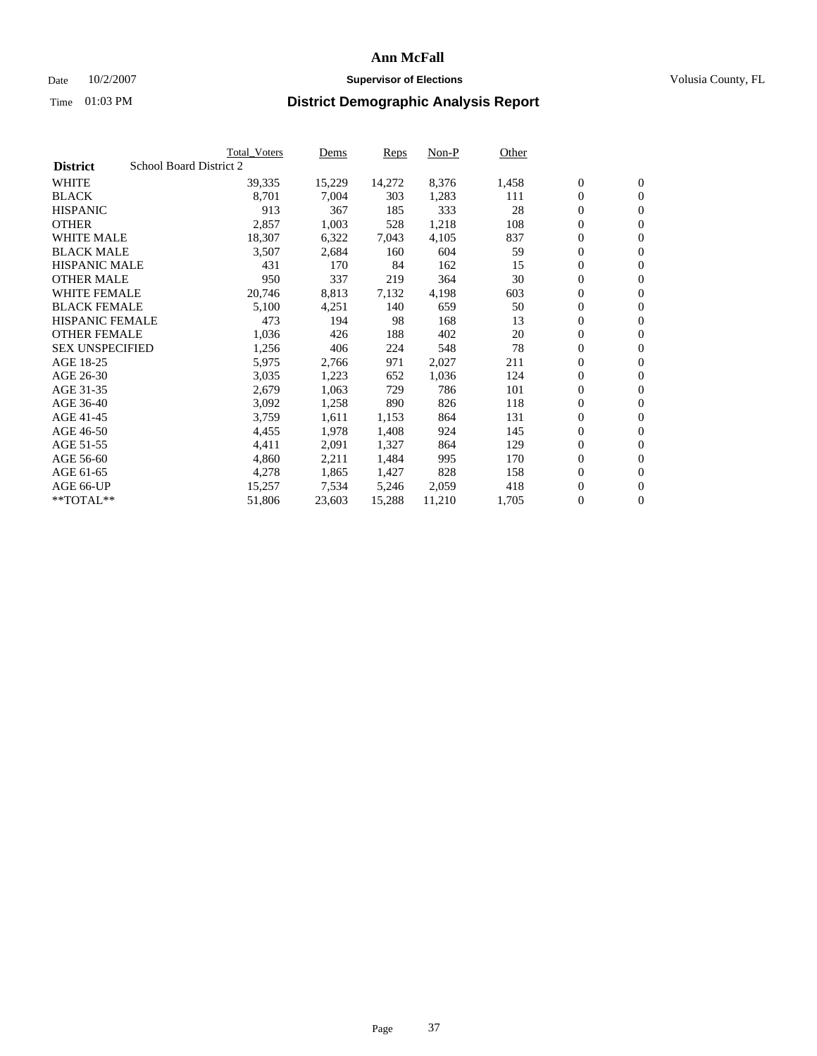#### Date  $10/2/2007$  **Supervisor of Elections** Volusia County, FL

|                        |                         | Total_Voters | Dems   | <b>Reps</b> | Non-P  | Other |                  |                  |  |
|------------------------|-------------------------|--------------|--------|-------------|--------|-------|------------------|------------------|--|
| <b>District</b>        | School Board District 2 |              |        |             |        |       |                  |                  |  |
| <b>WHITE</b>           |                         | 39,335       | 15,229 | 14,272      | 8,376  | 1,458 | $\overline{0}$   | $\mathbf{0}$     |  |
| <b>BLACK</b>           |                         | 8,701        | 7,004  | 303         | 1,283  | 111   | $\overline{0}$   | $\mathbf{0}$     |  |
| <b>HISPANIC</b>        |                         | 913          | 367    | 185         | 333    | 28    | $\boldsymbol{0}$ | $\mathbf{0}$     |  |
| <b>OTHER</b>           |                         | 2,857        | 1,003  | 528         | 1,218  | 108   | 0                | $\mathbf{0}$     |  |
| <b>WHITE MALE</b>      |                         | 18,307       | 6,322  | 7,043       | 4,105  | 837   | 0                | $\mathbf{0}$     |  |
| <b>BLACK MALE</b>      |                         | 3,507        | 2,684  | 160         | 604    | 59    | $\boldsymbol{0}$ | $\boldsymbol{0}$ |  |
| <b>HISPANIC MALE</b>   |                         | 431          | 170    | 84          | 162    | 15    | $\overline{0}$   | $\mathbf{0}$     |  |
| <b>OTHER MALE</b>      |                         | 950          | 337    | 219         | 364    | 30    | $\overline{0}$   | $\mathbf{0}$     |  |
| <b>WHITE FEMALE</b>    |                         | 20,746       | 8,813  | 7,132       | 4,198  | 603   | $\mathbf{0}$     | $\mathbf{0}$     |  |
| <b>BLACK FEMALE</b>    |                         | 5,100        | 4,251  | 140         | 659    | 50    | $\boldsymbol{0}$ | $\mathbf{0}$     |  |
| <b>HISPANIC FEMALE</b> |                         | 473          | 194    | 98          | 168    | 13    | $\boldsymbol{0}$ | $\boldsymbol{0}$ |  |
| <b>OTHER FEMALE</b>    |                         | 1,036        | 426    | 188         | 402    | 20    | 0                | $\mathbf{0}$     |  |
| <b>SEX UNSPECIFIED</b> |                         | 1,256        | 406    | 224         | 548    | 78    | $\boldsymbol{0}$ | $\mathbf{0}$     |  |
| AGE 18-25              |                         | 5,975        | 2,766  | 971         | 2,027  | 211   | $\boldsymbol{0}$ | $\mathbf{0}$     |  |
| AGE 26-30              |                         | 3,035        | 1,223  | 652         | 1,036  | 124   | $\overline{0}$   | $\mathbf{0}$     |  |
| AGE 31-35              |                         | 2,679        | 1,063  | 729         | 786    | 101   | $\overline{0}$   | $\mathbf{0}$     |  |
| AGE 36-40              |                         | 3,092        | 1,258  | 890         | 826    | 118   | $\boldsymbol{0}$ | $\boldsymbol{0}$ |  |
| AGE 41-45              |                         | 3,759        | 1,611  | 1,153       | 864    | 131   | $\boldsymbol{0}$ | $\mathbf{0}$     |  |
| AGE 46-50              |                         | 4,455        | 1,978  | 1,408       | 924    | 145   | 0                | $\mathbf{0}$     |  |
| AGE 51-55              |                         | 4,411        | 2,091  | 1,327       | 864    | 129   | $\boldsymbol{0}$ | $\boldsymbol{0}$ |  |
| AGE 56-60              |                         | 4,860        | 2,211  | 1,484       | 995    | 170   | $\overline{0}$   | $\mathbf{0}$     |  |
| AGE 61-65              |                         | 4,278        | 1,865  | 1,427       | 828    | 158   | $\mathbf{0}$     | $\mathbf{0}$     |  |
| AGE 66-UP              |                         | 15,257       | 7,534  | 5,246       | 2,059  | 418   | $\boldsymbol{0}$ | $\boldsymbol{0}$ |  |
| **TOTAL**              |                         | 51,806       | 23,603 | 15,288      | 11,210 | 1,705 | 0                | $\overline{0}$   |  |
|                        |                         |              |        |             |        |       |                  |                  |  |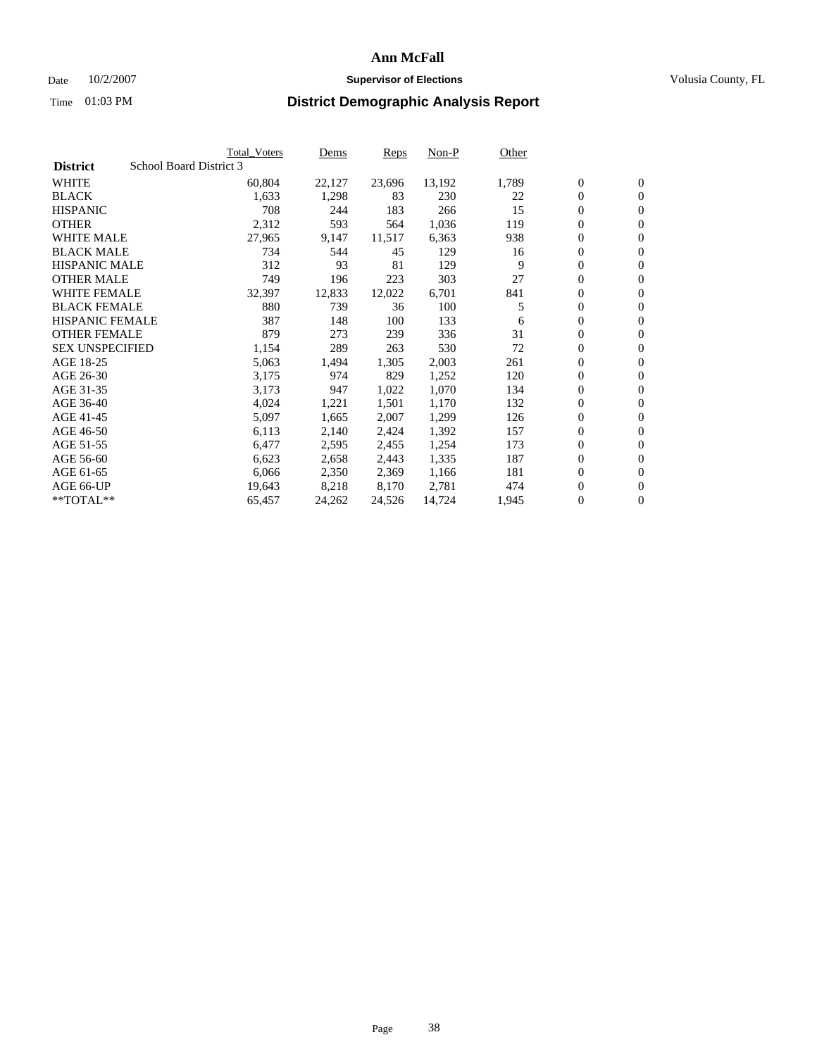### Date  $10/2/2007$  **Supervisor of Elections Supervisor of Elections** Volusia County, FL

|                        |                         | <b>Total_Voters</b> | Dems   | Reps   | Non-P  | Other |                  |                  |  |
|------------------------|-------------------------|---------------------|--------|--------|--------|-------|------------------|------------------|--|
| <b>District</b>        | School Board District 3 |                     |        |        |        |       |                  |                  |  |
| <b>WHITE</b>           |                         | 60,804              | 22,127 | 23,696 | 13,192 | 1,789 | $\boldsymbol{0}$ | $\mathbf{0}$     |  |
| <b>BLACK</b>           |                         | 1,633               | 1,298  | 83     | 230    | 22    | $\overline{0}$   | $\mathbf{0}$     |  |
| <b>HISPANIC</b>        |                         | 708                 | 244    | 183    | 266    | 15    | $\overline{0}$   | $\mathbf{0}$     |  |
| <b>OTHER</b>           |                         | 2,312               | 593    | 564    | 1,036  | 119   | 0                | $\overline{0}$   |  |
| <b>WHITE MALE</b>      |                         | 27,965              | 9,147  | 11,517 | 6,363  | 938   | $\overline{0}$   | $\mathbf{0}$     |  |
| <b>BLACK MALE</b>      |                         | 734                 | 544    | 45     | 129    | 16    | $\boldsymbol{0}$ | $\boldsymbol{0}$ |  |
| <b>HISPANIC MALE</b>   |                         | 312                 | 93     | 81     | 129    | 9     | 0                | $\mathbf{0}$     |  |
| <b>OTHER MALE</b>      |                         | 749                 | 196    | 223    | 303    | 27    | 0                | $\mathbf{0}$     |  |
| <b>WHITE FEMALE</b>    |                         | 32,397              | 12,833 | 12,022 | 6,701  | 841   | 0                | $\mathbf{0}$     |  |
| <b>BLACK FEMALE</b>    |                         | 880                 | 739    | 36     | 100    | 5     | $\overline{0}$   | $\mathbf{0}$     |  |
| <b>HISPANIC FEMALE</b> |                         | 387                 | 148    | 100    | 133    | 6     | 0                | $\mathbf{0}$     |  |
| <b>OTHER FEMALE</b>    |                         | 879                 | 273    | 239    | 336    | 31    | 0                | $\overline{0}$   |  |
| <b>SEX UNSPECIFIED</b> |                         | 1,154               | 289    | 263    | 530    | 72    | $\boldsymbol{0}$ | $\boldsymbol{0}$ |  |
| AGE 18-25              |                         | 5,063               | 1,494  | 1,305  | 2,003  | 261   | 0                | $\mathbf{0}$     |  |
| AGE 26-30              |                         | 3,175               | 974    | 829    | 1,252  | 120   | 0                | $\mathbf{0}$     |  |
| AGE 31-35              |                         | 3,173               | 947    | 1,022  | 1,070  | 134   | 0                | $\mathbf{0}$     |  |
| AGE 36-40              |                         | 4,024               | 1,221  | 1,501  | 1,170  | 132   | $\boldsymbol{0}$ | $\mathbf{0}$     |  |
| AGE 41-45              |                         | 5,097               | 1,665  | 2,007  | 1,299  | 126   | 0                | $\mathbf{0}$     |  |
| AGE 46-50              |                         | 6,113               | 2,140  | 2,424  | 1,392  | 157   | $\overline{0}$   | $\mathbf{0}$     |  |
| AGE 51-55              |                         | 6,477               | 2,595  | 2,455  | 1,254  | 173   | 0                | $\mathbf{0}$     |  |
| AGE 56-60              |                         | 6,623               | 2,658  | 2,443  | 1,335  | 187   | $\overline{0}$   | $\overline{0}$   |  |
| AGE 61-65              |                         | 6,066               | 2,350  | 2,369  | 1,166  | 181   | 0                | $\boldsymbol{0}$ |  |
| AGE 66-UP              |                         | 19,643              | 8,218  | 8,170  | 2,781  | 474   | 0                | $\bf{0}$         |  |
| $*$ TOTAL $**$         |                         | 65,457              | 24,262 | 24,526 | 14,724 | 1,945 | 0                | $\boldsymbol{0}$ |  |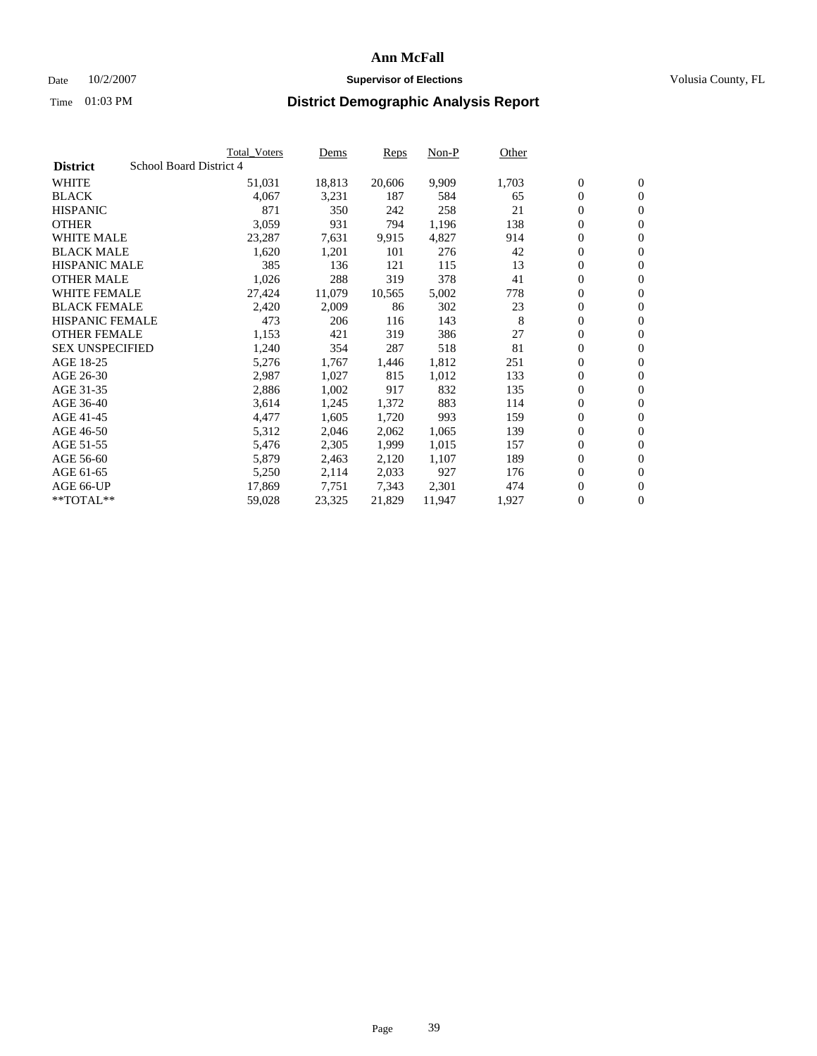#### Date  $10/2/2007$  **Supervisor of Elections** Volusia County, FL

|                        | Total_Voters            | Dems   | <b>Reps</b> | Non-P  | Other |                  |                  |  |
|------------------------|-------------------------|--------|-------------|--------|-------|------------------|------------------|--|
| <b>District</b>        | School Board District 4 |        |             |        |       |                  |                  |  |
| <b>WHITE</b>           | 51,031                  | 18,813 | 20,606      | 9,909  | 1,703 | $\overline{0}$   | $\mathbf{0}$     |  |
| <b>BLACK</b>           | 4,067                   | 3,231  | 187         | 584    | 65    | $\overline{0}$   | $\mathbf{0}$     |  |
| <b>HISPANIC</b>        | 871                     | 350    | 242         | 258    | 21    | $\boldsymbol{0}$ | $\mathbf{0}$     |  |
| <b>OTHER</b>           | 3,059                   | 931    | 794         | 1,196  | 138   | 0                | $\mathbf{0}$     |  |
| <b>WHITE MALE</b>      | 23,287                  | 7,631  | 9,915       | 4,827  | 914   | 0                | $\mathbf{0}$     |  |
| <b>BLACK MALE</b>      | 1,620                   | 1,201  | 101         | 276    | 42    | $\boldsymbol{0}$ | $\boldsymbol{0}$ |  |
| <b>HISPANIC MALE</b>   | 385                     | 136    | 121         | 115    | 13    | $\overline{0}$   | $\mathbf{0}$     |  |
| <b>OTHER MALE</b>      | 1,026                   | 288    | 319         | 378    | 41    | $\overline{0}$   | $\mathbf{0}$     |  |
| <b>WHITE FEMALE</b>    | 27,424                  | 11,079 | 10,565      | 5,002  | 778   | $\overline{0}$   | $\mathbf{0}$     |  |
| <b>BLACK FEMALE</b>    | 2,420                   | 2,009  | 86          | 302    | 23    | $\overline{0}$   | $\mathbf{0}$     |  |
| <b>HISPANIC FEMALE</b> | 473                     | 206    | 116         | 143    | 8     | $\boldsymbol{0}$ | $\boldsymbol{0}$ |  |
| <b>OTHER FEMALE</b>    | 1,153                   | 421    | 319         | 386    | 27    | 0                | $\mathbf{0}$     |  |
| <b>SEX UNSPECIFIED</b> | 1,240                   | 354    | 287         | 518    | 81    | $\boldsymbol{0}$ | $\mathbf{0}$     |  |
| AGE 18-25              | 5,276                   | 1,767  | 1,446       | 1,812  | 251   | $\boldsymbol{0}$ | $\mathbf{0}$     |  |
| AGE 26-30              | 2,987                   | 1,027  | 815         | 1,012  | 133   | $\overline{0}$   | $\mathbf{0}$     |  |
| AGE 31-35              | 2,886                   | 1,002  | 917         | 832    | 135   | $\overline{0}$   | $\mathbf{0}$     |  |
| AGE 36-40              | 3,614                   | 1,245  | 1,372       | 883    | 114   | $\boldsymbol{0}$ | $\mathbf{0}$     |  |
| AGE 41-45              | 4,477                   | 1,605  | 1,720       | 993    | 159   | $\boldsymbol{0}$ | $\mathbf{0}$     |  |
| AGE 46-50              | 5,312                   | 2,046  | 2,062       | 1,065  | 139   | 0                | $\mathbf{0}$     |  |
| AGE 51-55              | 5,476                   | 2,305  | 1,999       | 1,015  | 157   | $\boldsymbol{0}$ | $\boldsymbol{0}$ |  |
| AGE 56-60              | 5,879                   | 2,463  | 2,120       | 1,107  | 189   | $\overline{0}$   | $\mathbf{0}$     |  |
| AGE 61-65              | 5,250                   | 2,114  | 2,033       | 927    | 176   | $\mathbf{0}$     | $\mathbf{0}$     |  |
| AGE 66-UP              | 17,869                  | 7,751  | 7,343       | 2,301  | 474   | $\boldsymbol{0}$ | $\boldsymbol{0}$ |  |
| **TOTAL**              | 59,028                  | 23,325 | 21,829      | 11,947 | 1,927 | 0                | $\overline{0}$   |  |
|                        |                         |        |             |        |       |                  |                  |  |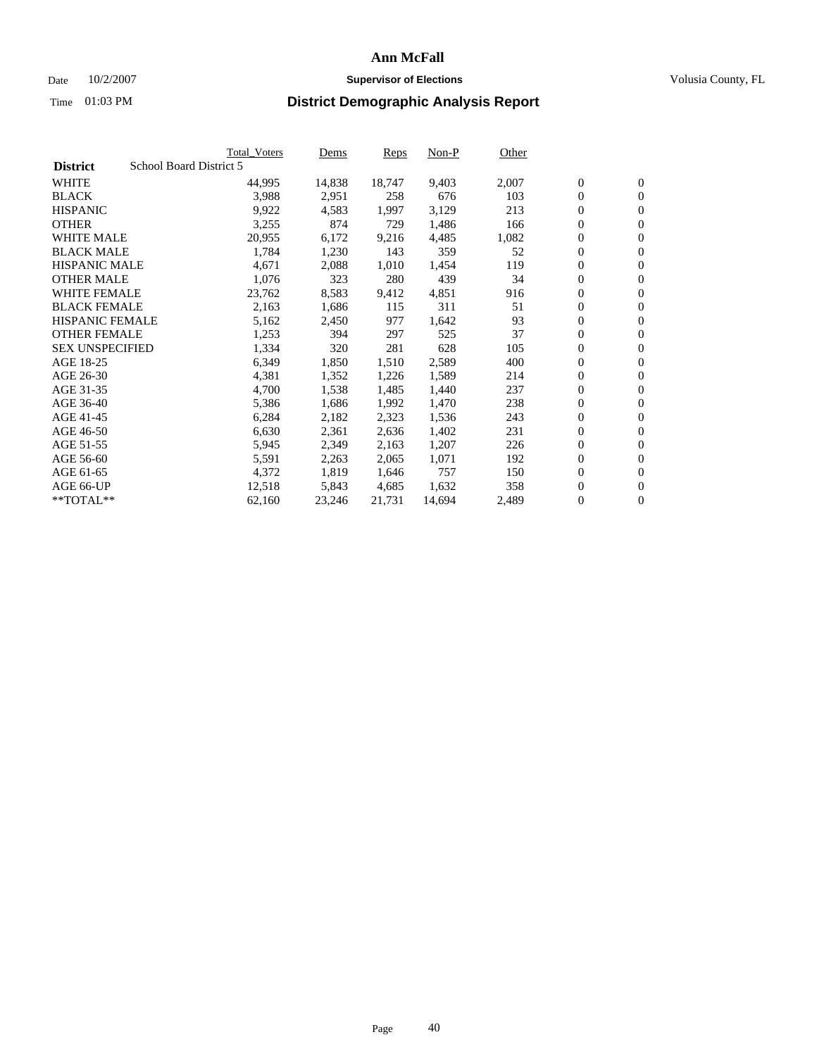#### Date  $10/2/2007$  **Supervisor of Elections** Volusia County, FL

|                        |                         | Total_Voters | Dems   | <b>Reps</b> | Non-P  | Other |                  |                  |  |
|------------------------|-------------------------|--------------|--------|-------------|--------|-------|------------------|------------------|--|
| <b>District</b>        | School Board District 5 |              |        |             |        |       |                  |                  |  |
| <b>WHITE</b>           |                         | 44,995       | 14,838 | 18,747      | 9,403  | 2,007 | $\overline{0}$   | $\mathbf{0}$     |  |
| <b>BLACK</b>           |                         | 3,988        | 2,951  | 258         | 676    | 103   | $\overline{0}$   | $\mathbf{0}$     |  |
| <b>HISPANIC</b>        |                         | 9,922        | 4,583  | 1,997       | 3,129  | 213   | $\boldsymbol{0}$ | $\mathbf{0}$     |  |
| <b>OTHER</b>           |                         | 3,255        | 874    | 729         | 1,486  | 166   | $\boldsymbol{0}$ | $\mathbf{0}$     |  |
| <b>WHITE MALE</b>      |                         | 20,955       | 6,172  | 9,216       | 4,485  | 1,082 | 0                | $\mathbf{0}$     |  |
| <b>BLACK MALE</b>      |                         | 1,784        | 1,230  | 143         | 359    | 52    | $\boldsymbol{0}$ | $\boldsymbol{0}$ |  |
| <b>HISPANIC MALE</b>   |                         | 4,671        | 2,088  | 1,010       | 1,454  | 119   | $\overline{0}$   | $\mathbf{0}$     |  |
| <b>OTHER MALE</b>      |                         | 1,076        | 323    | 280         | 439    | 34    | $\overline{0}$   | $\mathbf{0}$     |  |
| <b>WHITE FEMALE</b>    |                         | 23,762       | 8,583  | 9,412       | 4,851  | 916   | $\overline{0}$   | $\mathbf{0}$     |  |
| <b>BLACK FEMALE</b>    |                         | 2,163        | 1,686  | 115         | 311    | 51    | $\boldsymbol{0}$ | $\mathbf{0}$     |  |
| HISPANIC FEMALE        |                         | 5,162        | 2,450  | 977         | 1,642  | 93    | $\boldsymbol{0}$ | $\boldsymbol{0}$ |  |
| <b>OTHER FEMALE</b>    |                         | 1,253        | 394    | 297         | 525    | 37    | 0                | $\mathbf{0}$     |  |
| <b>SEX UNSPECIFIED</b> |                         | 1,334        | 320    | 281         | 628    | 105   | $\boldsymbol{0}$ | $\mathbf{0}$     |  |
| AGE 18-25              |                         | 6,349        | 1,850  | 1,510       | 2,589  | 400   | $\boldsymbol{0}$ | $\mathbf{0}$     |  |
| AGE 26-30              |                         | 4,381        | 1,352  | 1,226       | 1,589  | 214   | $\overline{0}$   | $\mathbf{0}$     |  |
| AGE 31-35              |                         | 4,700        | 1,538  | 1,485       | 1,440  | 237   | $\overline{0}$   | $\mathbf{0}$     |  |
| AGE 36-40              |                         | 5,386        | 1,686  | 1,992       | 1,470  | 238   | $\boldsymbol{0}$ | $\boldsymbol{0}$ |  |
| AGE 41-45              |                         | 6,284        | 2,182  | 2,323       | 1,536  | 243   | $\boldsymbol{0}$ | $\mathbf{0}$     |  |
| AGE 46-50              |                         | 6,630        | 2,361  | 2,636       | 1,402  | 231   | 0                | $\mathbf{0}$     |  |
| AGE 51-55              |                         | 5,945        | 2,349  | 2,163       | 1,207  | 226   | $\boldsymbol{0}$ | $\boldsymbol{0}$ |  |
| AGE 56-60              |                         | 5,591        | 2,263  | 2,065       | 1,071  | 192   | $\overline{0}$   | $\mathbf{0}$     |  |
| AGE 61-65              |                         | 4,372        | 1,819  | 1,646       | 757    | 150   | $\mathbf{0}$     | $\mathbf{0}$     |  |
| AGE 66-UP              |                         | 12,518       | 5,843  | 4,685       | 1,632  | 358   | $\boldsymbol{0}$ | $\boldsymbol{0}$ |  |
| **TOTAL**              |                         | 62,160       | 23,246 | 21,731      | 14,694 | 2,489 | 0                | $\overline{0}$   |  |
|                        |                         |              |        |             |        |       |                  |                  |  |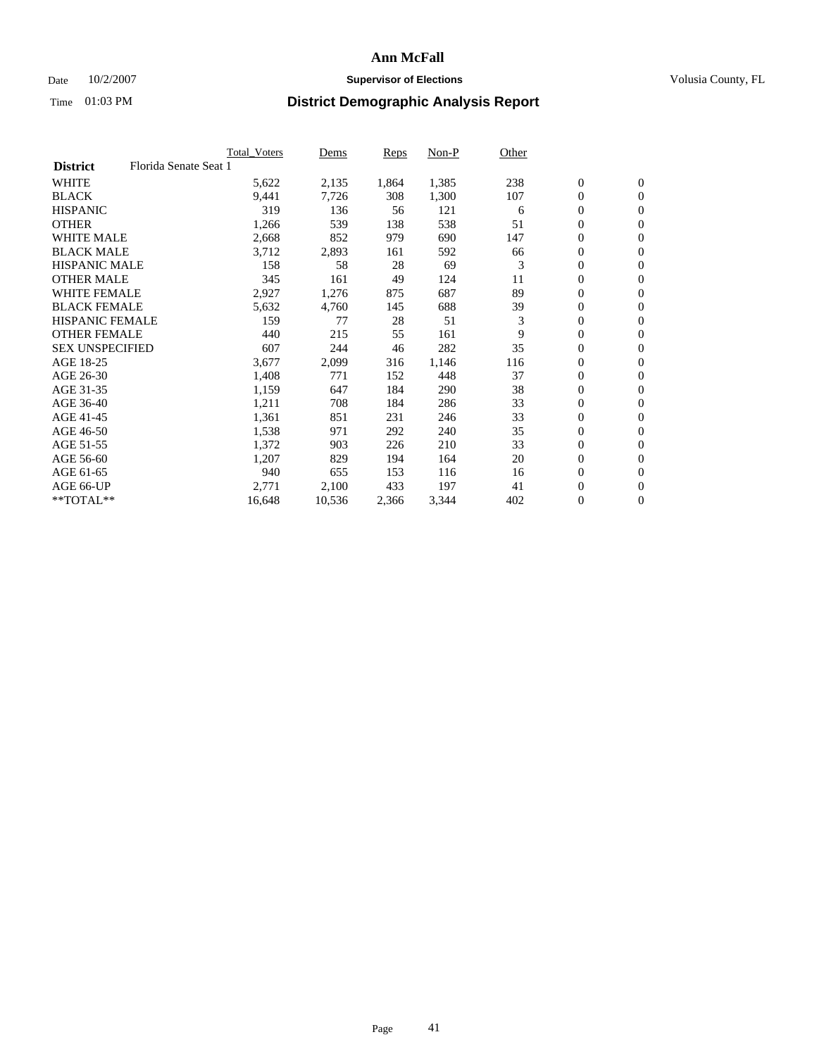### Date  $10/2/2007$  **Supervisor of Elections Supervisor of Elections** Volusia County, FL

|                        |                       | Total_Voters | Dems   | <b>Reps</b> | Non-P | Other |                  |                  |  |
|------------------------|-----------------------|--------------|--------|-------------|-------|-------|------------------|------------------|--|
| <b>District</b>        | Florida Senate Seat 1 |              |        |             |       |       |                  |                  |  |
| <b>WHITE</b>           |                       | 5,622        | 2,135  | 1,864       | 1,385 | 238   | $\overline{0}$   | $\mathbf{0}$     |  |
| <b>BLACK</b>           |                       | 9,441        | 7,726  | 308         | 1,300 | 107   | $\overline{0}$   | $\mathbf{0}$     |  |
| <b>HISPANIC</b>        |                       | 319          | 136    | 56          | 121   | 6     | $\boldsymbol{0}$ | $\mathbf{0}$     |  |
| <b>OTHER</b>           |                       | 1,266        | 539    | 138         | 538   | 51    | $\boldsymbol{0}$ | $\mathbf{0}$     |  |
| <b>WHITE MALE</b>      |                       | 2,668        | 852    | 979         | 690   | 147   | 0                | $\mathbf{0}$     |  |
| <b>BLACK MALE</b>      |                       | 3,712        | 2,893  | 161         | 592   | 66    | $\boldsymbol{0}$ | $\boldsymbol{0}$ |  |
| <b>HISPANIC MALE</b>   |                       | 158          | 58     | 28          | 69    | 3     | $\overline{0}$   | $\mathbf{0}$     |  |
| <b>OTHER MALE</b>      |                       | 345          | 161    | 49          | 124   | 11    | $\overline{0}$   | $\mathbf{0}$     |  |
| <b>WHITE FEMALE</b>    |                       | 2,927        | 1,276  | 875         | 687   | 89    | $\overline{0}$   | $\mathbf{0}$     |  |
| <b>BLACK FEMALE</b>    |                       | 5,632        | 4,760  | 145         | 688   | 39    | $\overline{0}$   | $\mathbf{0}$     |  |
| <b>HISPANIC FEMALE</b> |                       | 159          | 77     | 28          | 51    | 3     | $\boldsymbol{0}$ | $\boldsymbol{0}$ |  |
| <b>OTHER FEMALE</b>    |                       | 440          | 215    | 55          | 161   | 9     | 0                | $\mathbf{0}$     |  |
| <b>SEX UNSPECIFIED</b> |                       | 607          | 244    | 46          | 282   | 35    | $\overline{0}$   | $\mathbf{0}$     |  |
| AGE 18-25              |                       | 3,677        | 2,099  | 316         | 1,146 | 116   | $\boldsymbol{0}$ | $\mathbf{0}$     |  |
| AGE 26-30              |                       | 1,408        | 771    | 152         | 448   | 37    | $\overline{0}$   | $\mathbf{0}$     |  |
| AGE 31-35              |                       | 1,159        | 647    | 184         | 290   | 38    | $\overline{0}$   | $\mathbf{0}$     |  |
| AGE 36-40              |                       | 1,211        | 708    | 184         | 286   | 33    | $\boldsymbol{0}$ | $\mathbf{0}$     |  |
| AGE 41-45              |                       | 1,361        | 851    | 231         | 246   | 33    | $\boldsymbol{0}$ | $\mathbf{0}$     |  |
| AGE 46-50              |                       | 1,538        | 971    | 292         | 240   | 35    | 0                | $\mathbf{0}$     |  |
| AGE 51-55              |                       | 1,372        | 903    | 226         | 210   | 33    | $\boldsymbol{0}$ | $\boldsymbol{0}$ |  |
| AGE 56-60              |                       | 1,207        | 829    | 194         | 164   | 20    | $\overline{0}$   | $\mathbf{0}$     |  |
| AGE 61-65              |                       | 940          | 655    | 153         | 116   | 16    | $\mathbf{0}$     | $\mathbf{0}$     |  |
| AGE 66-UP              |                       | 2,771        | 2,100  | 433         | 197   | 41    | $\boldsymbol{0}$ | $\boldsymbol{0}$ |  |
| **TOTAL**              |                       | 16,648       | 10,536 | 2,366       | 3,344 | 402   | 0                | $\overline{0}$   |  |
|                        |                       |              |        |             |       |       |                  |                  |  |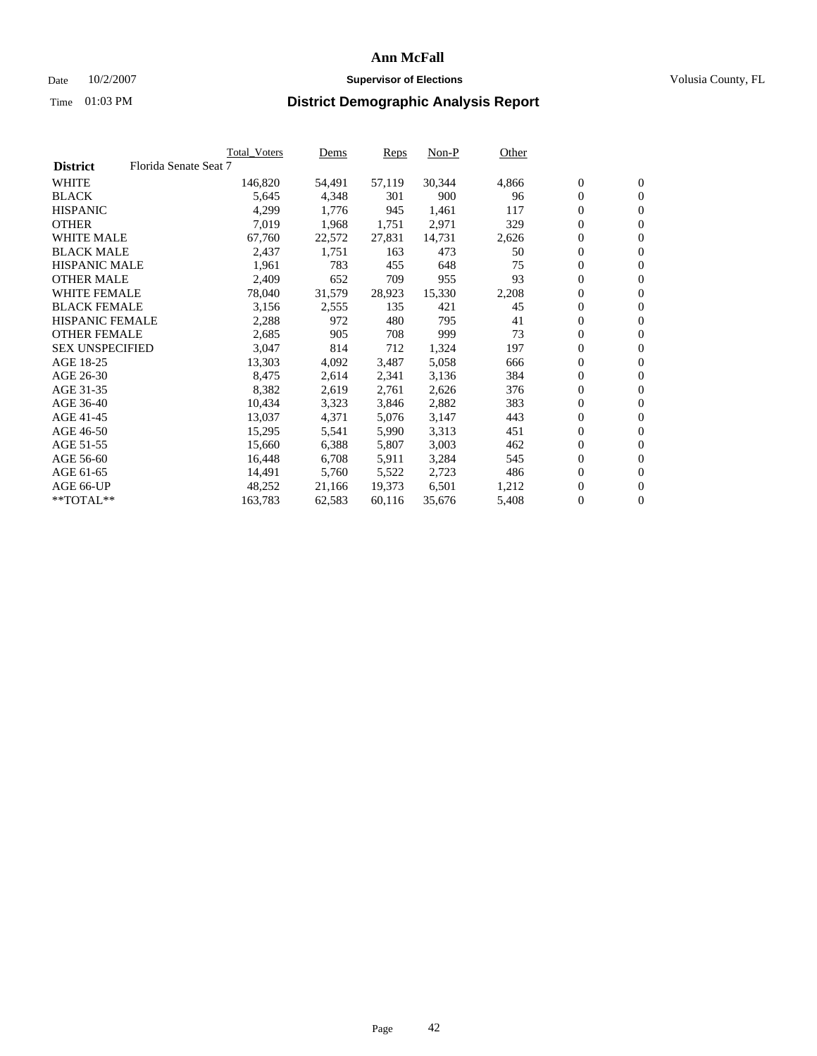#### Date  $10/2/2007$  **Supervisor of Elections** Volusia County, FL

|                        |                       | Total_Voters | Dems   | <b>Reps</b> | Non-P  | Other |                  |                  |  |
|------------------------|-----------------------|--------------|--------|-------------|--------|-------|------------------|------------------|--|
| <b>District</b>        | Florida Senate Seat 7 |              |        |             |        |       |                  |                  |  |
| <b>WHITE</b>           |                       | 146,820      | 54,491 | 57,119      | 30,344 | 4,866 | $\boldsymbol{0}$ | $\mathbf{0}$     |  |
| <b>BLACK</b>           |                       | 5,645        | 4,348  | 301         | 900    | 96    | $\boldsymbol{0}$ | $\mathbf{0}$     |  |
| <b>HISPANIC</b>        |                       | 4,299        | 1,776  | 945         | 1,461  | 117   | $\boldsymbol{0}$ | $\boldsymbol{0}$ |  |
| <b>OTHER</b>           |                       | 7,019        | 1,968  | 1,751       | 2,971  | 329   | $\boldsymbol{0}$ | $\mathbf{0}$     |  |
| <b>WHITE MALE</b>      |                       | 67,760       | 22,572 | 27,831      | 14,731 | 2,626 | 0                | $\mathbf{0}$     |  |
| <b>BLACK MALE</b>      |                       | 2,437        | 1,751  | 163         | 473    | 50    | $\boldsymbol{0}$ | $\boldsymbol{0}$ |  |
| <b>HISPANIC MALE</b>   |                       | 1,961        | 783    | 455         | 648    | 75    | $\overline{0}$   | $\mathbf{0}$     |  |
| <b>OTHER MALE</b>      |                       | 2,409        | 652    | 709         | 955    | 93    | $\overline{0}$   | $\mathbf{0}$     |  |
| <b>WHITE FEMALE</b>    |                       | 78,040       | 31,579 | 28,923      | 15,330 | 2,208 | $\mathbf{0}$     | $\mathbf{0}$     |  |
| <b>BLACK FEMALE</b>    |                       | 3,156        | 2,555  | 135         | 421    | 45    | $\boldsymbol{0}$ | $\mathbf{0}$     |  |
| <b>HISPANIC FEMALE</b> |                       | 2,288        | 972    | 480         | 795    | 41    | $\boldsymbol{0}$ | $\boldsymbol{0}$ |  |
| <b>OTHER FEMALE</b>    |                       | 2,685        | 905    | 708         | 999    | 73    | 0                | $\mathbf{0}$     |  |
| <b>SEX UNSPECIFIED</b> |                       | 3,047        | 814    | 712         | 1,324  | 197   | $\boldsymbol{0}$ | $\mathbf{0}$     |  |
| AGE 18-25              |                       | 13,303       | 4,092  | 3,487       | 5,058  | 666   | $\boldsymbol{0}$ | $\mathbf{0}$     |  |
| AGE 26-30              |                       | 8,475        | 2,614  | 2,341       | 3,136  | 384   | $\overline{0}$   | $\mathbf{0}$     |  |
| AGE 31-35              |                       | 8,382        | 2,619  | 2,761       | 2,626  | 376   | $\overline{0}$   | $\mathbf{0}$     |  |
| AGE 36-40              |                       | 10,434       | 3,323  | 3,846       | 2,882  | 383   | $\boldsymbol{0}$ | $\boldsymbol{0}$ |  |
| AGE 41-45              |                       | 13,037       | 4,371  | 5,076       | 3,147  | 443   | $\boldsymbol{0}$ | $\mathbf{0}$     |  |
| AGE 46-50              |                       | 15,295       | 5,541  | 5,990       | 3,313  | 451   | 0                | $\mathbf{0}$     |  |
| AGE 51-55              |                       | 15,660       | 6,388  | 5,807       | 3,003  | 462   | $\boldsymbol{0}$ | $\boldsymbol{0}$ |  |
| AGE 56-60              |                       | 16,448       | 6,708  | 5,911       | 3,284  | 545   | $\overline{0}$   | $\mathbf{0}$     |  |
| AGE 61-65              |                       | 14,491       | 5,760  | 5,522       | 2,723  | 486   | $\mathbf{0}$     | $\boldsymbol{0}$ |  |
| AGE 66-UP              |                       | 48,252       | 21,166 | 19,373      | 6,501  | 1,212 | $\boldsymbol{0}$ | $\boldsymbol{0}$ |  |
| **TOTAL**              |                       | 163,783      | 62,583 | 60,116      | 35,676 | 5,408 | 0                | $\overline{0}$   |  |
|                        |                       |              |        |             |        |       |                  |                  |  |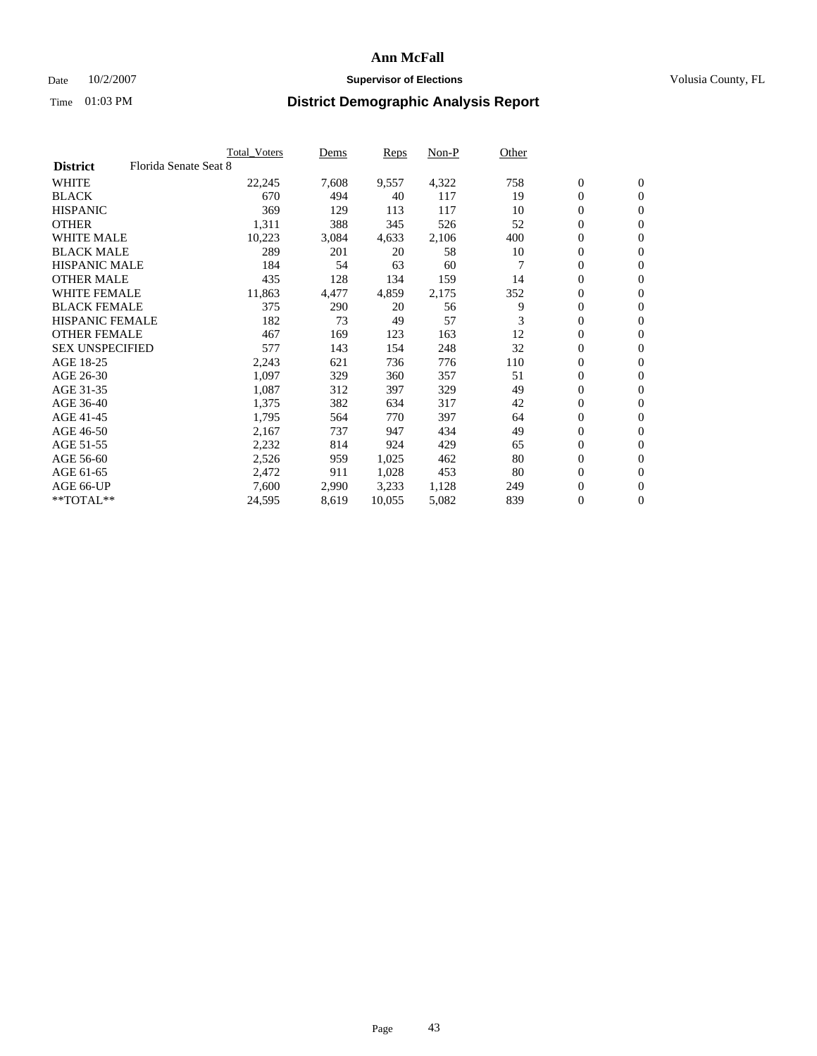### Date  $10/2/2007$  **Supervisor of Elections Supervisor of Elections** Volusia County, FL

|                        | <b>Total Voters</b>   | Dems  | Reps   | Non-P | Other |                  |                  |  |
|------------------------|-----------------------|-------|--------|-------|-------|------------------|------------------|--|
| <b>District</b>        | Florida Senate Seat 8 |       |        |       |       |                  |                  |  |
| <b>WHITE</b>           | 22,245                | 7,608 | 9,557  | 4,322 | 758   | $\mathbf{0}$     | $\mathbf{0}$     |  |
| <b>BLACK</b>           | 670                   | 494   | 40     | 117   | 19    | $\mathbf{0}$     | $\mathbf{0}$     |  |
| <b>HISPANIC</b>        | 369                   | 129   | 113    | 117   | 10    | 0                | $\overline{0}$   |  |
| <b>OTHER</b>           | 1,311                 | 388   | 345    | 526   | 52    | 0                | $\mathbf{0}$     |  |
| <b>WHITE MALE</b>      | 10,223                | 3,084 | 4,633  | 2,106 | 400   | 0                | $\mathbf{0}$     |  |
| <b>BLACK MALE</b>      | 289                   | 201   | 20     | 58    | 10    | 0                | $\boldsymbol{0}$ |  |
| <b>HISPANIC MALE</b>   | 184                   | 54    | 63     | 60    |       | 0                | $\mathbf{0}$     |  |
| <b>OTHER MALE</b>      | 435                   | 128   | 134    | 159   | 14    | $\mathbf{0}$     | $\mathbf{0}$     |  |
| <b>WHITE FEMALE</b>    | 11,863                | 4,477 | 4,859  | 2,175 | 352   | 0                | $\mathbf{0}$     |  |
| <b>BLACK FEMALE</b>    | 375                   | 290   | 20     | 56    | 9     | $\boldsymbol{0}$ | $\mathbf{0}$     |  |
| <b>HISPANIC FEMALE</b> | 182                   | 73    | 49     | 57    | 3     | $\boldsymbol{0}$ | $\boldsymbol{0}$ |  |
| <b>OTHER FEMALE</b>    | 467                   | 169   | 123    | 163   | 12    | 0                | $\mathbf{0}$     |  |
| <b>SEX UNSPECIFIED</b> | 577                   | 143   | 154    | 248   | 32    | 0                | $\mathbf{0}$     |  |
| AGE 18-25              | 2,243                 | 621   | 736    | 776   | 110   | 0                | $\mathbf{0}$     |  |
| AGE 26-30              | 1,097                 | 329   | 360    | 357   | 51    | $\mathbf{0}$     | $\mathbf{0}$     |  |
| AGE 31-35              | 1,087                 | 312   | 397    | 329   | 49    | 0                | $\mathbf{0}$     |  |
| AGE 36-40              | 1,375                 | 382   | 634    | 317   | 42    | 0                | $\mathbf{0}$     |  |
| AGE 41-45              | 1,795                 | 564   | 770    | 397   | 64    | 0                | $\mathbf{0}$     |  |
| AGE 46-50              | 2,167                 | 737   | 947    | 434   | 49    | 0                | $\mathbf{0}$     |  |
| AGE 51-55              | 2,232                 | 814   | 924    | 429   | 65    | $\boldsymbol{0}$ | $\boldsymbol{0}$ |  |
| AGE 56-60              | 2,526                 | 959   | 1,025  | 462   | 80    | 0                | $\mathbf{0}$     |  |
| AGE 61-65              | 2,472                 | 911   | 1,028  | 453   | 80    | $\mathbf{0}$     | $\mathbf{0}$     |  |
| AGE 66-UP              | 7,600                 | 2,990 | 3,233  | 1,128 | 249   | 0                | $\boldsymbol{0}$ |  |
| $*$ TOTAL $**$         | 24,595                | 8,619 | 10,055 | 5,082 | 839   | 0                | $\boldsymbol{0}$ |  |
|                        |                       |       |        |       |       |                  |                  |  |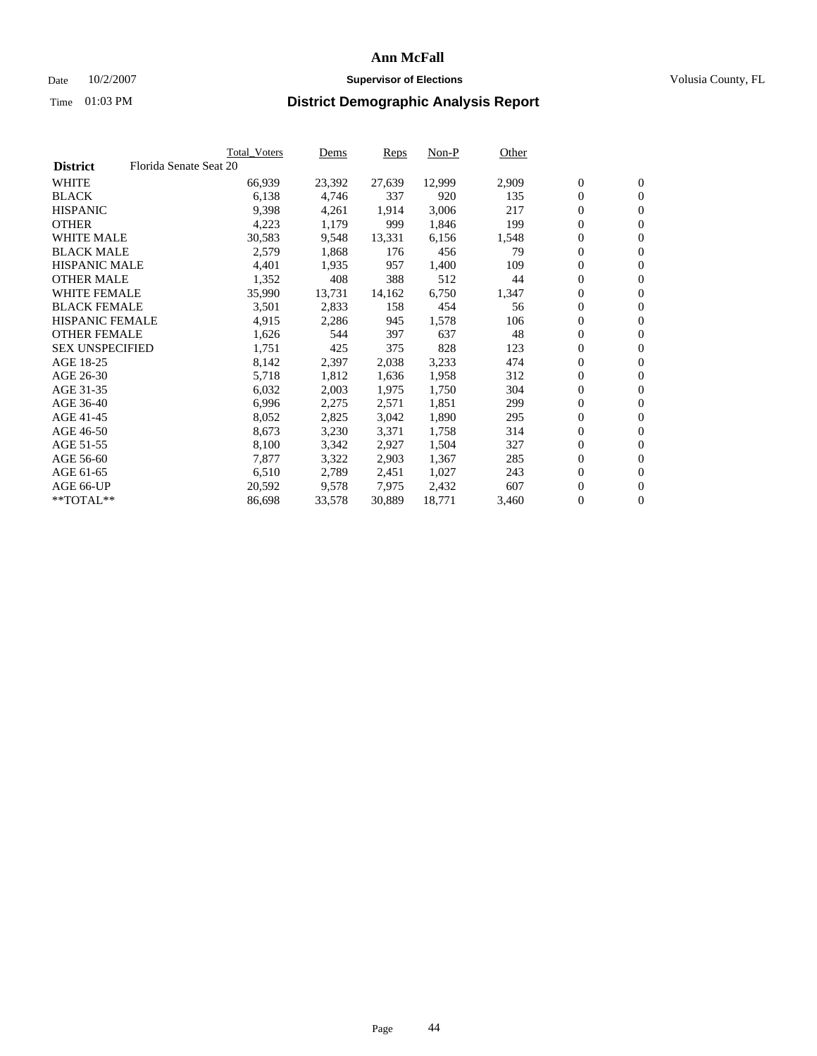#### Date  $10/2/2007$  **Supervisor of Elections** Volusia County, FL

|                        |                        | Total_Voters | Dems   | <b>Reps</b> | Non-P  | Other |                  |                  |  |
|------------------------|------------------------|--------------|--------|-------------|--------|-------|------------------|------------------|--|
| <b>District</b>        | Florida Senate Seat 20 |              |        |             |        |       |                  |                  |  |
| <b>WHITE</b>           |                        | 66,939       | 23,392 | 27,639      | 12,999 | 2,909 | $\overline{0}$   | $\mathbf{0}$     |  |
| <b>BLACK</b>           |                        | 6,138        | 4,746  | 337         | 920    | 135   | $\overline{0}$   | $\mathbf{0}$     |  |
| <b>HISPANIC</b>        |                        | 9,398        | 4,261  | 1,914       | 3,006  | 217   | $\boldsymbol{0}$ | $\mathbf{0}$     |  |
| <b>OTHER</b>           |                        | 4,223        | 1,179  | 999         | 1,846  | 199   | $\boldsymbol{0}$ | $\mathbf{0}$     |  |
| <b>WHITE MALE</b>      |                        | 30,583       | 9,548  | 13,331      | 6,156  | 1,548 | 0                | $\mathbf{0}$     |  |
| <b>BLACK MALE</b>      |                        | 2,579        | 1,868  | 176         | 456    | 79    | $\boldsymbol{0}$ | $\boldsymbol{0}$ |  |
| <b>HISPANIC MALE</b>   |                        | 4,401        | 1,935  | 957         | 1,400  | 109   | $\overline{0}$   | $\mathbf{0}$     |  |
| <b>OTHER MALE</b>      |                        | 1,352        | 408    | 388         | 512    | 44    | $\overline{0}$   | $\mathbf{0}$     |  |
| <b>WHITE FEMALE</b>    |                        | 35,990       | 13,731 | 14,162      | 6,750  | 1,347 | $\mathbf{0}$     | $\mathbf{0}$     |  |
| <b>BLACK FEMALE</b>    |                        | 3,501        | 2,833  | 158         | 454    | 56    | $\boldsymbol{0}$ | $\mathbf{0}$     |  |
| <b>HISPANIC FEMALE</b> |                        | 4,915        | 2,286  | 945         | 1,578  | 106   | $\boldsymbol{0}$ | $\boldsymbol{0}$ |  |
| <b>OTHER FEMALE</b>    |                        | 1,626        | 544    | 397         | 637    | 48    | 0                | $\mathbf{0}$     |  |
| <b>SEX UNSPECIFIED</b> |                        | 1,751        | 425    | 375         | 828    | 123   | $\boldsymbol{0}$ | $\mathbf{0}$     |  |
| AGE 18-25              |                        | 8,142        | 2,397  | 2,038       | 3,233  | 474   | $\boldsymbol{0}$ | $\mathbf{0}$     |  |
| AGE 26-30              |                        | 5,718        | 1,812  | 1,636       | 1,958  | 312   | $\overline{0}$   | $\mathbf{0}$     |  |
| AGE 31-35              |                        | 6,032        | 2,003  | 1,975       | 1,750  | 304   | $\overline{0}$   | $\mathbf{0}$     |  |
| AGE 36-40              |                        | 6,996        | 2,275  | 2,571       | 1,851  | 299   | $\boldsymbol{0}$ | $\boldsymbol{0}$ |  |
| AGE 41-45              |                        | 8,052        | 2,825  | 3,042       | 1,890  | 295   | $\boldsymbol{0}$ | $\mathbf{0}$     |  |
| AGE 46-50              |                        | 8,673        | 3,230  | 3,371       | 1,758  | 314   | 0                | $\mathbf{0}$     |  |
| AGE 51-55              |                        | 8,100        | 3,342  | 2,927       | 1,504  | 327   | $\boldsymbol{0}$ | $\boldsymbol{0}$ |  |
| AGE 56-60              |                        | 7,877        | 3,322  | 2,903       | 1,367  | 285   | $\overline{0}$   | $\mathbf{0}$     |  |
| AGE 61-65              |                        | 6,510        | 2,789  | 2,451       | 1,027  | 243   | $\mathbf{0}$     | $\boldsymbol{0}$ |  |
| AGE 66-UP              |                        | 20,592       | 9,578  | 7,975       | 2,432  | 607   | $\boldsymbol{0}$ | $\boldsymbol{0}$ |  |
| **TOTAL**              |                        | 86,698       | 33,578 | 30,889      | 18,771 | 3,460 | 0                | $\overline{0}$   |  |
|                        |                        |              |        |             |        |       |                  |                  |  |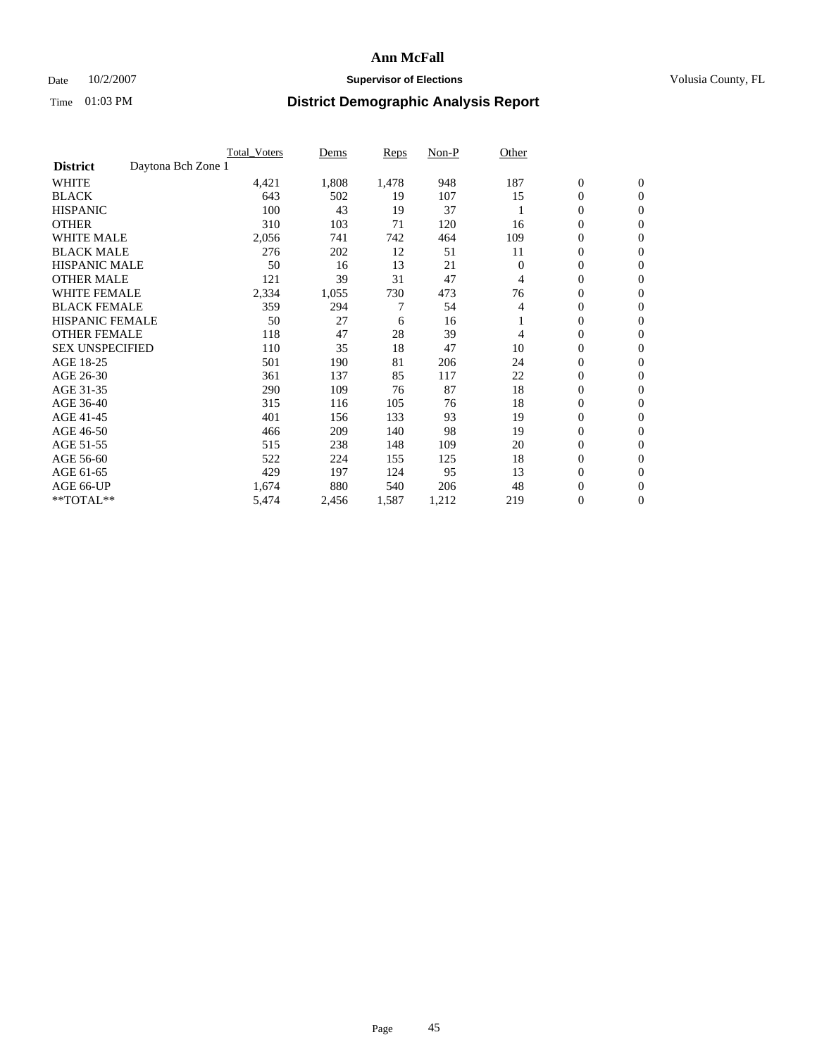### Date  $10/2/2007$  **Supervisor of Elections Supervisor of Elections** Volusia County, FL

|                                       | <b>Total Voters</b> | Dems  | Reps  | Non-P | Other    |                  |                  |  |
|---------------------------------------|---------------------|-------|-------|-------|----------|------------------|------------------|--|
| Daytona Bch Zone 1<br><b>District</b> |                     |       |       |       |          |                  |                  |  |
| <b>WHITE</b>                          | 4,421               | 1,808 | 1,478 | 948   | 187      | $\boldsymbol{0}$ | $\boldsymbol{0}$ |  |
| <b>BLACK</b>                          | 643                 | 502   | 19    | 107   | 15       | $\mathbf{0}$     | $\mathbf{0}$     |  |
| <b>HISPANIC</b>                       | 100                 | 43    | 19    | 37    |          | $\mathbf{0}$     | $\mathbf{0}$     |  |
| <b>OTHER</b>                          | 310                 | 103   | 71    | 120   | 16       | 0                | $\overline{0}$   |  |
| <b>WHITE MALE</b>                     | 2,056               | 741   | 742   | 464   | 109      | 0                | $\mathbf{0}$     |  |
| <b>BLACK MALE</b>                     | 276                 | 202   | 12    | 51    | 11       | 0                | $\boldsymbol{0}$ |  |
| <b>HISPANIC MALE</b>                  | 50                  | 16    | 13    | 21    | $\Omega$ | 0                | $\mathbf{0}$     |  |
| <b>OTHER MALE</b>                     | 121                 | 39    | 31    | 47    | 4        | 0                | $\mathbf{0}$     |  |
| <b>WHITE FEMALE</b>                   | 2,334               | 1,055 | 730   | 473   | 76       | 0                | $\mathbf{0}$     |  |
| <b>BLACK FEMALE</b>                   | 359                 | 294   | 7     | 54    | 4        | $\mathbf{0}$     | $\mathbf{0}$     |  |
| <b>HISPANIC FEMALE</b>                | 50                  | 27    | 6     | 16    |          | 0                | $\mathbf{0}$     |  |
| <b>OTHER FEMALE</b>                   | 118                 | 47    | 28    | 39    | 4        | $\overline{0}$   | $\mathbf{0}$     |  |
| <b>SEX UNSPECIFIED</b>                | 110                 | 35    | 18    | 47    | 10       | 0                | $\mathbf{0}$     |  |
| AGE 18-25                             | 501                 | 190   | 81    | 206   | 24       | 0                | $\mathbf{0}$     |  |
| AGE 26-30                             | 361                 | 137   | 85    | 117   | 22       | 0                | $\mathbf{0}$     |  |
| AGE 31-35                             | 290                 | 109   | 76    | 87    | 18       | 0                | $\mathbf{0}$     |  |
| AGE 36-40                             | 315                 | 116   | 105   | 76    | 18       | $\boldsymbol{0}$ | $\mathbf{0}$     |  |
| AGE 41-45                             | 401                 | 156   | 133   | 93    | 19       | 0                | $\mathbf{0}$     |  |
| AGE 46-50                             | 466                 | 209   | 140   | 98    | 19       | $\mathbf{0}$     | $\mathbf{0}$     |  |
| AGE 51-55                             | 515                 | 238   | 148   | 109   | 20       | $\overline{0}$   | $\mathbf{0}$     |  |
| AGE 56-60                             | 522                 | 224   | 155   | 125   | 18       | 0                | $\mathbf{0}$     |  |
| AGE 61-65                             | 429                 | 197   | 124   | 95    | 13       | 0                | $\mathbf{0}$     |  |
| AGE 66-UP                             | 1,674               | 880   | 540   | 206   | 48       | 0                | 0                |  |
| **TOTAL**                             | 5,474               | 2,456 | 1,587 | 1,212 | 219      | $\boldsymbol{0}$ | $\boldsymbol{0}$ |  |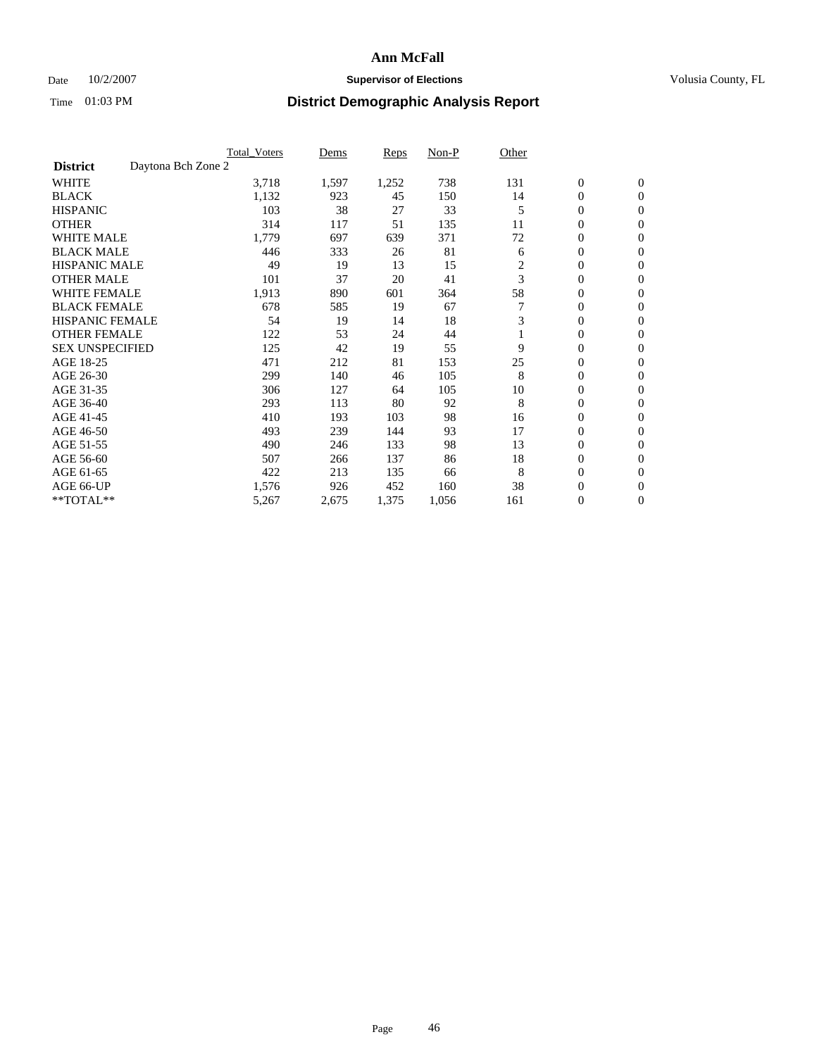### Date  $10/2/2007$  **Supervisor of Elections Supervisor of Elections** Volusia County, FL

|                                       | <b>Total Voters</b> | Dems  | Reps  | Non-P | Other          |                  |                  |  |
|---------------------------------------|---------------------|-------|-------|-------|----------------|------------------|------------------|--|
| Daytona Bch Zone 2<br><b>District</b> |                     |       |       |       |                |                  |                  |  |
| <b>WHITE</b>                          | 3,718               | 1,597 | 1,252 | 738   | 131            | $\boldsymbol{0}$ | $\boldsymbol{0}$ |  |
| <b>BLACK</b>                          | 1,132               | 923   | 45    | 150   | 14             | 0                | $\mathbf{0}$     |  |
| <b>HISPANIC</b>                       | 103                 | 38    | 27    | 33    | 5              | $\mathbf{0}$     | $\mathbf{0}$     |  |
| <b>OTHER</b>                          | 314                 | 117   | 51    | 135   | 11             | 0                | $\overline{0}$   |  |
| <b>WHITE MALE</b>                     | 1,779               | 697   | 639   | 371   | 72             | 0                | $\mathbf{0}$     |  |
| <b>BLACK MALE</b>                     | 446                 | 333   | 26    | 81    | 6              | 0                | $\mathbf{0}$     |  |
| <b>HISPANIC MALE</b>                  | 49                  | 19    | 13    | 15    | $\overline{c}$ | 0                | $\mathbf{0}$     |  |
| <b>OTHER MALE</b>                     | 101                 | 37    | 20    | 41    | 3              | 0                | $\mathbf{0}$     |  |
| <b>WHITE FEMALE</b>                   | 1,913               | 890   | 601   | 364   | 58             | 0                | $\Omega$         |  |
| <b>BLACK FEMALE</b>                   | 678                 | 585   | 19    | 67    |                | $\mathbf{0}$     | $\mathbf{0}$     |  |
| <b>HISPANIC FEMALE</b>                | 54                  | 19    | 14    | 18    | 3              | 0                | $\mathbf{0}$     |  |
| <b>OTHER FEMALE</b>                   | 122                 | 53    | 24    | 44    |                | 0                | $\mathbf{0}$     |  |
| <b>SEX UNSPECIFIED</b>                | 125                 | 42    | 19    | 55    | 9              | 0                | $\mathbf{0}$     |  |
| AGE 18-25                             | 471                 | 212   | 81    | 153   | 25             | 0                | $\mathbf{0}$     |  |
| AGE 26-30                             | 299                 | 140   | 46    | 105   | 8              | 0                | $\mathbf{0}$     |  |
| AGE 31-35                             | 306                 | 127   | 64    | 105   | 10             | 0                | $\mathbf{0}$     |  |
| AGE 36-40                             | 293                 | 113   | 80    | 92    | 8              | $\mathbf{0}$     | $\mathbf{0}$     |  |
| AGE 41-45                             | 410                 | 193   | 103   | 98    | 16             | 0                | $\mathbf{0}$     |  |
| AGE 46-50                             | 493                 | 239   | 144   | 93    | 17             | 0                | $\mathbf{0}$     |  |
| AGE 51-55                             | 490                 | 246   | 133   | 98    | 13             | 0                | $\mathbf{0}$     |  |
| AGE 56-60                             | 507                 | 266   | 137   | 86    | 18             | 0                | $\mathbf{0}$     |  |
| AGE 61-65                             | 422                 | 213   | 135   | 66    | 8              | 0                | $\mathbf{0}$     |  |
| AGE 66-UP                             | 1,576               | 926   | 452   | 160   | 38             | 0                | 0                |  |
| **TOTAL**                             | 5,267               | 2,675 | 1,375 | 1,056 | 161            | 0                | $\boldsymbol{0}$ |  |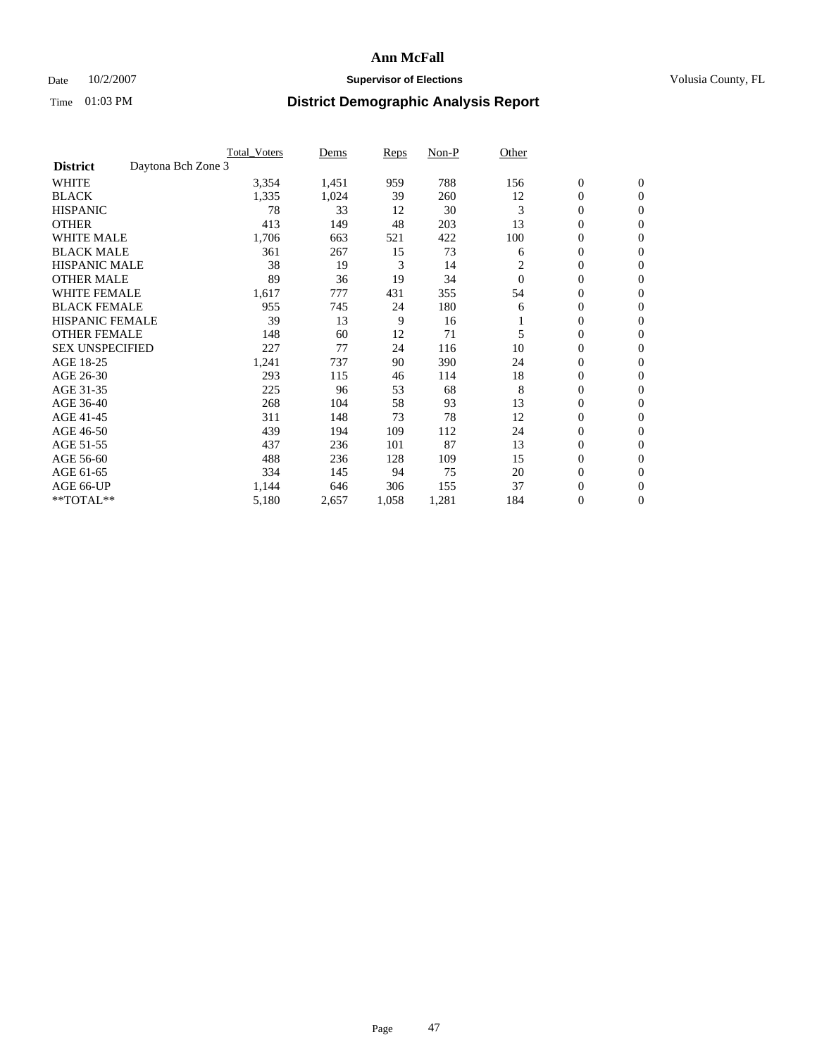#### Date  $10/2/2007$  **Supervisor of Elections** Volusia County, FL

|                        | <b>Total Voters</b> | Dems  | Reps  | Non-P | Other    |                  |                  |
|------------------------|---------------------|-------|-------|-------|----------|------------------|------------------|
| <b>District</b>        | Daytona Bch Zone 3  |       |       |       |          |                  |                  |
| <b>WHITE</b>           | 3,354               | 1,451 | 959   | 788   | 156      | $\boldsymbol{0}$ | $\mathbf{0}$     |
| <b>BLACK</b>           | 1,335               | 1,024 | 39    | 260   | 12       | 0                | $\mathbf{0}$     |
| <b>HISPANIC</b>        | 78                  | 33    | 12    | 30    | 3        | 0                | $\mathbf{0}$     |
| <b>OTHER</b>           | 413                 | 149   | 48    | 203   | 13       | 0                | $\mathbf{0}$     |
| <b>WHITE MALE</b>      | 1,706               | 663   | 521   | 422   | 100      | 0                | $\mathbf{0}$     |
| <b>BLACK MALE</b>      | 361                 | 267   | 15    | 73    | 6        | 0                | $\mathbf{0}$     |
| <b>HISPANIC MALE</b>   | 38                  | 19    | 3     | 14    | 2        | 0                | $\mathbf{0}$     |
| <b>OTHER MALE</b>      | 89                  | 36    | 19    | 34    | $\Omega$ | $\mathbf{0}$     | $\mathbf{0}$     |
| <b>WHITE FEMALE</b>    | 1,617               | 777   | 431   | 355   | 54       | 0                | $\mathbf{0}$     |
| <b>BLACK FEMALE</b>    | 955                 | 745   | 24    | 180   | 6        | $\boldsymbol{0}$ | $\mathbf{0}$     |
| <b>HISPANIC FEMALE</b> | 39                  | 13    | 9     | 16    |          | 0                | $\mathbf{0}$     |
| <b>OTHER FEMALE</b>    | 148                 | 60    | 12    | 71    | 5        | 0                | $\mathbf{0}$     |
| <b>SEX UNSPECIFIED</b> | 227                 | 77    | 24    | 116   | 10       | 0                | $\mathbf{0}$     |
| AGE 18-25              | 1,241               | 737   | 90    | 390   | 24       | 0                | $\mathbf{0}$     |
| AGE 26-30              | 293                 | 115   | 46    | 114   | 18       | $\mathbf{0}$     | $\mathbf{0}$     |
| AGE 31-35              | 225                 | 96    | 53    | 68    | 8        | 0                | $\mathbf{0}$     |
| AGE 36-40              | 268                 | 104   | 58    | 93    | 13       | 0                | $\mathbf{0}$     |
| AGE 41-45              | 311                 | 148   | 73    | 78    | 12       | 0                | $\mathbf{0}$     |
| AGE 46-50              | 439                 | 194   | 109   | 112   | 24       | 0                | $\mathbf{0}$     |
| AGE 51-55              | 437                 | 236   | 101   | 87    | 13       | $\boldsymbol{0}$ | $\mathbf{0}$     |
| AGE 56-60              | 488                 | 236   | 128   | 109   | 15       | 0                | $\mathbf{0}$     |
| AGE 61-65              | 334                 | 145   | 94    | 75    | 20       | $\mathbf{0}$     | $\mathbf{0}$     |
| AGE 66-UP              | 1,144               | 646   | 306   | 155   | 37       | 0                | $\mathbf{0}$     |
| **TOTAL**              | 5,180               | 2,657 | 1,058 | 1,281 | 184      | 0                | $\boldsymbol{0}$ |
|                        |                     |       |       |       |          |                  |                  |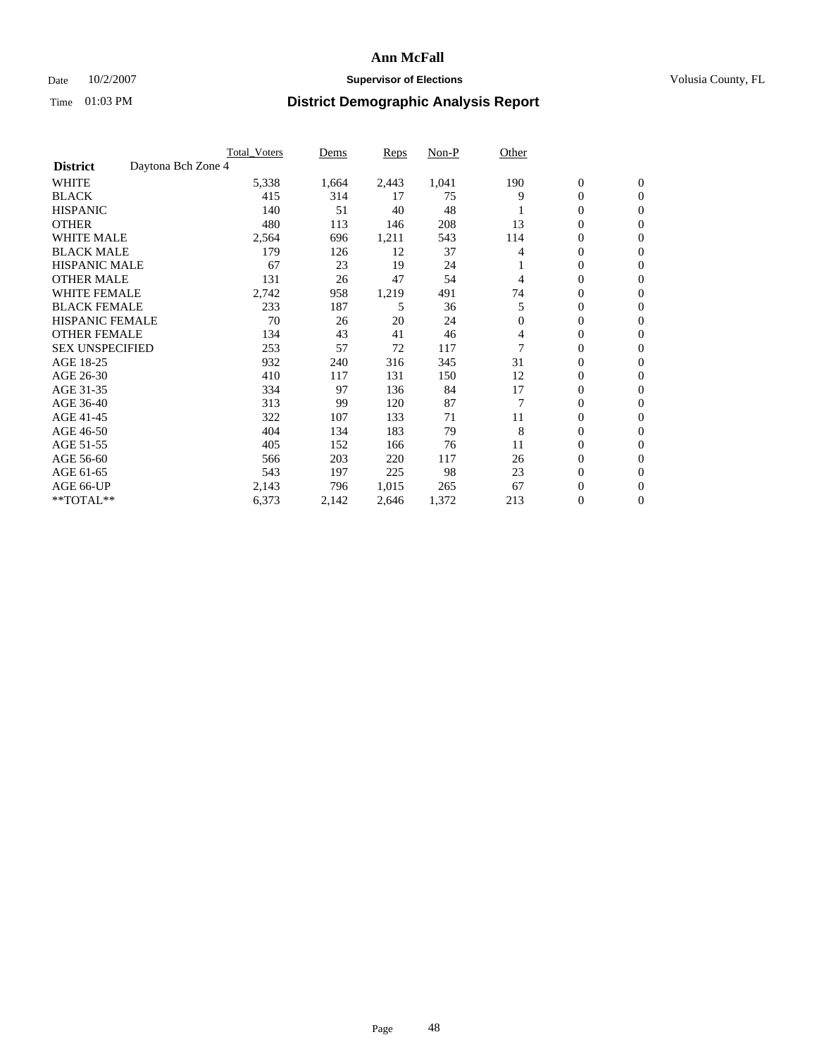### Date  $10/2/2007$  **Supervisor of Elections Supervisor of Elections** Volusia County, FL

|                        | <b>Total Voters</b> | Dems  | Reps  | Non-P | Other          |                  |                  |  |
|------------------------|---------------------|-------|-------|-------|----------------|------------------|------------------|--|
| <b>District</b>        | Daytona Bch Zone 4  |       |       |       |                |                  |                  |  |
| <b>WHITE</b>           | 5,338               | 1,664 | 2,443 | 1,041 | 190            | $\boldsymbol{0}$ | $\mathbf{0}$     |  |
| <b>BLACK</b>           | 415                 | 314   | 17    | 75    | 9              | 0                | $\mathbf{0}$     |  |
| <b>HISPANIC</b>        | 140                 | 51    | 40    | 48    |                | 0                | $\mathbf{0}$     |  |
| <b>OTHER</b>           | 480                 | 113   | 146   | 208   | 13             | 0                | $\mathbf{0}$     |  |
| <b>WHITE MALE</b>      | 2,564               | 696   | 1,211 | 543   | 114            | 0                | $\mathbf{0}$     |  |
| <b>BLACK MALE</b>      | 179                 | 126   | 12    | 37    | 4              | 0                | $\mathbf{0}$     |  |
| <b>HISPANIC MALE</b>   | 67                  | 23    | 19    | 24    |                | 0                | $\mathbf{0}$     |  |
| <b>OTHER MALE</b>      | 131                 | 26    | 47    | 54    | 4              | $\mathbf{0}$     | $\mathbf{0}$     |  |
| <b>WHITE FEMALE</b>    | 2,742               | 958   | 1,219 | 491   | 74             | 0                | $\mathbf{0}$     |  |
| <b>BLACK FEMALE</b>    | 233                 | 187   | 5     | 36    | 5              | $\mathbf{0}$     | $\mathbf{0}$     |  |
| <b>HISPANIC FEMALE</b> | 70                  | 26    | 20    | 24    | $\mathbf{0}$   | 0                | $\mathbf{0}$     |  |
| <b>OTHER FEMALE</b>    | 134                 | 43    | 41    | 46    | 4              | 0                | $\mathbf{0}$     |  |
| <b>SEX UNSPECIFIED</b> | 253                 | 57    | 72    | 117   |                | 0                | 0                |  |
| AGE 18-25              | 932                 | 240   | 316   | 345   | 31             | 0                | $\Omega$         |  |
| AGE 26-30              | 410                 | 117   | 131   | 150   | 12             | $\mathbf{0}$     | $\mathbf{0}$     |  |
| AGE 31-35              | 334                 | 97    | 136   | 84    | 17             | 0                | $\mathbf{0}$     |  |
| AGE 36-40              | 313                 | 99    | 120   | 87    | $\overline{7}$ | 0                | $\mathbf{0}$     |  |
| AGE 41-45              | 322                 | 107   | 133   | 71    | 11             | 0                | $\mathbf{0}$     |  |
| AGE 46-50              | 404                 | 134   | 183   | 79    | 8              | 0                | $\Omega$         |  |
| AGE 51-55              | 405                 | 152   | 166   | 76    | 11             | $\boldsymbol{0}$ | $\mathbf{0}$     |  |
| AGE 56-60              | 566                 | 203   | 220   | 117   | 26             | 0                | $\mathbf{0}$     |  |
| AGE 61-65              | 543                 | 197   | 225   | 98    | 23             | $\mathbf{0}$     | $\mathbf{0}$     |  |
| AGE 66-UP              | 2,143               | 796   | 1,015 | 265   | 67             | 0                | $\boldsymbol{0}$ |  |
| **TOTAL**              | 6,373               | 2,142 | 2,646 | 1,372 | 213            | 0                | $\boldsymbol{0}$ |  |
|                        |                     |       |       |       |                |                  |                  |  |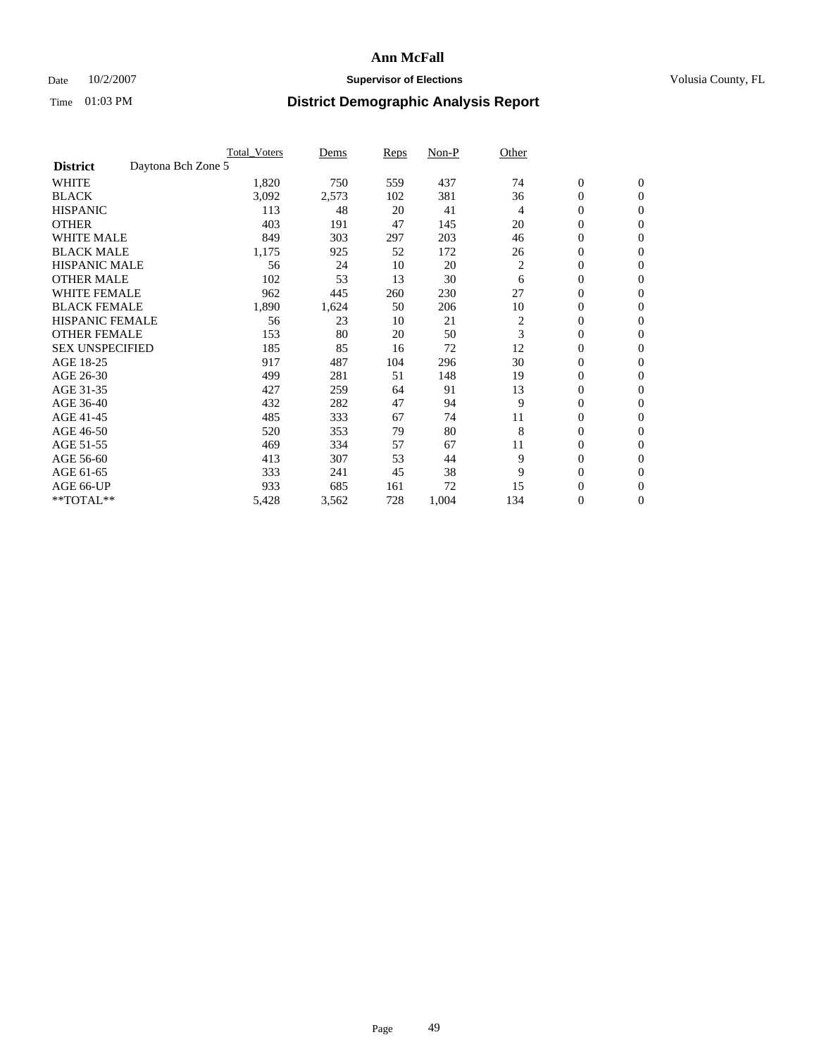### Date  $10/2/2007$  **Supervisor of Elections Supervisor of Elections** Volusia County, FL

|                        | <b>Total Voters</b> | Dems  | Reps | Non-P | Other          |                  |                  |  |
|------------------------|---------------------|-------|------|-------|----------------|------------------|------------------|--|
| <b>District</b>        | Daytona Bch Zone 5  |       |      |       |                |                  |                  |  |
| <b>WHITE</b>           | 1,820               | 750   | 559  | 437   | 74             | $\boldsymbol{0}$ | $\mathbf{0}$     |  |
| <b>BLACK</b>           | 3,092               | 2,573 | 102  | 381   | 36             | 0                | $\mathbf{0}$     |  |
| <b>HISPANIC</b>        | 113                 | 48    | 20   | 41    | 4              | 0                | $\mathbf{0}$     |  |
| <b>OTHER</b>           | 403                 | 191   | 47   | 145   | 20             | 0                | $\mathbf{0}$     |  |
| <b>WHITE MALE</b>      | 849                 | 303   | 297  | 203   | 46             | 0                | $\mathbf{0}$     |  |
| <b>BLACK MALE</b>      | 1,175               | 925   | 52   | 172   | 26             | 0                | $\boldsymbol{0}$ |  |
| <b>HISPANIC MALE</b>   | 56                  | 24    | 10   | 20    | $\overline{c}$ | 0                | $\mathbf{0}$     |  |
| <b>OTHER MALE</b>      | 102                 | 53    | 13   | 30    | 6              | $\mathbf{0}$     | $\mathbf{0}$     |  |
| <b>WHITE FEMALE</b>    | 962                 | 445   | 260  | 230   | 27             | 0                | $\mathbf{0}$     |  |
| <b>BLACK FEMALE</b>    | 1,890               | 1,624 | 50   | 206   | 10             | $\boldsymbol{0}$ | $\mathbf{0}$     |  |
| <b>HISPANIC FEMALE</b> | 56                  | 23    | 10   | 21    | 2              | $\boldsymbol{0}$ | $\boldsymbol{0}$ |  |
| <b>OTHER FEMALE</b>    | 153                 | 80    | 20   | 50    | 3              | 0                | $\mathbf{0}$     |  |
| <b>SEX UNSPECIFIED</b> | 185                 | 85    | 16   | 72    | 12             | 0                | $\mathbf{0}$     |  |
| AGE 18-25              | 917                 | 487   | 104  | 296   | 30             | 0                | $\mathbf{0}$     |  |
| AGE 26-30              | 499                 | 281   | 51   | 148   | 19             | $\mathbf{0}$     | $\mathbf{0}$     |  |
| AGE 31-35              | 427                 | 259   | 64   | 91    | 13             | 0                | $\mathbf{0}$     |  |
| AGE 36-40              | 432                 | 282   | 47   | 94    | 9              | 0                | $\mathbf{0}$     |  |
| AGE 41-45              | 485                 | 333   | 67   | 74    | 11             | 0                | $\mathbf{0}$     |  |
| AGE 46-50              | 520                 | 353   | 79   | 80    | 8              | 0                | $\mathbf{0}$     |  |
| AGE 51-55              | 469                 | 334   | 57   | 67    | 11             | $\boldsymbol{0}$ | $\boldsymbol{0}$ |  |
| AGE 56-60              | 413                 | 307   | 53   | 44    | 9              | 0                | $\mathbf{0}$     |  |
| AGE 61-65              | 333                 | 241   | 45   | 38    | 9              | $\mathbf{0}$     | $\mathbf{0}$     |  |
| AGE 66-UP              | 933                 | 685   | 161  | 72    | 15             | 0                | $\boldsymbol{0}$ |  |
| **TOTAL**              | 5,428               | 3,562 | 728  | 1,004 | 134            | 0                | $\boldsymbol{0}$ |  |
|                        |                     |       |      |       |                |                  |                  |  |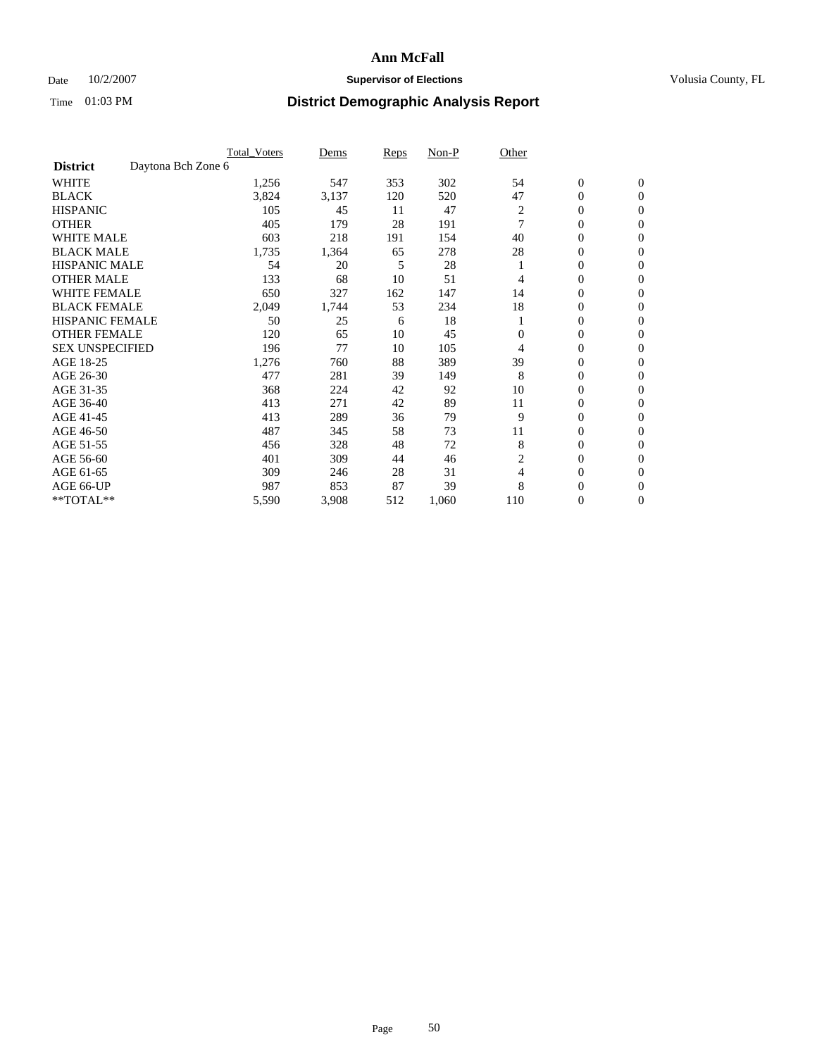### Date  $10/2/2007$  **Supervisor of Elections Supervisor of Elections** Volusia County, FL

|                                       | <b>Total Voters</b> | Dems  | Reps | Non-P | Other          |                  |                  |  |
|---------------------------------------|---------------------|-------|------|-------|----------------|------------------|------------------|--|
| Daytona Bch Zone 6<br><b>District</b> |                     |       |      |       |                |                  |                  |  |
| <b>WHITE</b>                          | 1,256               | 547   | 353  | 302   | 54             | $\boldsymbol{0}$ | $\boldsymbol{0}$ |  |
| <b>BLACK</b>                          | 3,824               | 3,137 | 120  | 520   | 47             | 0                | $\mathbf{0}$     |  |
| <b>HISPANIC</b>                       | 105                 | 45    | 11   | 47    | $\overline{c}$ | 0                | $\mathbf{0}$     |  |
| <b>OTHER</b>                          | 405                 | 179   | 28   | 191   | 7              | 0                | $\overline{0}$   |  |
| <b>WHITE MALE</b>                     | 603                 | 218   | 191  | 154   | 40             | 0                | $\mathbf{0}$     |  |
| <b>BLACK MALE</b>                     | 1,735               | 1,364 | 65   | 278   | 28             | 0                | $\mathbf{0}$     |  |
| <b>HISPANIC MALE</b>                  | 54                  | 20    | 5    | 28    |                | 0                | $\Omega$         |  |
| <b>OTHER MALE</b>                     | 133                 | 68    | 10   | 51    | 4              | 0                | $\mathbf{0}$     |  |
| <b>WHITE FEMALE</b>                   | 650                 | 327   | 162  | 147   | 14             | 0                | $\Omega$         |  |
| <b>BLACK FEMALE</b>                   | 2,049               | 1,744 | 53   | 234   | 18             | 0                | $\mathbf{0}$     |  |
| <b>HISPANIC FEMALE</b>                | 50                  | 25    | 6    | 18    |                | 0                | $\mathbf{0}$     |  |
| <b>OTHER FEMALE</b>                   | 120                 | 65    | 10   | 45    | $\Omega$       | 0                | $\mathbf{0}$     |  |
| <b>SEX UNSPECIFIED</b>                | 196                 | 77    | 10   | 105   | 4              | 0                | $\mathbf{0}$     |  |
| AGE 18-25                             | 1,276               | 760   | 88   | 389   | 39             | 0                | $\mathbf{0}$     |  |
| AGE 26-30                             | 477                 | 281   | 39   | 149   | 8              | 0                | $\mathbf{0}$     |  |
| AGE 31-35                             | 368                 | 224   | 42   | 92    | 10             | 0                | $\mathbf{0}$     |  |
| AGE 36-40                             | 413                 | 271   | 42   | 89    | 11             | 0                | $\mathbf{0}$     |  |
| AGE 41-45                             | 413                 | 289   | 36   | 79    | 9              | 0                | $\mathbf{0}$     |  |
| AGE 46-50                             | 487                 | 345   | 58   | 73    | 11             | 0                | $\mathbf{0}$     |  |
| AGE 51-55                             | 456                 | 328   | 48   | 72    | 8              | 0                | $\mathbf{0}$     |  |
| AGE 56-60                             | 401                 | 309   | 44   | 46    | 2              | 0                | $\mathbf{0}$     |  |
| AGE 61-65                             | 309                 | 246   | 28   | 31    | 4              | 0                | $\mathbf{0}$     |  |
| AGE 66-UP                             | 987                 | 853   | 87   | 39    | 8              | 0                | 0                |  |
| **TOTAL**                             | 5,590               | 3,908 | 512  | 1,060 | 110            | 0                | $\boldsymbol{0}$ |  |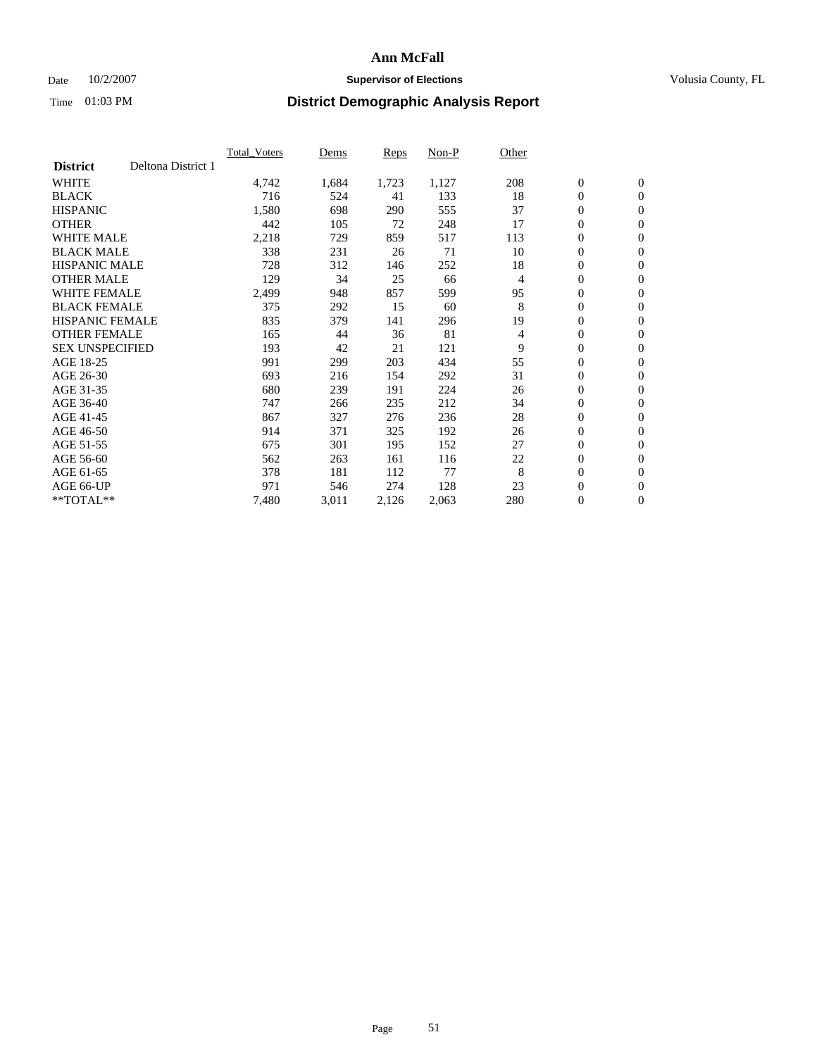### Date  $10/2/2007$  **Supervisor of Elections Supervisor of Elections** Volusia County, FL

|                        |                    | <b>Total Voters</b> | Dems  | Reps  | Non-P | Other |                  |                  |  |
|------------------------|--------------------|---------------------|-------|-------|-------|-------|------------------|------------------|--|
| <b>District</b>        | Deltona District 1 |                     |       |       |       |       |                  |                  |  |
| <b>WHITE</b>           |                    | 4,742               | 1,684 | 1,723 | 1,127 | 208   | $\boldsymbol{0}$ | $\boldsymbol{0}$ |  |
| <b>BLACK</b>           |                    | 716                 | 524   | 41    | 133   | 18    | $\mathbf{0}$     | $\mathbf{0}$     |  |
| <b>HISPANIC</b>        |                    | 1,580               | 698   | 290   | 555   | 37    | $\mathbf{0}$     | $\mathbf{0}$     |  |
| <b>OTHER</b>           |                    | 442                 | 105   | 72    | 248   | 17    | 0                | $\mathbf{0}$     |  |
| <b>WHITE MALE</b>      |                    | 2,218               | 729   | 859   | 517   | 113   | 0                | $\mathbf{0}$     |  |
| <b>BLACK MALE</b>      |                    | 338                 | 231   | 26    | 71    | 10    | 0                | $\mathbf{0}$     |  |
| <b>HISPANIC MALE</b>   |                    | 728                 | 312   | 146   | 252   | 18    | 0                | $\mathbf{0}$     |  |
| <b>OTHER MALE</b>      |                    | 129                 | 34    | 25    | 66    | 4     | 0                | $\mathbf{0}$     |  |
| <b>WHITE FEMALE</b>    |                    | 2,499               | 948   | 857   | 599   | 95    | 0                | $\mathbf{0}$     |  |
| <b>BLACK FEMALE</b>    |                    | 375                 | 292   | 15    | 60    | 8     | $\mathbf{0}$     | $\mathbf{0}$     |  |
| <b>HISPANIC FEMALE</b> |                    | 835                 | 379   | 141   | 296   | 19    | 0                | $\mathbf{0}$     |  |
| <b>OTHER FEMALE</b>    |                    | 165                 | 44    | 36    | 81    | 4     | 0                | $\mathbf{0}$     |  |
| <b>SEX UNSPECIFIED</b> |                    | 193                 | 42    | 21    | 121   | 9     | $\boldsymbol{0}$ | $\mathbf{0}$     |  |
| AGE 18-25              |                    | 991                 | 299   | 203   | 434   | 55    | 0                | $\mathbf{0}$     |  |
| AGE 26-30              |                    | 693                 | 216   | 154   | 292   | 31    | 0                | $\mathbf{0}$     |  |
| AGE 31-35              |                    | 680                 | 239   | 191   | 224   | 26    | 0                | $\mathbf{0}$     |  |
| AGE 36-40              |                    | 747                 | 266   | 235   | 212   | 34    | $\boldsymbol{0}$ | $\mathbf{0}$     |  |
| AGE 41-45              |                    | 867                 | 327   | 276   | 236   | 28    | 0                | $\mathbf{0}$     |  |
| AGE 46-50              |                    | 914                 | 371   | 325   | 192   | 26    | $\mathbf{0}$     | $\mathbf{0}$     |  |
| AGE 51-55              |                    | 675                 | 301   | 195   | 152   | 27    | $\overline{0}$   | $\mathbf{0}$     |  |
| AGE 56-60              |                    | 562                 | 263   | 161   | 116   | 22    | $\boldsymbol{0}$ | $\mathbf{0}$     |  |
| AGE 61-65              |                    | 378                 | 181   | 112   | 77    | 8     | 0                | $\mathbf{0}$     |  |
| AGE 66-UP              |                    | 971                 | 546   | 274   | 128   | 23    | 0                | 0                |  |
| $*$ TOTAL $**$         |                    | 7,480               | 3,011 | 2,126 | 2,063 | 280   | 0                | $\boldsymbol{0}$ |  |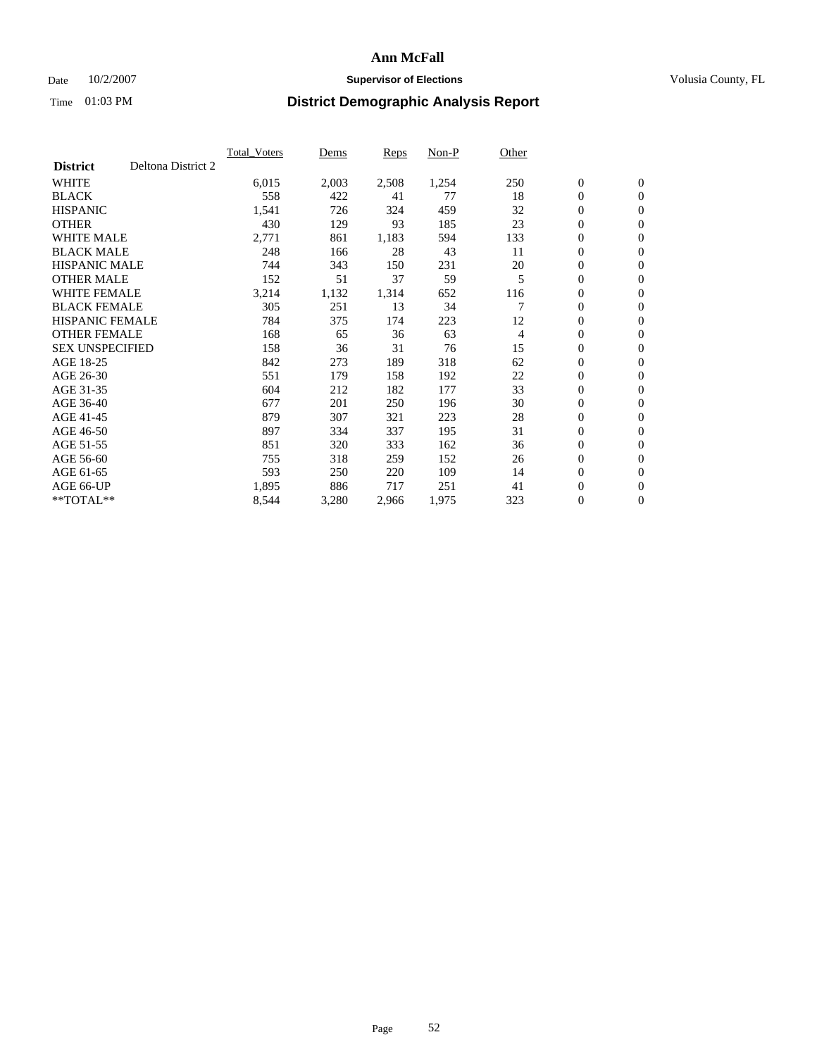### Date  $10/2/2007$  **Supervisor of Elections Supervisor of Elections** Volusia County, FL

|                        |                    | <b>Total Voters</b> | Dems  | Reps  | Non-P | Other |                  |                  |  |
|------------------------|--------------------|---------------------|-------|-------|-------|-------|------------------|------------------|--|
| <b>District</b>        | Deltona District 2 |                     |       |       |       |       |                  |                  |  |
| <b>WHITE</b>           |                    | 6,015               | 2,003 | 2,508 | 1,254 | 250   | $\boldsymbol{0}$ | $\mathbf{0}$     |  |
| <b>BLACK</b>           |                    | 558                 | 422   | 41    | 77    | 18    | $\mathbf{0}$     | $\mathbf{0}$     |  |
| <b>HISPANIC</b>        |                    | 1,541               | 726   | 324   | 459   | 32    | 0                | $\mathbf{0}$     |  |
| <b>OTHER</b>           |                    | 430                 | 129   | 93    | 185   | 23    | 0                | $\mathbf{0}$     |  |
| <b>WHITE MALE</b>      |                    | 2,771               | 861   | 1,183 | 594   | 133   | 0                | $\mathbf{0}$     |  |
| <b>BLACK MALE</b>      |                    | 248                 | 166   | 28    | 43    | 11    | 0                | $\boldsymbol{0}$ |  |
| <b>HISPANIC MALE</b>   |                    | 744                 | 343   | 150   | 231   | 20    | 0                | $\mathbf{0}$     |  |
| <b>OTHER MALE</b>      |                    | 152                 | 51    | 37    | 59    | 5     | $\mathbf{0}$     | $\mathbf{0}$     |  |
| <b>WHITE FEMALE</b>    |                    | 3,214               | 1,132 | 1,314 | 652   | 116   | 0                | $\mathbf{0}$     |  |
| <b>BLACK FEMALE</b>    |                    | 305                 | 251   | 13    | 34    | 7     | $\mathbf{0}$     | $\mathbf{0}$     |  |
| <b>HISPANIC FEMALE</b> |                    | 784                 | 375   | 174   | 223   | 12    | 0                | $\boldsymbol{0}$ |  |
| <b>OTHER FEMALE</b>    |                    | 168                 | 65    | 36    | 63    | 4     | 0                | $\mathbf{0}$     |  |
| <b>SEX UNSPECIFIED</b> |                    | 158                 | 36    | 31    | 76    | 15    | $\boldsymbol{0}$ | $\mathbf{0}$     |  |
| AGE 18-25              |                    | 842                 | 273   | 189   | 318   | 62    | 0                | $\mathbf{0}$     |  |
| AGE 26-30              |                    | 551                 | 179   | 158   | 192   | 22    | $\mathbf{0}$     | $\mathbf{0}$     |  |
| AGE 31-35              |                    | 604                 | 212   | 182   | 177   | 33    | 0                | $\mathbf{0}$     |  |
| AGE 36-40              |                    | 677                 | 201   | 250   | 196   | 30    | 0                | $\mathbf{0}$     |  |
| AGE 41-45              |                    | 879                 | 307   | 321   | 223   | 28    | $\boldsymbol{0}$ | $\mathbf{0}$     |  |
| AGE 46-50              |                    | 897                 | 334   | 337   | 195   | 31    | 0                | $\mathbf{0}$     |  |
| AGE 51-55              |                    | 851                 | 320   | 333   | 162   | 36    | $\boldsymbol{0}$ | $\boldsymbol{0}$ |  |
| AGE 56-60              |                    | 755                 | 318   | 259   | 152   | 26    | 0                | $\mathbf{0}$     |  |
| AGE 61-65              |                    | 593                 | 250   | 220   | 109   | 14    | $\mathbf{0}$     | $\mathbf{0}$     |  |
| AGE 66-UP              |                    | 1,895               | 886   | 717   | 251   | 41    | $\boldsymbol{0}$ | $\boldsymbol{0}$ |  |
| $*$ TOTAL $**$         |                    | 8,544               | 3,280 | 2,966 | 1,975 | 323   | 0                | $\overline{0}$   |  |
|                        |                    |                     |       |       |       |       |                  |                  |  |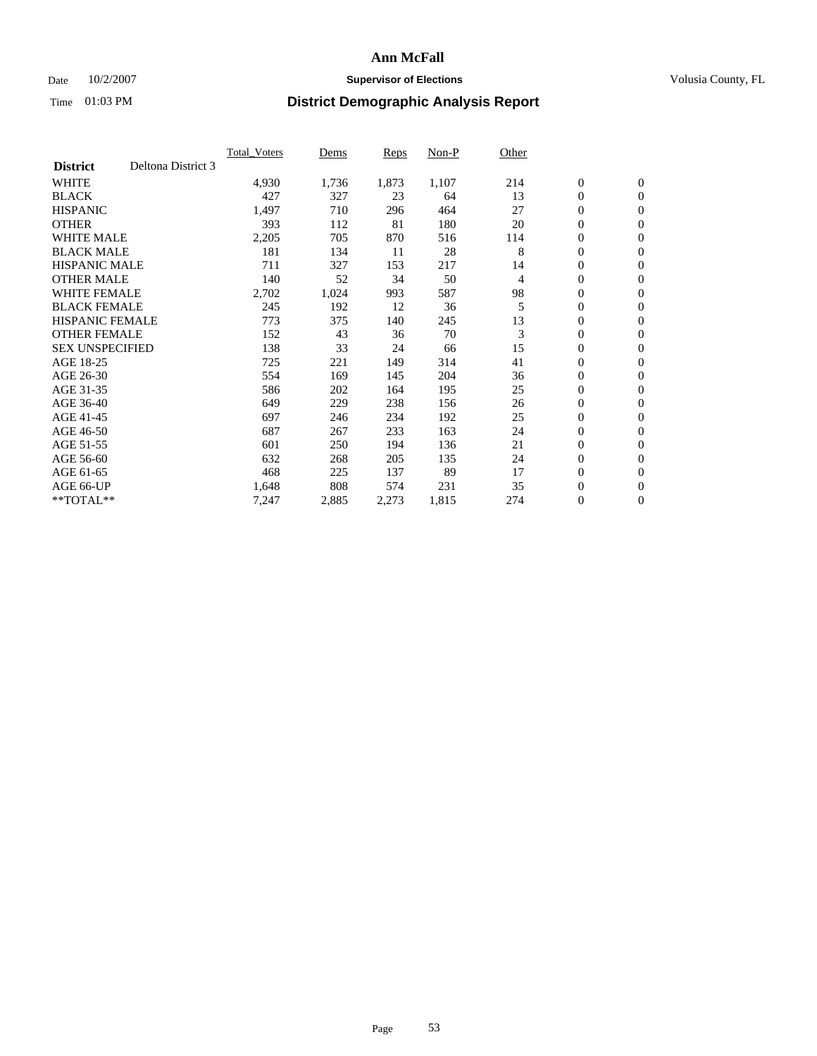#### Date  $10/2/2007$  **Supervisor of Elections** Volusia County, FL

|                        |                    | <b>Total Voters</b> | Dems  | Reps  | Non-P | Other |                  |                |  |
|------------------------|--------------------|---------------------|-------|-------|-------|-------|------------------|----------------|--|
| <b>District</b>        | Deltona District 3 |                     |       |       |       |       |                  |                |  |
| <b>WHITE</b>           |                    | 4,930               | 1,736 | 1,873 | 1,107 | 214   | $\boldsymbol{0}$ | $\mathbf{0}$   |  |
| <b>BLACK</b>           |                    | 427                 | 327   | 23    | 64    | 13    | $\mathbf{0}$     | $\mathbf{0}$   |  |
| <b>HISPANIC</b>        |                    | 1,497               | 710   | 296   | 464   | 27    | 0                | $\mathbf{0}$   |  |
| <b>OTHER</b>           |                    | 393                 | 112   | 81    | 180   | 20    | 0                | $\mathbf{0}$   |  |
| <b>WHITE MALE</b>      |                    | 2,205               | 705   | 870   | 516   | 114   | 0                | $\mathbf{0}$   |  |
| <b>BLACK MALE</b>      |                    | 181                 | 134   | 11    | 28    | 8     | $\boldsymbol{0}$ | $\mathbf{0}$   |  |
| <b>HISPANIC MALE</b>   |                    | 711                 | 327   | 153   | 217   | 14    | 0                | $\mathbf{0}$   |  |
| <b>OTHER MALE</b>      |                    | 140                 | 52    | 34    | 50    | 4     | $\mathbf{0}$     | $\mathbf{0}$   |  |
| <b>WHITE FEMALE</b>    |                    | 2,702               | 1,024 | 993   | 587   | 98    | 0                | $\mathbf{0}$   |  |
| <b>BLACK FEMALE</b>    |                    | 245                 | 192   | 12    | 36    | 5     | $\mathbf{0}$     | $\mathbf{0}$   |  |
| <b>HISPANIC FEMALE</b> |                    | 773                 | 375   | 140   | 245   | 13    | $\boldsymbol{0}$ | $\mathbf{0}$   |  |
| <b>OTHER FEMALE</b>    |                    | 152                 | 43    | 36    | 70    | 3     | 0                | $\mathbf{0}$   |  |
| <b>SEX UNSPECIFIED</b> |                    | 138                 | 33    | 24    | 66    | 15    | $\mathbf{0}$     | $\mathbf{0}$   |  |
| AGE 18-25              |                    | 725                 | 221   | 149   | 314   | 41    | 0                | $\mathbf{0}$   |  |
| AGE 26-30              |                    | 554                 | 169   | 145   | 204   | 36    | $\mathbf{0}$     | $\mathbf{0}$   |  |
| AGE 31-35              |                    | 586                 | 202   | 164   | 195   | 25    | 0                | $\mathbf{0}$   |  |
| AGE 36-40              |                    | 649                 | 229   | 238   | 156   | 26    | 0                | $\mathbf{0}$   |  |
| AGE 41-45              |                    | 697                 | 246   | 234   | 192   | 25    | 0                | $\mathbf{0}$   |  |
| AGE 46-50              |                    | 687                 | 267   | 233   | 163   | 24    | 0                | $\mathbf{0}$   |  |
| AGE 51-55              |                    | 601                 | 250   | 194   | 136   | 21    | $\boldsymbol{0}$ | $\mathbf{0}$   |  |
| AGE 56-60              |                    | 632                 | 268   | 205   | 135   | 24    | $\mathbf{0}$     | $\mathbf{0}$   |  |
| AGE 61-65              |                    | 468                 | 225   | 137   | 89    | 17    | $\mathbf{0}$     | $\mathbf{0}$   |  |
| AGE 66-UP              |                    | 1,648               | 808   | 574   | 231   | 35    | $\boldsymbol{0}$ | $\mathbf{0}$   |  |
| $*$ TOTAL $**$         |                    | 7,247               | 2,885 | 2,273 | 1,815 | 274   | 0                | $\overline{0}$ |  |
|                        |                    |                     |       |       |       |       |                  |                |  |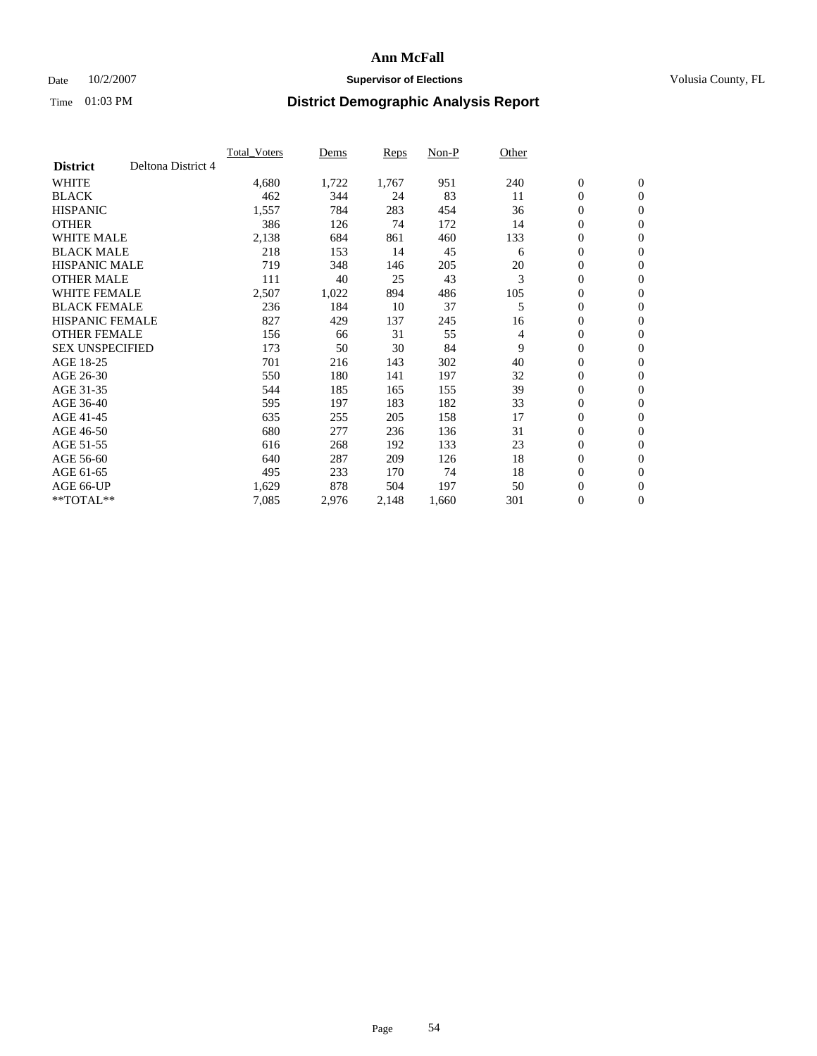### Date  $10/2/2007$  **Supervisor of Elections Supervisor of Elections** Volusia County, FL

|                        |                    | <b>Total_Voters</b> | Dems  | <b>Reps</b> | Non-P | Other |                  |                  |  |
|------------------------|--------------------|---------------------|-------|-------------|-------|-------|------------------|------------------|--|
| <b>District</b>        | Deltona District 4 |                     |       |             |       |       |                  |                  |  |
| <b>WHITE</b>           |                    | 4,680               | 1,722 | 1,767       | 951   | 240   | $\boldsymbol{0}$ | $\boldsymbol{0}$ |  |
| <b>BLACK</b>           |                    | 462                 | 344   | 24          | 83    | 11    | $\overline{0}$   | $\mathbf{0}$     |  |
| <b>HISPANIC</b>        |                    | 1,557               | 784   | 283         | 454   | 36    | $\overline{0}$   | $\mathbf{0}$     |  |
| <b>OTHER</b>           |                    | 386                 | 126   | 74          | 172   | 14    | 0                | $\mathbf{0}$     |  |
| <b>WHITE MALE</b>      |                    | 2,138               | 684   | 861         | 460   | 133   | $\overline{0}$   | $\mathbf{0}$     |  |
| <b>BLACK MALE</b>      |                    | 218                 | 153   | 14          | 45    | 6     | $\boldsymbol{0}$ | $\boldsymbol{0}$ |  |
| <b>HISPANIC MALE</b>   |                    | 719                 | 348   | 146         | 205   | 20    | 0                | $\mathbf{0}$     |  |
| <b>OTHER MALE</b>      |                    | 111                 | 40    | 25          | 43    | 3     | 0                | $\mathbf{0}$     |  |
| <b>WHITE FEMALE</b>    |                    | 2,507               | 1,022 | 894         | 486   | 105   | 0                | $\mathbf{0}$     |  |
| <b>BLACK FEMALE</b>    |                    | 236                 | 184   | 10          | 37    | 5     | $\overline{0}$   | $\mathbf{0}$     |  |
| <b>HISPANIC FEMALE</b> |                    | 827                 | 429   | 137         | 245   | 16    | 0                | $\mathbf{0}$     |  |
| <b>OTHER FEMALE</b>    |                    | 156                 | 66    | 31          | 55    | 4     | $\overline{0}$   | $\mathbf{0}$     |  |
| <b>SEX UNSPECIFIED</b> |                    | 173                 | 50    | 30          | 84    | 9     | $\boldsymbol{0}$ | $\boldsymbol{0}$ |  |
| AGE 18-25              |                    | 701                 | 216   | 143         | 302   | 40    | 0                | $\mathbf{0}$     |  |
| AGE 26-30              |                    | 550                 | 180   | 141         | 197   | 32    | $\boldsymbol{0}$ | $\mathbf{0}$     |  |
| AGE 31-35              |                    | 544                 | 185   | 165         | 155   | 39    | 0                | $\mathbf{0}$     |  |
| AGE 36-40              |                    | 595                 | 197   | 183         | 182   | 33    | $\boldsymbol{0}$ | $\mathbf{0}$     |  |
| AGE 41-45              |                    | 635                 | 255   | 205         | 158   | 17    | $\mathbf{0}$     | $\mathbf{0}$     |  |
| AGE 46-50              |                    | 680                 | 277   | 236         | 136   | 31    | $\overline{0}$   | $\mathbf{0}$     |  |
| AGE 51-55              |                    | 616                 | 268   | 192         | 133   | 23    | 0                | $\mathbf{0}$     |  |
| AGE 56-60              |                    | 640                 | 287   | 209         | 126   | 18    | $\boldsymbol{0}$ | $\mathbf{0}$     |  |
| AGE 61-65              |                    | 495                 | 233   | 170         | 74    | 18    | 0                | $\boldsymbol{0}$ |  |
| AGE 66-UP              |                    | 1,629               | 878   | 504         | 197   | 50    | 0                | $\mathbf{0}$     |  |
| $*$ TOTAL $**$         |                    | 7,085               | 2,976 | 2,148       | 1,660 | 301   | 0                | $\boldsymbol{0}$ |  |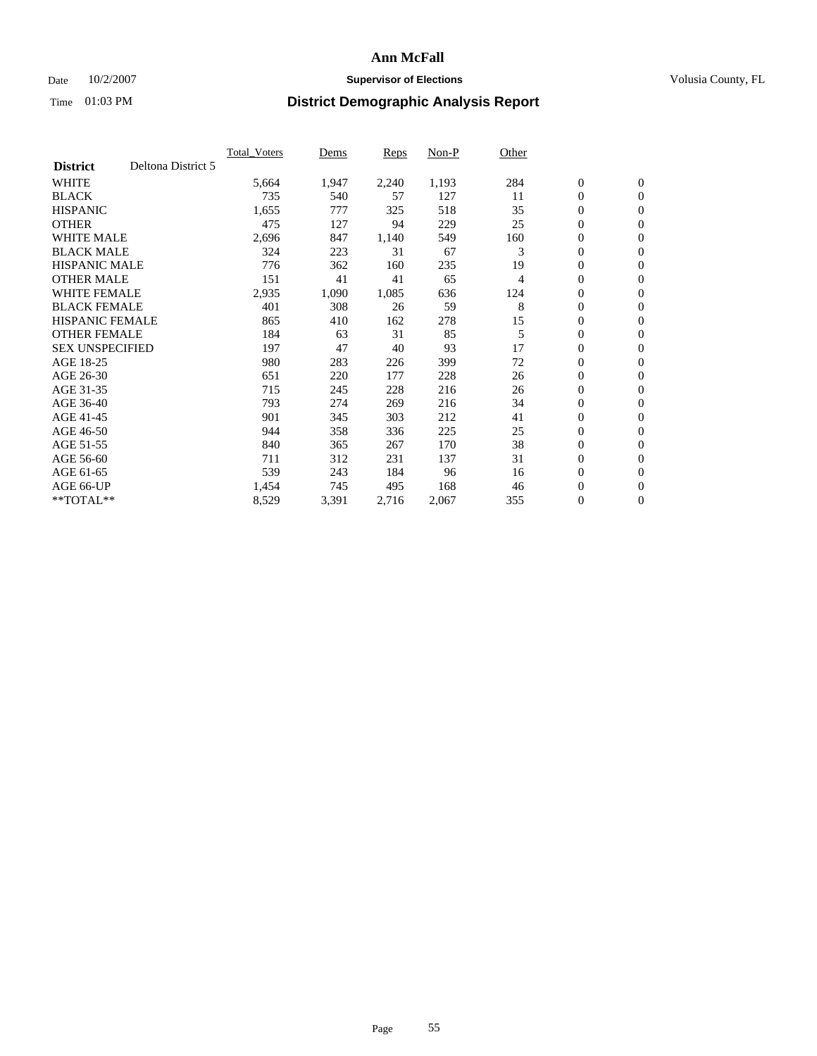### Date  $10/2/2007$  **Supervisor of Elections Supervisor of Elections** Volusia County, FL

|                        |                    | <b>Total Voters</b> | Dems  | Reps  | Non-P | Other |                  |                  |  |
|------------------------|--------------------|---------------------|-------|-------|-------|-------|------------------|------------------|--|
| <b>District</b>        | Deltona District 5 |                     |       |       |       |       |                  |                  |  |
| <b>WHITE</b>           |                    | 5,664               | 1,947 | 2,240 | 1,193 | 284   | $\boldsymbol{0}$ | $\mathbf{0}$     |  |
| <b>BLACK</b>           |                    | 735                 | 540   | 57    | 127   | 11    | $\mathbf{0}$     | $\mathbf{0}$     |  |
| <b>HISPANIC</b>        |                    | 1,655               | 777   | 325   | 518   | 35    | 0                | $\mathbf{0}$     |  |
| <b>OTHER</b>           |                    | 475                 | 127   | 94    | 229   | 25    | 0                | $\mathbf{0}$     |  |
| <b>WHITE MALE</b>      |                    | 2,696               | 847   | 1,140 | 549   | 160   | 0                | $\mathbf{0}$     |  |
| <b>BLACK MALE</b>      |                    | 324                 | 223   | 31    | 67    | 3     | 0                | $\boldsymbol{0}$ |  |
| <b>HISPANIC MALE</b>   |                    | 776                 | 362   | 160   | 235   | 19    | 0                | $\mathbf{0}$     |  |
| <b>OTHER MALE</b>      |                    | 151                 | 41    | 41    | 65    | 4     | $\mathbf{0}$     | $\mathbf{0}$     |  |
| <b>WHITE FEMALE</b>    |                    | 2,935               | 1,090 | 1,085 | 636   | 124   | 0                | $\mathbf{0}$     |  |
| <b>BLACK FEMALE</b>    |                    | 401                 | 308   | 26    | 59    | 8     | $\mathbf{0}$     | $\mathbf{0}$     |  |
| <b>HISPANIC FEMALE</b> |                    | 865                 | 410   | 162   | 278   | 15    | 0                | $\mathbf{0}$     |  |
| <b>OTHER FEMALE</b>    |                    | 184                 | 63    | 31    | 85    | 5     | 0                | $\mathbf{0}$     |  |
| <b>SEX UNSPECIFIED</b> |                    | 197                 | 47    | 40    | 93    | 17    | 0                | $\mathbf{0}$     |  |
| AGE 18-25              |                    | 980                 | 283   | 226   | 399   | 72    | 0                | $\mathbf{0}$     |  |
| AGE 26-30              |                    | 651                 | 220   | 177   | 228   | 26    | $\mathbf{0}$     | $\mathbf{0}$     |  |
| AGE 31-35              |                    | 715                 | 245   | 228   | 216   | 26    | 0                | $\mathbf{0}$     |  |
| AGE 36-40              |                    | 793                 | 274   | 269   | 216   | 34    | 0                | $\mathbf{0}$     |  |
| AGE 41-45              |                    | 901                 | 345   | 303   | 212   | 41    | $\boldsymbol{0}$ | $\mathbf{0}$     |  |
| AGE 46-50              |                    | 944                 | 358   | 336   | 225   | 25    | 0                | $\mathbf{0}$     |  |
| AGE 51-55              |                    | 840                 | 365   | 267   | 170   | 38    | $\boldsymbol{0}$ | $\mathbf{0}$     |  |
| AGE 56-60              |                    | 711                 | 312   | 231   | 137   | 31    | 0                | $\mathbf{0}$     |  |
| AGE 61-65              |                    | 539                 | 243   | 184   | 96    | 16    | $\mathbf{0}$     | $\mathbf{0}$     |  |
| AGE 66-UP              |                    | 1,454               | 745   | 495   | 168   | 46    | $\boldsymbol{0}$ | $\mathbf{0}$     |  |
| $*$ TOTAL $**$         |                    | 8,529               | 3,391 | 2,716 | 2,067 | 355   | 0                | $\mathbf{0}$     |  |
|                        |                    |                     |       |       |       |       |                  |                  |  |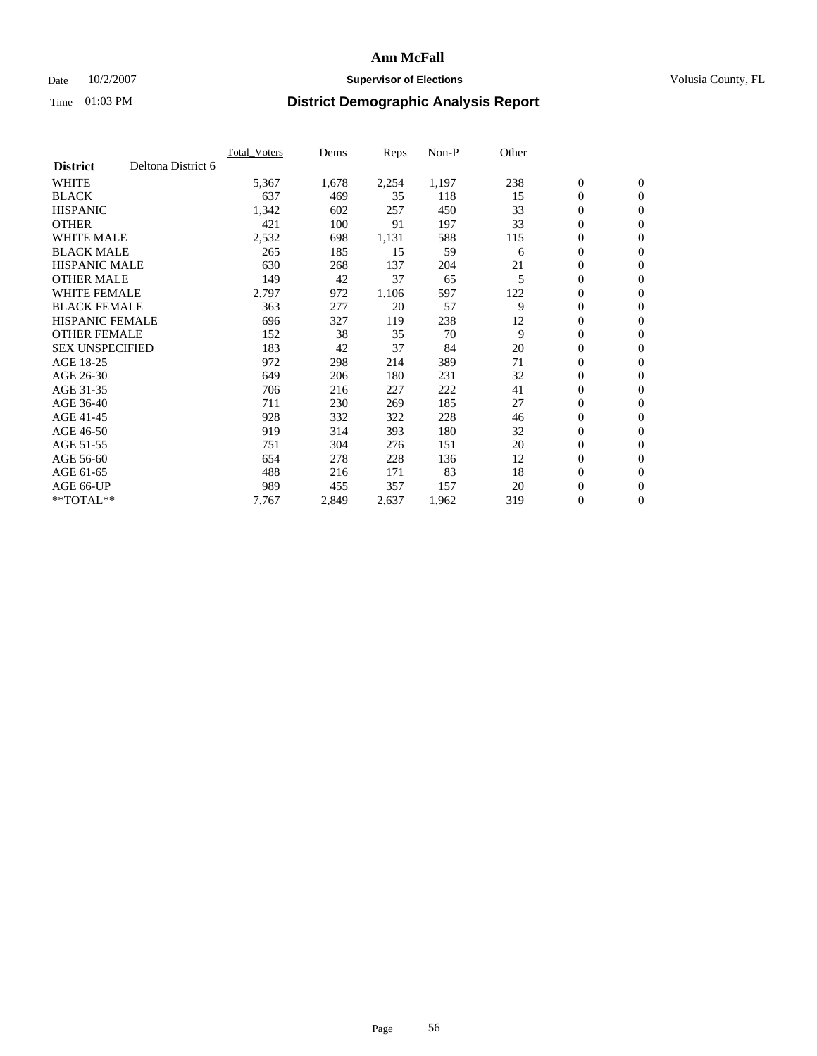#### Date  $10/2/2007$  **Supervisor of Elections** Volusia County, FL

|                        |                    | <b>Total Voters</b> | Dems  | Reps  | Non-P | Other |                  |              |  |
|------------------------|--------------------|---------------------|-------|-------|-------|-------|------------------|--------------|--|
| <b>District</b>        | Deltona District 6 |                     |       |       |       |       |                  |              |  |
| <b>WHITE</b>           |                    | 5,367               | 1,678 | 2,254 | 1,197 | 238   | $\boldsymbol{0}$ | $\mathbf{0}$ |  |
| <b>BLACK</b>           |                    | 637                 | 469   | 35    | 118   | 15    | $\mathbf{0}$     | $\mathbf{0}$ |  |
| <b>HISPANIC</b>        |                    | 1,342               | 602   | 257   | 450   | 33    | 0                | $\mathbf{0}$ |  |
| <b>OTHER</b>           |                    | 421                 | 100   | 91    | 197   | 33    | 0                | $\mathbf{0}$ |  |
| <b>WHITE MALE</b>      |                    | 2,532               | 698   | 1,131 | 588   | 115   | 0                | $\mathbf{0}$ |  |
| <b>BLACK MALE</b>      |                    | 265                 | 185   | 15    | 59    | 6     | 0                | $\mathbf{0}$ |  |
| <b>HISPANIC MALE</b>   |                    | 630                 | 268   | 137   | 204   | 21    | 0                | $\mathbf{0}$ |  |
| <b>OTHER MALE</b>      |                    | 149                 | 42    | 37    | 65    | 5     | $\mathbf{0}$     | $\mathbf{0}$ |  |
| <b>WHITE FEMALE</b>    |                    | 2,797               | 972   | 1,106 | 597   | 122   | 0                | $\mathbf{0}$ |  |
| <b>BLACK FEMALE</b>    |                    | 363                 | 277   | 20    | 57    | 9     | $\mathbf{0}$     | $\mathbf{0}$ |  |
| <b>HISPANIC FEMALE</b> |                    | 696                 | 327   | 119   | 238   | 12    | 0                | $\mathbf{0}$ |  |
| <b>OTHER FEMALE</b>    |                    | 152                 | 38    | 35    | 70    | 9     | 0                | $\mathbf{0}$ |  |
| <b>SEX UNSPECIFIED</b> |                    | 183                 | 42    | 37    | 84    | 20    | 0                | $\mathbf{0}$ |  |
| AGE 18-25              |                    | 972                 | 298   | 214   | 389   | 71    | 0                | $\mathbf{0}$ |  |
| AGE 26-30              |                    | 649                 | 206   | 180   | 231   | 32    | $\mathbf{0}$     | $\mathbf{0}$ |  |
| AGE 31-35              |                    | 706                 | 216   | 227   | 222   | 41    | 0                | $\mathbf{0}$ |  |
| AGE 36-40              |                    | 711                 | 230   | 269   | 185   | 27    | 0                | $\mathbf{0}$ |  |
| AGE 41-45              |                    | 928                 | 332   | 322   | 228   | 46    | 0                | $\mathbf{0}$ |  |
| AGE 46-50              |                    | 919                 | 314   | 393   | 180   | 32    | 0                | $\mathbf{0}$ |  |
| AGE 51-55              |                    | 751                 | 304   | 276   | 151   | 20    | $\boldsymbol{0}$ | $\mathbf{0}$ |  |
| AGE 56-60              |                    | 654                 | 278   | 228   | 136   | 12    | 0                | $\mathbf{0}$ |  |
| AGE 61-65              |                    | 488                 | 216   | 171   | 83    | 18    | $\mathbf{0}$     | $\mathbf{0}$ |  |
| AGE 66-UP              |                    | 989                 | 455   | 357   | 157   | 20    | $\boldsymbol{0}$ | $\mathbf{0}$ |  |
| $*$ TOTAL $**$         |                    | 7,767               | 2,849 | 2,637 | 1,962 | 319   | 0                | $\mathbf{0}$ |  |
|                        |                    |                     |       |       |       |       |                  |              |  |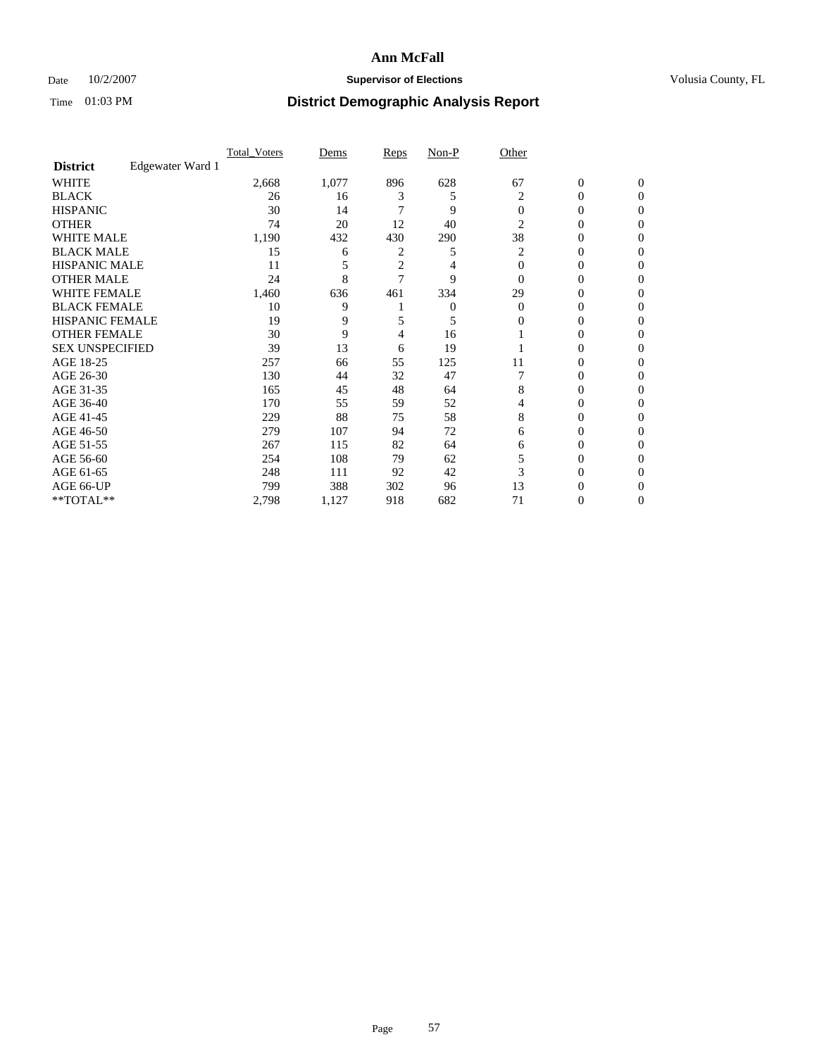### Date  $10/2/2007$  **Supervisor of Elections Supervisor of Elections** Volusia County, FL

|                        |                  | <b>Total Voters</b> | Dems  | Reps | Non-P | Other    |                  |              |  |
|------------------------|------------------|---------------------|-------|------|-------|----------|------------------|--------------|--|
| <b>District</b>        | Edgewater Ward 1 |                     |       |      |       |          |                  |              |  |
| <b>WHITE</b>           |                  | 2,668               | 1,077 | 896  | 628   | 67       | $\boldsymbol{0}$ | $\mathbf{0}$ |  |
| <b>BLACK</b>           |                  | 26                  | 16    | 3    | 5     | 2        | 0                | $\mathbf{0}$ |  |
| <b>HISPANIC</b>        |                  | 30                  | 14    |      | 9     | $\Omega$ | 0                | $\Omega$     |  |
| <b>OTHER</b>           |                  | 74                  | 20    | 12   | 40    | 2        | $\overline{0}$   | $\theta$     |  |
| <b>WHITE MALE</b>      |                  | 1,190               | 432   | 430  | 290   | 38       | 0                | 0            |  |
| <b>BLACK MALE</b>      |                  | 15                  | 6     | 2    | 5     | 2        | 0                | 0            |  |
| <b>HISPANIC MALE</b>   |                  | 11                  |       | 2    |       | $\Omega$ | 0                |              |  |
| <b>OTHER MALE</b>      |                  | 24                  | 8     |      | 9     | $\Omega$ | 0                | 0            |  |
| <b>WHITE FEMALE</b>    |                  | 1,460               | 636   | 461  | 334   | 29       | 0                | 0            |  |
| <b>BLACK FEMALE</b>    |                  | 10                  | 9     |      | 0     | $\Omega$ | 0                | 0            |  |
| <b>HISPANIC FEMALE</b> |                  | 19                  | 9     |      | 5     | 0        | 0                | $\Omega$     |  |
| <b>OTHER FEMALE</b>    |                  | 30                  | 9     | 4    | 16    |          | 0                | $\theta$     |  |
| <b>SEX UNSPECIFIED</b> |                  | 39                  | 13    | 6    | 19    |          | 0                | $\theta$     |  |
| AGE 18-25              |                  | 257                 | 66    | 55   | 125   | 11       | 0                | $_{0}$       |  |
| AGE 26-30              |                  | 130                 | 44    | 32   | 47    |          | 0                | 0            |  |
| AGE 31-35              |                  | 165                 | 45    | 48   | 64    | 8        | 0                |              |  |
| AGE 36-40              |                  | 170                 | 55    | 59   | 52    | 4        | 0                | 0            |  |
| AGE 41-45              |                  | 229                 | 88    | 75   | 58    | 8        | 0                | 0            |  |
| AGE 46-50              |                  | 279                 | 107   | 94   | 72    | 6        | 0                | $\Omega$     |  |
| AGE 51-55              |                  | 267                 | 115   | 82   | 64    | 6        | 0                | $\theta$     |  |
| AGE 56-60              |                  | 254                 | 108   | 79   | 62    | 5        | 0                | $\theta$     |  |
| AGE 61-65              |                  | 248                 | 111   | 92   | 42    | 3        | 0                | 0            |  |
| AGE 66-UP              |                  | 799                 | 388   | 302  | 96    | 13       | 0                |              |  |
| **TOTAL**              |                  | 2,798               | 1,127 | 918  | 682   | 71       | 0                | 0            |  |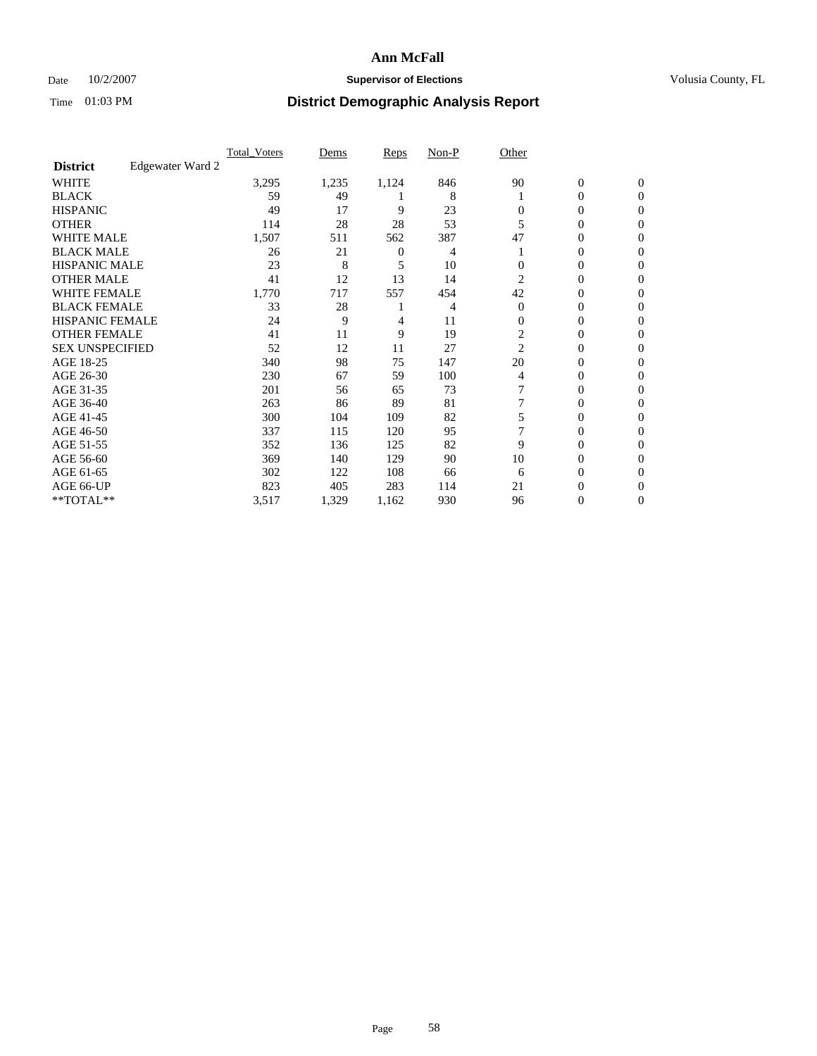### Date  $10/2/2007$  **Supervisor of Elections Supervisor of Elections** Volusia County, FL

|                        |                  | <b>Total_Voters</b> | Dems  | <b>Reps</b>  | Non-P | Other          |                  |                |  |
|------------------------|------------------|---------------------|-------|--------------|-------|----------------|------------------|----------------|--|
| <b>District</b>        | Edgewater Ward 2 |                     |       |              |       |                |                  |                |  |
| <b>WHITE</b>           |                  | 3,295               | 1,235 | 1,124        | 846   | 90             | $\boldsymbol{0}$ | $\mathbf{0}$   |  |
| <b>BLACK</b>           |                  | 59                  | 49    |              | 8     |                | 0                | $\mathbf{0}$   |  |
| <b>HISPANIC</b>        |                  | 49                  | 17    | 9            | 23    | 0              | 0                | $\Omega$       |  |
| <b>OTHER</b>           |                  | 114                 | 28    | 28           | 53    |                | $\overline{0}$   | $\Omega$       |  |
| <b>WHITE MALE</b>      |                  | 1,507               | 511   | 562          | 387   | 47             | 0                | $\Omega$       |  |
| <b>BLACK MALE</b>      |                  | 26                  | 21    | $\mathbf{0}$ | 4     |                | 0                | 0              |  |
| <b>HISPANIC MALE</b>   |                  | 23                  | 8     | 5            | 10    |                | 0                | 0              |  |
| <b>OTHER MALE</b>      |                  | 41                  | 12    | 13           | 14    | 2              | $\overline{0}$   | 0              |  |
| WHITE FEMALE           |                  | 1,770               | 717   | 557          | 454   | 42             | 0                | 0              |  |
| <b>BLACK FEMALE</b>    |                  | 33                  | 28    |              | 4     | $\Omega$       | $\overline{0}$   | $\mathbf{0}$   |  |
| <b>HISPANIC FEMALE</b> |                  | 24                  | 9     | 4            | 11    | 0              | 0                | $\Omega$       |  |
| <b>OTHER FEMALE</b>    |                  | 41                  | 11    | 9            | 19    | $\mathfrak{2}$ | 0                | $\Omega$       |  |
| <b>SEX UNSPECIFIED</b> |                  | 52                  | 12    | 11           | 27    | 2              | $\overline{0}$   | $\Omega$       |  |
| AGE 18-25              |                  | 340                 | 98    | 75           | 147   | 20             | 0                | 0              |  |
| AGE 26-30              |                  | 230                 | 67    | 59           | 100   | 4              | 0                | $\Omega$       |  |
| AGE 31-35              |                  | 201                 | 56    | 65           | 73    |                | 0                | 0              |  |
| AGE 36-40              |                  | 263                 | 86    | 89           | 81    |                | 0                | 0              |  |
| AGE 41-45              |                  | 300                 | 104   | 109          | 82    |                | 0                | 0              |  |
| AGE 46-50              |                  | 337                 | 115   | 120          | 95    |                | 0                | $\Omega$       |  |
| AGE 51-55              |                  | 352                 | 136   | 125          | 82    | 9              | 0                | $\Omega$       |  |
| AGE 56-60              |                  | 369                 | 140   | 129          | 90    | 10             | 0                | $\Omega$       |  |
| AGE 61-65              |                  | 302                 | 122   | 108          | 66    | 6              | 0                | 0              |  |
| AGE 66-UP              |                  | 823                 | 405   | 283          | 114   | 21             | 0                | $\theta$       |  |
| **TOTAL**              |                  | 3,517               | 1,329 | 1,162        | 930   | 96             | 0                | $\overline{0}$ |  |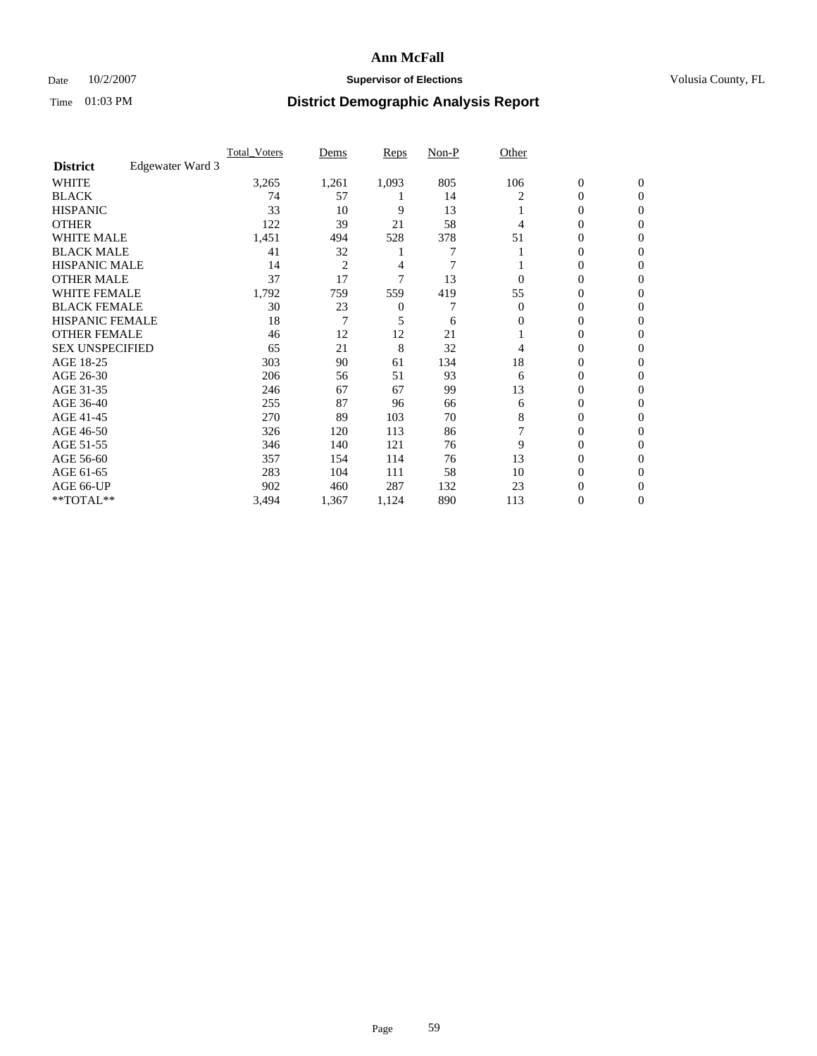### Date  $10/2/2007$  **Supervisor of Elections Supervisor of Elections** Volusia County, FL

|                        |                  | <b>Total Voters</b> | Dems           | Reps  | Non-P | Other    |                  |                  |  |
|------------------------|------------------|---------------------|----------------|-------|-------|----------|------------------|------------------|--|
| <b>District</b>        | Edgewater Ward 3 |                     |                |       |       |          |                  |                  |  |
| <b>WHITE</b>           |                  | 3,265               | 1,261          | 1,093 | 805   | 106      | $\boldsymbol{0}$ | $\mathbf{0}$     |  |
| <b>BLACK</b>           |                  | 74                  | 57             |       | 14    | 2        | 0                | $\mathbf{0}$     |  |
| <b>HISPANIC</b>        |                  | 33                  | 10             | 9     | 13    |          | 0                | $\mathbf{0}$     |  |
| <b>OTHER</b>           |                  | 122                 | 39             | 21    | 58    | 4        | $\overline{0}$   | $\boldsymbol{0}$ |  |
| <b>WHITE MALE</b>      |                  | 1,451               | 494            | 528   | 378   | 51       | 0                | $\theta$         |  |
| <b>BLACK MALE</b>      |                  | 41                  | 32             |       | 7     |          | 0                | $\Omega$         |  |
| <b>HISPANIC MALE</b>   |                  | 14                  | $\overline{2}$ | 4     | 7     |          | 0                | 0                |  |
| <b>OTHER MALE</b>      |                  | 37                  | 17             | 7     | 13    | 0        | 0                | 0                |  |
| <b>WHITE FEMALE</b>    |                  | 1,792               | 759            | 559   | 419   | 55       | 0                | 0                |  |
| <b>BLACK FEMALE</b>    |                  | 30                  | 23             | 0     |       | $\Omega$ | 0                | $\mathbf{0}$     |  |
| <b>HISPANIC FEMALE</b> |                  | 18                  | 7              | 5     | 6     | 0        | 0                | $\Omega$         |  |
| <b>OTHER FEMALE</b>    |                  | 46                  | 12             | 12    | 21    |          | 0                | $\boldsymbol{0}$ |  |
| <b>SEX UNSPECIFIED</b> |                  | 65                  | 21             | 8     | 32    | 4        | 0                | $\Omega$         |  |
| AGE 18-25              |                  | 303                 | 90             | 61    | 134   | 18       | 0                | 0                |  |
| AGE 26-30              |                  | 206                 | 56             | 51    | 93    | 6        | 0                | $\Omega$         |  |
| AGE 31-35              |                  | 246                 | 67             | 67    | 99    | 13       | 0                | 0                |  |
| AGE 36-40              |                  | 255                 | 87             | 96    | 66    | 6        | 0                | $\mathbf{0}$     |  |
| AGE 41-45              |                  | 270                 | 89             | 103   | 70    | 8        | 0                | 0                |  |
| AGE 46-50              |                  | 326                 | 120            | 113   | 86    |          | 0                | $\mathbf{0}$     |  |
| AGE 51-55              |                  | 346                 | 140            | 121   | 76    | 9        | 0                | $\Omega$         |  |
| AGE 56-60              |                  | 357                 | 154            | 114   | 76    | 13       | 0                | $\theta$         |  |
| AGE 61-65              |                  | 283                 | 104            | 111   | 58    | 10       | 0                | 0                |  |
| AGE 66-UP              |                  | 902                 | 460            | 287   | 132   | 23       | 0                | $_{0}$           |  |
| **TOTAL**              |                  | 3,494               | 1,367          | 1,124 | 890   | 113      | 0                | $\mathbf{0}$     |  |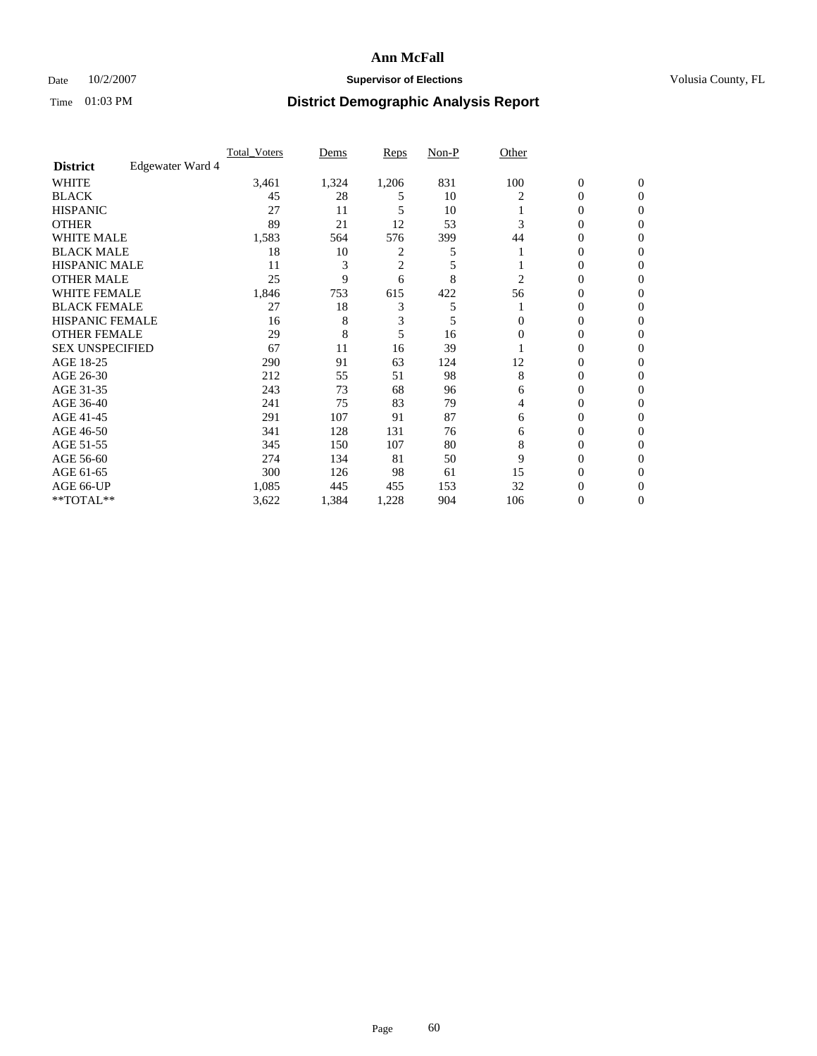### Date  $10/2/2007$  **Supervisor of Elections Supervisor of Elections** Volusia County, FL

|                        |                  | <b>Total Voters</b> | Dems  | Reps           | Non-P | Other    |                  |              |  |
|------------------------|------------------|---------------------|-------|----------------|-------|----------|------------------|--------------|--|
| <b>District</b>        | Edgewater Ward 4 |                     |       |                |       |          |                  |              |  |
| <b>WHITE</b>           |                  | 3,461               | 1,324 | 1,206          | 831   | 100      | $\boldsymbol{0}$ | $\mathbf{0}$ |  |
| <b>BLACK</b>           |                  | 45                  | 28    | 5              | 10    | 2        | 0                | $\mathbf{0}$ |  |
| <b>HISPANIC</b>        |                  | 27                  | 11    | 5              | 10    |          | 0                | $\mathbf{0}$ |  |
| <b>OTHER</b>           |                  | 89                  | 21    | 12             | 53    |          | $\overline{0}$   | $\theta$     |  |
| <b>WHITE MALE</b>      |                  | 1,583               | 564   | 576            | 399   | 44       | 0                | $\theta$     |  |
| <b>BLACK MALE</b>      |                  | 18                  | 10    | 2              | 5     |          | 0                | 0            |  |
| <b>HISPANIC MALE</b>   |                  | 11                  | 3     | $\overline{c}$ | 5     |          | 0                | 0            |  |
| <b>OTHER MALE</b>      |                  | 25                  | 9     | 6              | 8     | 2        | 0                | 0            |  |
| <b>WHITE FEMALE</b>    |                  | 1,846               | 753   | 615            | 422   | 56       | 0                | 0            |  |
| <b>BLACK FEMALE</b>    |                  | 27                  | 18    | 3              | 5     |          | 0                | 0            |  |
| <b>HISPANIC FEMALE</b> |                  | 16                  | 8     | 3              | 5     | 0        | 0                | $\Omega$     |  |
| <b>OTHER FEMALE</b>    |                  | 29                  | 8     | 5              | 16    | $\Omega$ | 0                | $\theta$     |  |
| <b>SEX UNSPECIFIED</b> |                  | 67                  | 11    | 16             | 39    |          | 0                | $\theta$     |  |
| AGE 18-25              |                  | 290                 | 91    | 63             | 124   | 12       | 0                | 0            |  |
| AGE 26-30              |                  | 212                 | 55    | 51             | 98    | 8        | 0                | 0            |  |
| AGE 31-35              |                  | 243                 | 73    | 68             | 96    | 6        | 0                | 0            |  |
| AGE 36-40              |                  | 241                 | 75    | 83             | 79    | 4        | 0                | 0            |  |
| AGE 41-45              |                  | 291                 | 107   | 91             | 87    | 6        | 0                | 0            |  |
| AGE 46-50              |                  | 341                 | 128   | 131            | 76    | 6        | 0                | $\mathbf{0}$ |  |
| AGE 51-55              |                  | 345                 | 150   | 107            | 80    | 8        | 0                | $\Omega$     |  |
| AGE 56-60              |                  | 274                 | 134   | 81             | 50    | 9        | 0                | $\theta$     |  |
| AGE 61-65              |                  | 300                 | 126   | 98             | 61    | 15       | 0                | 0            |  |
| AGE 66-UP              |                  | 1,085               | 445   | 455            | 153   | 32       | 0                |              |  |
| **TOTAL**              |                  | 3,622               | 1,384 | 1,228          | 904   | 106      | 0                | $\mathbf{0}$ |  |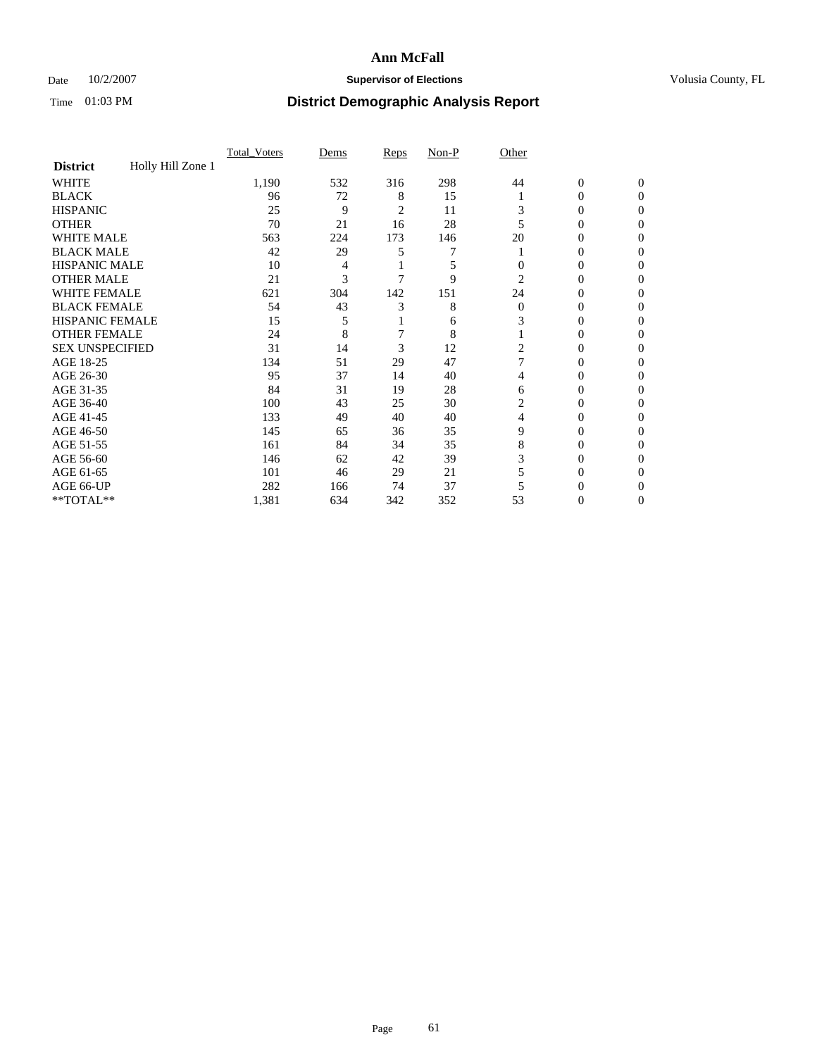### Date  $10/2/2007$  **Supervisor of Elections Supervisor of Elections** Volusia County, FL

|                        |                   | <b>Total Voters</b> | Dems | Reps | Non-P | Other    |                  |              |  |
|------------------------|-------------------|---------------------|------|------|-------|----------|------------------|--------------|--|
| <b>District</b>        | Holly Hill Zone 1 |                     |      |      |       |          |                  |              |  |
| <b>WHITE</b>           |                   | 1,190               | 532  | 316  | 298   | 44       | $\boldsymbol{0}$ | $\mathbf{0}$ |  |
| <b>BLACK</b>           |                   | 96                  | 72   | 8    | 15    |          | 0                | $\mathbf{0}$ |  |
| <b>HISPANIC</b>        |                   | 25                  | 9    | 2    | 11    | 3        | 0                | $\Omega$     |  |
| <b>OTHER</b>           |                   | 70                  | 21   | 16   | 28    |          | $\overline{0}$   | $\theta$     |  |
| <b>WHITE MALE</b>      |                   | 563                 | 224  | 173  | 146   | 20       | 0                | 0            |  |
| <b>BLACK MALE</b>      |                   | 42                  | 29   | 5    |       |          | 0                | 0            |  |
| <b>HISPANIC MALE</b>   |                   | 10                  | 4    |      | 5     | $\theta$ | 0                |              |  |
| <b>OTHER MALE</b>      |                   | 21                  | 3    |      | 9     | 2        | 0                | 0            |  |
| <b>WHITE FEMALE</b>    |                   | 621                 | 304  | 142  | 151   | 24       | 0                | 0            |  |
| <b>BLACK FEMALE</b>    |                   | 54                  | 43   | 3    | 8     | $\Omega$ | 0                | 0            |  |
| <b>HISPANIC FEMALE</b> |                   | 15                  | 5    |      | 6     | 3        | 0                | $\Omega$     |  |
| <b>OTHER FEMALE</b>    |                   | 24                  | 8    |      | 8     |          | 0                | $\theta$     |  |
| <b>SEX UNSPECIFIED</b> |                   | 31                  | 14   | 3    | 12    | 2        | 0                | $\theta$     |  |
| AGE 18-25              |                   | 134                 | 51   | 29   | 47    |          | 0                | $_{0}$       |  |
| AGE 26-30              |                   | 95                  | 37   | 14   | 40    | 4        | 0                | 0            |  |
| AGE 31-35              |                   | 84                  | 31   | 19   | 28    | 6        | 0                |              |  |
| AGE 36-40              |                   | 100                 | 43   | 25   | 30    | 2        | 0                | 0            |  |
| AGE 41-45              |                   | 133                 | 49   | 40   | 40    | 4        | 0                | 0            |  |
| AGE 46-50              |                   | 145                 | 65   | 36   | 35    | 9        | 0                | $\Omega$     |  |
| AGE 51-55              |                   | 161                 | 84   | 34   | 35    | 8        | 0                | $\theta$     |  |
| AGE 56-60              |                   | 146                 | 62   | 42   | 39    | 3        | 0                | $\theta$     |  |
| AGE 61-65              |                   | 101                 | 46   | 29   | 21    |          | 0                | 0            |  |
| AGE 66-UP              |                   | 282                 | 166  | 74   | 37    |          | 0                |              |  |
| **TOTAL**              |                   | 1,381               | 634  | 342  | 352   | 53       | 0                | 0            |  |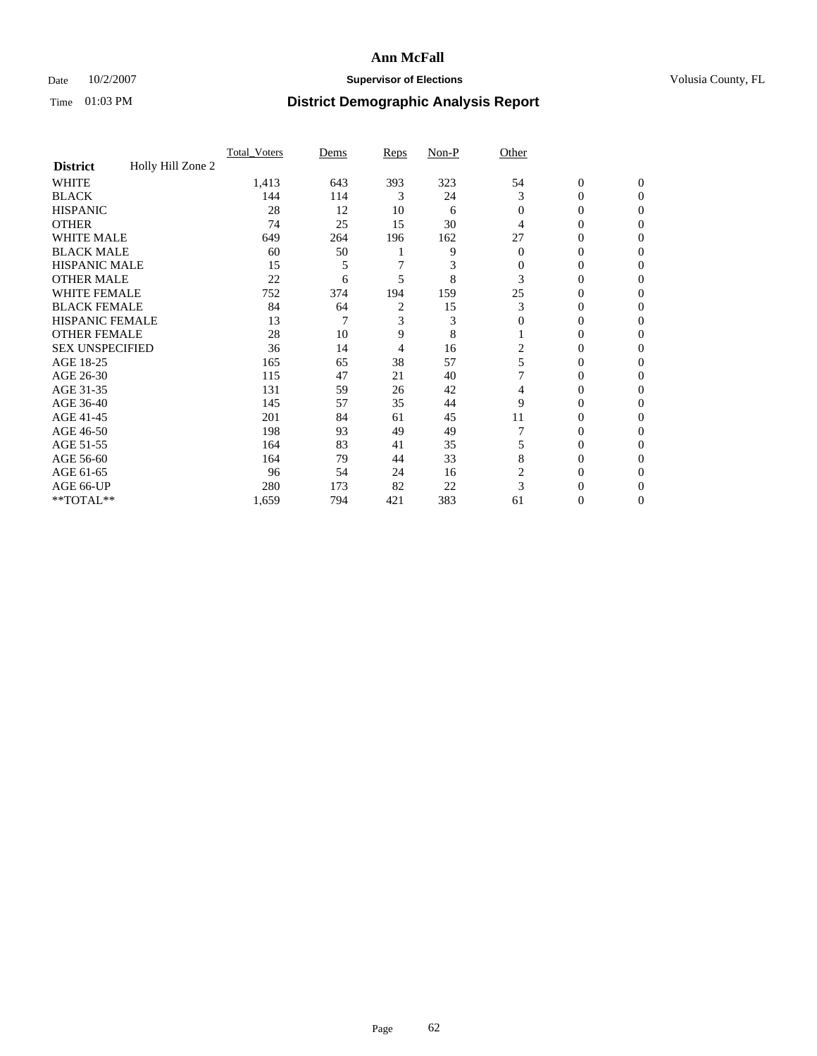### Date  $10/2/2007$  **Supervisor of Elections Supervisor of Elections** Volusia County, FL

|                        |                   | Total Voters | Dems | Reps | Non-P | Other          |                  |                  |
|------------------------|-------------------|--------------|------|------|-------|----------------|------------------|------------------|
| <b>District</b>        | Holly Hill Zone 2 |              |      |      |       |                |                  |                  |
| <b>WHITE</b>           |                   | 1,413        | 643  | 393  | 323   | 54             | $\boldsymbol{0}$ | $\mathbf{0}$     |
| <b>BLACK</b>           |                   | 144          | 114  | 3    | 24    | 3              | 0                | $\Omega$         |
| <b>HISPANIC</b>        |                   | 28           | 12   | 10   | 6     | $\overline{0}$ | 0                | $\mathbf{0}$     |
| <b>OTHER</b>           |                   | 74           | 25   | 15   | 30    | 4              | $\overline{0}$   | $\theta$         |
| WHITE MALE             |                   | 649          | 264  | 196  | 162   | 27             | 0                | $\Omega$         |
| <b>BLACK MALE</b>      |                   | 60           | 50   |      | 9     | $\theta$       | 0                | 0                |
| <b>HISPANIC MALE</b>   |                   | 15           | 5    |      | 3     | $\Omega$       | 0                | 0                |
| <b>OTHER MALE</b>      |                   | 22           | 6    | 5    | 8     | 3              | 0                | $\Omega$         |
| <b>WHITE FEMALE</b>    |                   | 752          | 374  | 194  | 159   | 25             | 0                | $\Omega$         |
| <b>BLACK FEMALE</b>    |                   | 84           | 64   | 2    | 15    | 3              | $\overline{0}$   | $\overline{0}$   |
| <b>HISPANIC FEMALE</b> |                   | 13           | 7    | 3    | 3     | $\mathbf{0}$   | $\overline{0}$   | 0                |
| <b>OTHER FEMALE</b>    |                   | 28           | 10   | 9    | 8     |                | 0                | 0                |
| <b>SEX UNSPECIFIED</b> |                   | 36           | 14   | 4    | 16    | 2              | 0                | 0                |
| AGE 18-25              |                   | 165          | 65   | 38   | 57    | 5              | 0                | $\mathbf{0}$     |
| AGE 26-30              |                   | 115          | 47   | 21   | 40    |                | 0                | $\Omega$         |
| AGE 31-35              |                   | 131          | 59   | 26   | 42    | 4              | 0                | $\boldsymbol{0}$ |
| AGE 36-40              |                   | 145          | 57   | 35   | 44    | 9              | 0                | $\mathbf{0}$     |
| AGE 41-45              |                   | 201          | 84   | 61   | 45    | 11             | 0                | $\Omega$         |
| AGE 46-50              |                   | 198          | 93   | 49   | 49    |                | 0                | $\mathbf{0}$     |
| AGE 51-55              |                   | 164          | 83   | 41   | 35    | 5              | 0                | $\Omega$         |
| AGE 56-60              |                   | 164          | 79   | 44   | 33    | 8              | 0                | $\mathbf{0}$     |
| AGE 61-65              |                   | 96           | 54   | 24   | 16    | 2              | $\overline{0}$   | $\boldsymbol{0}$ |
| AGE 66-UP              |                   | 280          | 173  | 82   | 22    | 3              | 0                | 0                |
| **TOTAL**              |                   | 1,659        | 794  | 421  | 383   | 61             | 0                | $\mathbf{0}$     |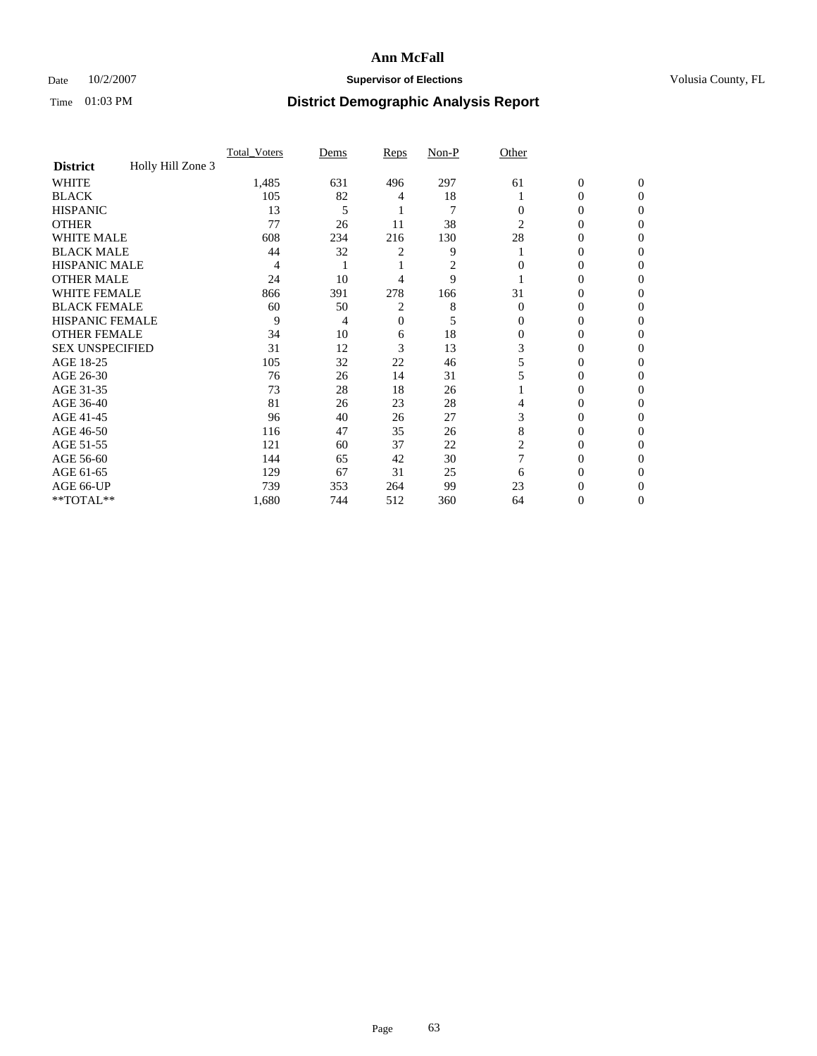### Date  $10/2/2007$  **Supervisor of Elections Supervisor of Elections** Volusia County, FL

|                        |                   | <b>Total Voters</b> | Dems | Reps | Non-P          | Other    |                  |              |  |
|------------------------|-------------------|---------------------|------|------|----------------|----------|------------------|--------------|--|
| <b>District</b>        | Holly Hill Zone 3 |                     |      |      |                |          |                  |              |  |
| <b>WHITE</b>           |                   | 1,485               | 631  | 496  | 297            | 61       | $\boldsymbol{0}$ | $\mathbf{0}$ |  |
| <b>BLACK</b>           |                   | 105                 | 82   | 4    | 18             |          | 0                | $\mathbf{0}$ |  |
| <b>HISPANIC</b>        |                   | 13                  | 5    |      | $\overline{7}$ | 0        | 0                | $\Omega$     |  |
| <b>OTHER</b>           |                   | 77                  | 26   | 11   | 38             | 2        | 0                | $\theta$     |  |
| <b>WHITE MALE</b>      |                   | 608                 | 234  | 216  | 130            | 28       | 0                | 0            |  |
| <b>BLACK MALE</b>      |                   | 44                  | 32   | 2    | 9              |          | 0                | 0            |  |
| <b>HISPANIC MALE</b>   |                   | 4                   |      |      | 2              |          | 0                |              |  |
| <b>OTHER MALE</b>      |                   | 24                  | 10   | 4    | 9              |          | 0                | 0            |  |
| <b>WHITE FEMALE</b>    |                   | 866                 | 391  | 278  | 166            | 31       | 0                | 0            |  |
| <b>BLACK FEMALE</b>    |                   | 60                  | 50   | 2    | 8              | $\Omega$ | 0                | 0            |  |
| <b>HISPANIC FEMALE</b> |                   | 9                   | 4    | 0    | 5              | 0        | 0                | $\Omega$     |  |
| <b>OTHER FEMALE</b>    |                   | 34                  | 10   | 6    | 18             | $\Omega$ | 0                | 0            |  |
| <b>SEX UNSPECIFIED</b> |                   | 31                  | 12   | 3    | 13             | 3        | 0                | 0            |  |
| AGE 18-25              |                   | 105                 | 32   | 22   | 46             | 5        | 0                |              |  |
| AGE 26-30              |                   | 76                  | 26   | 14   | 31             |          | 0                | 0            |  |
| AGE 31-35              |                   | 73                  | 28   | 18   | 26             |          | 0                |              |  |
| AGE 36-40              |                   | 81                  | 26   | 23   | 28             | 4        | 0                | 0            |  |
| AGE 41-45              |                   | 96                  | 40   | 26   | 27             | 3        | 0                | 0            |  |
| AGE 46-50              |                   | 116                 | 47   | 35   | 26             | 8        | 0                | 0            |  |
| AGE 51-55              |                   | 121                 | 60   | 37   | 22             | 2        | 0                | $\theta$     |  |
| AGE 56-60              |                   | 144                 | 65   | 42   | 30             |          | 0                | 0            |  |
| AGE 61-65              |                   | 129                 | 67   | 31   | 25             | 6        | 0                | 0            |  |
| AGE 66-UP              |                   | 739                 | 353  | 264  | 99             | 23       | 0                |              |  |
| **TOTAL**              |                   | 1,680               | 744  | 512  | 360            | 64       | 0                | 0            |  |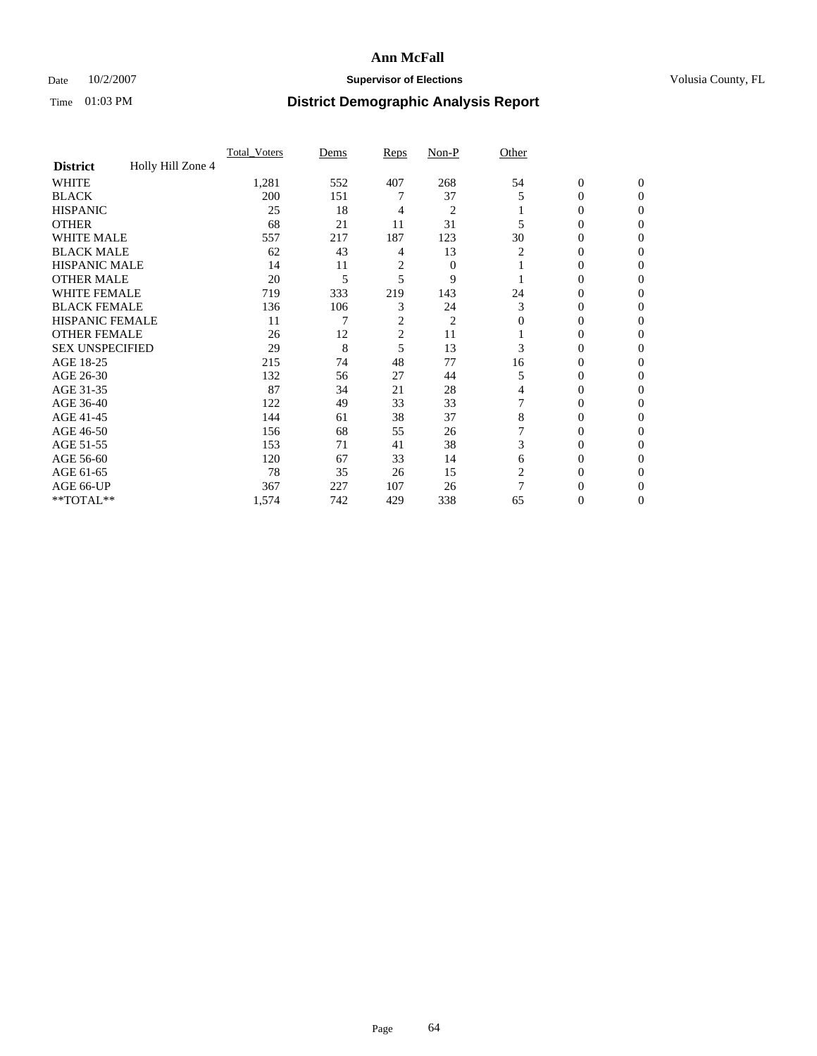### Date  $10/2/2007$  **Supervisor of Elections Supervisor of Elections** Volusia County, FL

|                        |                   | Total Voters | Dems | <b>Reps</b>    | Non-P          | Other |                  |              |  |
|------------------------|-------------------|--------------|------|----------------|----------------|-------|------------------|--------------|--|
| <b>District</b>        | Holly Hill Zone 4 |              |      |                |                |       |                  |              |  |
| <b>WHITE</b>           |                   | 1,281        | 552  | 407            | 268            | 54    | $\boldsymbol{0}$ | $\mathbf{0}$ |  |
| <b>BLACK</b>           |                   | 200          | 151  |                | 37             | 5     | 0                | $\mathbf{0}$ |  |
| <b>HISPANIC</b>        |                   | 25           | 18   | 4              | $\overline{2}$ |       | 0                | $\Omega$     |  |
| <b>OTHER</b>           |                   | 68           | 21   | 11             | 31             |       | $\overline{0}$   | $\Omega$     |  |
| <b>WHITE MALE</b>      |                   | 557          | 217  | 187            | 123            | 30    | 0                | 0            |  |
| <b>BLACK MALE</b>      |                   | 62           | 43   | 4              | 13             | 2     | 0                | 0            |  |
| <b>HISPANIC MALE</b>   |                   | 14           | 11   | 2              | $\mathbf{0}$   |       | 0                | 0            |  |
| <b>OTHER MALE</b>      |                   | 20           | 5    | 5              | 9              |       | $\overline{0}$   | 0            |  |
| WHITE FEMALE           |                   | 719          | 333  | 219            | 143            | 24    | 0                | 0            |  |
| <b>BLACK FEMALE</b>    |                   | 136          | 106  | 3              | 24             | 3     | 0                | 0            |  |
| <b>HISPANIC FEMALE</b> |                   | 11           |      | 2              | $\overline{c}$ | 0     | 0                | $\Omega$     |  |
| <b>OTHER FEMALE</b>    |                   | 26           | 12   | $\overline{2}$ | 11             |       | 0                | $\Omega$     |  |
| <b>SEX UNSPECIFIED</b> |                   | 29           | 8    | 5              | 13             | 3     | 0                | $\Omega$     |  |
| AGE 18-25              |                   | 215          | 74   | 48             | 77             | 16    | 0                | $_{0}$       |  |
| AGE 26-30              |                   | 132          | 56   | 27             | 44             | 5     | 0                | 0            |  |
| AGE 31-35              |                   | 87           | 34   | 21             | 28             | 4     | 0                | 0            |  |
| AGE 36-40              |                   | 122          | 49   | 33             | 33             |       | 0                | 0            |  |
| AGE 41-45              |                   | 144          | 61   | 38             | 37             | 8     | 0                | 0            |  |
| AGE 46-50              |                   | 156          | 68   | 55             | 26             |       | 0                | $\Omega$     |  |
| AGE 51-55              |                   | 153          | 71   | 41             | 38             | 3     | 0                | $\Omega$     |  |
| AGE 56-60              |                   | 120          | 67   | 33             | 14             | 6     | 0                | $\Omega$     |  |
| AGE 61-65              |                   | 78           | 35   | 26             | 15             | 2     | 0                | 0            |  |
| AGE 66-UP              |                   | 367          | 227  | 107            | 26             | 7     |                  |              |  |
| **TOTAL**              |                   | 1,574        | 742  | 429            | 338            | 65    | 0                | 0            |  |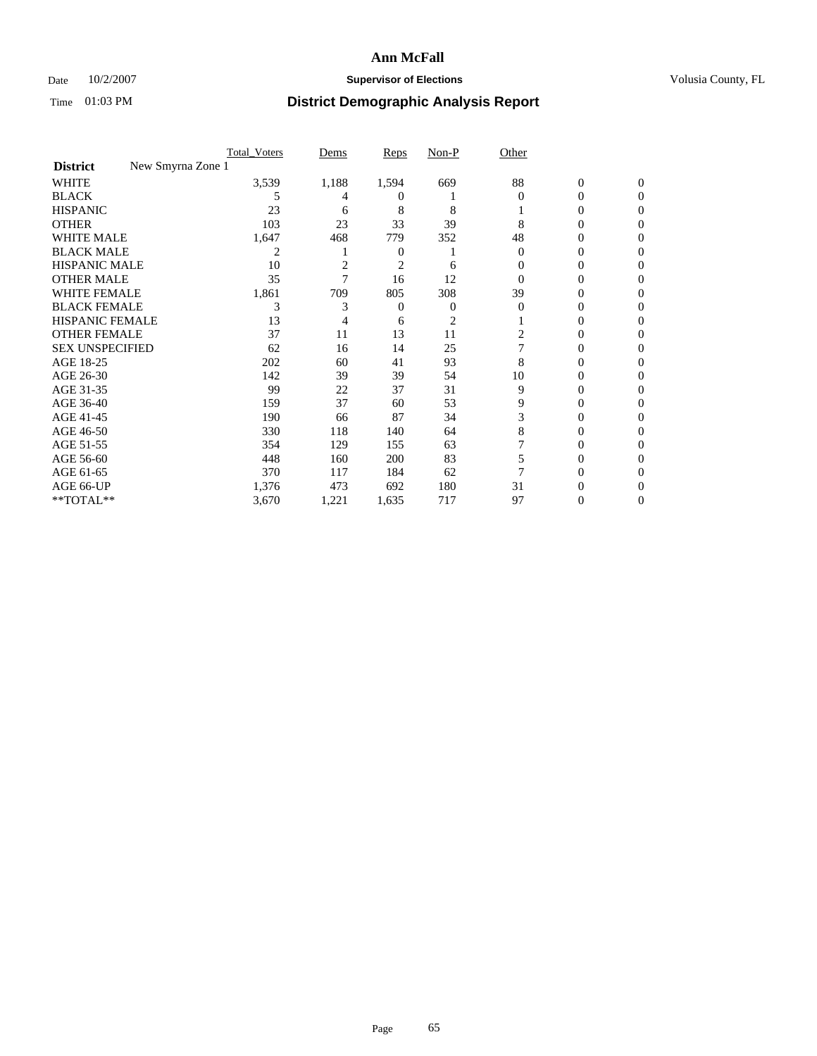### Date  $10/2/2007$  **Supervisor of Elections Supervisor of Elections** Volusia County, FL

|                                      | Total Voters | Dems           | <b>Reps</b>    | Non-P | Other    |                |              |  |
|--------------------------------------|--------------|----------------|----------------|-------|----------|----------------|--------------|--|
| New Smyrna Zone 1<br><b>District</b> |              |                |                |       |          |                |              |  |
| <b>WHITE</b>                         | 3,539        | 1,188          | 1,594          | 669   | 88       | $\overline{0}$ | $\mathbf{0}$ |  |
| <b>BLACK</b>                         | 5            | 4              | $^{(1)}$       |       | $\Omega$ | 0              | $\Omega$     |  |
| <b>HISPANIC</b>                      | 23           | 6              | 8              | 8     |          | 0              | $\Omega$     |  |
| <b>OTHER</b>                         | 103          | 23             | 33             | 39    | 8        | 0              | 0            |  |
| <b>WHITE MALE</b>                    | 1,647        | 468            | 779            | 352   | 48       | 0              | 0            |  |
| <b>BLACK MALE</b>                    | 2            |                | 0              |       | $\Omega$ | 0              | 0            |  |
| <b>HISPANIC MALE</b>                 | 10           | $\overline{2}$ | $\overline{c}$ | 6     |          | 0              |              |  |
| <b>OTHER MALE</b>                    | 35           |                | 16             | 12    | 0        | 0              | 0            |  |
| <b>WHITE FEMALE</b>                  | 1,861        | 709            | 805            | 308   | 39       | 0              | 0            |  |
| <b>BLACK FEMALE</b>                  | 3            | 3              | 0              | 0     | $\Omega$ | 0              | 0            |  |
| <b>HISPANIC FEMALE</b>               | 13           |                | 6              | 2     |          |                | 0            |  |
| <b>OTHER FEMALE</b>                  | 37           | 11             | 13             | 11    | 2        | 0              | 0            |  |
| <b>SEX UNSPECIFIED</b>               | 62           | 16             | 14             | 25    |          | 0              | 0            |  |
| AGE 18-25                            | 202          | 60             | 41             | 93    | 8        | 0              | $\theta$     |  |
| AGE 26-30                            | 142          | 39             | 39             | 54    | 10       | 0              | 0            |  |
| AGE 31-35                            | 99           | 22             | 37             | 31    | 9        | 0              | 0            |  |
| AGE 36-40                            | 159          | 37             | 60             | 53    | 9        | 0              | 0            |  |
| AGE 41-45                            | 190          | 66             | 87             | 34    | 3        | $_{0}$         | 0            |  |
| AGE 46-50                            | 330          | 118            | 140            | 64    | 8        | 0              | 0            |  |
| AGE 51-55                            | 354          | 129            | 155            | 63    |          | 0              | $\Omega$     |  |
| AGE 56-60                            | 448          | 160            | 200            | 83    | 5        | 0              | 0            |  |
| AGE 61-65                            | 370          | 117            | 184            | 62    |          | 0              |              |  |
| AGE 66-UP                            | 1,376        | 473            | 692            | 180   | 31       |                |              |  |
| **TOTAL**                            | 3,670        | 1,221          | 1,635          | 717   | 97       | 0              | 0            |  |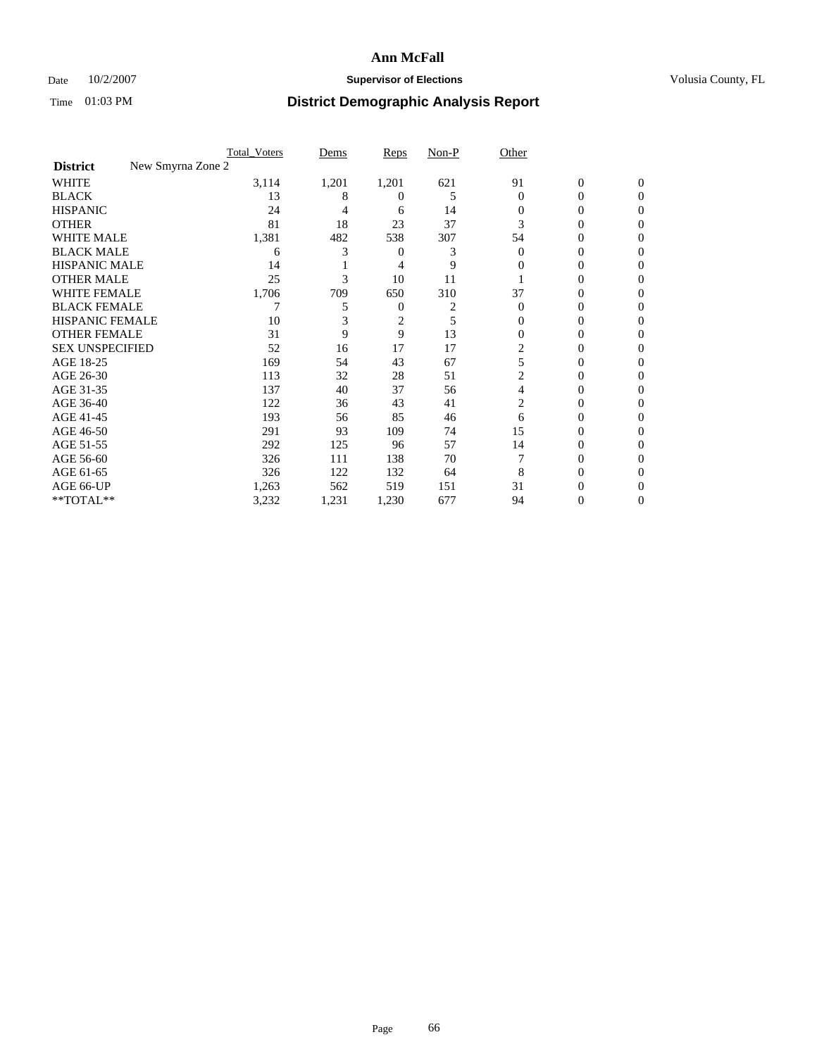### Date  $10/2/2007$  **Supervisor of Elections Supervisor of Elections** Volusia County, FL

|                                      | <b>Total_Voters</b> | Dems  | <b>Reps</b> | Non-P | Other    |                  |              |  |
|--------------------------------------|---------------------|-------|-------------|-------|----------|------------------|--------------|--|
| New Smyrna Zone 2<br><b>District</b> |                     |       |             |       |          |                  |              |  |
| <b>WHITE</b>                         | 3,114               | 1,201 | 1,201       | 621   | 91       | $\boldsymbol{0}$ | $\mathbf{0}$ |  |
| <b>BLACK</b>                         | 13                  | 8     | $\theta$    | 5     | $\Omega$ | 0                | $\Omega$     |  |
| <b>HISPANIC</b>                      | 24                  | 4     | 6           | 14    | 0        | 0                | $\Omega$     |  |
| <b>OTHER</b>                         | 81                  | 18    | 23          | 37    | 3        | 0                | 0            |  |
| <b>WHITE MALE</b>                    | 1,381               | 482   | 538         | 307   | 54       | 0                | 0            |  |
| <b>BLACK MALE</b>                    | 6                   | 3     | 0           | 3     | $\Omega$ | 0                | 0            |  |
| <b>HISPANIC MALE</b>                 | 14                  |       | 4           | 9     | 0        | 0                | $\theta$     |  |
| <b>OTHER MALE</b>                    | 25                  | 3     | 10          | 11    |          | 0                | 0            |  |
| WHITE FEMALE                         | 1,706               | 709   | 650         | 310   | 37       | 0                | 0            |  |
| <b>BLACK FEMALE</b>                  |                     | 5     | 0           |       | $\Omega$ | 0                | 0            |  |
| <b>HISPANIC FEMALE</b>               | 10                  |       | 2           | 5     | 0        | 0                | 0            |  |
| <b>OTHER FEMALE</b>                  | 31                  | 9     | 9           | 13    | $\Omega$ | 0                | 0            |  |
| <b>SEX UNSPECIFIED</b>               | 52                  | 16    | 17          | 17    | 2        | 0                | 0            |  |
| AGE 18-25                            | 169                 | 54    | 43          | 67    | 5        | 0                | $\theta$     |  |
| AGE 26-30                            | 113                 | 32    | 28          | 51    | 2        | 0                | 0            |  |
| AGE 31-35                            | 137                 | 40    | 37          | 56    | 4        | 0                | 0            |  |
| AGE 36-40                            | 122                 | 36    | 43          | 41    | 2        | 0                | 0            |  |
| AGE 41-45                            | 193                 | 56    | 85          | 46    | 6        | 0                | 0            |  |
| AGE 46-50                            | 291                 | 93    | 109         | 74    | 15       | 0                | 0            |  |
| AGE 51-55                            | 292                 | 125   | 96          | 57    | 14       | 0                | $\Omega$     |  |
| AGE 56-60                            | 326                 | 111   | 138         | 70    |          | 0                | $\Omega$     |  |
| AGE 61-65                            | 326                 | 122   | 132         | 64    | 8        | 0                | $\theta$     |  |
| AGE 66-UP                            | 1,263               | 562   | 519         | 151   | 31       |                  |              |  |
| **TOTAL**                            | 3,232               | 1,231 | 1,230       | 677   | 94       | 0                | 0            |  |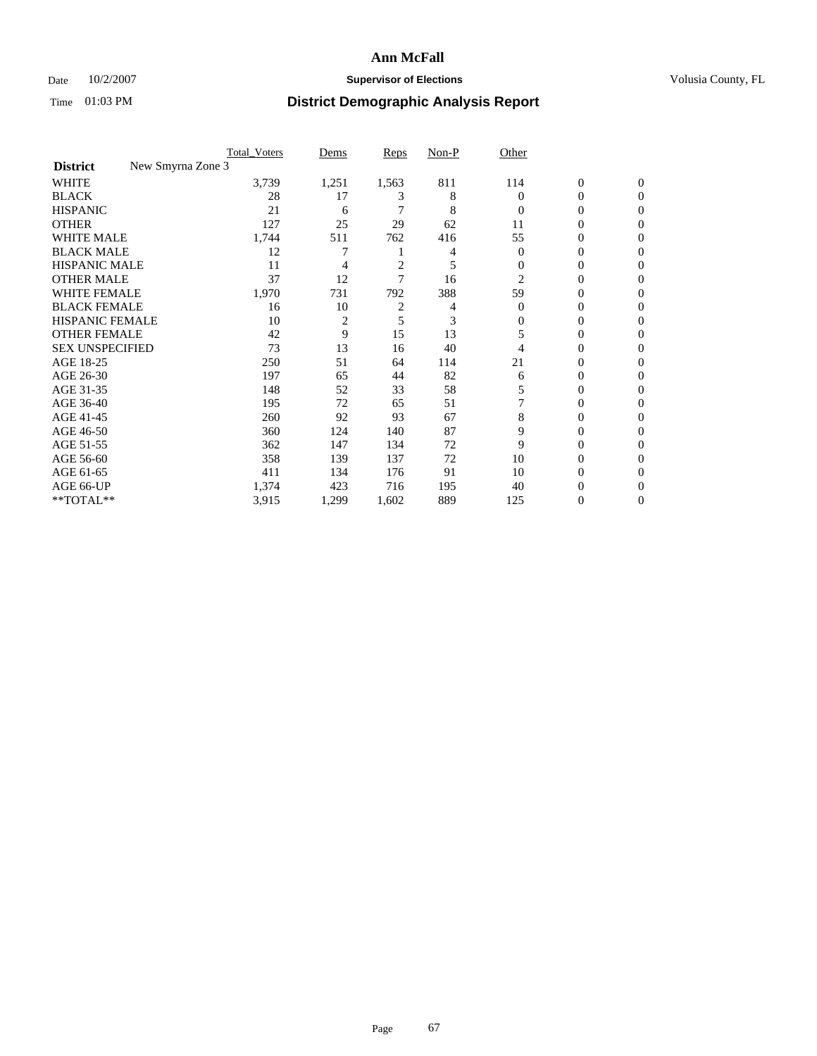### Date  $10/2/2007$  **Supervisor of Elections Supervisor of Elections** Volusia County, FL

|                                      | <b>Total Voters</b> | Dems           | Reps           | Non-P | Other          |                  |              |  |
|--------------------------------------|---------------------|----------------|----------------|-------|----------------|------------------|--------------|--|
| New Smyrna Zone 3<br><b>District</b> |                     |                |                |       |                |                  |              |  |
| <b>WHITE</b>                         | 3,739               | 1,251          | 1,563          | 811   | 114            | $\boldsymbol{0}$ | $\mathbf{0}$ |  |
| <b>BLACK</b>                         | 28                  | 17             | 3              | 8     | 0              | 0                | $\mathbf{0}$ |  |
| <b>HISPANIC</b>                      | 21                  | 6              |                | 8     | $\Omega$       | 0                | $\mathbf{0}$ |  |
| <b>OTHER</b>                         | 127                 | 25             | 29             | 62    | 11             | 0                | $\theta$     |  |
| <b>WHITE MALE</b>                    | 1,744               | 511            | 762            | 416   | 55             | 0                | $\theta$     |  |
| <b>BLACK MALE</b>                    | 12                  | 7              |                | 4     | $\overline{0}$ | 0                | 0            |  |
| <b>HISPANIC MALE</b>                 | 11                  | 4              | $\overline{c}$ | 5     | $\Omega$       | 0                | 0            |  |
| <b>OTHER MALE</b>                    | 37                  | 12             | 7              | 16    | 2              | 0                | 0            |  |
| <b>WHITE FEMALE</b>                  | 1,970               | 731            | 792            | 388   | 59             | 0                | 0            |  |
| <b>BLACK FEMALE</b>                  | 16                  | 10             | $\overline{c}$ | 4     | $\Omega$       | 0                | 0            |  |
| <b>HISPANIC FEMALE</b>               | 10                  | $\overline{2}$ | 5              | 3     | 0              | 0                | $\Omega$     |  |
| <b>OTHER FEMALE</b>                  | 42                  | 9              | 15             | 13    | 5              | 0                | $\theta$     |  |
| <b>SEX UNSPECIFIED</b>               | 73                  | 13             | 16             | 40    | 4              | 0                | $\theta$     |  |
| AGE 18-25                            | 250                 | 51             | 64             | 114   | 21             | 0                | 0            |  |
| AGE 26-30                            | 197                 | 65             | 44             | 82    | 6              | 0                | 0            |  |
| AGE 31-35                            | 148                 | 52             | 33             | 58    | 5              | 0                | 0            |  |
| AGE 36-40                            | 195                 | 72             | 65             | 51    |                | 0                | 0            |  |
| AGE 41-45                            | 260                 | 92             | 93             | 67    | 8              | 0                | 0            |  |
| AGE 46-50                            | 360                 | 124            | 140            | 87    | 9              | 0                | $\mathbf{0}$ |  |
| AGE 51-55                            | 362                 | 147            | 134            | 72    | 9              | 0                | $\Omega$     |  |
| AGE 56-60                            | 358                 | 139            | 137            | 72    | 10             | 0                | $\theta$     |  |
| AGE 61-65                            | 411                 | 134            | 176            | 91    | 10             | 0                | 0            |  |
| AGE 66-UP                            | 1,374               | 423            | 716            | 195   | 40             | 0                |              |  |
| **TOTAL**                            | 3,915               | 1,299          | 1,602          | 889   | 125            | 0                | $\mathbf{0}$ |  |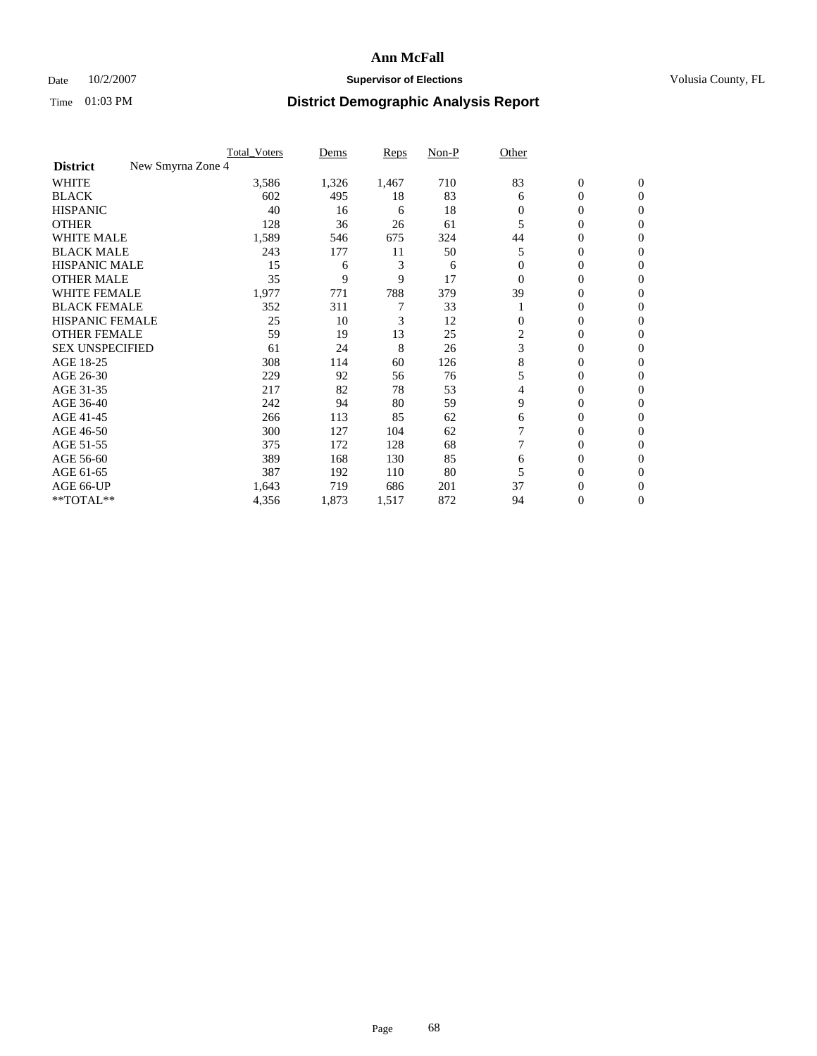### Date  $10/2/2007$  **Supervisor of Elections Supervisor of Elections** Volusia County, FL

|                                      | <b>Total_Voters</b> | Dems  | <b>Reps</b> | Non-P | Other          |                  |                |  |
|--------------------------------------|---------------------|-------|-------------|-------|----------------|------------------|----------------|--|
| New Smyrna Zone 4<br><b>District</b> |                     |       |             |       |                |                  |                |  |
| <b>WHITE</b>                         | 3,586               | 1,326 | 1,467       | 710   | 83             | $\boldsymbol{0}$ | $\mathbf{0}$   |  |
| <b>BLACK</b>                         | 602                 | 495   | 18          | 83    | 6              | 0                | $\mathbf{0}$   |  |
| <b>HISPANIC</b>                      | 40                  | 16    | 6           | 18    | 0              | 0                | $\overline{0}$ |  |
| <b>OTHER</b>                         | 128                 | 36    | 26          | 61    |                | $\overline{0}$   | $\Omega$       |  |
| <b>WHITE MALE</b>                    | 1,589               | 546   | 675         | 324   | 44             | 0                | $\Omega$       |  |
| <b>BLACK MALE</b>                    | 243                 | 177   | 11          | 50    | 5              | 0                | $\Omega$       |  |
| <b>HISPANIC MALE</b>                 | 15                  | 6     | 3           | 6     |                | 0                | 0              |  |
| <b>OTHER MALE</b>                    | 35                  | 9     | 9           | 17    | $\Omega$       | 0                | 0              |  |
| <b>WHITE FEMALE</b>                  | 1,977               | 771   | 788         | 379   | 39             | 0                | 0              |  |
| <b>BLACK FEMALE</b>                  | 352                 | 311   |             | 33    |                | 0                | $\mathbf{0}$   |  |
| <b>HISPANIC FEMALE</b>               | 25                  | 10    | 3           | 12    | $\Omega$       | 0                | $\Omega$       |  |
| <b>OTHER FEMALE</b>                  | 59                  | 19    | 13          | 25    | $\overline{c}$ | 0                | $\Omega$       |  |
| <b>SEX UNSPECIFIED</b>               | 61                  | 24    | 8           | 26    | 3              | $\overline{0}$   | $\Omega$       |  |
| AGE 18-25                            | 308                 | 114   | 60          | 126   | 8              | 0                | 0              |  |
| AGE 26-30                            | 229                 | 92    | 56          | 76    | 5              | 0                | $\Omega$       |  |
| AGE 31-35                            | 217                 | 82    | 78          | 53    | 4              | 0                | 0              |  |
| AGE 36-40                            | 242                 | 94    | 80          | 59    | 9              | 0                | 0              |  |
| AGE 41-45                            | 266                 | 113   | 85          | 62    | 6              | 0                | 0              |  |
| AGE 46-50                            | 300                 | 127   | 104         | 62    |                | 0                | $\mathbf{0}$   |  |
| AGE 51-55                            | 375                 | 172   | 128         | 68    |                | 0                | $\Omega$       |  |
| AGE 56-60                            | 389                 | 168   | 130         | 85    | 6              | 0                | $\Omega$       |  |
| AGE 61-65                            | 387                 | 192   | 110         | 80    | 5              | 0                | 0              |  |
| AGE 66-UP                            | 1,643               | 719   | 686         | 201   | 37             | 0                | $\theta$       |  |
| **TOTAL**                            | 4,356               | 1,873 | 1,517       | 872   | 94             | 0                | $\overline{0}$ |  |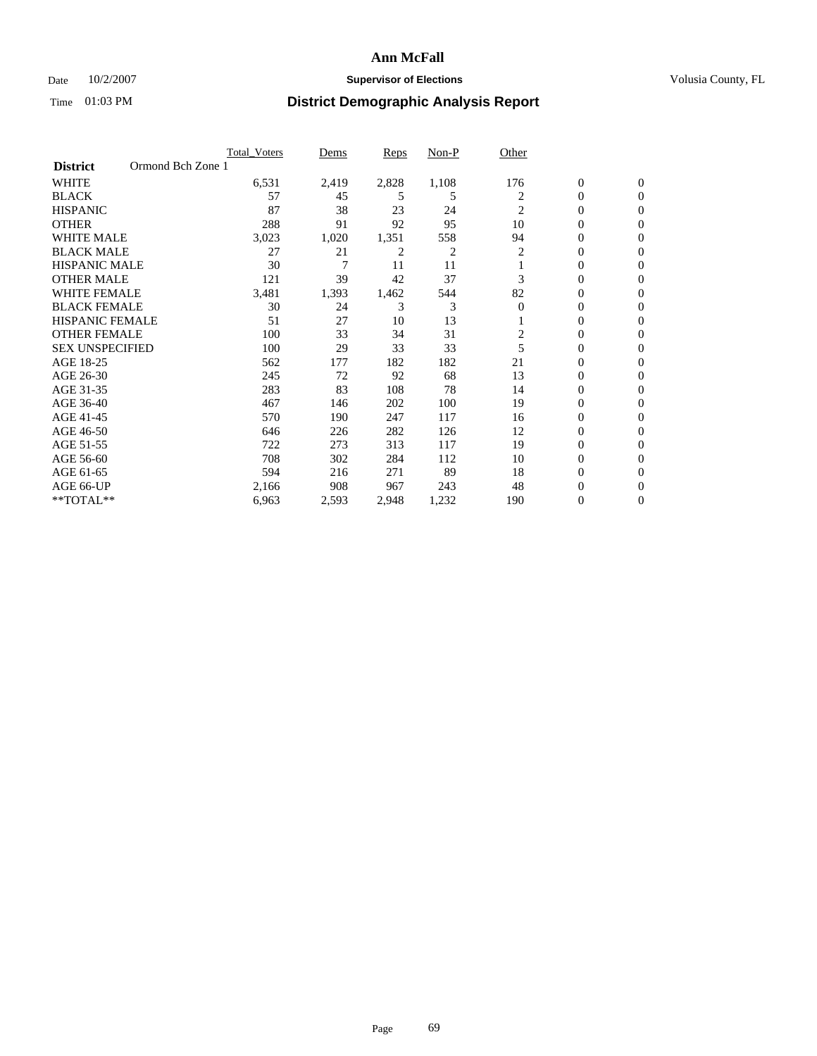### Date  $10/2/2007$  **Supervisor of Elections Supervisor of Elections** Volusia County, FL

|                        | <b>Total Voters</b> | Dems  | Reps  | Non-P | Other          |                  |                |  |
|------------------------|---------------------|-------|-------|-------|----------------|------------------|----------------|--|
| <b>District</b>        | Ormond Bch Zone 1   |       |       |       |                |                  |                |  |
| <b>WHITE</b>           | 6,531               | 2,419 | 2,828 | 1,108 | 176            | $\boldsymbol{0}$ | $\mathbf{0}$   |  |
| <b>BLACK</b>           | 57                  | 45    | 5     | 5     | 2              | 0                | $\mathbf{0}$   |  |
| <b>HISPANIC</b>        | 87                  | 38    | 23    | 24    | 2              | 0                | $\mathbf{0}$   |  |
| <b>OTHER</b>           | 288                 | 91    | 92    | 95    | 10             | 0                | $\overline{0}$ |  |
| <b>WHITE MALE</b>      | 3,023               | 1,020 | 1,351 | 558   | 94             | 0                | $\mathbf{0}$   |  |
| <b>BLACK MALE</b>      | 27                  | 21    | 2     | 2     | 2              | 0                | $\mathbf{0}$   |  |
| <b>HISPANIC MALE</b>   | 30                  | 7     | 11    | 11    |                | 0                | $\Omega$       |  |
| <b>OTHER MALE</b>      | 121                 | 39    | 42    | 37    | 3              | 0                | 0              |  |
| <b>WHITE FEMALE</b>    | 3,481               | 1,393 | 1,462 | 544   | 82             | 0                | $\Omega$       |  |
| <b>BLACK FEMALE</b>    | 30                  | 24    | 3     | 3     | $\Omega$       | 0                | $\mathbf{0}$   |  |
| <b>HISPANIC FEMALE</b> | 51                  | 27    | 10    | 13    |                | 0                | $\mathbf{0}$   |  |
| <b>OTHER FEMALE</b>    | 100                 | 33    | 34    | 31    | $\overline{c}$ | 0                | $\mathbf{0}$   |  |
| <b>SEX UNSPECIFIED</b> | 100                 | 29    | 33    | 33    | 5              | 0                | $\overline{0}$ |  |
| AGE 18-25              | 562                 | 177   | 182   | 182   | 21             | 0                | 0              |  |
| AGE 26-30              | 245                 | 72    | 92    | 68    | 13             | 0                | $\overline{0}$ |  |
| AGE 31-35              | 283                 | 83    | 108   | 78    | 14             | 0                | 0              |  |
| AGE 36-40              | 467                 | 146   | 202   | 100   | 19             | 0                | $\overline{0}$ |  |
| AGE 41-45              | 570                 | 190   | 247   | 117   | 16             | 0                | $\overline{0}$ |  |
| AGE 46-50              | 646                 | 226   | 282   | 126   | 12             | 0                | $\mathbf{0}$   |  |
| AGE 51-55              | 722                 | 273   | 313   | 117   | 19             | 0                | $\mathbf{0}$   |  |
| AGE 56-60              | 708                 | 302   | 284   | 112   | 10             | 0                | $\overline{0}$ |  |
| AGE 61-65              | 594                 | 216   | 271   | 89    | 18             | 0                | $\Omega$       |  |
| AGE 66-UP              | 2,166               | 908   | 967   | 243   | 48             | 0                | 0              |  |
| **TOTAL**              | 6,963               | 2,593 | 2,948 | 1,232 | 190            | 0                | 0              |  |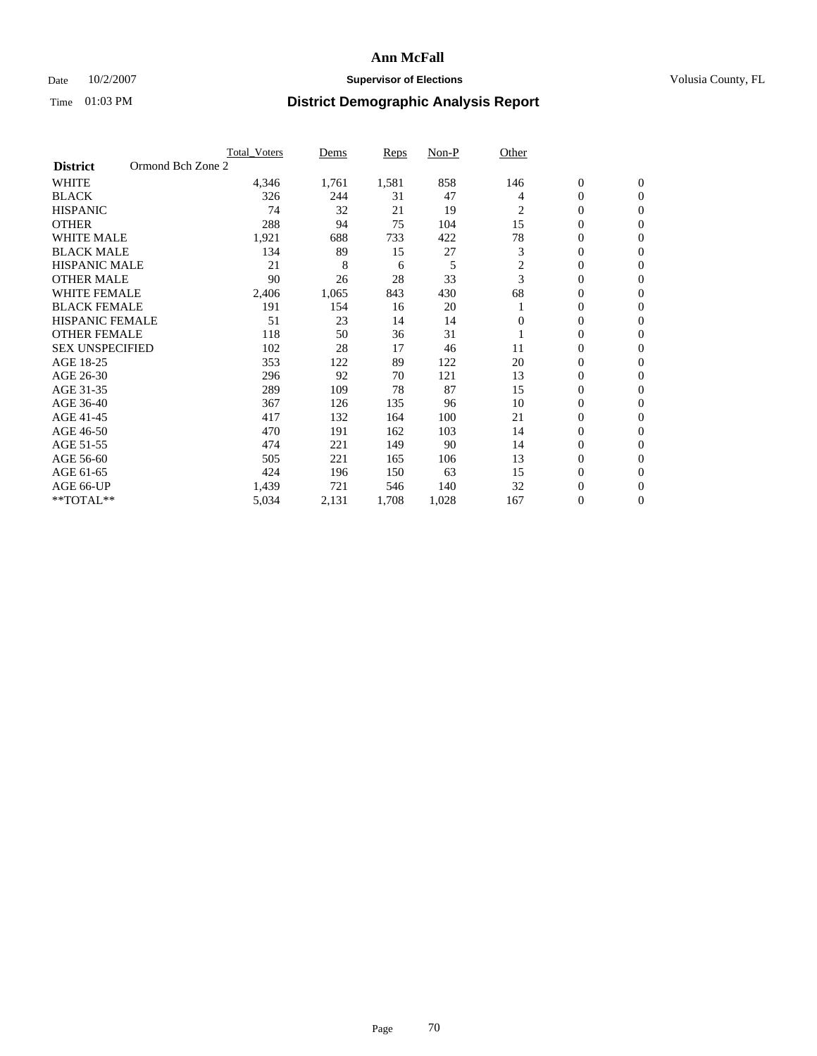### Date  $10/2/2007$  **Supervisor of Elections Supervisor of Elections** Volusia County, FL

|                        |                   | <b>Total Voters</b> | Dems  | Reps  | Non-P | Other    |                  |                  |
|------------------------|-------------------|---------------------|-------|-------|-------|----------|------------------|------------------|
| <b>District</b>        | Ormond Bch Zone 2 |                     |       |       |       |          |                  |                  |
| <b>WHITE</b>           |                   | 4,346               | 1,761 | 1,581 | 858   | 146      | $\boldsymbol{0}$ | $\boldsymbol{0}$ |
| <b>BLACK</b>           |                   | 326                 | 244   | 31    | 47    | 4        | $\mathbf{0}$     | $\mathbf{0}$     |
| <b>HISPANIC</b>        |                   | 74                  | 32    | 21    | 19    | 2        | $\mathbf{0}$     | $\mathbf{0}$     |
| <b>OTHER</b>           |                   | 288                 | 94    | 75    | 104   | 15       | 0                | $\overline{0}$   |
| <b>WHITE MALE</b>      |                   | 1,921               | 688   | 733   | 422   | 78       | 0                | $\overline{0}$   |
| <b>BLACK MALE</b>      |                   | 134                 | 89    | 15    | 27    | 3        | 0                | $\overline{0}$   |
| <b>HISPANIC MALE</b>   |                   | 21                  | 8     | 6     | 5     | 2        | 0                | $\Omega$         |
| <b>OTHER MALE</b>      |                   | 90                  | 26    | 28    | 33    | 3        | 0                | $\mathbf{0}$     |
| <b>WHITE FEMALE</b>    |                   | 2,406               | 1,065 | 843   | 430   | 68       | 0                | $\Omega$         |
| <b>BLACK FEMALE</b>    |                   | 191                 | 154   | 16    | 20    |          | $\mathbf{0}$     | $\mathbf{0}$     |
| <b>HISPANIC FEMALE</b> |                   | 51                  | 23    | 14    | 14    | $\Omega$ | 0                | $\mathbf{0}$     |
| <b>OTHER FEMALE</b>    |                   | 118                 | 50    | 36    | 31    |          | 0                | $\overline{0}$   |
| <b>SEX UNSPECIFIED</b> |                   | 102                 | 28    | 17    | 46    | 11       | 0                | $\overline{0}$   |
| AGE 18-25              |                   | 353                 | 122   | 89    | 122   | 20       | 0                | $\overline{0}$   |
| AGE 26-30              |                   | 296                 | 92    | 70    | 121   | 13       | 0                | $\overline{0}$   |
| AGE 31-35              |                   | 289                 | 109   | 78    | 87    | 15       | 0                | $\overline{0}$   |
| AGE 36-40              |                   | 367                 | 126   | 135   | 96    | 10       | $\boldsymbol{0}$ | $\mathbf{0}$     |
| AGE 41-45              |                   | 417                 | 132   | 164   | 100   | 21       | 0                | $\overline{0}$   |
| AGE 46-50              |                   | 470                 | 191   | 162   | 103   | 14       | 0                | $\mathbf{0}$     |
| AGE 51-55              |                   | 474                 | 221   | 149   | 90    | 14       | 0                | $\mathbf{0}$     |
| AGE 56-60              |                   | 505                 | 221   | 165   | 106   | 13       | 0                | $\overline{0}$   |
| AGE 61-65              |                   | 424                 | 196   | 150   | 63    | 15       | 0                | $\mathbf{0}$     |
| AGE 66-UP              |                   | 1,439               | 721   | 546   | 140   | 32       | 0                | 0                |
| **TOTAL**              |                   | 5,034               | 2,131 | 1,708 | 1,028 | 167      | 0                | $\boldsymbol{0}$ |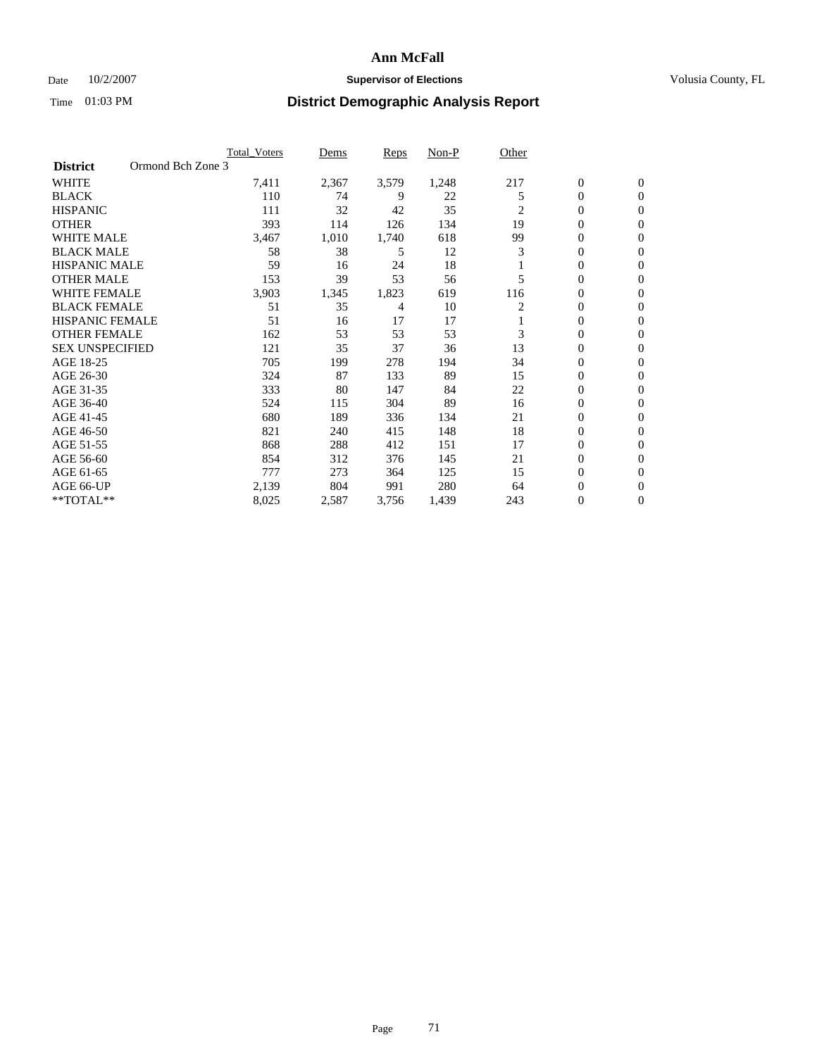### Date  $10/2/2007$  **Supervisor of Elections Supervisor of Elections** Volusia County, FL

|                                      | <b>Total Voters</b> | Dems  | Reps  | Non-P | Other |                  |                  |  |
|--------------------------------------|---------------------|-------|-------|-------|-------|------------------|------------------|--|
| Ormond Bch Zone 3<br><b>District</b> |                     |       |       |       |       |                  |                  |  |
| <b>WHITE</b>                         | 7,411               | 2,367 | 3,579 | 1,248 | 217   | $\boldsymbol{0}$ | $\mathbf{0}$     |  |
| <b>BLACK</b>                         | 110                 | 74    | 9     | 22    | 5     | $\mathbf{0}$     | $\mathbf{0}$     |  |
| <b>HISPANIC</b>                      | 111                 | 32    | 42    | 35    | 2     | 0                | $\mathbf{0}$     |  |
| <b>OTHER</b>                         | 393                 | 114   | 126   | 134   | 19    | 0                | $\overline{0}$   |  |
| <b>WHITE MALE</b>                    | 3,467               | 1,010 | 1,740 | 618   | 99    | 0                | $\mathbf{0}$     |  |
| <b>BLACK MALE</b>                    | 58                  | 38    | 5     | 12    | 3     | 0                | $\mathbf{0}$     |  |
| <b>HISPANIC MALE</b>                 | 59                  | 16    | 24    | 18    |       | 0                | $\Omega$         |  |
| <b>OTHER MALE</b>                    | 153                 | 39    | 53    | 56    | 5     | 0                | 0                |  |
| <b>WHITE FEMALE</b>                  | 3,903               | 1,345 | 1,823 | 619   | 116   | 0                | $\Omega$         |  |
| <b>BLACK FEMALE</b>                  | 51                  | 35    | 4     | 10    | 2     | 0                | $\mathbf{0}$     |  |
| <b>HISPANIC FEMALE</b>               | 51                  | 16    | 17    | 17    |       | 0                | $\mathbf{0}$     |  |
| <b>OTHER FEMALE</b>                  | 162                 | 53    | 53    | 53    | 3     | 0                | $\mathbf{0}$     |  |
| <b>SEX UNSPECIFIED</b>               | 121                 | 35    | 37    | 36    | 13    | 0                | $\mathbf{0}$     |  |
| AGE 18-25                            | 705                 | 199   | 278   | 194   | 34    | 0                | $\mathbf{0}$     |  |
| AGE 26-30                            | 324                 | 87    | 133   | 89    | 15    | 0                | $\mathbf{0}$     |  |
| AGE 31-35                            | 333                 | 80    | 147   | 84    | 22    | 0                | $\mathbf{0}$     |  |
| AGE 36-40                            | 524                 | 115   | 304   | 89    | 16    | $\boldsymbol{0}$ | $\mathbf{0}$     |  |
| AGE 41-45                            | 680                 | 189   | 336   | 134   | 21    | 0                | $\mathbf{0}$     |  |
| AGE 46-50                            | 821                 | 240   | 415   | 148   | 18    | 0                | $\mathbf{0}$     |  |
| AGE 51-55                            | 868                 | 288   | 412   | 151   | 17    | 0                | $\mathbf{0}$     |  |
| AGE 56-60                            | 854                 | 312   | 376   | 145   | 21    | 0                | $\mathbf{0}$     |  |
| AGE 61-65                            | 777                 | 273   | 364   | 125   | 15    | 0                | $\mathbf{0}$     |  |
| AGE 66-UP                            | 2,139               | 804   | 991   | 280   | 64    | 0                | 0                |  |
| **TOTAL**                            | 8,025               | 2,587 | 3,756 | 1,439 | 243   | 0                | $\boldsymbol{0}$ |  |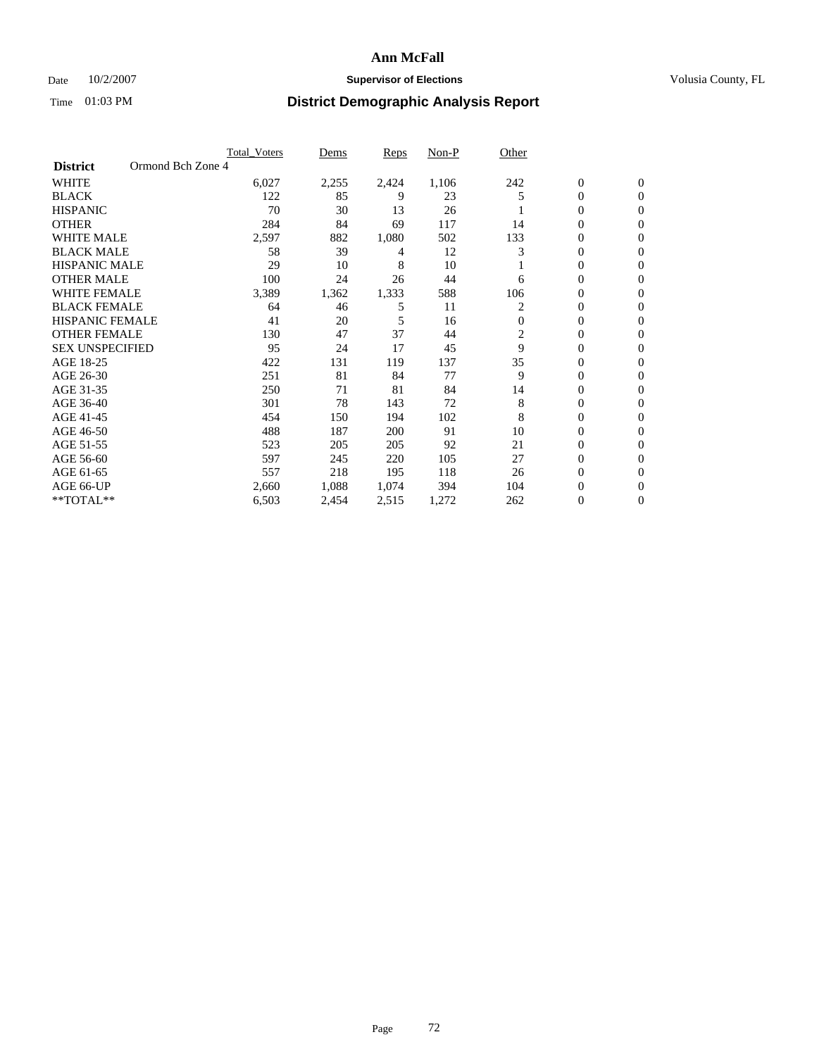### Date  $10/2/2007$  **Supervisor of Elections Supervisor of Elections** Volusia County, FL

|                        |                   | <b>Total Voters</b> | Dems  | Reps  | Non-P | Other          |                |                  |  |
|------------------------|-------------------|---------------------|-------|-------|-------|----------------|----------------|------------------|--|
| <b>District</b>        | Ormond Bch Zone 4 |                     |       |       |       |                |                |                  |  |
| <b>WHITE</b>           |                   | 6,027               | 2,255 | 2,424 | 1,106 | 242            | $\mathbf{0}$   | $\mathbf{0}$     |  |
| <b>BLACK</b>           |                   | 122                 | 85    | 9     | 23    | 5              | 0              | $\mathbf{0}$     |  |
| <b>HISPANIC</b>        |                   | 70                  | 30    | 13    | 26    |                | 0              | $\mathbf{0}$     |  |
| <b>OTHER</b>           |                   | 284                 | 84    | 69    | 117   | 14             | 0              | $\mathbf{0}$     |  |
| <b>WHITE MALE</b>      |                   | 2,597               | 882   | 1,080 | 502   | 133            | 0              | $\mathbf{0}$     |  |
| <b>BLACK MALE</b>      |                   | 58                  | 39    | 4     | 12    | 3              | 0              | $\mathbf{0}$     |  |
| <b>HISPANIC MALE</b>   |                   | 29                  | 10    | 8     | 10    |                | 0              | $\mathbf{0}$     |  |
| <b>OTHER MALE</b>      |                   | 100                 | 24    | 26    | 44    | 6              | $\mathbf{0}$   | $\mathbf{0}$     |  |
| <b>WHITE FEMALE</b>    |                   | 3,389               | 1,362 | 1,333 | 588   | 106            | 0              | $\mathbf{0}$     |  |
| <b>BLACK FEMALE</b>    |                   | 64                  | 46    | 5     | 11    | 2              | 0              | $\mathbf{0}$     |  |
| <b>HISPANIC FEMALE</b> |                   | 41                  | 20    | 5     | 16    | $\mathbf{0}$   | 0              | $\mathbf{0}$     |  |
| <b>OTHER FEMALE</b>    |                   | 130                 | 47    | 37    | 44    | $\overline{c}$ | 0              | $\Omega$         |  |
| <b>SEX UNSPECIFIED</b> |                   | 95                  | 24    | 17    | 45    | 9              | 0              | 0                |  |
| AGE 18-25              |                   | 422                 | 131   | 119   | 137   | 35             | 0              | $\Omega$         |  |
| AGE 26-30              |                   | 251                 | 81    | 84    | 77    | 9              | $\mathbf{0}$   | $\mathbf{0}$     |  |
| AGE 31-35              |                   | 250                 | 71    | 81    | 84    | 14             | 0              | $\mathbf{0}$     |  |
| AGE 36-40              |                   | 301                 | 78    | 143   | 72    | 8              | 0              | $\Omega$         |  |
| AGE 41-45              |                   | 454                 | 150   | 194   | 102   | 8              | 0              | $\mathbf{0}$     |  |
| AGE 46-50              |                   | 488                 | 187   | 200   | 91    | 10             | 0              | $\Omega$         |  |
| AGE 51-55              |                   | 523                 | 205   | 205   | 92    | 21             | $\mathbf{0}$   | $\mathbf{0}$     |  |
| AGE 56-60              |                   | 597                 | 245   | 220   | 105   | 27             | 0              | $\mathbf{0}$     |  |
| AGE 61-65              |                   | 557                 | 218   | 195   | 118   | 26             | $\overline{0}$ | $\mathbf{0}$     |  |
| AGE 66-UP              |                   | 2,660               | 1,088 | 1,074 | 394   | 104            | 0              | $\mathbf{0}$     |  |
| **TOTAL**              |                   | 6,503               | 2,454 | 2,515 | 1,272 | 262            | 0              | $\boldsymbol{0}$ |  |
|                        |                   |                     |       |       |       |                |                |                  |  |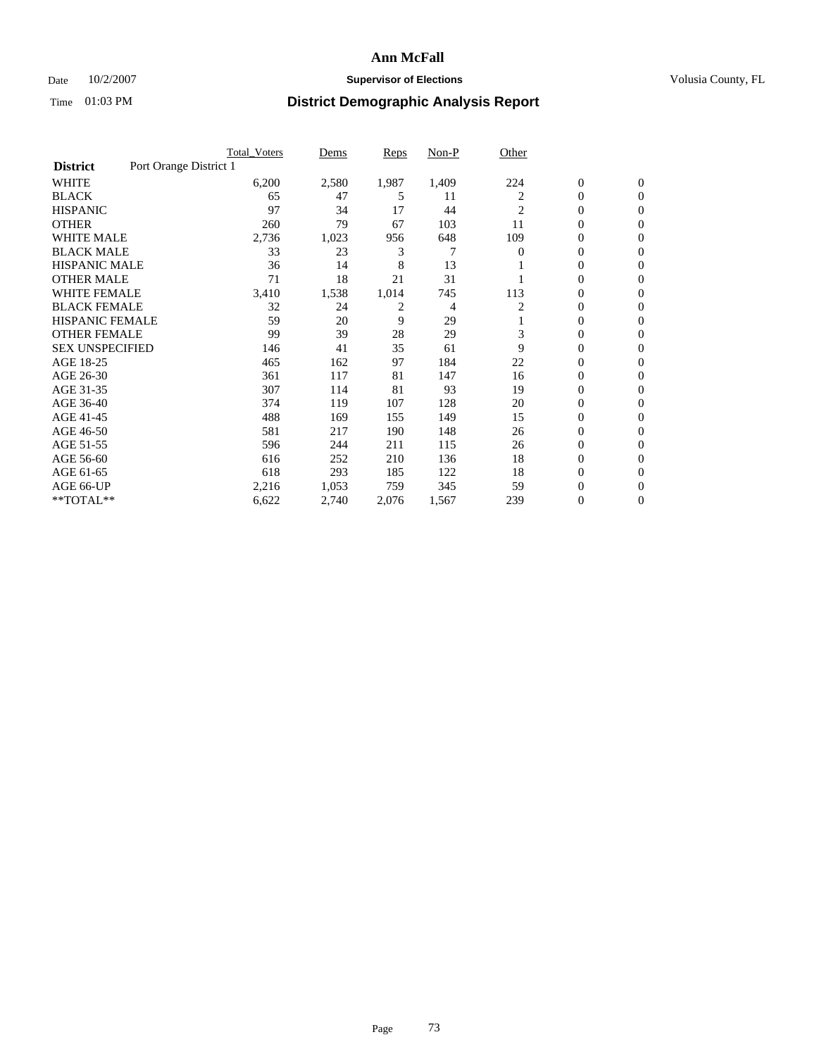#### Date  $10/2/2007$  **Supervisor of Elections Supervisor of Elections** Volusia County, FL

|                        | Total Voters           | Dems  | <b>Reps</b> | Non-P | Other          |                  |                |  |
|------------------------|------------------------|-------|-------------|-------|----------------|------------------|----------------|--|
| <b>District</b>        | Port Orange District 1 |       |             |       |                |                  |                |  |
| <b>WHITE</b>           | 6,200                  | 2,580 | 1,987       | 1,409 | 224            | $\boldsymbol{0}$ | $\mathbf{0}$   |  |
| <b>BLACK</b>           | 65                     | 47    | 5           | 11    | 2              | $\overline{0}$   | $\mathbf{0}$   |  |
| <b>HISPANIC</b>        | 97                     | 34    | 17          | 44    | $\overline{c}$ | $\overline{0}$   | $\mathbf{0}$   |  |
| <b>OTHER</b>           | 260                    | 79    | 67          | 103   | 11             | 0                | $\mathbf{0}$   |  |
| <b>WHITE MALE</b>      | 2,736                  | 1,023 | 956         | 648   | 109            | 0                | $\overline{0}$ |  |
| <b>BLACK MALE</b>      | 33                     | 23    | 3           | 7     | $\Omega$       | $\boldsymbol{0}$ | $\mathbf{0}$   |  |
| <b>HISPANIC MALE</b>   | 36                     | 14    | 8           | 13    |                | 0                | $\mathbf{0}$   |  |
| <b>OTHER MALE</b>      | 71                     | 18    | 21          | 31    |                | $\overline{0}$   | $\mathbf{0}$   |  |
| <b>WHITE FEMALE</b>    | 3,410                  | 1,538 | 1,014       | 745   | 113            | 0                | $\mathbf{0}$   |  |
| <b>BLACK FEMALE</b>    | 32                     | 24    | 2           | 4     | 2              | $\overline{0}$   | $\mathbf{0}$   |  |
| <b>HISPANIC FEMALE</b> | 59                     | 20    | 9           | 29    |                | 0                | $\mathbf{0}$   |  |
| <b>OTHER FEMALE</b>    | 99                     | 39    | 28          | 29    | 3              | 0                | $\Omega$       |  |
| <b>SEX UNSPECIFIED</b> | 146                    | 41    | 35          | 61    | 9              | $\overline{0}$   | $\mathbf{0}$   |  |
| AGE 18-25              | 465                    | 162   | 97          | 184   | 22             | 0                | $\Omega$       |  |
| AGE 26-30              | 361                    | 117   | 81          | 147   | 16             | $\overline{0}$   | $\mathbf{0}$   |  |
| AGE 31-35              | 307                    | 114   | 81          | 93    | 19             | $\overline{0}$   | $\mathbf{0}$   |  |
| AGE 36-40              | 374                    | 119   | 107         | 128   | 20             | $\boldsymbol{0}$ | $\overline{0}$ |  |
| AGE 41-45              | 488                    | 169   | 155         | 149   | 15             | $\boldsymbol{0}$ | $\overline{0}$ |  |
| AGE 46-50              | 581                    | 217   | 190         | 148   | 26             | 0                | $\Omega$       |  |
| AGE 51-55              | 596                    | 244   | 211         | 115   | 26             | $\boldsymbol{0}$ | $\mathbf{0}$   |  |
| AGE 56-60              | 616                    | 252   | 210         | 136   | 18             | $\overline{0}$   | $\mathbf{0}$   |  |
| AGE 61-65              | 618                    | 293   | 185         | 122   | 18             | $\overline{0}$   | $\mathbf{0}$   |  |
| AGE 66-UP              | 2,216                  | 1,053 | 759         | 345   | 59             | 0                | $\mathbf{0}$   |  |
| **TOTAL**              | 6,622                  | 2,740 | 2,076       | 1,567 | 239            | 0                | $\overline{0}$ |  |
|                        |                        |       |             |       |                |                  |                |  |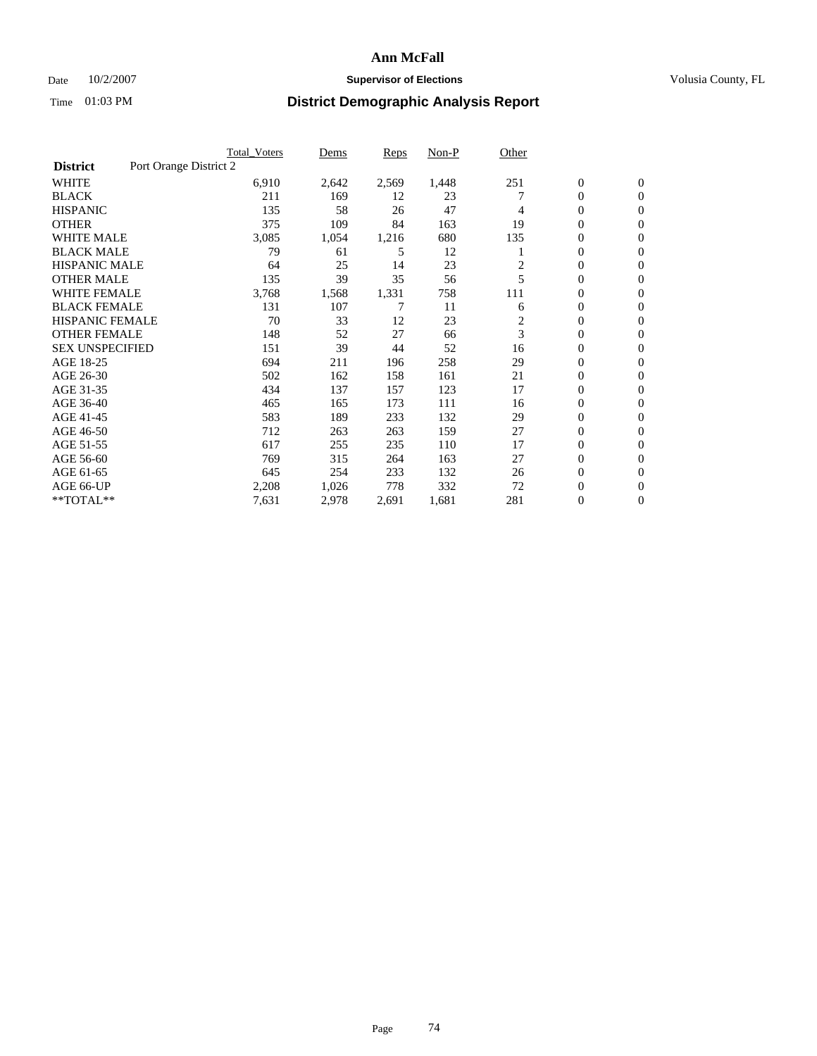#### Date  $10/2/2007$  **Supervisor of Elections Supervisor of Elections** Volusia County, FL

|                        |                        | <b>Total Voters</b> | Dems  | Reps  | Non-P | Other          |                  |                  |
|------------------------|------------------------|---------------------|-------|-------|-------|----------------|------------------|------------------|
| <b>District</b>        | Port Orange District 2 |                     |       |       |       |                |                  |                  |
| <b>WHITE</b>           |                        | 6,910               | 2,642 | 2,569 | 1,448 | 251            | $\boldsymbol{0}$ | $\mathbf{0}$     |
| <b>BLACK</b>           |                        | 211                 | 169   | 12    | 23    |                | 0                | $\mathbf{0}$     |
| <b>HISPANIC</b>        |                        | 135                 | 58    | 26    | 47    | 4              | 0                | $\overline{0}$   |
| <b>OTHER</b>           |                        | 375                 | 109   | 84    | 163   | 19             | 0                | $\overline{0}$   |
| <b>WHITE MALE</b>      |                        | 3,085               | 1,054 | 1,216 | 680   | 135            | 0                | $\overline{0}$   |
| <b>BLACK MALE</b>      |                        | 79                  | 61    | 5     | 12    |                | 0                | $\mathbf{0}$     |
| <b>HISPANIC MALE</b>   |                        | 64                  | 25    | 14    | 23    | $\overline{c}$ | 0                | $\mathbf{0}$     |
| <b>OTHER MALE</b>      |                        | 135                 | 39    | 35    | 56    | 5              | $\mathbf{0}$     | $\mathbf{0}$     |
| <b>WHITE FEMALE</b>    |                        | 3,768               | 1,568 | 1,331 | 758   | 111            | 0                | $\mathbf{0}$     |
| <b>BLACK FEMALE</b>    |                        | 131                 | 107   | 7     | 11    | 6              | $\mathbf{0}$     | $\overline{0}$   |
| <b>HISPANIC FEMALE</b> |                        | 70                  | 33    | 12    | 23    | 2              | 0                | $\mathbf{0}$     |
| <b>OTHER FEMALE</b>    |                        | 148                 | 52    | 27    | 66    | 3              | 0                | $\overline{0}$   |
| <b>SEX UNSPECIFIED</b> |                        | 151                 | 39    | 44    | 52    | 16             | 0                | $\overline{0}$   |
| AGE 18-25              |                        | 694                 | 211   | 196   | 258   | 29             | 0                | $\mathbf{0}$     |
| AGE 26-30              |                        | 502                 | 162   | 158   | 161   | 21             | $\mathbf{0}$     | $\mathbf{0}$     |
| AGE 31-35              |                        | 434                 | 137   | 157   | 123   | 17             | 0                | $\mathbf{0}$     |
| AGE 36-40              |                        | 465                 | 165   | 173   | 111   | 16             | 0                | $\overline{0}$   |
| AGE 41-45              |                        | 583                 | 189   | 233   | 132   | 29             | 0                | $\overline{0}$   |
| AGE 46-50              |                        | 712                 | 263   | 263   | 159   | 27             | 0                | $\overline{0}$   |
| AGE 51-55              |                        | 617                 | 255   | 235   | 110   | 17             | $\boldsymbol{0}$ | $\mathbf{0}$     |
| AGE 56-60              |                        | 769                 | 315   | 264   | 163   | 27             | $\mathbf{0}$     | $\mathbf{0}$     |
| AGE 61-65              |                        | 645                 | 254   | 233   | 132   | 26             | $\mathbf{0}$     | $\mathbf{0}$     |
| AGE 66-UP              |                        | 2,208               | 1,026 | 778   | 332   | 72             | 0                | $\mathbf{0}$     |
| **TOTAL**              |                        | 7,631               | 2,978 | 2,691 | 1,681 | 281            | 0                | $\boldsymbol{0}$ |
|                        |                        |                     |       |       |       |                |                  |                  |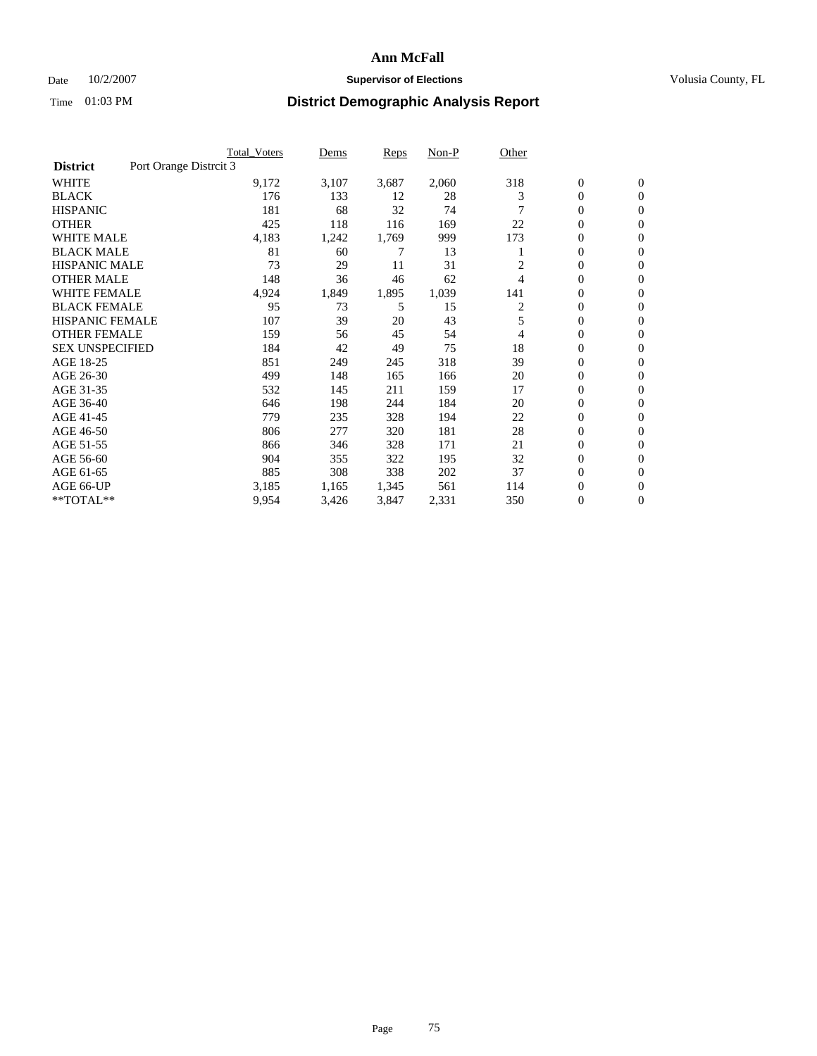### Date  $10/2/2007$  **Supervisor of Elections Supervisor of Elections** Volusia County, FL

|                                           | <b>Total_Voters</b> | Dems  | <b>Reps</b> | Non-P | Other |                  |                  |  |
|-------------------------------------------|---------------------|-------|-------------|-------|-------|------------------|------------------|--|
| Port Orange Distrcit 3<br><b>District</b> |                     |       |             |       |       |                  |                  |  |
| <b>WHITE</b>                              | 9,172               | 3,107 | 3,687       | 2,060 | 318   | $\boldsymbol{0}$ | $\mathbf{0}$     |  |
| <b>BLACK</b>                              | 176                 | 133   | 12          | 28    | 3     | $\overline{0}$   | $\mathbf{0}$     |  |
| <b>HISPANIC</b>                           | 181                 | 68    | 32          | 74    |       | $\overline{0}$   | $\mathbf{0}$     |  |
| <b>OTHER</b>                              | 425                 | 118   | 116         | 169   | 22    | 0                | $\mathbf{0}$     |  |
| <b>WHITE MALE</b>                         | 4,183               | 1,242 | 1,769       | 999   | 173   | $\overline{0}$   | $\mathbf{0}$     |  |
| <b>BLACK MALE</b>                         | 81                  | 60    | 7           | 13    |       | $\boldsymbol{0}$ | $\mathbf{0}$     |  |
| <b>HISPANIC MALE</b>                      | 73                  | 29    | 11          | 31    |       | 0                | $\Omega$         |  |
| <b>OTHER MALE</b>                         | 148                 | 36    | 46          | 62    | 4     | 0                | $\mathbf{0}$     |  |
| <b>WHITE FEMALE</b>                       | 4,924               | 1,849 | 1,895       | 1,039 | 141   | 0                | $\Omega$         |  |
| <b>BLACK FEMALE</b>                       | 95                  | 73    | 5           | 15    | 2     | $\overline{0}$   | $\mathbf{0}$     |  |
| <b>HISPANIC FEMALE</b>                    | 107                 | 39    | 20          | 43    | 5     | 0                | $\mathbf{0}$     |  |
| <b>OTHER FEMALE</b>                       | 159                 | 56    | 45          | 54    | 4     | $\overline{0}$   | $\mathbf{0}$     |  |
| <b>SEX UNSPECIFIED</b>                    | 184                 | 42    | 49          | 75    | 18    | $\boldsymbol{0}$ | $\mathbf{0}$     |  |
| AGE 18-25                                 | 851                 | 249   | 245         | 318   | 39    | $\overline{0}$   | $\mathbf{0}$     |  |
| AGE 26-30                                 | 499                 | 148   | 165         | 166   | 20    | 0                | $\mathbf{0}$     |  |
| AGE 31-35                                 | 532                 | 145   | 211         | 159   | 17    | 0                | $\overline{0}$   |  |
| AGE 36-40                                 | 646                 | 198   | 244         | 184   | 20    | $\boldsymbol{0}$ | $\mathbf{0}$     |  |
| AGE 41-45                                 | 779                 | 235   | 328         | 194   | 22    | $\overline{0}$   | $\mathbf{0}$     |  |
| AGE 46-50                                 | 806                 | 277   | 320         | 181   | 28    | $\overline{0}$   | $\mathbf{0}$     |  |
| AGE 51-55                                 | 866                 | 346   | 328         | 171   | 21    | 0                | $\mathbf{0}$     |  |
| AGE 56-60                                 | 904                 | 355   | 322         | 195   | 32    | $\boldsymbol{0}$ | $\mathbf{0}$     |  |
| AGE 61-65                                 | 885                 | 308   | 338         | 202   | 37    | 0                | $\mathbf{0}$     |  |
| AGE 66-UP                                 | 3,185               | 1,165 | 1,345       | 561   | 114   | 0                | 0                |  |
| **TOTAL**                                 | 9,954               | 3,426 | 3,847       | 2,331 | 350   | 0                | $\boldsymbol{0}$ |  |